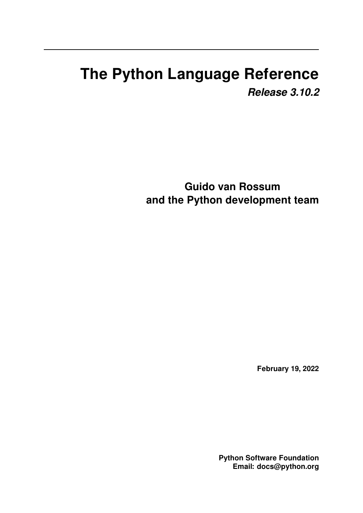# **The Python Language Reference** *Release 3.10.2*

**Guido van Rossum and the Python development team**

**February 19, 2022**

**Python Software Foundation Email: docs@python.org**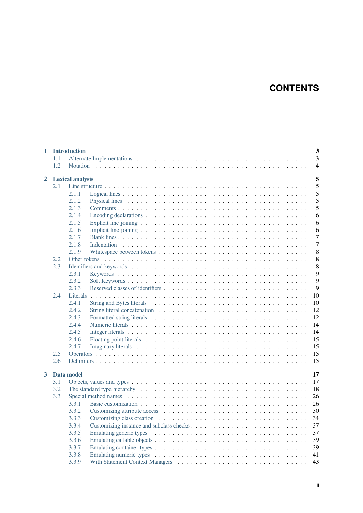# **CONTENTS**

| 1              |     | <b>Introduction</b>     | 3              |
|----------------|-----|-------------------------|----------------|
|                | 1.1 |                         | 3              |
|                | 1.2 | <b>Notation</b>         | $\overline{4}$ |
| $\overline{2}$ |     | <b>Lexical analysis</b> | 5              |
|                | 2.1 |                         | 5              |
|                |     | 2.1.1                   | 5              |
|                |     | 2.1.2                   | 5              |
|                |     | 2.1.3                   | 5              |
|                |     | 2.1.4                   | 6              |
|                |     | 2.1.5                   | 6              |
|                |     | 2.1.6                   | 6              |
|                |     | 2.1.7                   | 7              |
|                |     | 2.1.8                   | 7              |
|                |     | 2.1.9                   | 8              |
|                |     |                         | 8              |
|                | 2.2 |                         |                |
|                | 2.3 |                         | 8              |
|                |     | 2.3.1                   | 9              |
|                |     | 2.3.2                   | 9              |
|                |     | 2.3.3                   | 9              |
|                | 2.4 |                         | 10             |
|                |     | 2.4.1                   | 10             |
|                |     | 2.4.2                   | 12             |
|                |     | 2.4.3                   | 12             |
|                |     | 2.4.4                   | 14             |
|                |     | 2.4.5                   | 14             |
|                |     | 2.4.6                   | 15             |
|                |     | 2.4.7                   | 15             |
|                | 2.5 |                         | 15             |
|                | 2.6 |                         | 15             |
| 3              |     | Data model              | 17             |
|                | 3.1 |                         | 17             |
|                | 3.2 |                         | 18             |
|                | 3.3 |                         | 26             |
|                |     | 3.3.1                   | 26             |
|                |     | 3.3.2                   | 30             |
|                |     | 3.3.3                   | 34             |
|                |     | 3.3.4                   | 37             |
|                |     | 3.3.5                   | 37             |
|                |     | 3.3.6                   | 39             |
|                |     | 3.3.7                   | 39             |
|                |     | 3.3.8                   | 41             |
|                |     |                         |                |
|                |     | 3.3.9                   | 43             |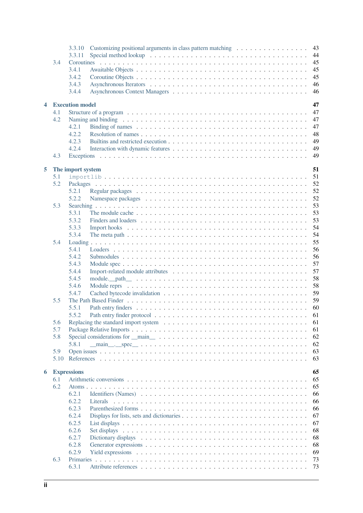|   |      | Customizing positional arguments in class pattern matching<br>3.3.10                                                                                                                                                                    | 43 |
|---|------|-----------------------------------------------------------------------------------------------------------------------------------------------------------------------------------------------------------------------------------------|----|
|   |      | 3.3.11                                                                                                                                                                                                                                  | 44 |
|   | 3.4  | Coroutines                                                                                                                                                                                                                              | 45 |
|   |      | 3.4.1                                                                                                                                                                                                                                   | 45 |
|   |      | 3.4.2                                                                                                                                                                                                                                   | 45 |
|   |      | 3.4.3                                                                                                                                                                                                                                   | 46 |
|   |      | 3.4.4                                                                                                                                                                                                                                   | 46 |
| 4 |      | <b>Execution model</b>                                                                                                                                                                                                                  | 47 |
|   | 4.1  |                                                                                                                                                                                                                                         | 47 |
|   | 4.2  | Naming and binding experience is a series of the series of the series of the series of the series of the series of the series of the series of the series of the series of the series of the series of the series of the serie          | 47 |
|   |      | 4.2.1                                                                                                                                                                                                                                   | 47 |
|   |      | 4.2.2                                                                                                                                                                                                                                   | 48 |
|   |      | 4.2.3                                                                                                                                                                                                                                   | 49 |
|   |      | 4.2.4                                                                                                                                                                                                                                   | 49 |
|   | 4.3  |                                                                                                                                                                                                                                         | 49 |
|   |      |                                                                                                                                                                                                                                         |    |
| 5 |      | The import system                                                                                                                                                                                                                       | 51 |
|   | 5.1  |                                                                                                                                                                                                                                         | 51 |
|   | 5.2  |                                                                                                                                                                                                                                         | 52 |
|   |      | 5.2.1                                                                                                                                                                                                                                   | 52 |
|   |      | 5.2.2                                                                                                                                                                                                                                   | 52 |
|   | 5.3  |                                                                                                                                                                                                                                         | 53 |
|   |      | 5.3.1                                                                                                                                                                                                                                   | 53 |
|   |      | 5.3.2                                                                                                                                                                                                                                   | 53 |
|   |      | 5.3.3                                                                                                                                                                                                                                   | 54 |
|   |      | 5.3.4                                                                                                                                                                                                                                   | 54 |
|   | 5.4  |                                                                                                                                                                                                                                         | 55 |
|   |      | 5.4.1                                                                                                                                                                                                                                   | 56 |
|   |      | 5.4.2                                                                                                                                                                                                                                   | 56 |
|   |      | 5.4.3                                                                                                                                                                                                                                   | 57 |
|   |      | 5.4.4                                                                                                                                                                                                                                   | 57 |
|   |      | 5.4.5                                                                                                                                                                                                                                   | 58 |
|   |      | 5.4.6                                                                                                                                                                                                                                   | 58 |
|   |      | 5.4.7                                                                                                                                                                                                                                   | 59 |
|   | 5.5  |                                                                                                                                                                                                                                         | 59 |
|   |      | 5.5.1                                                                                                                                                                                                                                   | 60 |
|   |      | 5.5.2                                                                                                                                                                                                                                   | 61 |
|   | 5.6  |                                                                                                                                                                                                                                         | 61 |
|   | 5.7  |                                                                                                                                                                                                                                         | 61 |
|   | 5.8  |                                                                                                                                                                                                                                         | 62 |
|   |      | 5.8.1                                                                                                                                                                                                                                   | 62 |
|   | 5.9  |                                                                                                                                                                                                                                         | 63 |
|   | 5.10 |                                                                                                                                                                                                                                         | 63 |
| 6 |      | <b>Expressions</b>                                                                                                                                                                                                                      | 65 |
|   | 6.1  |                                                                                                                                                                                                                                         | 65 |
|   | 6.2  |                                                                                                                                                                                                                                         | 65 |
|   |      | 6.2.1                                                                                                                                                                                                                                   | 66 |
|   |      | 6.2.2<br>Literals                                                                                                                                                                                                                       | 66 |
|   |      | 6.2.3                                                                                                                                                                                                                                   | 66 |
|   |      | 6.2.4                                                                                                                                                                                                                                   | 67 |
|   |      | 6.2.5                                                                                                                                                                                                                                   | 67 |
|   |      | 6.2.6                                                                                                                                                                                                                                   | 68 |
|   |      | 6.2.7<br>Dictionary displays (a) respectively and the set of the set of the set of the set of the set of the set of the set of the set of the set of the set of the set of the set of the set of the set of the set of the set of the s | 68 |
|   |      | 6.2.8                                                                                                                                                                                                                                   | 68 |
|   |      | 6.2.9                                                                                                                                                                                                                                   | 69 |
|   | 6.3  | Primaries                                                                                                                                                                                                                               | 73 |
|   |      | 6.3.1                                                                                                                                                                                                                                   | 73 |
|   |      |                                                                                                                                                                                                                                         |    |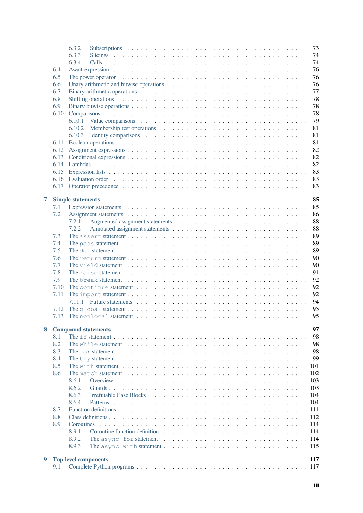|   |      | 6.3.2<br>73                                                                                                                                                 |
|---|------|-------------------------------------------------------------------------------------------------------------------------------------------------------------|
|   |      | 6.3.3<br>74                                                                                                                                                 |
|   |      | 74<br>6.3.4                                                                                                                                                 |
|   | 6.4  | 76                                                                                                                                                          |
|   | 6.5  | 76                                                                                                                                                          |
|   | 6.6  | 76                                                                                                                                                          |
|   | 6.7  | 77                                                                                                                                                          |
|   | 6.8  | 78                                                                                                                                                          |
|   | 6.9  | 78                                                                                                                                                          |
|   | 6.10 | 78                                                                                                                                                          |
|   |      | 79<br>6.10.1                                                                                                                                                |
|   |      | 81<br>6.10.2                                                                                                                                                |
|   |      |                                                                                                                                                             |
|   |      | 81<br>6.10.3                                                                                                                                                |
|   | 6.11 | 81                                                                                                                                                          |
|   | 6.12 | 82                                                                                                                                                          |
|   | 6.13 | 82                                                                                                                                                          |
|   | 6.14 | 82                                                                                                                                                          |
|   | 6.15 | 83                                                                                                                                                          |
|   | 6.16 | 83                                                                                                                                                          |
|   | 6.17 | 83                                                                                                                                                          |
|   |      |                                                                                                                                                             |
| 7 |      | 85<br><b>Simple statements</b>                                                                                                                              |
|   | 7.1  | 85                                                                                                                                                          |
|   | 7.2  | 86                                                                                                                                                          |
|   |      | 88<br>7.2.1                                                                                                                                                 |
|   |      | 88<br>7.2.2                                                                                                                                                 |
|   | 7.3  | 89                                                                                                                                                          |
|   | 7.4  | 89<br>The pass statement $\dots \dots \dots \dots \dots \dots \dots \dots \dots \dots \dots \dots \dots \dots \dots \dots \dots$                            |
|   | 7.5  | 89                                                                                                                                                          |
|   |      | The del statement $\dots \dots \dots \dots \dots \dots \dots \dots \dots \dots \dots \dots \dots \dots \dots \dots \dots \dots$<br>90                       |
|   | 7.6  |                                                                                                                                                             |
|   | 7.7  | 90<br>The yield statement $\dots \dots \dots \dots \dots \dots \dots \dots \dots \dots \dots \dots \dots \dots \dots$                                       |
|   | 7.8  | 91                                                                                                                                                          |
|   | 7.9  | 92<br>The break statement $\dots \dots \dots \dots \dots \dots \dots \dots \dots \dots \dots \dots \dots \dots \dots \dots$                                 |
|   | 7.10 | 92                                                                                                                                                          |
|   | 7.11 | 92                                                                                                                                                          |
|   |      | 94                                                                                                                                                          |
|   | 7.12 | 95<br>The q1obal statement $\dots \dots \dots \dots \dots \dots \dots \dots \dots \dots \dots \dots \dots \dots \dots \dots$                                |
|   | 7.13 | 95<br>The nonlocal statement $\dots \dots \dots \dots \dots \dots \dots \dots \dots \dots \dots \dots \dots \dots \dots$                                    |
|   |      |                                                                                                                                                             |
| 8 |      | 97<br><b>Compound statements</b>                                                                                                                            |
|   | 8.1  | 98                                                                                                                                                          |
|   | 8.2  | 98<br>The while statement $\ldots$ , $\ldots$ , $\ldots$ , $\ldots$ , $\ldots$ , $\ldots$ , $\ldots$ , $\ldots$ , $\ldots$ , $\ldots$ , $\ldots$ , $\ldots$ |
|   | 8.3  | 98                                                                                                                                                          |
|   | 8.4  | 99                                                                                                                                                          |
|   | 8.5  | The with statement $\ldots$ , $\ldots$ , $\ldots$ , $\ldots$ , $\ldots$ , $\ldots$ , $\ldots$ , $\ldots$ , $\ldots$ , $\ldots$ , $\ldots$ , $\ldots$<br>101 |
|   | 8.6  | 102                                                                                                                                                         |
|   |      | 8.6.1<br>103                                                                                                                                                |
|   |      | 8.6.2                                                                                                                                                       |
|   |      | 8.6.3                                                                                                                                                       |
|   |      |                                                                                                                                                             |
|   |      | 8.6.4                                                                                                                                                       |
|   | 8.7  |                                                                                                                                                             |
|   | 8.8  |                                                                                                                                                             |
|   | 8.9  | Coroutines                                                                                                                                                  |
|   |      | 8.9.1                                                                                                                                                       |
|   |      | 8.9.2                                                                                                                                                       |
|   |      | 8.9.3                                                                                                                                                       |
|   |      |                                                                                                                                                             |
| 9 |      | <b>Top-level components</b><br>117                                                                                                                          |
|   | 9.1  |                                                                                                                                                             |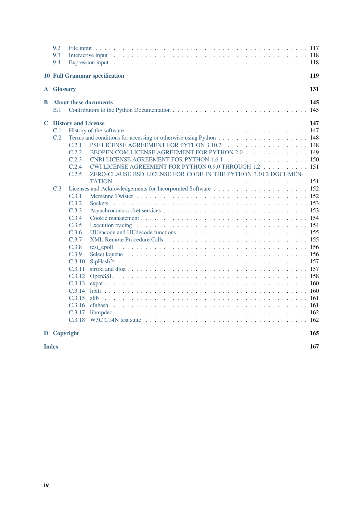|   | 9.2<br>9.3<br>9.4 |                              | Interactive input respectively and the contractive interactive input respectively. |     |
|---|-------------------|------------------------------|------------------------------------------------------------------------------------|-----|
|   |                   |                              | <b>10 Full Grammar specification</b>                                               | 119 |
|   | <b>A</b> Glossary |                              |                                                                                    | 131 |
| B |                   |                              | <b>About these documents</b>                                                       | 145 |
|   | B.1               |                              |                                                                                    |     |
|   |                   | <b>C</b> History and License |                                                                                    | 147 |
|   | C.1               |                              |                                                                                    |     |
|   | C.2               |                              |                                                                                    |     |
|   |                   | C.2.1                        |                                                                                    |     |
|   |                   | C.2.2                        | BEOPEN.COM LICENSE AGREEMENT FOR PYTHON 2.0 149                                    |     |
|   |                   | C.2.3                        |                                                                                    |     |
|   |                   | C.2.4                        | CWI LICENSE AGREEMENT FOR PYTHON 0.9.0 THROUGH 1.2 151                             |     |
|   |                   | C.2.5                        | ZERO-CLAUSE BSD LICENSE FOR CODE IN THE PYTHON 3.10.2 DOCUMEN-                     |     |
|   |                   |                              |                                                                                    |     |
|   | C.3               |                              |                                                                                    |     |
|   |                   | C.3.1                        |                                                                                    |     |
|   |                   | C.3.2                        |                                                                                    |     |
|   |                   | C.3.3                        |                                                                                    |     |
|   |                   | C.3.4                        |                                                                                    |     |
|   |                   | C.3.5                        |                                                                                    |     |
|   |                   | C.3.6                        |                                                                                    |     |
|   |                   | C.3.7                        |                                                                                    |     |
|   |                   | C.3.8                        |                                                                                    |     |
|   |                   | C.3.9                        |                                                                                    |     |
|   |                   | C.3.10                       |                                                                                    |     |
|   |                   | C.3.11                       |                                                                                    |     |
|   |                   | C.3.12                       |                                                                                    |     |
|   |                   | C.3.13                       |                                                                                    |     |
|   |                   | C.3.14                       |                                                                                    |     |
|   |                   | C.3.15                       | zlib                                                                               |     |
|   |                   | C.3.16                       |                                                                                    |     |
|   |                   | C.3.17                       |                                                                                    |     |
|   |                   |                              |                                                                                    |     |
|   | D Copyright       |                              |                                                                                    | 165 |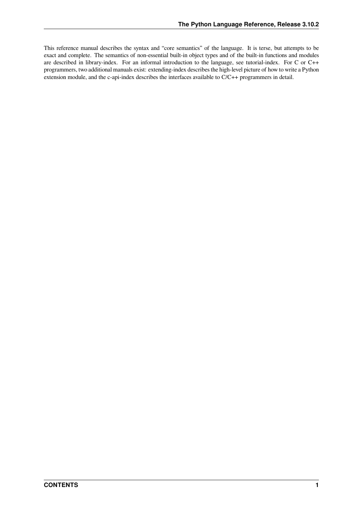This reference manual describes the syntax and "core semantics" of the language. It is terse, but attempts to be exact and complete. The semantics of non-essential built-in object types and of the built-in functions and modules are described in library-index. For an informal introduction to the language, see tutorial-index. For C or C++ programmers, two additional manuals exist: extending-index describes the high-level picture of how to write a Python extension module, and the c-api-index describes the interfaces available to C/C++ programmers in detail.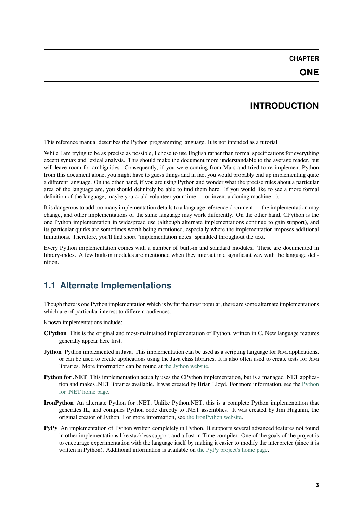# **INTRODUCTION**

<span id="page-8-0"></span>This reference manual describes the Python programming language. It is not intended as a tutorial.

While I am trying to be as precise as possible, I chose to use English rather than formal specifications for everything except syntax and lexical analysis. This should make the document more understandable to the average reader, but will leave room for ambiguities. Consequently, if you were coming from Mars and tried to re-implement Python from this document alone, you might have to guess things and in fact you would probably end up implementing quite a different language. On the other hand, if you are using Python and wonder what the precise rules about a particular area of the language are, you should definitely be able to find them here. If you would like to see a more formal definition of the language, maybe you could volunteer your time — or invent a cloning machine :-).

It is dangerous to add too many implementation details to a language reference document — the implementation may change, and other implementations of the same language may work differently. On the other hand, CPython is the one Python implementation in widespread use (although alternate implementations continue to gain support), and its particular quirks are sometimes worth being mentioned, especially where the implementation imposes additional limitations. Therefore, you'll find short "implementation notes" sprinkled throughout the text.

Every Python implementation comes with a number of built-in and standard modules. These are documented in library-index. A few built-in modules are mentioned when they interact in a significant way with the language definition.

# **1.1 Alternate Implementations**

<span id="page-8-1"></span>Though there is one Python implementation which is by far the most popular, there are some alternate implementations which are of particular interest to different audiences.

Known implementations include:

- **CPython** This is the original and most-maintained implementation of Python, written in C. New language features generally appear here first.
- **Jython** Python implemented in Java. This implementation can be used as a scripting language for Java applications, or can be used to create applications using the Java class libraries. It is also often used to create tests for Java libraries. More information can be found at the Jython website.
- **Python for .NET** This implementation actually uses the CPython implementation, but is a managed .NET application and makes .NET libraries available. It was created by Brian Lloyd. For more information, see the Python for .NET home page.
- **IronPython** An alternate Python for .NET. Unlike Python.NET, this is a complete Python implementation that generates IL, and compiles Python code directly to .NET assemblies. It was created by Jim Hugu[nin, the](https://pythonnet.github.io/) [original creator of Jy](https://pythonnet.github.io/)thon. For more information, see the IronPython website.
- **PyPy** An implementation of Python written completely in Python. It supports several advanced features not found in other implementations like stackless support and a Just in Time compiler. One of the goals of the project is to encourage experimentation with the language itself by making it easier to modify the interpreter (since it is written in Python). Additional information is available on [the PyPy project's](http://ironpython.net/) home page.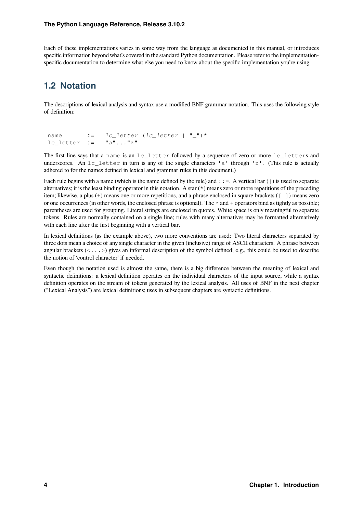Each of these implementations varies in some way from the language as documented in this manual, or introduces specific information beyond what's covered in the standard Python documentation. Please refer to the implementationspecific documentation to determine what else you need to know about the specific implementation you're using.

# <span id="page-9-0"></span>**1.2 Notation**

The descriptions of lexical analysis and syntax use a modified BNF grammar notation. This uses the following style of definition:

```
name ::= lc_letter (lc_letter | "_")*
lc letter  ::= "a". . . "z"
```
The first line says that a name is an  $lc$  letter followed by a sequence of zero or more lc letters and underscores. An lc\_letter in turn is any of the single characters 'a' through 'z'. (This rule is actually adhered to for the names defined in lexical and grammar rules in this document.)

Each rule begins with a name (which is the name defined by the rule) and  $\cdot$ :  $=$ . A vertical bar () is used to separate alternatives; it is the least binding operator in this notation. A star  $(*)$  means zero or more repetitions of the preceding item; likewise, a plus (+) means one or more repetitions, and a phrase enclosed in square brackets ([ ]) means zero or one occurrences (in other words, the enclosed phrase is optional). The  $*$  and  $*$  operators bind as tightly as possible; parentheses are used for grouping. Literal strings are enclosed in quotes. White space is only meaningful to separate tokens. Rules are normally contained on a single line; rules with many alternatives may be formatted alternatively with each line after the first beginning with a vertical bar.

In lexical definitions (as the example above), two more conventions are used: Two literal characters separated by three dots mean a choice of any single character in the given (inclusive) range of ASCII characters. A phrase between angular brackets  $(\langle \cdot, \cdot, \cdot \rangle)$  gives an informal description of the symbol defined; e.g., this could be used to describe the notion of 'control character' if needed.

Even though the notation used is almost the same, there is a big difference between the meaning of lexical and syntactic definitions: a lexical definition operates on the individual characters of the input source, while a syntax definition operates on the stream of tokens generated by the lexical analysis. All uses of BNF in the next chapter ("Lexical Analysis") are lexical definitions; uses in subsequent chapters are syntactic definitions.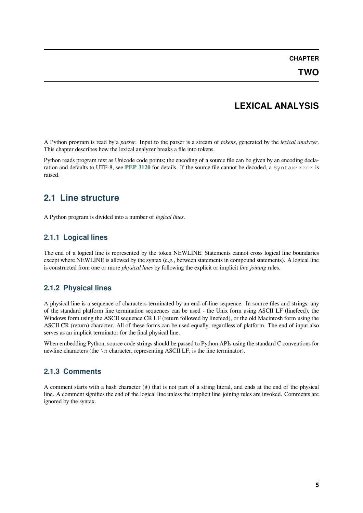# **LEXICAL ANALYSIS**

<span id="page-10-0"></span>A Python program is read by a *parser*. Input to the parser is a stream of *tokens*, generated by the *lexical analyzer*. This chapter describes how the lexical analyzer breaks a file into tokens.

Python reads program text as Unicode code points; the encoding of a source file can be given by an encoding declaration and defaults to UTF-8, see **PEP 3120** for details. If the source file cannot be decoded, a SyntaxError is raised.

### **2.1 Line structure**

<span id="page-10-1"></span>A Python program is divided into a number of *logical lines*.

### **2.1.1 Logical lines**

<span id="page-10-2"></span>The end of a logical line is represented by the token NEWLINE. Statements cannot cross logical line boundaries except where NEWLINE is allowed by the syntax (e.g., between statements in compound statements). A logical line is constructed from one or more *physical lines* by following the explicit or implicit *line joining* rules.

### **2.1.2 Physical lines**

<span id="page-10-3"></span>A physical line is a sequence of characters terminated by an end-of-line sequence. In source files and strings, any of the standard platform line termination sequences can be used - the Unix form using ASCII LF (linefeed), the Windows form using the ASCII sequence CR LF (return followed by linefeed), or the old Macintosh form using the ASCII CR (return) character. All of these forms can be used equally, regardless of platform. The end of input also serves as an implicit terminator for the final physical line.

When embedding Python, source code strings should be passed to Python APIs using the standard C conventions for newline characters (the  $\n\alpha$  character, representing ASCII LF, is the line terminator).

### **2.1.3 Comments**

<span id="page-10-4"></span>A comment starts with a hash character (#) that is not part of a string literal, and ends at the end of the physical line. A comment signifies the end of the logical line unless the implicit line joining rules are invoked. Comments are ignored by the syntax.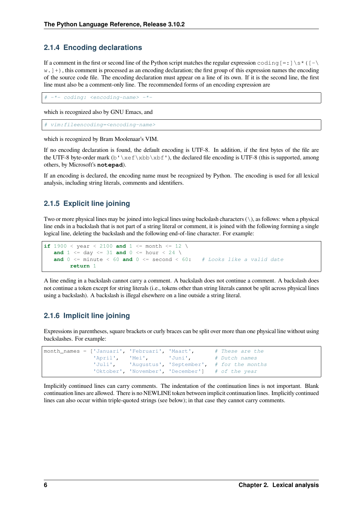#### <span id="page-11-0"></span>**2.1.4 Encoding declarations**

If a comment in the first or second line of the Python script matches the regular expression coding  $[=:]\setminus s*([-\setminus$ w.]+), this comment is processed as an encoding declaration; the first group of this expression names the encoding of the source code file. The encoding declaration must appear on a line of its own. If it is the second line, the first line must also be a comment-only line. The recommended forms of an encoding expression are

```
# -*- coding: <encoding-name> -*-
```
which is recognized also by GNU Emacs, and

```
# vim:fileencoding=<encoding-name>
```
which is recognized by Bram Moolenaar's VIM.

If no encoding declaration is found, the default encoding is UTF-8. In addition, if the first bytes of the file are the UTF-8 byte-order mark (b'\xef\xbb\xbf'), the declared file encoding is UTF-8 (this is supported, among others, by Microsoft's **notepad**).

If an encoding is declared, the encoding name must be recognized by Python. The encoding is used for all lexical analysis, including string literals, comments and identifiers.

#### <span id="page-11-1"></span>**2.1.5 Explicit line joining**

Two or more physical lines may be joined into logical lines using backslash characters (\), as follows: when a physical line ends in a backslash that is not part of a string literal or comment, it is joined with the following forming a single logical line, deleting the backslash and the following end-of-line character. For example:

```
if 1900 < year < 2100 and 1 <= month <= 12 \
  and 1 \leq d day \leq 31 and 0 \leq d hour \leq 24and 0 <= minute < 60 and 0 <= second < 60: # Looks like a valid date
        return 1
```
A line ending in a backslash cannot carry a comment. A backslash does not continue a comment. A backslash does not continue a token except for string literals (i.e., tokens other than string literals cannot be split across physical lines using a backslash). A backslash is illegal elsewhere on a line outside a string literal.

### <span id="page-11-2"></span>**2.1.6 Implicit line joining**

Expressions in parentheses, square brackets or curly braces can be split over more than one physical line without using backslashes. For example:

```
month_names = ['Januari', 'Februari', 'Maart', # These are the
              'April', 'Mei', 'Juni', # Dutch names
             'Juli', 'Augustus', 'September', # for the months
             'Oktober', 'November', 'December'] # of the year
```
Implicitly continued lines can carry comments. The indentation of the continuation lines is not important. Blank continuation lines are allowed. There is no NEWLINE token between implicit continuation lines. Implicitly continued lines can also occur within triple-quoted strings (see below); in that case they cannot carry comments.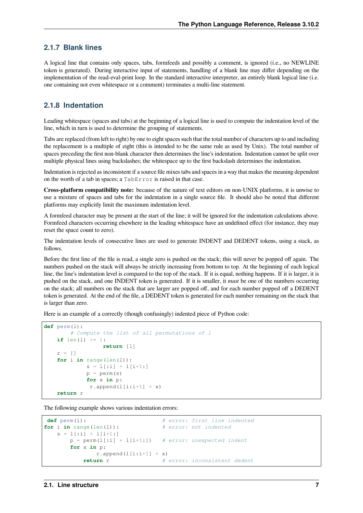### <span id="page-12-0"></span>**2.1.7 Blank lines**

A logical line that contains only spaces, tabs, formfeeds and possibly a comment, is ignored (i.e., no NEWLINE token is generated). During interactive input of statements, handling of a blank line may differ depending on the implementation of the read-eval-print loop. In the standard interactive interpreter, an entirely blank logical line (i.e. one containing not even whitespace or a comment) terminates a multi-line statement.

### <span id="page-12-1"></span>**2.1.8 Indentation**

Leading whitespace (spaces and tabs) at the beginning of a logical line is used to compute the indentation level of the line, which in turn is used to determine the grouping of statements.

Tabs are replaced (from left to right) by one to eight spaces such that the total number of characters up to and including the replacement is a multiple of eight (this is intended to be the same rule as used by Unix). The total number of spaces preceding the first non-blank character then determines the line's indentation. Indentation cannot be split over multiple physical lines using backslashes; the whitespace up to the first backslash determines the indentation.

Indentation is rejected as inconsistent if a source file mixes tabs and spaces in a way that makes the meaning dependent on the worth of a tab in spaces; a TabError is raised in that case.

**Cross-platform compatibility note:** because of the nature of text editors on non-UNIX platforms, it is unwise to use a mixture of spaces and tabs for the indentation in a single source file. It should also be noted that different platforms may explicitly limit the maximum indentation level.

A formfeed character may be present at the start of the line; it will be ignored for the indentation calculations above. Formfeed characters occurring elsewhere in the leading whitespace have an undefined effect (for instance, they may reset the space count to zero).

The indentation levels of consecutive lines are used to generate INDENT and DEDENT tokens, using a stack, as follows.

Before the first line of the file is read, a single zero is pushed on the stack; this will never be popped off again. The numbers pushed on the stack will always be strictly increasing from bottom to top. At the beginning of each logical line, the line's indentation level is compared to the top of the stack. If it is equal, nothing happens. If it is larger, it is pushed on the stack, and one INDENT token is generated. If it is smaller, it *must* be one of the numbers occurring on the stack; all numbers on the stack that are larger are popped off, and for each number popped off a DEDENT token is generated. At the end of the file, a DEDENT token is generated for each number remaining on the stack that is larger than zero.

Here is an example of a correctly (though confusingly) indented piece of Python code:

```
def perm(l):
       # Compute the list of all permutations of l
   if len(1) \leq 1:
                return [l]
   r = []for i in range(len(l)):
            s = 1[:i] + 1[i+1:]p = perm(s)for x in p:
             r.append(l[i:i+1] + x)return r
```
The following example shows various indentation errors:

```
def perm(l): # error: first line indented
for i in range(len(l)): # error: not indented
   s = 1[:i] + 1[i+1:]p = perm(l[i:i] + l[i+1:j]) # error: unexpected indent
      for x in p:
            r.append(l[i:i+1] + x)return r # error: inconsistent dedent
```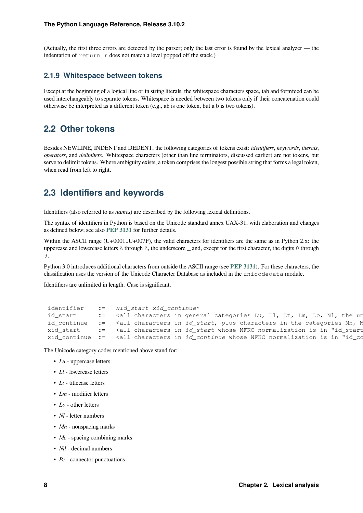(Actually, the first three errors are detected by the parser; only the last error is found by the lexical analyzer — the indentation of return r does not match a level popped off the stack.)

### **2.1.9 Whitespace between tokens**

<span id="page-13-0"></span>Except at the beginning of a logical line or in string literals, the whitespace characters space, tab and formfeed can be used interchangeably to separate tokens. Whitespace is needed between two tokens only if their concatenation could otherwise be interpreted as a different token (e.g., ab is one token, but a b is two tokens).

# **2.2 Other tokens**

<span id="page-13-1"></span>Besides NEWLINE, INDENT and DEDENT, the following categories of tokens exist: *identifiers*, *keywords*, *literals*, *operators*, and *delimiters*. Whitespace characters (other than line terminators, discussed earlier) are not tokens, but serve to delimit tokens. Where ambiguity exists, a token comprises the longest possible string that forms a legal token, when read from left to right.

# **2.3 Identifiers and keywords**

<span id="page-13-2"></span>Identifiers (also referred to as *names*) are described by the following lexical definitions.

The syntax of identifiers in Python is based on the Unicode standard annex UAX-31, with elaboration and changes as defined below; see also **PEP 3131** for further details.

Within the ASCII range (U+0001..U+007F), the valid characters for identifiers are the same as in Python 2.x: the uppercase and lowercase letters A through Z, the underscore \_ and, except for the first character, the digits 0 through 9.

Python 3.0 introduces add[itional char](https://www.python.org/dev/peps/pep-3131)acters from outside the ASCII range (see **PEP 3131**). For these characters, the classification uses the version of the Unicode Character Database as included in the unicodedata module.

Identifiers are unlimited in length. Case is significant.

```
identifier ::= xid_start xid_continue*
id_start ::= <all characters in general categories Lu, Ll, Lt, Lm, Lo, Nl, the under
id_continue ::= <all characters in id_start, plus characters in the categories Mn, Mc,
xid_start ::= <all characters in id_start whose NFKC normalization is in "id_start xi
xid_continue ::= <all characters in id_continue whose NFKC normalization is in "id_continue*">
```
The Unicode category codes mentioned above stand for:

- *Lu* uppercase letters
- *Ll* lowercase letters
- *Lt* titlecase letters
- *Lm* modifier letters
- *Lo* other letters
- *Nl* letter numbers
- *Mn* nonspacing marks
- *Mc* spacing combining marks
- *Nd* decimal numbers
- *Pc* connector punctuations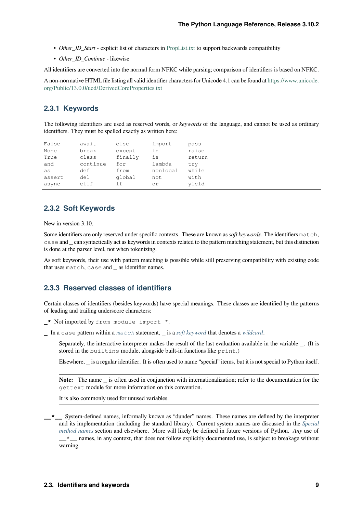- *Other ID Start* explicit list of characters in PropList.txt to support backwards compatibility
- *Other\_ID\_Continue* likewise

All identifiers are converted into the normal form NFKC while parsing; comparison of identifiers is based on NFKC.

A non-normative HTML file listing all valid identifie[r characters f](https://www.unicode.org/Public/13.0.0/ucd/PropList.txt)or Unicode 4.1 can be found at https://www.unicode. org/Public/13.0.0/ucd/DerivedCoreProperties.txt

#### **2.3.1 Keywords**

[The following identifiers are used as reserved wor](https://www.unicode.org/Public/13.0.0/ucd/DerivedCoreProperties.txt)ds, or *keywords* of the language, and cannot be used as ordinary identifiers. They must be spelled exactly as written here:

<span id="page-14-0"></span>

| False  | await    | else    | import   | pass   |
|--------|----------|---------|----------|--------|
| None   | break    | except  | in       | raise  |
| True   | class    | finally | is       | return |
| and    | continue | for     | lambda   | try    |
| as     | def      | from    | nonlocal | while  |
| assert | del      | global  | not      | with   |
| async  | elif     | if      | or       | yield  |

### **2.3.2 Soft Keywords**

New in version 3.10.

<span id="page-14-1"></span>Some identifiers are only reserved under specific contexts. These are known as *soft keywords*. The identifiers match, case and \_ can syntactically act as keywords in contexts related to the pattern matching statement, but this distinction is done at the parser level, not when tokenizing.

As soft keywords, their use with pattern matching is possible while still preserving compatibility with existing code that uses match, case and \_ as identifier names.

### **2.3.3 Reserved classes of identifiers**

<span id="page-14-2"></span>Certain classes of identifiers (besides keywords) have special meanings. These classes are identified by the patterns of leading and trailing underscore characters:

**\_\*** Not imported by from module import \*.

**\_** In a case pattern within a *match* statement, \_ is a *soft keyword* that denotes a *wildcard*.

Separately, the interactive interpreter makes the result of the last evaluation available in the variable \_. (It is stored in the builtins module, alongside built-in functions like print.)

Elsewhere, \_ is a regula[r identifie](#page-107-0)r. It is often use[d to name "sp](#page-14-1)ecial" items, b[ut it is not](#page-111-0) special to Python itself.

**Note:** The name \_ is often used in conjunction with internationalization; refer to the documentation for the gettext module for more information on this convention.

It is also commonly used for unused variables.

**\_\_\*\_\_** System-defined names, informally known as "dunder" names. These names are defined by the interpreter and its implementation (including the standard library). Current system names are discussed in the *Special method names* section and elsewhere. More will likely be defined in future versions of Python. *Any* use of  $\frac{1}{1}$  names, in any context, that does not follow explicitly documented use, is subject to breakage without warning.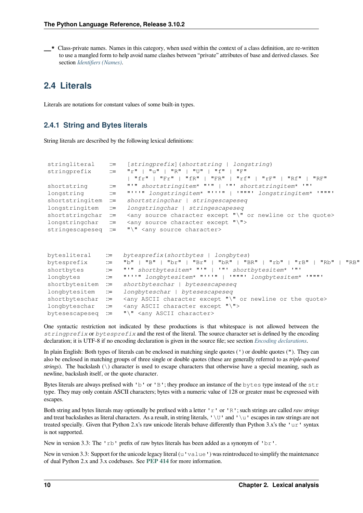**\_\_\*** Class-private names. Names in this category, when used within the context of a class definition, are re-written to use a mangled form to help avoid name clashes between "private" attributes of base and derived classes. See section *Identifiers (Names)*.

# **2.4 Lite[rals](#page-71-0)**

<span id="page-15-0"></span>Literals are notations for constant values of some built-in types.

### **2.4.1 String and Bytes literals**

<span id="page-15-1"></span>String literals are described by the following lexical definitions:

```
stringliteral ::= [stringprefix](shortstring | longstring)
stringprefix \therefore \equiv "r" | "u" | "R" | "U" | "f" | "F"
                     | "fr" | "Fr" | "fR" | "FR" | "rf" | "rF" | "Rf" | "RF"
shortstring ::= "'" shortstringitem* "'" | '"' shortstringitem* '"'
longstring ::= "'''" longstringitem* "'''" | '"""' longstringitem* '"""'
shortstringitem ::= shortstringchar | stringescapeseq
longstringitem ::= longstringchar | stringescapeseq
shortstringchar ::= <any source character except "\" or newline or the quote>
longstringchar ::= <any source character except "\">
stringescapeseq ::= "\" <any source character>
```

| bytesliteral |                           | $ ::=$ bytesprefix(shortbytes   longbytes)                                                                    |
|--------------|---------------------------|---------------------------------------------------------------------------------------------------------------|
| bytesprefix  | $\mathbf{m} = \mathbf{m}$ | $"b"$   $"B"$   $"br"$   $"Br"$   $"Br"$   $"bR"$   $"BR"$   $"rb"$   $"rB"$   $"Rb"$  <br>"BB"               |
| shortbytes   |                           | ::= "'" shortbytesitem* "'"   '"' shortbytesitem* '"'                                                         |
| longbytes    |                           |                                                                                                               |
|              |                           | shortbytesitem ::= shortbyteschar   bytesescapeseg                                                            |
|              |                           | longbytesitem ::= longbyteschar   bytesescapeseg                                                              |
|              |                           | shortbyteschar ::= $\leq$ <any "\"="" ascii="" character="" except="" newline="" or="" quote="" the=""></any> |
|              |                           | longbyteschar ::= <any "\"="" ascii="" character="" except=""></any>                                          |
|              |                           | bytesescapeseq := "\" <any ascii="" character=""></any>                                                       |
|              |                           |                                                                                                               |

One syntactic restriction not indicated by these productions is that whitespace is not allowed between the *stringprefix* or *bytesprefix* and the rest of the literal. The source character set is defined by the encoding declaration; it is UTF-8 if no encoding declaration is given in the source file; see section *Encoding declarations*.

In plain English: Both types of literals can be enclosed in matching single quotes (') or double quotes ("). They can also be enclosed in matching groups of three single or double quotes (these are generally referred to as *triple-quoted strings*). The backslash (\) character is used to escape characters that otherwise have [a special meaning, suc](#page-11-0)h as newline, backslash itself, or the quote character.

Bytes literals are always prefixed with 'b' or 'B'; they produce an instance of the bytes type instead of the  $str$ type. They may only contain ASCII characters; bytes with a numeric value of 128 or greater must be expressed with escapes.

Both string and bytes literals may optionally be prefixed with a letter 'r' or 'R'; such strings are called *raw strings* and treat backslashes as literal characters. As a result, in string literals, '\U' and '\u' escapes in raw strings are not treated specially. Given that Python 2.x's raw unicode literals behave differently than Python 3.x's the 'ur' syntax is not supported.

New in version 3.3: The 'rb' prefix of raw bytes literals has been added as a synonym of 'br'.

New in version 3.3: Support for the unicode legacy literal (u'value') was reintroduced to simplify the maintenance of dual Python 2.x and 3.x codebases. See **PEP 414** for more information.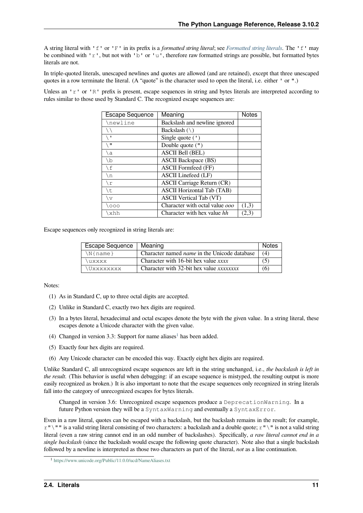A string literal with 'f' or 'F' in its prefix is a *formatted string literal*; see *Formatted string literals*. The 'f' may be combined with 'r', but not with 'b' or 'u', therefore raw formatted strings are possible, but formatted bytes literals are not.

In triple-quoted literals, unescaped newlines and quotes are allowed (and are retained), except that three unescaped quotes in a row terminate the literal. (A "quote" is the character used to ope[n the literal, i.e. either](#page-17-1) ' or ".)

Unless an 'r' or 'R' prefix is present, escape sequences in string and bytes literals are interpreted according to rules similar to those used by Standard C. The recognized escape sequences are:

| <b>Escape Sequence</b> | Meaning                               | <b>Notes</b> |
|------------------------|---------------------------------------|--------------|
| \newline               | Backslash and newline ignored         |              |
| ハ                      | Backslash $(\setminus)$               |              |
| ∖'                     | Single quote (')                      |              |
| \ ‼                    | Double quote (")                      |              |
| ١a                     | <b>ASCII Bell (BEL)</b>               |              |
| \b                     | <b>ASCII Backspace (BS)</b>           |              |
| ١f                     | <b>ASCII</b> Formfeed (FF)            |              |
| ۱n                     | <b>ASCII</b> Linefeed (LF)            |              |
| ۱r                     | <b>ASCII Carriage Return (CR)</b>     |              |
| \t                     | <b>ASCII Horizontal Tab (TAB)</b>     |              |
| $\vee$                 | <b>ASCII Vertical Tab (VT)</b>        |              |
| \000                   | Character with octal value <i>ooo</i> | (1,3)        |
| \xhh                   | Character with hex value hh           | (2,3)        |

Escape sequences only recognized in string literals are:

| <b>Escape Sequence</b> | Meaning                                             | <b>Notes</b> |
|------------------------|-----------------------------------------------------|--------------|
| $\N\$ name}            | Character named <i>name</i> in the Unicode database | (4)          |
| <b>NXXXX</b>           | Character with 16-bit hex value $xxxx$              | (5)          |
| \Uxxxxxxx              | Character with 32-bit hex value xxxxxxxx            | (6)          |

Notes:

- (1) As in Standard C, up to three octal digits are accepted.
- (2) Unlike in Standard C, exactly two hex digits are required.
- (3) In a bytes literal, hexadecimal and octal escapes denote the byte with the given value. In a string literal, these escapes denote a Unicode character with the given value.
- (4) Changed in version 3.3: Support for name aliases<sup>1</sup> has been added.
- (5) Exactly four hex digits are required.
- (6) Any Unicode character can be encoded this way. Exactly eight hex digits are required.

Unlike Standard C, all unrecognized escape sequences [a](#page-16-0)re left in the string unchanged, i.e., *the backslash is left in the result*. (This behavior is useful when debugging: if an escape sequence is mistyped, the resulting output is more easily recognized as broken.) It is also important to note that the escape sequences only recognized in string literals fall into the category of unrecognized escapes for bytes literals.

Changed in version 3.6: Unrecognized escape sequences produce a DeprecationWarning. In a future Python version they will be a SyntaxWarning and eventually a SyntaxError.

Even in a raw literal, quotes can be escaped with a backslash, but the backslash remains in the result; for example,  $r'' \$ " is a valid string literal consisting of two characters: a backslash and a double quote;  $r'' \$ " is not a valid string literal (even a raw string cannot end in an odd number of backslashes). Specifically, *a raw literal cannot end in a single backslash* (since the backslash would escape the following quote character). Note also that a single backslash followed by a newline is interpreted as those two characters as part of the literal, *not* as a line continuation.

<span id="page-16-0"></span><sup>1</sup> https://www.unicode.org/Public/11.0.0/ucd/NameAliases.txt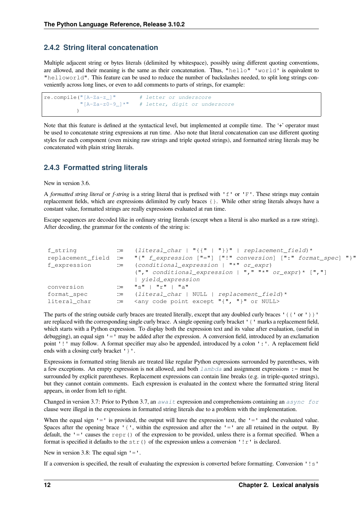### **2.4.2 String literal concatenation**

<span id="page-17-0"></span>Multiple adjacent string or bytes literals (delimited by whitespace), possibly using different quoting conventions, are allowed, and their meaning is the same as their concatenation. Thus, "hello" 'world' is equivalent to "helloworld". This feature can be used to reduce the number of backslashes needed, to split long strings conveniently across long lines, or even to add comments to parts of strings, for example:

```
re.compile("[A-Za-z_]" # letter or underscore
          "[A-Za-z0-9_]*" # letter, digit or underscore
         )
```
Note that this feature is defined at the syntactical level, but implemented at compile time. The '+' operator must be used to concatenate string expressions at run time. Also note that literal concatenation can use different quoting styles for each component (even mixing raw strings and triple quoted strings), and formatted string literals may be concatenated with plain string literals.

### **2.4.3 Formatted string literals**

New in version 3.6.

<span id="page-17-1"></span>A *formatted string literal* or *f-string* is a string literal that is prefixed with 'f' or 'F'. These strings may contain replacement fields, which are expressions delimited by curly braces {}. While other string literals always have a constant value, formatted strings are really expressions evaluated at run time.

Escape sequences are decoded like in ordinary string literals (except when a literal is also marked as a raw string). After decoding, the grammar for the contents of the string is:

```
f_string ::= (literal_char | "{{" | "}}" | replacement_field)*
replacement_field ::= "{" f_expression ["="] ["!" conversion] [":" format_spec] "}"
f_expression ::= (conditional_expression | "*" or_expr)
                      ("," conditional_expression | "," "*" or_expr)* [","]
                     | yield_expression
conversion ::= "s" | "r" | "a"
format_spec ::= (literal_char | NULL | replacement_field)*
literal_char ::= <any code point except "{", "}" or NULL>
```
The parts of the string outside curly braces are treated literally, except that any doubled curly braces  $\{ \{ \}$  or  $\}$   $\}$ are replaced with the corresponding single curly brace. A single opening curly bracket '{' marks a replacement field, which starts with a Python expression. To display both the expression text and its value after evaluation, (useful in debugging), an equal sign '=' may be added after the expression. A conversion field, introduced by an exclamation point '!' may follow. A format specifier may also be appended, introduced by a colon ':'. A replacement field ends with a closing curly bracket '}'.

Expressions in formatted string literals are treated like regular Python expressions surrounded by parentheses, with a few exceptions. An empty expression is not allowed, and both *lambda* and assignment expressions := must be surrounded by explicit parentheses. Replacement expressions can contain line breaks (e.g. in triple-quoted strings), but they cannot contain comments. Each expression is evaluated in the context where the formatted string literal appears, in order from left to right.

Changed in version 3.7: Prior to Python 3.7, an *await* expressio[n and com](#page-87-2)prehensions containing an *async for* clause were illegal in the expressions in formatted string literals due to a problem with the implementation.

When the equal sign  $!=$  is provided, the output will have the expression text, the  $!=$  and the evaluated value. Spaces after the opening brace  $\langle \cdot \rangle$ , within the expression and after the  $\vert \cdot \vert$  are all retained in the output. By default, the  $' ='$  causes the repr() of the ex[pression](#page-81-0) to be provided, unless there is a format spec[ified. When a](#page-119-2) format is specified it defaults to the str() of the expression unless a conversion '! r' is declared.

New in version 3.8: The equal sign  $!=$ .

If a conversion is specified, the result of evaluating the expression is converted before formatting. Conversion '!s'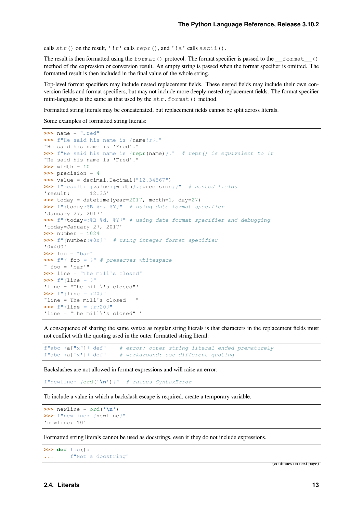calls  $str()$  on the result, '!r' calls repr(), and '!a' calls ascii().

The result is then formatted using the format() protocol. The format specifier is passed to the  $\pm$ format $()$ method of the expression or conversion result. An empty string is passed when the format specifier is omitted. The formatted result is then included in the final value of the whole string.

Top-level format specifiers may include nested replacement fields. These nested fields may include their own conversion fields and format specifiers, but may not include more deeply-nested replacement fields. The format specifier mini-language is the same as that used by the  $str.format()$  method.

Formatted string literals may be concatenated, but replacement fields cannot be split across literals.

Some examples of formatted string literals:

```
>>> name = "Fred"
>>> f"He said his name is {name!r}."
"He said his name is 'Fred'."
>>> f"He said his name is {repr(name)}." # repr() is equivalent to !r
"He said his name is 'Fred'."
>>> width = 10
>>> precision = 4
\rightarrow\rightarrow\rightarrow value = decimal. Decimal ("12.34567")
>>> f"result: {value:{width}.{precision}}" # nested fields
'result: 12.35'
>>> today = datetime(year=2017, month=1, day=27)
>>> f"{today:%B %d, %Y}" # using date format specifier
'January 27, 2017'
>>> f"{today=:%B %d, %Y}" # using date format specifier and debugging
'today=January 27, 2017'
\Rightarrow number = 1024
>>> f"{number:#0x}" # using integer format specifier
'0x400'
>>> foo = "bar"
>>> f"{ foo = }" # preserves whitespace
" foo = 'bar'"
>>> line = "The mill's closed"
>>> f"{line = }"
'line = "The mill\'s closed"'
>>> f"{line = :20}"
"line = The mill's closed
>>> f"{line = !r:20}"
'line = "The mill\'s closed" '
```
A consequence of sharing the same syntax as regular string literals is that characters in the replacement fields must not conflict with the quoting used in the outer formatted string literal:

```
f"abc {a["x"]} def" # error: outer string literal ended prematurely
                          f"abc {a['x']} def" # workaround: use different quoting
```
Backslashes are not allowed in format expressions and will raise an error:

f"newline: *{*ord('**\n**')*}*" *# raises SyntaxError*

To include a value in which a backslash escape is required, create a temporary variable.

```
>>> newline = ord('\n')
>>> f"newline: {newline}"
'newline: 10'
```
Formatted string literals cannot be used as docstrings, even if they do not include expressions.

```
>>> def foo():
... f"Not a docstring"
```
(continues on next page)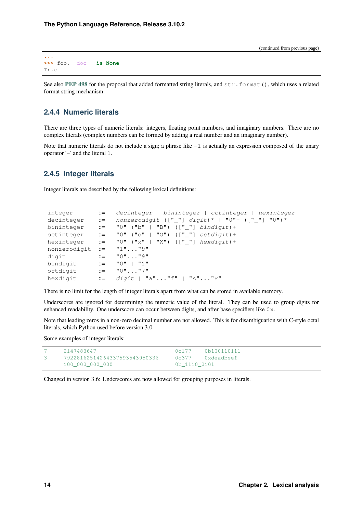```
...
>>> foo.__doc__ is None
True
```
See also PEP 498 for the proposal that added formatted string literals, and  $str.format()$ , which uses a related format string mechanism.

#### **2.4.4 [Numeri](https://www.python.org/dev/peps/pep-0498)c literals**

There are three types of numeric literals: integers, floating point numbers, and imaginary numbers. There are no complex literals (complex numbers can be formed by adding a real number and an imaginary number).

<span id="page-19-0"></span>Note that numeric literals do not include a sign; a phrase like  $-1$  is actually an expression composed of the unary operator '-' and the literal 1.

### **2.4.5 Integer literals**

<span id="page-19-1"></span>Integer literals are described by the following lexical definitions:

```
integer ::= decinteger | bininteger | octinteger | hexinteger
decinteger ::= nonzerodigit (["_"] digit)* | "0"+ (["_"] "0")*
bininteger ::= "0" ("b" | "B") (["_"] bindigit)+
octinteger ::= "0" ("o" | "O") (["_"] octdigit)+
hexinteger ::= "0" ("x" | "X") (["_"] hexdigit)+
nonzerodigit := "1"..."9"
digit ::= "0"..."9"
bindigit ::= "0" | "1"
octdigit ::= "0"..."7"
hexdigit ::= digit | "a"..."f" | "A"..."F"
```
There is no limit for the length of integer literals apart from what can be stored in available memory.

Underscores are ignored for determining the numeric value of the literal. They can be used to group digits for enhanced readability. One underscore can occur between digits, and after base specifiers like 0x.

Note that leading zeros in a non-zero decimal number are not allowed. This is for disambiguation with C-style octal literals, which Python used before version 3.0.

Some examples of integer literals:

```
7 2147483647 0o177 0b100110111
3 79228162514264337593543950336 0o377 0xdeadbeef
   100_000_000_000 0b_1110_0101
```
Changed in version 3.6: Underscores are now allowed for grouping purposes in literals.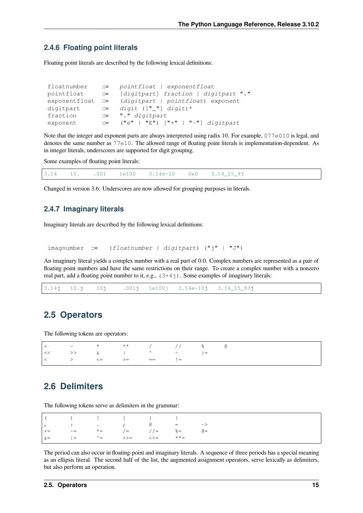#### <span id="page-20-0"></span>**2.4.6 Floating point literals**

Floating point literals are described by the following lexical definitions:

```
floatnumber ::= pointfloat | exponentfloat
pointfloat ::= [digitpart] fraction | digitpart "."
exponentfloat ::= (digitpart | pointfloat) exponent
digitpart ::= digit (["_"] digit)*
fraction ::= "." digitpart
exponent ::= ("e" | "E") ["+" | "-"] digitpart
```
Note that the integer and exponent parts are always interpreted using radix 10. For example, 077e010 is legal, and denotes the same number as 77e10. The allowed range of floating point literals is implementation-dependent. As in integer literals, underscores are supported for digit grouping.

Some examples of floating point literals:

| 3.14 10. .001 1e100 3.14e-10 0e0 3.14 15 93 |  |  |  |  |  |  |
|---------------------------------------------|--|--|--|--|--|--|
|---------------------------------------------|--|--|--|--|--|--|

Changed in version 3.6: Underscores are now allowed for grouping purposes in literals.

#### <span id="page-20-1"></span>**2.4.7 Imaginary literals**

Imaginary literals are described by the following lexical definitions:

```
imagnumber ::= (floatnumber | digitpart) ("j" | "J")
```
An imaginary literal yields a complex number with a real part of 0.0. Complex numbers are represented as a pair of floating point numbers and have the same restrictions on their range. To create a complex number with a nonzero real part, add a floating point number to it, e.g.,  $(3+4j)$ . Some examples of imaginary literals:

| 3.14j 10.j 10j .001j 1e100j 3.14e-10j 3.14_15_93j |  |  |  |  |  |  |
|---------------------------------------------------|--|--|--|--|--|--|
|---------------------------------------------------|--|--|--|--|--|--|

### <span id="page-20-2"></span>**2.5 Operators**

The following tokens are operators:

# <span id="page-20-3"></span>**2.6 Delimiters**

The following tokens serve as delimiters in the grammar:

|  | $( ) \qquad \qquad [ \qquad ] \qquad \{ \qquad \}$                                                                                                                                                                                                                                                                                                                           |  |  |
|--|------------------------------------------------------------------------------------------------------------------------------------------------------------------------------------------------------------------------------------------------------------------------------------------------------------------------------------------------------------------------------|--|--|
|  | , and the contract of the contract of $\alpha$ is the contract of $\alpha$ is the contract of $\alpha$ is the contract of $\alpha$ is the contract of $\alpha$ is the contract of $\alpha$ is the contract of $\alpha$ is the contract of $\alpha$ is the con                                                                                                                |  |  |
|  | $+=$ $- \star =$ $\diagup$ $\diagup$ $\diagup$ $\diagup$ $\diagup$ $\diagup$ $\diagup$ $\diagup$ $\diagup$ $\diagup$ $\diagup$ $\diagup$ $\diagup$ $\diagup$ $\diagup$ $\diagup$ $\diagup$ $\diagup$ $\diagup$ $\diagup$ $\diagup$ $\diagup$ $\diagup$ $\diagup$ $\diagup$ $\diagup$ $\diagup$ $\diagup$ $\diagup$ $\diagup$ $\diagup$ $\diagup$ $\diagup$ $\diagup$ $\diag$ |  |  |
|  | $\delta_{\mathsf{K}} = \qquad \qquad   = \qquad \qquad \wedge = \qquad \qquad \text{>>>} = \qquad \qquad \text{<<} = \text{S}$                                                                                                                                                                                                                                               |  |  |

The period can also occur in floating-point and imaginary literals. A sequence of three periods has a special meaning as an ellipsis literal. The second half of the list, the augmented assignment operators, serve lexically as delimiters, but also perform an operation.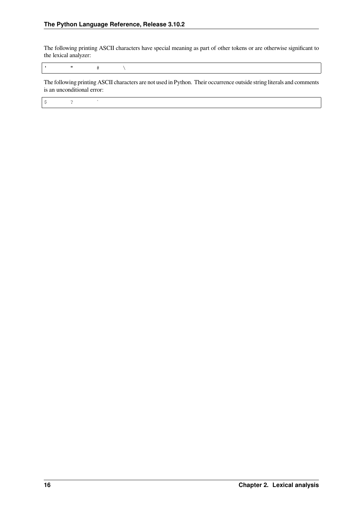The following printing ASCII characters have special meaning as part of other tokens or are otherwise significant to the lexical analyzer:

' $\mathbf{H}$   $\mathbf{H}$   $\mathbf{H}$   $\mathbf{H}$ 

The following printing ASCII characters are not used in Python. Their occurrence outside string literals and comments is an unconditional error:

 $\frac{1}{2}$   $\frac{1}{2}$   $\frac{1}{2}$   $\frac{1}{2}$   $\frac{1}{2}$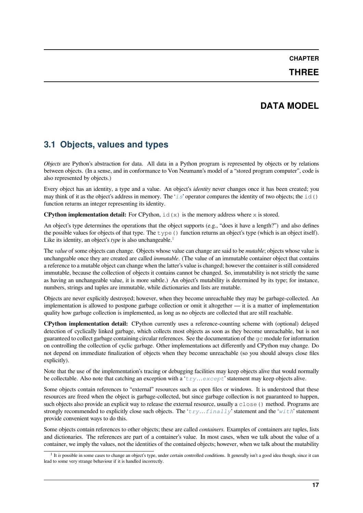### **DATA MODEL**

# <span id="page-22-0"></span>**3.1 Objects, values and types**

<span id="page-22-1"></span>*Objects* are Python's abstraction for data. All data in a Python program is represented by objects or by relations between objects. (In a sense, and in conformance to Von Neumann's model of a "stored program computer", code is also represented by objects.)

Every object has an identity, a type and a value. An object's *identity* never changes once it has been created; you may think of it as the object's address in memory. The '*is*' operator compares the identity of two objects; the id() function returns an integer representing its identity.

**CPython implementation detail:** For CPython,  $id(x)$  is the memory address where x is stored.

An object's type determines the operations that the obj[ect](#page-86-1) supports (e.g., "does it have a length?") and also defines the possible values for objects of that type. The  $\text{type}($ ) function returns an object's type (which is an object itself). Like its identity, an object's *type* is also unchangeable.<sup>1</sup>

The *value* of some objects can change. Objects whose value can change are said to be *mutable*; objects whose value is unchangeable once they are created are called *immutable*. (The value of an immutable container object that contains a reference to a mutable object can change when the la[tt](#page-22-2)er's value is changed; however the container is still considered immutable, because the collection of objects it contains cannot be changed. So, immutability is not strictly the same as having an unchangeable value, it is more subtle.) An object's mutability is determined by its type; for instance, numbers, strings and tuples are immutable, while dictionaries and lists are mutable.

Objects are never explicitly destroyed; however, when they become unreachable they may be garbage-collected. An implementation is allowed to postpone garbage collection or omit it altogether — it is a matter of implementation quality how garbage collection is implemented, as long as no objects are collected that are still reachable.

**CPython implementation detail:** CPython currently uses a reference-counting scheme with (optional) delayed detection of cyclically linked garbage, which collects most objects as soon as they become unreachable, but is not guaranteed to collect garbage containing circular references. See the documentation of the  $q\bar{c}$  module for information on controlling the collection of cyclic garbage. Other implementations act differently and CPython may change. Do not depend on immediate finalization of objects when they become unreachable (so you should always close files explicitly).

Note that the use of the implementation's tracing or debugging facilities may keep objects alive that would normally be collectable. Also note that catching an exception with a '*try*…*except*' statement may keep objects alive.

Some objects contain references to "external" resources such as open files or windows. It is understood that these resources are freed when the object is garbage-collected, but since garbage collection is not guaranteed to happen, such objects also provide an explicit way to release the external resource, usually a close () method. Programs are strongly recommended to explicitly close such objects. The '*[try](#page-104-0)*…*[finall](#page-104-0)y*' statement and the '*with*' statement provide convenient ways to do this.

Some objects contain references to other objects; these are called *containers*. Examples of containers are tuples, lists and dictionaries. The references are part of a container's value. In most cases, when we talk about the value of a container, we imply the values, not the identities of the contai[ned o](#page-104-0)bj[ects; howev](#page-104-0)er, when we talk ab[out the](#page-106-0) mutability

<span id="page-22-2"></span><sup>&</sup>lt;sup>1</sup> It *is* possible in some cases to change an object's type, under certain controlled conditions. It generally isn't a good idea though, since it can lead to some very strange behaviour if it is handled incorrectly.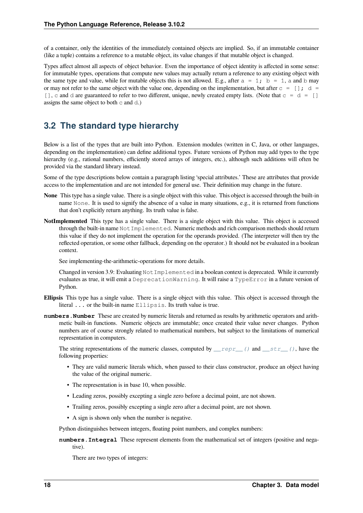of a container, only the identities of the immediately contained objects are implied. So, if an immutable container (like a tuple) contains a reference to a mutable object, its value changes if that mutable object is changed.

Types affect almost all aspects of object behavior. Even the importance of object identity is affected in some sense: for immutable types, operations that compute new values may actually return a reference to any existing object with the same type and value, while for mutable objects this is not allowed. E.g., after  $a = 1$ ;  $b = 1$ , a and b may or may not refer to the same object with the value one, depending on the implementation, but after  $c = [$   $]$ ; d = [], c and d are guaranteed to refer to two different, unique, newly created empty lists. (Note that  $c = d = [$ ] assigns the same object to both c and d.)

# **3.2 The standard type hierarchy**

<span id="page-23-0"></span>Below is a list of the types that are built into Python. Extension modules (written in C, Java, or other languages, depending on the implementation) can define additional types. Future versions of Python may add types to the type hierarchy (e.g., rational numbers, efficiently stored arrays of integers, etc.), although such additions will often be provided via the standard library instead.

Some of the type descriptions below contain a paragraph listing 'special attributes.' These are attributes that provide access to the implementation and are not intended for general use. Their definition may change in the future.

- **None** This type has a single value. There is a single object with this value. This object is accessed through the built-in name None. It is used to signify the absence of a value in many situations, e.g., it is returned from functions that don't explicitly return anything. Its truth value is false.
- **NotImplemented** This type has a single value. There is a single object with this value. This object is accessed through the built-in name NotImplemented. Numeric methods and rich comparison methods should return this value if they do not implement the operation for the operands provided. (The interpreter will then try the reflected operation, or some other fallback, depending on the operator.) It should not be evaluated in a boolean context.

See implementing-the-arithmetic-operations for more details.

Changed in version 3.9: Evaluating Not Implemented in a boolean context is deprecated. While it currently evaluates as true, it will emit a DeprecationWarning. It will raise a TypeError in a future version of Python.

- **Ellipsis** This type has a single value. There is a single object with this value. This object is accessed through the literal ... or the built-in name Ellipsis. Its truth value is true.
- **numbers.Number** These are created by numeric literals and returned as results by arithmetic operators and arithmetic built-in functions. Numeric objects are immutable; once created their value never changes. Python numbers are of course strongly related to mathematical numbers, but subject to the limitations of numerical representation in computers.

The string representations of the numeric classes, computed by *\_\_repr\_\_()* and *\_\_str\_\_()*, have the following properties:

- They are valid numeric literals which, when passed to their class constructor, produce an object having the value of the original numeric.
- The representation is in base 10, when possible.
- Leading zeros, possibly excepting a single zero before a decimal point, are not shown.
- Trailing zeros, possibly excepting a single zero after a decimal point, are not shown.
- A sign is shown only when the number is negative.

Python distinguishes between integers, floating point numbers, and complex numbers:

**numbers.Integral** These represent elements from the mathematical set of integers (positive and negative).

There are two types of integers: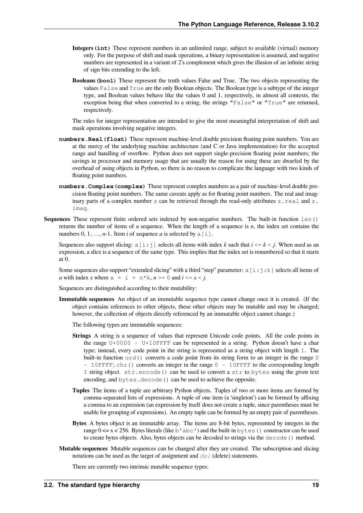- **Integers (int)** These represent numbers in an unlimited range, subject to available (virtual) memory only. For the purpose of shift and mask operations, a binary representation is assumed, and negative numbers are represented in a variant of 2's complement which gives the illusion of an infinite string of sign bits extending to the left.
- **Booleans (bool)** These represent the truth values False and True. The two objects representing the values False and True are the only Boolean objects. The Boolean type is a subtype of the integer type, and Boolean values behave like the values 0 and 1, respectively, in almost all contexts, the exception being that when converted to a string, the strings "False" or "True" are returned, respectively.

The rules for integer representation are intended to give the most meaningful interpretation of shift and mask operations involving negative integers.

- **numbers.Real (float)** These represent machine-level double precision floating point numbers. You are at the mercy of the underlying machine architecture (and C or Java implementation) for the accepted range and handling of overflow. Python does not support single-precision floating point numbers; the savings in processor and memory usage that are usually the reason for using these are dwarfed by the overhead of using objects in Python, so there is no reason to complicate the language with two kinds of floating point numbers.
- **numbers.Complex (complex)** These represent complex numbers as a pair of machine-level double precision floating point numbers. The same caveats apply as for floating point numbers. The real and imaginary parts of a complex number z can be retrieved through the read-only attributes  $z$ . real and  $z$ . imag.
- **Sequences** These represent finite ordered sets indexed by non-negative numbers. The built-in function len() returns the number of items of a sequence. When the length of a sequence is *n*, the index set contains the numbers  $0, 1, ..., n-1$ . Item *i* of sequence *a* is selected by a [i].

Sequences also support slicing:  $a[i:j]$  selects all items with index *k* such that  $i \leq k \leq j$ . When used as an expression, a slice is a sequence of the same type. This implies that the index set is renumbered so that it starts at 0.

Some sequences also support "extended slicing" with a third "step" parameter:  $a[i:j:k]$  selects all items of *a* with index *x* where  $x = i + n*k$ ,  $n \ge 0$  and  $i \le x \le j$ .

Sequences are distinguished according to their mutability:

**Immutable sequences** An object of an immutable sequence type cannot change once it is created. (If the object contains references to other objects, these other objects may be mutable and may be changed; however, the collection of objects directly referenced by an immutable object cannot change.)

The following types are immutable sequences:

- **Strings** A string is a sequence of values that represent Unicode code points. All the code points in the range  $U+0000 - U+10$  FFFF can be represented in a string. Python doesn't have a char type; instead, every code point in the string is represented as a string object with length 1. The built-in function  $\text{ord}(\cdot)$  converts a code point from its string form to an integer in the range 0 - 10FFFF; chr() converts an integer in the range 0 - 10FFFF to the corresponding length 1 string object. str.encode() can be used to convert a str to bytes using the given text encoding, and bytes.decode() can be used to achieve the opposite.
- **Tuples** The items of a tuple are arbitrary Python objects. Tuples of two or more items are formed by comma-separated lists of expressions. A tuple of one item (a 'singleton') can be formed by affixing a comma to an expression (an expression by itself does not create a tuple, since parentheses must be usable for grouping of expressions). An empty tuple can be formed by an empty pair of parentheses.
- **Bytes** A bytes object is an immutable array. The items are 8-bit bytes, represented by integers in the range  $0 \le x \le 256$ . Bytes literals (like b'abc') and the built-in bytes () constructor can be used to create bytes objects. Also, bytes objects can be decoded to strings via the decode() method.
- **Mutable sequences** Mutable sequences can be changed after they are created. The subscription and slicing notations can be used as the target of assignment and *del* (delete) statements.

There are currently two intrinsic mutable sequence types: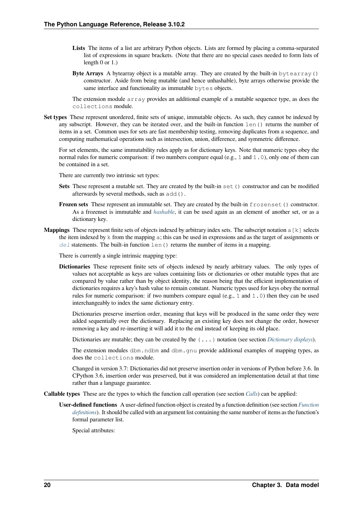- **Lists** The items of a list are arbitrary Python objects. Lists are formed by placing a comma-separated list of expressions in square brackets. (Note that there are no special cases needed to form lists of length 0 or 1.)
- **Byte Arrays** A bytearray object is a mutable array. They are created by the built-in bytearray() constructor. Aside from being mutable (and hence unhashable), byte arrays otherwise provide the same interface and functionality as immutable bytes objects.

The extension module array provides an additional example of a mutable sequence type, as does the collections module.

**Set types** These represent unordered, finite sets of unique, immutable objects. As such, they cannot be indexed by any subscript. However, they can be iterated over, and the built-in function len() returns the number of items in a set. Common uses for sets are fast membership testing, removing duplicates from a sequence, and computing mathematical operations such as intersection, union, difference, and symmetric difference.

For set elements, the same immutability rules apply as for dictionary keys. Note that numeric types obey the normal rules for numeric comparison: if two numbers compare equal (e.g., 1 and 1.0), only one of them can be contained in a set.

There are currently two intrinsic set types:

- **Sets** These represent a mutable set. They are created by the built-in set () constructor and can be modified afterwards by several methods, such as add().
- **Frozen sets** These represent an immutable set. They are created by the built-in  $frozenset()$  constructor. As a frozenset is immutable and *hashable*, it can be used again as an element of another set, or as a dictionary key.
- **Mappings** These represent finite sets of objects indexed by arbitrary index sets. The subscript notation  $a[k]$  selects the item indexed by k from the mapping a; this can be used in expressions and as the target of assignments or *del* statements. The built-in function [len\(\)](#page-141-0) returns the number of items in a mapping.

There is currently a single intrinsic mapping type:

**Dictionaries** These represent finite sets of objects indexed by nearly arbitrary values. The only types of values not acceptable as keys are values containing lists or dictionaries or other mutable types that are compared by value rather than by object identity, the reason being that the efficient implementation of dictionaries requires a key's hash value to remain constant. Numeric types used for keys obey the normal rules for numeric comparison: if two numbers compare equal (e.g., 1 and 1.0) then they can be used interchangeably to index the same dictionary entry.

Dictionaries preserve insertion order, meaning that keys will be produced in the same order they were added sequentially over the dictionary. Replacing an existing key does not change the order, however removing a key and re-inserting it will add it to the end instead of keeping its old place.

Dictionaries are mutable; they can be created by the {...} notation (see section *Dictionary displays*).

The extension modules dbm, ndbm and dbm, gnu provide additional examples of mapping types, as does the collections module.

Changed in version 3.7: Dictionaries did not preserve insertion order in versions of [Python before 3.6.](#page-73-1) In CPython 3.6, insertion order was preserved, but it was considered an implementation detail at that time rather than a language guarantee.

**Callable types** These are the types to which the function call operation (see section *Calls*) can be applied:

**User-defined functions** A user-defined function object is created by a function definition (see section *Function definitions*). It should be called with an argument list containing the same number of items as the function's formal parameter list.

Special attributes: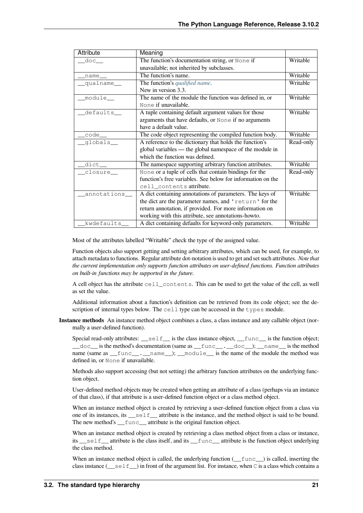| Attribute    | Meaning                                                     |           |
|--------------|-------------------------------------------------------------|-----------|
| _doc___      | The function's documentation string, or None if             | Writable  |
|              | unavailable; not inherited by subclasses.                   |           |
| name         | The function's name.                                        | Writable  |
| qualname__   | The function's qualified name.                              | Writable  |
|              | New in version 3.3.                                         |           |
| module       | The name of the module the function was defined in, or      | Writable  |
|              | None if unavailable.                                        |           |
| defaults     | A tuple containing default argument values for those        | Writable  |
|              | arguments that have defaults, or None if no arguments       |           |
|              | have a default value.                                       |           |
| code         | The code object representing the compiled function body.    | Writable  |
| globals_     | A reference to the dictionary that holds the function's     | Read-only |
|              | global variables — the global namespace of the module in    |           |
|              | which the function was defined.                             |           |
| dict         | The namespace supporting arbitrary function attributes.     | Writable  |
| closure      | None or a tuple of cells that contain bindings for the      | Read-only |
|              | function's free variables. See below for information on the |           |
|              | cell_contents attribute.                                    |           |
| annotations_ | A dict containing annotations of parameters. The keys of    | Writable  |
|              | the dict are the parameter names, and 'return' for the      |           |
|              | return annotation, if provided. For more information on     |           |
|              | working with this attribute, see annotations-howto.         |           |
| kwdefaults_  | A dict containing defaults for keyword-only parameters.     | Writable  |

Most of the attributes labelled "Writable" check the type of the assigned value.

Function objects also support getting and setting arbitrary attributes, which can be used, for example, to attach metadata to functions. Regular attribute dot-notation is used to get and set such attributes. *Note that the current implementation only supports function attributes on user-defined functions. Function attributes on built-in functions may be supported in the future.*

A cell object has the attribute cell\_contents. This can be used to get the value of the cell, as well as set the value.

Additional information about a function's definition can be retrieved from its code object; see the description of internal types below. The cell type can be accessed in the types module.

**Instance methods** An instance method object combines a class, a class instance and any callable object (normally a user-defined function).

Special read-only attributes:  $\text{I} = \text{I} \cdot \text{I}$  is the class instance object,  $\text{I} \cdot \text{I}$  is the function object; \_\_doc\_\_ is the method's documentation (same as \_\_func\_\_.\_\_doc\_\_); \_\_name\_\_ is the method name (same as \_\_func\_\_\_.\_\_name\_\_); \_\_module is the name of the module the method was defined in, or None if unavailable.

Methods also support accessing (but not setting) the arbitrary function attributes on the underlying function object.

User-defined method objects may be created when getting an attribute of a class (perhaps via an instance of that class), if that attribute is a user-defined function object or a class method object.

When an instance method object is created by retrieving a user-defined function object from a class via one of its instances, its  $\text{I} = \text{self}$  attribute is the instance, and the method object is said to be bound. The new method's \_\_func\_\_ attribute is the original function object.

When an instance method object is created by retrieving a class method object from a class or instance, its \_\_self\_\_ attribute is the class itself, and its \_\_func\_\_ attribute is the function object underlying the class method.

When an instance method object is called, the underlying function (*\_\_func*<sub>*\_\_*</sub>) is called, inserting the class instance ( $\text{I} = \text{I} \cdot \text{I}$ ) in front of the argument list. For instance, when C is a class which contains a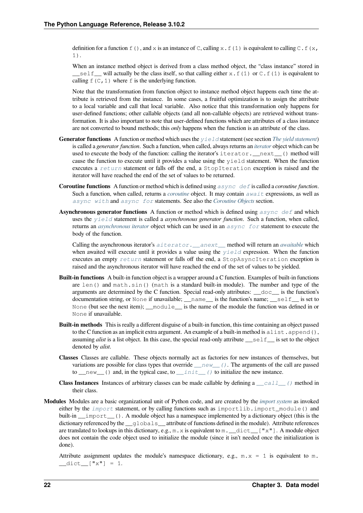definition for a function  $f(x)$ , and x is an instance of C, calling x, f(1) is equivalent to calling C, f(x, 1).

When an instance method object is derived from a class method object, the "class instance" stored in  $_s$  self will actually be the class itself, so that calling either x, f(1) or C, f(1) is equivalent to calling  $f(C, 1)$  where f is the underlying function.

Note that the transformation from function object to instance method object happens each time the attribute is retrieved from the instance. In some cases, a fruitful optimization is to assign the attribute to a local variable and call that local variable. Also notice that this transformation only happens for user-defined functions; other callable objects (and all non-callable objects) are retrieved without transformation. It is also important to note that user-defined functions which are attributes of a class instance are not converted to bound methods; this *only* happens when the function is an attribute of the class.

- **Generator functions** A function or method which uses the *yield* statement (see section *The yield statement*) is called a *generator function*. Such a function, when called, always returns an *iterator* object which can be used to execute the body of the function: calling the iterator's iterator. \_\_next\_() method will cause the function to execute until it provides a value using the yield statement. When the function executes a *return* statement or falls off the end, a [StopI](#page-95-1)teration excepti[on is raised and the](#page-95-1) iterator will have reached the end of the set of values to be returned.
- **Coroutine functions** A function or method which is defined using *async def* is called a *coroutine function*. Such a function, when called, returns a *coroutine* object. It may contain *await* expressions, as well as *async w[ith](#page-95-0)* and *async for* statements. See also the *Coroutine Objects* section.
- **Asynchronous generator functions** A function or method which is defined using *async def* and which uses the *yield* statement is called a *asynchronous generat[or function](#page-119-1)*. Such a function, when called, returns an *asynchro[nous iterator](#page-119-2)* object [which can](#page-138-0) be used in an *[async](#page-50-2) [for](#page-81-0)* statement to execute the [body of the fun](#page-120-0)ction.

Calling the asynchronous iterator's *aiterator.\_\_anext\_\_* method willr[eturn an](#page-119-1) *awaitable* which when aw[aited w](#page-95-1)[ill execute until](#page-137-0) it provides a value using the *yield* expression. When the function executes an empty *return* statement or falls off the end, a S[topAsyncIt](#page-119-2)eration exception is raised and the asynchronous iterator will have reached the end of the set of values to be yielded.

- **Built-in functions** A built-in functiono[bject is a wrapper around a C f](#page-51-2)unction. Examples of [built-in fun](#page-137-1)ctions are len() and math.sin() (math is a standard built-in [module](#page-95-1)). The number and type of the arguments are dete[rmined by](#page-95-0) the C function. Special read-only attributes: \_\_doc\_\_ is the function's documentation string, or None if unavailable; \_\_name\_\_ is the function's name; \_\_self\_\_ is set to None (but see the next item); \_\_module\_\_ is the name of the module the function was defined in or None if unavailable.
- **Built-in methods** This is really a different disguise of a built-in function, this time containing an object passed to the C function as an implicit extra argument. An example of a built-in method is  $\alpha$  is  $t$ , append(), assuming *alist* is a list object. In this case, the special read-only attribute self is set to the object denoted by *alist*.
- **Classes** Classes are callable. These objects normally act as factories for new instances of themselves, but variations are possible for class types that override *\_\_new\_\_()*. The arguments of the call are passed to  ${\sf new}($  and, in the typical case, to  ${\sf _{init}}($  to initialize the new instance.
- **Class Instances** Instances of arbitrary classes can be made callable by defining a *\_\_call\_\_()* method in their class.
- **Modules** Modules are a basic organizational unit of P[ython code, and](#page-31-3) [are cr](#page-31-2)eated by the *import system* as invoked either by the *import* statement, or by calling functions such as importlib.import\_module() and built-in \_\_import\_\_(). A module object has a namespace implemented by a d[ictionary object](#page-44-0) (this is the dictionary referenced by the \_\_globals\_\_ attribute of functions defined in the module). Attribute references are translated to lookups in this dictionary, e.g.,  $m \times x$  is equivalent to  $m \cdot$  \_\_dict\_\_[" $x$ "]. A module object does not con[tain the co](#page-97-2)de object used to initialize the module (since it isn't needed once the initialization is done).

Attribute assignment updates the module's namespace dictionary, e.g.,  $m \times z = 1$  is equivalent to m. dict  $\lceil$  "x"] = 1.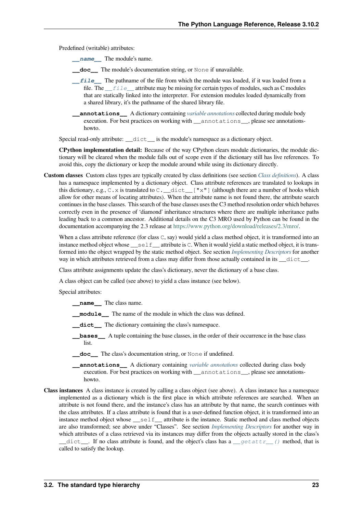Predefined (writable) attributes:

*\_\_name\_\_* The module's name.

- **\_\_doc\_\_** The module's documentation string, or None if unavailable.
- *\_\_file\_\_* The pathname of the file from which the module was loaded, if it was loaded from a [file. The](#page-62-2) *\_\_file\_\_* attribute may be missing for certain types of modules, such as C modules that are statically linked into the interpreter. For extension modules loaded dynamically from a shared library, it's the pathname of the shared library file.
- **[\\_\\_annotat](#page-63-2)ions\_\_** A dictionary containing *variable annotations* collected during module body executio[n. For best pr](#page-63-2)actices on working with \_\_annotations\_\_, please see annotationshowto.

Special read-only attribute: \_\_dict\_\_ is the modul[e's namespace as a di](#page-148-0)ctionary object.

**CPython implementation detail:** Because of the way CPython clears module dictionaries, the module dictionary will be cleared when the module falls out of scope even if the dictionary still has live references. To avoid this, copy the dictionary or keep the module around while using its dictionary directly.

**Custom classes** Custom class types are typically created by class definitions (see section *Class definitions*). A class has a namespace implemented by a dictionary object. Class attribute references are translated to lookups in this dictionary, e.g.,  $C \cdot x$  is translated to  $C \cdot \_\_dict \_\_$ ["x"] (although there are a number of hooks which allow for other means of locating attributes). When the attribute name is not found there, the attribute search continues in the base classes. This search of the base classes uses the C3 method reso[lution order which](#page-117-0) behaves correctly even in the presence of 'diamond' inheritance structures where there are multiple inheritance paths leading back to a common ancestor. Additional details on the C3 MRO used by Python can be found in the documentation accompanying the 2.3 release at https://www.python.org/download/releases/2.3/mro/.

When a class attribute reference (for class  $C$ , say) would yield a class method object, it is transformed into an instance method object whose \_\_self\_ attribute is C. When it would yield a static method object, it is transformed into the object wrapped by the static method object. See section *Implementing Descriptors* for another way in which attributes retrieved from a class m[ay differ from those actually contained in its](https://www.python.org/download/releases/2.3/mro/)  $idict$ .

Class attribute assignments update the class's dictionary, never the dictionary of a base class.

A class object can be called (see above) to yield a class instance (see bel[ow\).](#page-36-0)

Special attributes:

**\_\_name\_\_** The class name.

- **\_\_module\_\_** The name of the module in which the class was defined.
- dict\_\_ The dictionary containing the class's namespace.
- **bases** A tuple containing the base classes, in the order of their occurrence in the base class list.

**\_\_doc\_\_** The class's documentation string, or None if undefined.

- **\_\_annotations\_\_** A dictionary containing *variable annotations* collected during class body execution. For best practices on working with \_\_annotations\_\_, please see annotationshowto.
- **Class instances** A class instance is created by calling a class object (see above). A class instance has a namespace implemented as a dictionary which is the first place [in which attribute re](#page-148-0)ferences are searched. When an attribute is not found there, and the instance's class has an attribute by that name, the search continues with the class attributes. If a class attribute is found that is a user-defined function object, it is transformed into an instance method object whose \_\_self\_\_ attribute is the instance. Static method and class method objects are also transformed; see above under "Classes". See section *Implementing Descriptors* for another way in which attributes of a class retrieved via its instances may differ from the objects actually stored in the class's  $_1$ dict\_\_. If no class attribute is found, and the object's class has a *\_getattr\_()* method, that is called to satisfy the lookup.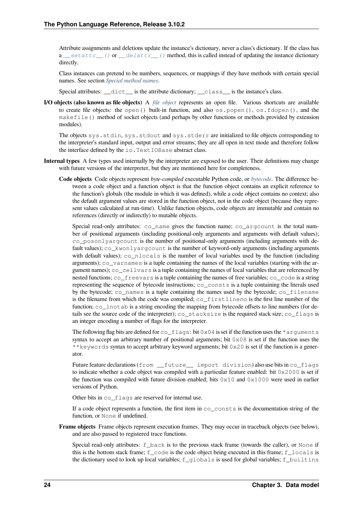Attribute assignments and deletions update the instance's dictionary, never a class's dictionary. If the class has a *\_\_setattr\_\_()* or *\_\_delattr\_\_()* method, this is called instead of updating the instance dictionary directly.

Class instances can pretend to be numbers, sequences, or mappings if they have methods with certain special n[ames. See section](#page-35-1) *Speci[al method names](#page-35-2)*.

Special attributes: dict is the attribute dictionary; class is the instance's class.

**I/O objects (also known as file objects)** A *file object* represents an open file. Various shortcuts are available to create file objects: the [open\(\)](#page-31-0) built-in function, and also os.popen(), os.fdopen(), and the makefile() method of socket objects (and perhaps by other functions or methods provided by extension modules).

The objects sys.stdin, sys.stdout [and](#page-139-0) sys.stderr are initialized to file objects corresponding to the interpreter's standard input, output and error streams; they are all open in text mode and therefore follow the interface defined by the io.TextIOBase abstract class.

- **Internal types** A few types used internally by the interpreter are exposed to the user. Their definitions may change with future versions of the interpreter, but they are mentioned here for completeness.
	- **Code objects** Code objects represent *byte-compiled* executable Python code, or *bytecode*. The difference between a code object and a function object is that the function object contains an explicit reference to the function's globals (the module in which it was defined), while a code object contains no context; also the default argument values are stored in the function object, not in the code object (because they represent values calculated at run-time). Unlike function objects, code objectsa[re immut](#page-138-1)able and contain no references (directly or indirectly) to mutable objects.

Special read-only attributes: co\_name gives the function name; co\_argcount is the total number of positional arguments (including positional-only arguments and arguments with default values); co\_posonlyargcount is the number of positional-only arguments (including arguments with default values); co\_kwonlyargcount is the number of keyword-only arguments (including arguments with default values); co\_nlocals is the number of local variables used by the function (including arguments); co\_varnames is a tuple containing the names of the local variables (starting with the argument names); co\_cellvars is a tuple containing the names of local variables that are referenced by nested functions; co\_freevars is a tuple containing the names of free variables; co\_code is a string representing the sequence of bytecode instructions; co\_consts is a tuple containing the literals used by the bytecode; co\_names is a tuple containing the names used by the bytecode; co\_filename is the filename from which the code was compiled; co\_firstlineno is the first line number of the function; co\_lnotab is a string encoding the mapping from bytecode offsets to line numbers (for details see the source code of the interpreter); co\_stacksize is the required stack size; co\_flags is an integer encoding a number of flags for the interpreter.

The following flag bits are defined for  $\infty$  flags: bit 0x04 is set if the function uses the \*arguments syntax to accept an arbitrary number of positional arguments; bit  $0 \times 08$  is set if the function uses the \*\*keywords syntax to accept arbitrary keyword arguments; bit 0x20 is set if the function is a generator.

Future feature declarations (from \_\_future\_\_ import division) also use bits in co\_flags to indicate whether a code object was compiled with a particular feature enabled: bit  $0 \times 2000$  is set if the function was compiled with future division enabled; bits  $0 \times 10$  and  $0 \times 1000$  were used in earlier versions of Python.

Other bits in co\_flags are reserved for internal use.

If a code object represents a function, the first item in co\_consts is the documentation string of the function, or None if undefined.

**Frame objects** Frame objects represent execution frames. They may occur in traceback objects (see below), and are also passed to registered trace functions.

Special read-only attributes:  $f_{\text{back}}$  is to the previous stack frame (towards the caller), or None if this is the bottom stack frame;  $f_{\text{code}}$  is the code object being executed in this frame;  $f_{\text{code}}$  is is the dictionary used to look up local variables;  $f$  qlobals is used for global variables;  $f$  builtins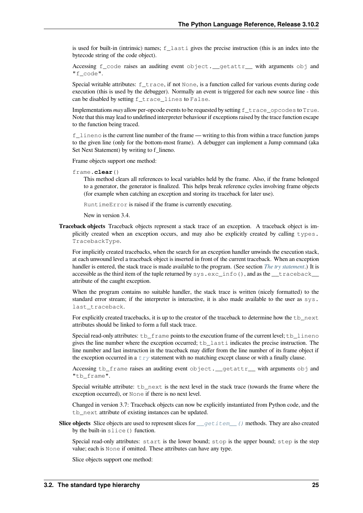is used for built-in (intrinsic) names;  $f$  lasti gives the precise instruction (this is an index into the bytecode string of the code object).

Accessing f\_code raises an auditing event object.\_\_getattr\_\_ with arguments obj and "f\_code".

Special writable attributes:  $f$ <sub>Lrace</sub>, if not None, is a function called for various events during code execution (this is used by the debugger). Normally an event is triggered for each new source line - this can be disabled by setting f trace lines to False.

Implementations *may* allow per-opcode events to be requested by setting  $f$ <sub>\_</sub>trace\_opcodes to True. Note that this may lead to undefined interpreter behaviour if exceptions raised by the trace function escape to the function being traced.

 $f$ <sub>lineno</sub> is the current line number of the frame — writing to this from within a trace function jumps to the given line (only for the bottom-most frame). A debugger can implement a Jump command (aka Set Next Statement) by writing to f\_lineno.

Frame objects support one method:

frame.**clear**()

This method clears all references to local variables held by the frame. Also, if the frame belonged to a generator, the generator is finalized. This helps break reference cycles involving frame objects (for example when catching an exception and storing its traceback for later use).

RuntimeError is raised if the frame is currently executing.

New in version 3.4.

**Traceback objects** Traceback objects represent a stack trace of an exception. A traceback object is implicitly created when an exception occurs, and may also be explicitly created by calling types. TracebackType.

For implicitly created tracebacks, when the search for an exception handler unwinds the execution stack, at each unwound level a traceback object is inserted in front of the current traceback. When an exception handler is entered, the stack trace is made available to the program. (See section *The try statement*.) It is accessible as the third item of the tuple returned by sys.exc\_info(), and as the \_\_traceback\_\_ attribute of the caught exception.

When the program contains no suitable handler, the stack trace is written (nicely formatted) to the standard error stream; if the interpreter is interactive, it is also made availabl[e to the user as](#page-104-0) sys. last\_traceback.

For explicitly created tracebacks, it is up to the creator of the traceback to determine how the  $tb\_next$ attributes should be linked to form a full stack trace.

Special read-only attributes:  $tb$  frame points to the execution frame of the current level;  $tb$  lineno gives the line number where the exception occurred;  $tb$  lasti indicates the precise instruction. The line number and last instruction in the traceback may differ from the line number of its frame object if the exception occurred in a  $t<sub>ry</sub>$  statement with no matching except clause or with a finally clause.

Accessing tb\_frame raises an auditing event object.\_\_getattr\_\_ with arguments obj and "tb\_frame".

Special writable attribute: [tb\\_n](#page-104-0)ext is the next level in the stack trace (towards the frame where the exception occurred), or None if there is no next level.

Changed in version 3.7: Traceback objects can now be explicitly instantiated from Python code, and the tb\_next attribute of existing instances can be updated.

**Slice objects** Slice objects are used to represent slices for *\_\_getitem\_\_()* methods. They are also created by the built-in slice() function.

Special read-only attributes: start is the lower bound; stop is the upper bound; step is the step value; each is None if omitted. These attributes can [have any type.](#page-45-0)

Slice objects support one method: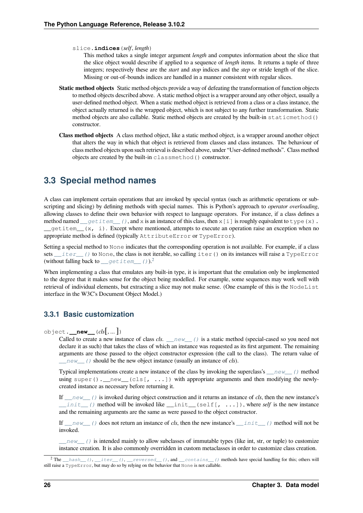slice.**indices**(*self*, *length*)

This method takes a single integer argument *length* and computes information about the slice that the slice object would describe if applied to a sequence of *length* items. It returns a tuple of three integers; respectively these are the *start* and *stop* indices and the *step* or stride length of the slice. Missing or out-of-bounds indices are handled in a manner consistent with regular slices.

- **Static method objects** Static method objects provide a way of defeating the transformation of function objects to method objects described above. A static method object is a wrapper around any other object, usually a user-defined method object. When a static method object is retrieved from a class or a class instance, the object actually returned is the wrapped object, which is not subject to any further transformation. Static method objects are also callable. Static method objects are created by the built-in staticmethod() constructor.
- **Class method objects** A class method object, like a static method object, is a wrapper around another object that alters the way in which that object is retrieved from classes and class instances. The behaviour of class method objects upon such retrieval is described above, under "User-defined methods". Class method objects are created by the built-in classmethod() constructor.

# **3.3 Special method names**

<span id="page-31-0"></span>A class can implement certain operations that are invoked by special syntax (such as arithmetic operations or subscripting and slicing) by defining methods with special names. This is Python's approach to *operator overloading*, allowing classes to define their own behavior with respect to language operators. For instance, if a class defines a method named *\_\_getitem* (), and x is an instance of this class, then  $x[i]$  is roughly equivalent to type (x).  $\text{__getitem__}(x, i)$ . Except where mentioned, attempts to execute an operation raise an exception when no appropriate method is defined (typically AttributeError or TypeError).

Setting a special method to None indicates that the corresponding operation is not available. For example, if a class sets *\_\_iter\_()* to [None](#page-45-0), the class is not iterable, so calling iter() on its instances will raise a TypeError (without falling back to  $\text{\_}getitem$  ()).<sup>2</sup>

When implementing a class that emulates any built-in type, it is important that the emulation only be implemented to the degree that it makes sense for the object being modelled. For example, some sequences may work well with retri[eval of individu](#page-45-1)al elements, but extractin[g](#page-31-4) a slice may not make sense. (One example of this is the NodeList interface in the W3C's [Document Object M](#page-45-0)odel.)

### **3.3.1 Basic customization**

<span id="page-31-1"></span>object.**\_\_new\_\_**(*cls*[, *...*])

Called to create a new instance of class *cls*. *\_\_new\_\_()* is a static method (special-cased so you need not declare it as such) that takes the class of which an instance was requested as its first argument. The remaining arguments are those passed to the object constructor expression (the call to the class). The return value of *\_\_new\_\_()* should be the new object instance (usually an instance of *cls*).

<span id="page-31-2"></span>Typical implementations create a new instan[ce of the class](#page-31-2) by invoking the superclass's *\_\_new\_\_()* method using super().  $new_{\text{rel}}(cls[, \ldots])$  with appropriate arguments and then modifying the newly[created instanc](#page-31-2)e as necessary before returning it.

If *\_\_new\_\_()* is invoked during object construction and it returns an instance of *cls*, then the new instance's *\_\_init\_\_()* method will be invoked like \_\_init\_\_(self[, ...]), where *self* [is the new](#page-31-2) instance and the remaining arguments are the same as were passed to the object constructor.

If  $\_new\_()$  does not return an instance of *cls*, then the new instance's  $\_init\_()$  method will not be [in](#page-31-3)[voked.](#page-31-2)

*\_\_new\_\_()* is intended mainly to allow subclasses of immutable types (like int, str, or tuple) to customize in[stance creation](#page-31-2). It is also commonly overridden in custom metaclasses in [order to custom](#page-31-3)ize class creation.

<span id="page-31-4"></span><span id="page-31-3"></span><sup>2</sup> The *\_\_hash\_\_()*, *\_\_iter\_\_()*, *\_\_reversed\_\_()*, and *\_\_contains\_\_()* methods have special handling for this; others will still raise a TypeError, but may do so by relying on the behavior that None is not callable.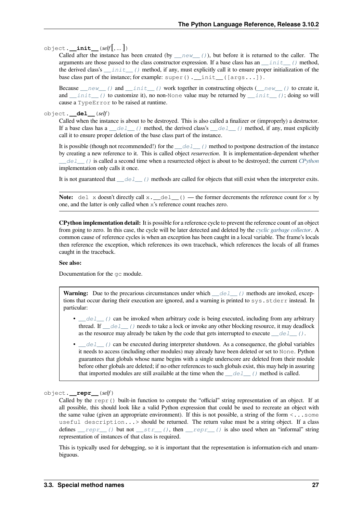object.  $init$  (*self*,  $...$ )

Called after the instance has been created (by *\_\_new\_\_()*), but before it is returned to the caller. The arguments are those passed to the class constructor expression. If a base class has an *\_\_init\_\_()* method, the derived class's *\_\_init\_\_()* method, if any, must explicitly call it to ensure proper initialization of the base class part of the instance; for example: super(). \_\_init\_([args...]).

Because  $\begin{array}{c}$  *new* () and *\_\_init* () wor[k together in c](#page-31-2)onstructing objects ( $\begin{array}{c}$ *new* () to create it, and *\_\_init\_\_()* to customize it), no non-None value may be returned by *\_\_i[nit\\_\\_\(\)](#page-31-3)*; doing so will cause a TypeError [to be raised](#page-31-3) at runtime.

#### object.**\_\_del\_\_**(*self*)

Called w[hen the instan](#page-31-2)ce is [about to be des](#page-31-3)troyed. This is also called a finalizer or [\(improperly\) a](#page-31-2) destructor. If a [base class has a](#page-31-3) *\_\_del\_\_()* method, the derived class's *\_\_del\_\_()* [method, if any, m](#page-31-3)ust explicitly call it to ensure proper deletion of the base class part of the instance.

<span id="page-32-0"></span>It is possible (though not recommended!) for the *\_\_del\_\_()* method to postpone destruction of the instance by creating a new reference to it. This is called object *resurrection*. It is implementation-dependent whether *\_\_del\_\_()* is call[ed a second tim](#page-32-0)e when a resurrected object [is about to be](#page-32-0) destroyed; the current *CPython* implementation only calls it once.

It is not guaranteed that *\_\_del\_\_()* methods [are called for o](#page-32-0)bjects that still exist when the interpreter exits.

Note: del x doesn't directly call x. \_del \_() — the former decrements the reference count for x by one, and the latter is onl[y called when](#page-32-0) x's reference count reaches zero.

**CPython implementation detail:** It is possible for a reference cycle to prevent the reference count of an object from going to zero. In this case, the cycle will be later detected and deleted by the *cyclic garbage collector*. A common cause of reference cycles is when an exception has been caught in a local variable. The frame's locals then reference the exception, which references its own traceback, which references the locals of all frames caught in the traceback.

#### **See also:**

Documentation for the gc module.

**Warning:** Due to the precarious circumstances under which *\_\_del\_\_()* methods are invoked, exceptions that occur during their execution are ignored, and a warning is printed to sys.stderr instead. In particular:

- *\_\_del\_\_()* can be invoked when arbitrary code is being executed, including from any arbitrary thread. If  $del$  () needs to take a lock or invoke a[ny other block](#page-32-0)ing resource, it may deadlock as the resource may already be taken by the code that gets interrupted to execute  $\_\_\_del\_\_$ ().
- *\_\_del\_\_()* can be executed during interpreter shutdown. As a consequence, the global variables [it needs to acc](#page-32-0)ess (including other modules) may already have been deleted or set to None. Python guarantee[s that globals w](#page-32-0)hose name begins with a single underscore are deleted from their module before other globals are deleted; if no other references to such globals exist, this m[ay help in assu](#page-32-0)ring [that imported](#page-32-0) modules are still available at the time when the  $del$  () method is called.

<span id="page-32-1"></span>Called by the repr() built-in function to compute the "official" s[tring represent](#page-32-0)ation of an object. If at all possible, this should look like a valid Python expression that could be used to recreate an object with the same value (given an appropriate environment). If this is not possible, a string of the form  $\langle \cdot, \cdot, \cdot \rangle$  some useful description... > should be returned. The return value must be a string object. If a class defines *\_\_repr\_\_()* but not *\_\_str\_\_()*, then *\_\_repr\_\_()* is also used when an "informal" string representation of instances of that class is required.

<span id="page-32-2"></span>This is typically used for debugging, so it is important that the representation is information-rich and unambiguous[.](#page-32-1)

object.**\_\_repr\_\_**(*self*)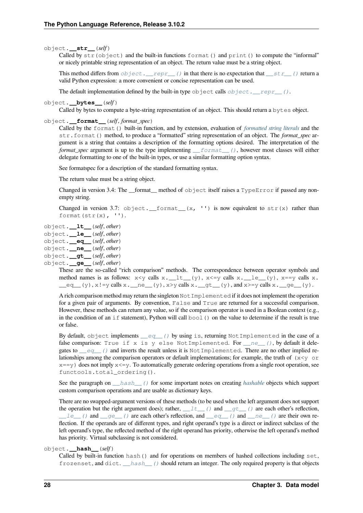#### object.**\_\_str\_\_**(*self*)

Called by  $str(object)$  and the built-in functions format() and print() to compute the "informal" or nicely printable string representation of an object. The return value must be a string object.

This method differs from  $\phi$ *ject.* repr\_\_() in that there is no expectation that  $\frac{str_1}{str_2}$  () return a valid Python expression: a more convenient or concise representation can be used.

The default implementation defined by the built-in type object calls  $object$ .  $repr$  ().

#### object.**\_\_bytes\_\_**(*self*)

Called by bytes to compu[te a byte-string representat](#page-32-1)ion of an object. This should return a [bytes](#page-32-2) object.

#### object.**\_\_format\_\_**(*self*, *format\_spec*)

Called by the format() built-in function, and by extension, evaluation of *[formatted string lite](#page-32-1)rals* and the str.format() method, to produce a "formatted" string representation of an object. The *format\_spec* argument is a string that contains a description of the formatting options desired. The interpretation of the *format\_spec* argument is up to the type implementing *\_\_format\_\_()*, however most classes will either delegate formatting to one of the built-in types, or use a similar formatting op[tion syntax.](#page-17-1)

See formatspec for a description of the standard formatting syntax.

The return value must be a string object.

Changed in version 3.4: The \_\_format\_ method of object itself raises a TypeError if passed any nonempty string.

Changed in version 3.7: object. format  $(x, '')$  is now equivalent to str(x) rather than format $(str(x), '')$ .

- object.**\_\_lt\_\_**(*self*, *other*)
- object.**\_\_le\_\_**(*self*, *other*)
- object.**\_\_eq\_\_**(*self*, *other*)
- <span id="page-33-2"></span>object.**\_\_ne\_\_**(*self*, *other*)
- <span id="page-33-0"></span>object.**\_\_gt\_\_**(*self*, *other*)
- <span id="page-33-3"></span>object.**\_\_ge\_\_**(*self*, *other*)

These are the so-called "rich comparison" methods. The correspondence between operator symbols and method names is as follows:  $x < y$  calls  $x \cdot 1$ t (y),  $x < y$  calls  $x \cdot 1$ e (y),  $x = y$  calls x.  $eq_{\text{y}}, x! = y \text{ calls } x \ldots$  ne (y),  $x > y \text{ calls } x \ldots$  gt (y), and  $x > = y \text{ calls } x \ldots$  ge (y).

A rich comparison method may return the singleton Not Implemented if it does not implement the operation for a given pair of arguments. By convention, False and True are returned for a successful comparison. However, these methods can return any value, so if the comparison operator is used in a Boolean context (e.g., in the condition of an if statement), Python will call bool() on the value to determine if the result is true or false.

By default, object implements  $eq_1$  () by using is, returning NotImplemented in the case of a false comparison: True if x is y else NotImplemented. For  $_ne_1$  (), by default it delegates to  $eq$  () and inverts the result unless it is NotImplemented. There are no other implied relationships among the comparison operators or default implementations; for example, the truth of  $(x \leq y \leq x)$  $x=$ y) does not imply  $x\le y$ . To [automatically](#page-33-0) generate ordering operations from a single root operation, see functools.total\_ordering().

See the [paragraph on](#page-33-0) *\_\_hash\_\_()* for some important notes on creating *hashable* objects which support custom comparison operations and are usable as dictionary keys.

There are no swapped-argument versions of these methods (to be used when the left argument does not support the operation but the right argument does); rather, *\_\_lt\_\_()* and *\_\_gt\_\_()* are each other's reflection, *\_\_le\_\_()* and *\_\_ge\_\_()* [are each](#page-33-1) other's reflection, and *\_\_eq\_\_()* and *[\\_\\_ne\\_](#page-141-0)\_()* are their own reflection. If the operands are of different types, and right operand's type is a direct or indirect subclass of the left operand's type, the reflected method of the right operand has priority, otherwise the left operand's method has priority. Virtual subclassing is not considered.

object.**[\\_\\_hash](#page-33-2)\_\_**(*[self](#page-33-3)*)

<span id="page-33-1"></span>Called by built-in function hash() and for operations on members of hashed collections including set, frozenset, and dict. *\_\_hash\_\_()* should return an integer. The only required property is that objects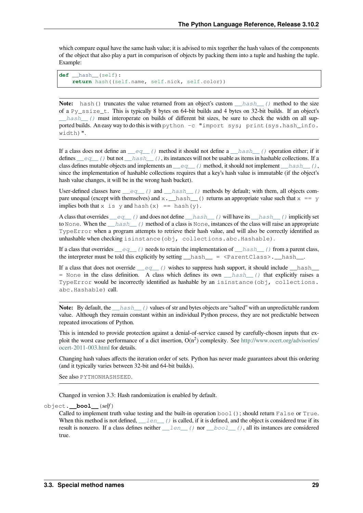which compare equal have the same hash value; it is advised to mix together the hash values of the components of the object that also play a part in comparison of objects by packing them into a tuple and hashing the tuple. Example:

```
def hash (self):
   return hash((self.name, self.nick, self.color))
```
**Note:** hash() truncates the value returned from an object's custom *\_\_hash\_()* method to the size of a Py\_ssize\_t. This is typically 8 bytes on 64-bit builds and 4 bytes on 32-bit builds. If an object's *\_\_hash\_\_()* must interoperate on builds of different bit sizes, be sure to check the width on all supported builds. An easy way to do this is with python -c "import sys; print(sys.hash\_info. width)".

[If a class does n](#page-33-1)ot define an *\_\_eq\_\_()* method it should not define a *\_\_hash\_\_()* operation either; if it defines *\_\_eq\_\_()* but not *\_\_hash\_\_()*, its instances will not be usable as items in hashable collections. If a class defines mutable objects and implements an *\_\_eq\_\_()* method, it should not implement *\_\_hash\_\_()*, since the implementation of hashable collections requires that a key's hash value is immutable (if the object's hash value changes, it will b[e in the wrong](#page-33-0) hash bucket).

User-d[efined classes](#page-33-0) have *[\\_\\_eq\\_\\_\(\)](#page-33-1)* and *\_\_hash\_\_()* methods by default; with them, all objects compare unequal (except with themselves) and  $x =$  hash\_\_() returns an appropriate value such that  $x =$  y implies both that  $x$  is y and hash $(x)$  == hash $(y)$ .

A class that overrides *\_\_eq\_\_()* and does not define *\_\_hash\_\_()* will have its *\_\_hash\_\_()* implicitly set to None. When the *\_\_ha[sh\\_\\_\(\)](#page-33-0)* method [of a class is](#page-33-1) None, instances of the class will raise an appropriate TypeError when a program attempts to retrieve their hash value, and will also be correctly identified as unhashable when checking isinstance(obj, collections.abc.Hashable).

If a class that overrides *[\\_\\_eq\\_\\_\(](#page-33-0))* needs to retain t[he implementatio](#page-33-1)n of *\_\_ha[sh\\_\\_\(\)](#page-33-1)* from a parent class, the interpreter must [be told this expl](#page-33-1)icitly by setting  $\_hash\_ = \langle$  ParentClass>.  $\_hash\_$ .

If a class that does not override *\_\_eq\_\_()* wishes to suppress hash support, it should include \_\_hash\_\_ = None in the class definition. A class which defines its own *\_\_hash\_\_()* that explicitly raises a TypeError would b[e incorrectly](#page-33-0) identified as hashable by an isins[tance\(obj,](#page-33-1) collections. abc.Hashable) call.

**Note:** By default, the *\_\_hash\_\_()* values of str and bytes objects a[re "salted" with a](#page-33-1)n unpredictable random value. Although they remain constant within an individual Python process, they are not predictable between repeated invocations of Python.

This is intended to provide protection against a denial-of-service caused by carefully-chosen inputs that exploit the worst case p[erformance of a](#page-33-1) dict insertion,  $O(n^2)$  complexity. See http://www.ocert.org/advisories/ ocert-2011-003.html for details.

Changing hash values affects the iteration order of sets. Python has never made guarantees about this ordering (and it typically varies between 32-bit and 64-bit builds).

See also [PYTHONHAS](http://www.ocert.org/advisories/ocert-2011-003.html)HSEED.

Changed in version 3.3: Hash randomization is enabled by default.

#### object.**\_\_bool\_\_**(*self*)

Called to implement truth value testing and the built-in operation bool(); should return False or True. When this method is not defined, *\_\_len\_\_()* is called, if it is defined, and the object is considered true if its result is nonzero. If a class defines neither *\_\_len\_\_()* nor *\_\_bool\_\_()*, all its instances are considered true.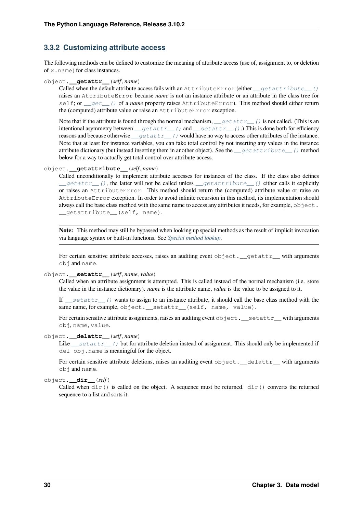### **3.3.2 Customizing attribute access**

The following methods can be defined to customize the meaning of attribute access (use of, assignment to, or deletion of x.name) for class instances.

#### <span id="page-35-0"></span>object.**\_\_getattr\_\_**(*self*, *name*)

Called when the default attribute access fails with an AttributeError (either *qetattribute ()* raises an AttributeError because *name* is not an instance attribute or an attribute in the class tree for self; or *qet* () of a *name* property raises AttributeError). This method should either return the (computed) attribute value or raise an AttributeError exception.

<span id="page-35-4"></span>Note that if the attribute is found through the normal mechanism, *\_\_getattr\_\_()* [is not called. \(This is an](#page-35-3) intentional asymmetry between *qetattr* () and  $set$   $set$   $at$ r ().) This is done both for efficiency reasons an[d because othe](#page-36-1)rwise *\_\_getattr\_\_()* would have no way to access other attributes of the instance. Note that at least for instance variables, you can fake total control by not inserting any values in the instance attribute dictionary (but instead inserting them in another object). See the *[\\_\\_getatt](#page-35-4)ribute\_\_()* method below for a way to actually gett[otal control over attr](#page-35-4)ibut[e access.](#page-35-1)

#### object.**\_\_getattribute\_\_**(*self*, *[name](#page-35-4)*)

<span id="page-35-3"></span>Called unconditionally to implement attribute accesses for instances of the class. If the class also defines *\_\_getattr\_\_()*, the latter will not be called unless *\_\_getattribute\_\_()* [either calls it ex](#page-35-3)plicitly or raises an AttributeError. This method should return the (computed) attribute value or raise an AttributeError exception. In order to avoid infinite recursion in this method, its implementation should always call the base class method with the same name to access any attributes it needs, for example,  $\circ$ b $\uparrow$ ect. [\\_\\_getattribute](#page-35-4)\_\_(self, name).

**Note:** This method may still be bypassed when looking up special methods as the result of implicit invocation via language syntax or built-in functions. See *Special method lookup*.

For certain sensitive attribute accesses, raises an auditing event object. getattr\_ with arguments obj and name.

#### object.**\_\_setattr\_\_**(*self*, *name*, *value*)

Called when an attribute assignment is attempted. This is called instead of the normal mechanism (i.e. store the value in the instance dictionary). *name* is the attribute name, *value* is the value to be assigned to it.

<span id="page-35-1"></span>If *\_\_setattr\_\_()* wants to assign to an instance attribute, it should call the base class method with the same name, for example, object. \_\_setattr\_\_(self, name, value).

For certain sensitive attribute assignments, raises an auditing event object. \_\_setattr\_\_ with arguments obj, name, [value](#page-35-1).

#### object.**\_\_delattr\_\_**(*self*, *name*)

Like  $S$ setattr  $\left($ ) but for attribute deletion instead of assignment. This should only be implemented if del obj.name is meaningful for the object.

<span id="page-35-2"></span>For certain sensitive attribute deletions, raises an auditing event object. \_\_delattr\_\_ with arguments obj and [name](#page-35-1).

#### object.**\_\_dir\_\_**(*self*)

Called when  $\text{dir}(x)$  is called on the object. A sequence must be returned.  $\text{dir}(x)$  converts the returned sequence to a list and sorts it.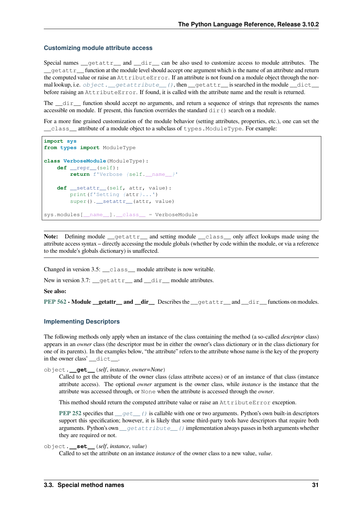### **Customizing module attribute access**

Special names  $\text{__getattr__}$  and  $\text{__dir}\text{__}$  can be also used to customize access to module attributes. The  $\text{J}$ getattr<sub>—</sub> function at the module level should accept one argument which is the name of an attribute and return the computed value or raise an AttributeError. If an attribute is not found on a module object through the normal lookup, i.e. *object.*  $q$ etattribute (), then  $q$ etattr is searched in the module dict before raising an AttributeError. If found, it is called with the attribute name and the result is returned.

The  $di$  function should accept no arguments, and return a sequence of strings that represents the names accessible on m[odule. If present, this function override](#page-35-0)s the standard  $\text{dir}(x)$  search on a module.

For a more fine grained customization of the module behavior (setting attributes, properties, etc.), one can set the class attribute of a module object to a subclass of types. ModuleType. For example:

```
import sys
from types import ModuleType
class VerboseModule(ModuleType):
    def __repr__(self):
        return f'Verbose {self.__name__}'
    def __setattr__(self, attr, value):
        print(f'Setting {attr}...')
        super().__setattr__(attr, value)
sys.modules[__name__].__class__ = VerboseModule
```
**Note:** Defining module \_\_getattr\_\_ and setting module \_\_class\_\_ only affect lookups made using the attribute access syntax – directly accessing the module globals (whether by code within the module, or via a reference to the module's globals dictionary) is unaffected.

Changed in version 3.5: class module attribute is now writable.

New in version 3.7: \_\_getattr\_\_ and \_\_dir\_\_ module attributes.

**See also:**

**PEP 562 - Module \_\_getattr\_\_ and \_\_dir\_\_** Describes the \_\_getattr\_\_ and \_\_dir\_\_ functions on modules.

### **Implementing Descriptors**

<span id="page-36-2"></span>[The follow](https://www.python.org/dev/peps/pep-0562)ing methods only apply when an instance of the class containing the method (a so-called *descriptor* class) appears in an *owner* class (the descriptor must be in either the owner's class dictionary or in the class dictionary for one of its parents). In the examples below, "the attribute" refers to the attribute whose name is the key of the property in the owner class' \_\_dict\_\_.

object.**\_\_get\_\_**(*self*, *instance*, *owner=None*)

Called to get the attribute of the owner class (class attribute access) or of an instance of that class (instance attribute access). The optional *owner* argument is the owner class, while *instance* is the instance that the attribute was accessed through, or None when the attribute is accessed through the *owner*.

<span id="page-36-0"></span>This method should return the computed attribute value or raise an AttributeError exception.

**PEP 252** specifies that  $qet$  () is callable with one or two arguments. Python's own built-in descriptors support this specification; however, it is likely that some third-party tools have descriptors that require both arguments. Python's own *\_\_getattribute\_\_()* implementation always passes in both arguments whether they are required or not.

object.**[\\_\\_se](https://www.python.org/dev/peps/pep-0252)t\_\_**(*self*, *in[stance](#page-36-0)*, *value*)

<span id="page-36-1"></span>Called to set the attribute [on an instance](#page-35-0) *instance* of the owner class to a new value, *value*.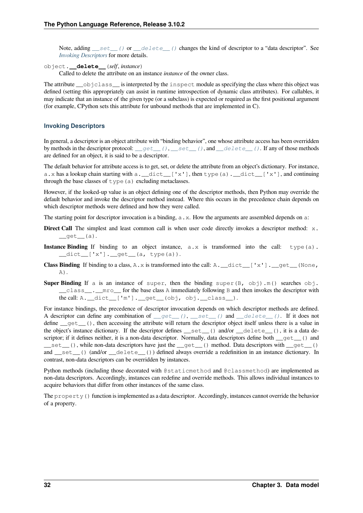Note, adding  $set$  () or  $delete$  () changes the kind of descriptor to a "data descriptor". See *Invoking Descriptors* for more details.

object.**\_\_delete\_\_**(*self*, *instance*)

Called to dele[te the attribute](#page-36-1) o[n an instance](#page-37-0) *instance* of the owner class.

<span id="page-37-0"></span>The attribute [\\_\\_objclas](#page-37-1)s\_\_ is interpreted by the inspect module as specifying the class where this object was defined (setting this appropriately can assist in runtime introspection of dynamic class attributes). For callables, it may indicate that an instance of the given type (or a subclass) is expected or required as the first positional argument (for example, CPython sets this attribute for unbound methods that are implemented in C).

### **Invoking Descriptors**

<span id="page-37-1"></span>In general, a descriptor is an object attribute with "binding behavior", one whose attribute access has been overridden by methods in the descriptor protocol:  $\qquad \qquad$  *get* (),  $\qquad \qquad$  *set* (), and  $\qquad$  *delete* (). If any of those methods are defined for an object, it is said to be a descriptor.

The default behavior for attribute access is to get, set, or delete the attribute from an object's dictionary. For instance, a.x has a lookup chain starting with  $a.$  \_dict\_\_['x'], then type(a). \_dict\_\_['x'], and continuing through the base classes of  $type(a)$  [excluding met](#page-36-0)[aclasses.](#page-36-1)

However, if the looked-up value is an object defining one of the descriptor methods, then Python may override the default behavior and invoke the descriptor method instead. Where this occurs in the precedence chain depends on which descriptor methods were defined and how they were called.

The starting point for descriptor invocation is a binding,  $a \cdot x$ . How the arguments are assembled depends on  $a$ :

- **Direct Call** The simplest and least common call is when user code directly invokes a descriptor method: x.  $\_qet_-(a).$
- **Instance Binding** If binding to an object instance, a.x is transformed into the call: type(a). \_\_dict\_\_['x'].\_\_get\_\_(a, type(a)).
- **Class Binding** If binding to a class,  $A \cdot x$  is transformed into the call:  $A \cdot$  \_\_dict\_\_['x']. \_\_qet\_\_(None, A).
- **Super Binding** If a is an instance of super, then the binding super $(B, obi)$ .m() searches  $obj$ . \_\_class\_\_.\_\_mro\_\_ for the base class A immediately following B and then invokes the descriptor with  $the call: A.__dict__['m'].__get__(obj, obj.__class__).$

For instance bindings, the precedence of descriptor invocation depends on which descriptor methods are defined. A descriptor can define any combination of *\_\_get\_\_()*, *\_\_set\_\_()* and *\_\_delete\_\_()*. If it does not define \_get\_(), then accessing the attribute will return the descriptor object itself unless there is a value in the object's instance dictionary. If the descriptor defines \_\_set\_\_() and/or \_\_delete\_\_(), it is a data descriptor; if it defines neither, it is a non-data descriptor. Normally, data descriptors define both  $\_get$  () and  $-$ set $\_$ (), while non-data descriptors hav[e just the](#page-36-0)  $\_get\_$ () method. [Data descriptors wit](#page-37-0)h  $\_get\_$ () and \_set\_() (and/or \_delete\_()) defined always override a redefinition in an instance dictionary. In contrast, non-data descriptors can be overridden by instances.

Python methods (including those decorated with @staticmethod and @classmethod) are implemented as non-data descriptors. Accordingly, instances can redefine and override methods. This allows individual instances to acquire behaviors that differ from other instances of the same class.

The property() function is implemented as a data descriptor. Accordingly, instances cannot override the behavior of a property.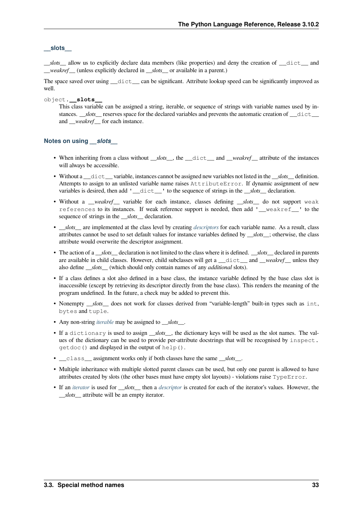*\_\_slots\_\_* allow us to explicitly declare data members (like properties) and deny the creation of \_\_dict\_\_ and *\_\_weakref\_\_* (unless explicitly declared in *\_\_slots\_\_* or available in a parent.)

The space saved over using \_\_dict\_\_ can be significant. Attribute lookup speed can be significantly improved as well.

object.**\_\_slots\_\_**

This class variable can be assigned a string, iterable, or sequence of strings with variable names used by instances. *\_\_slots*\_\_ reserves space for the declared variables and prevents the automatic creation of \_\_dict\_\_ and *\_\_weakref\_\_* for each instance.

### **Notes on using** *\_\_slots\_\_*

- When inheriting from a class without *\_\_slots\_\_*, the \_\_dict\_\_ and *\_\_weakref\_\_* attribute of the instances will always be accessible.
- Without a \_\_dict\_\_ variable, instances cannot be assigned new variables not listed in the *\_\_slots\_\_* definition. Attempts to assign to an unlisted variable name raises AttributeError. If dynamic assignment of new variables is desired, then add '\_\_dict\_\_' to the sequence of strings in the *\_\_slots\_\_* declaration.
- Without a *\_\_weakref\_\_* variable for each instance, classes defining *\_\_slots\_\_* do not support weak references to its instances. If weak reference support is needed, then add '\_\_weakref\_\_\_\_\_ to the sequence of strings in the *\_\_slots\_\_* declaration.
- *\_\_slots*\_ are implemented at the class level by creating *descriptors* for each variable name. As a result, class attributes cannot be used to set default values for instance variables defined by *\_\_slots\_\_*; otherwise, the class attribute would overwrite the descriptor assignment.
- The action of a *\_\_slots\_\_* declaration is not limited to the class where it is defined. *\_\_slots\_\_* declared in parents are available in child classes. However, child subclasses [will get a](#page-36-2) \_\_dict\_\_ and *\_\_weakref*\_\_\_unless they also define *\_\_slots\_\_* (which should only contain names of any *additional* slots).
- If a class defines a slot also defined in a base class, the instance variable defined by the base class slot is inaccessible (except by retrieving its descriptor directly from the base class). This renders the meaning of the program undefined. In the future, a check may be added to prevent this.
- Nonempty *\_\_slots* \_\_ does not work for classes derived from "variable-length" built-in types such as int, bytes and tuple.
- Any non-string *iterable* may be assigned to *\_\_slots\_\_*.
- If a dictionary is used to assign *\_\_slots\_\_*, the dictionary keys will be used as the slot names. The values of the dictionary can be used to provide per-attribute docstrings that will be recognised by inspect. getdoc() an[d display](#page-142-0)ed in the output of help().
- \_\_class\_\_ assignment works only if both classes have the same *\_\_slots\_\_*.
- Multiple inheritance with multiple slotted parent classes can be used, but only one parent is allowed to have attributes created by slots (the other bases must have empty slot layouts) - violations raise TypeError.
- If an *iterator* is used for *\_\_slots\_\_* then a *descriptor* is created for each of the iterator's values. However, the *\_\_slots\_\_* attribute will be an empty iterator.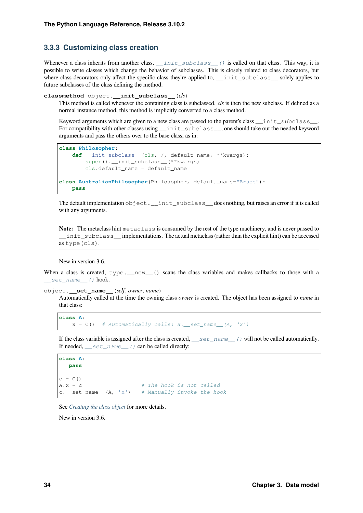## **3.3.3 Customizing class creation**

Whenever a class inherits from another class, *\_\_init\_subclass\_\_()* is called on that class. This way, it is possible to write classes which change the behavior of subclasses. This is closely related to class decorators, but where class decorators only affect the specific class they're applied to,  $\__$ init\_subclass $\__$  solely applies to future subclasses of the class defining the method.

#### **classmethod** object.**\_\_init\_subc[lass\\_\\_](#page-39-0)**(*cls*)

This method is called whenever the containing class is subclassed. *cls* is then the new subclass. If defined as a normal instance method, this method is implicitly converted to a class method.

<span id="page-39-0"></span>Keyword arguments which are given to a new class are passed to the parent's class \_\_init\_subclass\_\_. For compatibility with other classes using \_\_init\_subclass \_\_, one should take out the needed keyword arguments and pass the others over to the base class, as in:

```
class Philosopher:
    def __init_subclass__(cls, /, default_name, **kwargs):
        super(). __init_subclass_(**kwargs)
        cls.default_name = default_name
class AustralianPhilosopher(Philosopher, default_name="Bruce"):
   pass
```
The default implementation object.\_\_init\_subclass\_\_ does nothing, but raises an error if it is called with any arguments.

**Note:** The metaclass hint metaclass is consumed by the rest of the type machinery, and is never passed to init subclass implementations. The actual metaclass (rather than the explicit hint) can be accessed as type(cls).

New in version 3.6.

When a class is created,  $type$ . new () scans the class variables and makes callbacks to those with a *\_\_set\_name\_\_()* hook.

object.**\_\_set\_name\_\_**(*self*, *owner*, *name*)

Automatically called at the time the owning class *owner* is created. The object has been assigned to *name* in [that class:](#page-39-1)

```
class A:
   x = C() # Automatically calls: x.__set_name__(A, 'x')
```
If the class variable is assigned after the class is created, *\_\_set\_name\_\_()* will not be called automatically. If needed, *\_\_set\_name\_\_()* can be called directly:

```
class A:
  pass
C = C()A.x = c # The hook is not called
c.__set_name__(A, 'x') # Manually invoke the hook
```
See *Creating the class object* for more details.

New in version 3.6.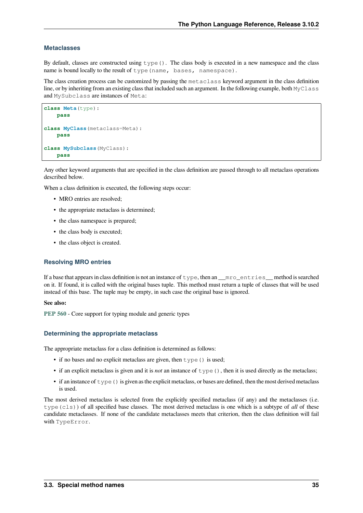### **Metaclasses**

By default, classes are constructed using type(). The class body is executed in a new namespace and the class name is bound locally to the result of type (name, bases, namespace).

The class creation process can be customized by passing the metaclass keyword argument in the class definition line, or by inheriting from an existing class that included such an argument. In the following example, both MyClass and MySubclass are instances of Meta:

```
class Meta(type):
   pass
class MyClass(metaclass=Meta):
    pass
class MySubclass(MyClass):
   pass
```
Any other keyword arguments that are specified in the class definition are passed through to all metaclass operations described below.

When a class definition is executed, the following steps occur:

- MRO entries are resolved;
- the appropriate metaclass is determined;
- the class namespace is prepared;
- the class body is executed;
- the class object is created.

### **Resolving MRO entries**

If a base that appears in class definition is not an instance of  $type$ , then an  $\text{__mro\_entries}$  method is searched on it. If found, it is called with the original bases tuple. This method must return a tuple of classes that will be used instead of this base. The tuple may be empty, in such case the original base is ignored.

### **See also:**

**PEP 560** - Core support for typing module and generic types

### **Determining the appropriate metaclass**

[The appro](https://www.python.org/dev/peps/pep-0560)priate metaclass for a class definition is determined as follows:

- if no bases and no explicit metaclass are given, then type () is used;
- if an explicit metaclass is given and it is *not* an instance of  $type($ , then it is used directly as the metaclass;
- if an instance of  $type()$  is given as the explicit metaclass, or bases are defined, then the most derived metaclass is used.

The most derived metaclass is selected from the explicitly specified metaclass (if any) and the metaclasses (i.e. type (cls)) of all specified base classes. The most derived metaclass is one which is a subtype of *all* of these candidate metaclasses. If none of the candidate metaclasses meets that criterion, then the class definition will fail with TypeError.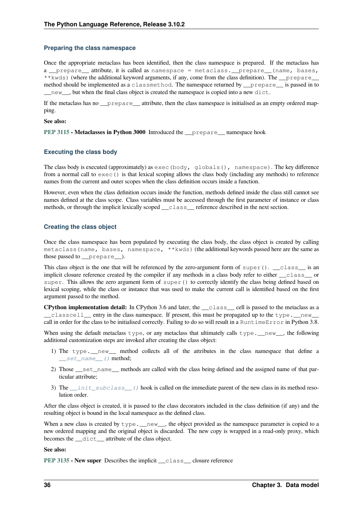### **Preparing the class namespace**

Once the appropriate metaclass has been identified, then the class namespace is prepared. If the metaclass has a \_\_prepare\_\_ attribute, it is called as namespace = metaclass. \_\_prepare\_\_(name, bases, \*\*kwds) (where the additional keyword arguments, if any, come from the class definition). The \_\_prepare\_\_ method should be implemented as a classmethod. The namespace returned by prepare is passed in to \_\_new\_\_, but when the final class object is created the namespace is copied into a new dict.

If the metaclass has no \_\_prepare\_\_ attribute, then the class namespace is initialised as an empty ordered mapping.

### **See also:**

**PEP 3115 • Metaclasses in Python 3000** Introduced the <u>prepare</u> namespace hook

### **Executing the class body**

[The class b](https://www.python.org/dev/peps/pep-3115)ody is executed (approximately) as  $\epsilon \times \epsilon$  (body, globals(), namespace). The key difference from a normal call to exec() is that lexical scoping allows the class body (including any methods) to reference names from the current and outer scopes when the class definition occurs inside a function.

However, even when the class definition occurs inside the function, methods defined inside the class still cannot see names defined at the class scope. Class variables must be accessed through the first parameter of instance or class methods, or through the implicit lexically scoped class reference described in the next section.

### **Creating the class object**

Once the class namespace has been populated by executing the class body, the class object is created by calling metaclass(name, bases, namespace, \*\*kwds) (the additional keywords passed here are the same as those passed to \_\_prepare\_\_).

This class object is the one that will be referenced by the zero-argument form of super().  $\_\_class$  is an implicit closure reference created by the compiler if any methods in a class body refer to either class or super. This allows the zero argument form of super() to correctly identify the class being defined based on lexical scoping, while the class or instance that was used to make the current call is identified based on the first argument passed to the method.

**CPython implementation detail:** In CPython 3.6 and later, the \_\_class\_\_ cell is passed to the metaclass as a \_\_classcell\_\_ entry in the class namespace. If present, this must be propagated up to the type.\_\_new\_\_ call in order for the class to be initialised correctly. Failing to do so will result in a RuntimeError in Python 3.8.

When using the default metaclass type, or any metaclass that ultimately calls type.  $new$ , the following additional customization steps are invoked after creating the class object:

- 1) The type.\_\_new\_\_ method collects all of the attributes in the class namespace that define a *\_\_set\_name\_\_()* method;
- 2) Those \_\_set\_name\_\_ methods are called with the class being defined and the assigned name of that particular attribute;
- 3) The *init* subclass () hook is called on the immediate parent of the new class in its method resolution order.

After the class object is created, it is passed to the class decorators included in the class definition (if any) and the resulting o[bject is bound in the local nam](#page-39-0)espace as the defined class.

When a new class is created by  $type \_\_\_\_\_\$ , the object provided as the namespace parameter is copied to a new ordered mapping and the original object is discarded. The new copy is wrapped in a read-only proxy, which becomes the \_\_dict\_\_ attribute of the class object.

### **See also:**

**PEP 3135 • New super** Describes the implicit class closure reference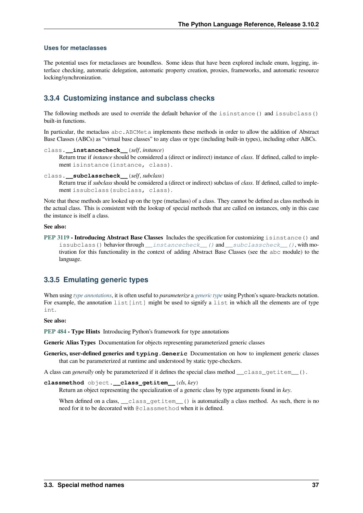### **Uses for metaclasses**

The potential uses for metaclasses are boundless. Some ideas that have been explored include enum, logging, interface checking, automatic delegation, automatic property creation, proxies, frameworks, and automatic resource locking/synchronization.

## **3.3.4 Customizing instance and subclass checks**

The following methods are used to override the default behavior of the isinstance() and issubclass() built-in functions.

In particular, the metaclass  $abc$ . ABCMeta implements these methods in order to allow the addition of Abstract Base Classes (ABCs) as "virtual base classes" to any class or type (including built-in types), including other ABCs.

```
class.__instancecheck__(self, instance)
```
Return true if *instance* should be considered a (direct or indirect) instance of *class*. If defined, called to implement isinstance(instance, class).

```
class.__subclasscheck__(self, subclass)
```
Return true if *subclass* should be considered a (direct or indirect) subclass of *class*. If defined, called to implement issubclass(subclass, class).

Note that these methods are looked up on the type (metaclass) of a class. They cannot be defined as class methods in the actual class. This is consistent with the lookup of special methods that are called on instances, only in this case the instance is itself a class.

### **See also:**

**PEP 3119 - Introducing Abstract Base Classes** Includes the specification for customizing isinstance() and issubclass() behavior through *\_\_instancecheck\_\_()* and *\_\_subclasscheck\_\_()*, with motivation for this functionality in the context of adding Abstract Base Classes (see the abc module) to the language.

## **3.3.5 Emulating generic type[s](#page-42-0)**

When using *type annotations*, it is often useful to *parameterize* a *generic type* using Python's square-brackets notation. For example, the annotation list [int] might be used to signify a list in which all the elements are of type int.

**See also:**

**PEP 484 - [Type Hints](#page-136-0)** Introducing Python's framework for ty[pe annotatio](#page-141-0)ns

**Generic Alias Types** Documentation for objects representing parameterized generic classes

**Generics, user-defined generics and typing.Generic** Documentation on how to implement generic classes [that](https://www.python.org/dev/peps/pep-0484) can be parameterized at runtime and understood by static type-checkers.

A class can *generally* only be parameterized if it defines the special class method \_\_class\_qetitem\_().

**classmethod** object.**\_\_class\_getitem\_\_**(*cls*, *key*)

Return an object representing the specialization of a generic class by type arguments found in *key*.

<span id="page-42-1"></span>When defined on a class, \_\_class\_getitem\_() is automatically a class method. As such, there is no need for it to be decorated with @classmethod when it is defined.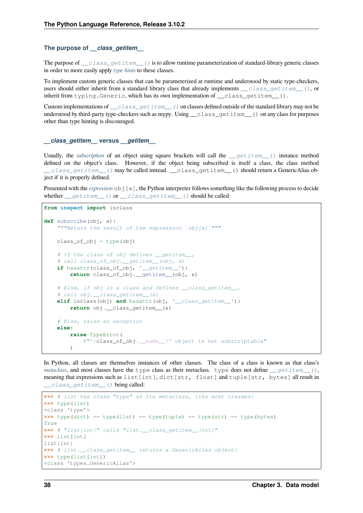### **The purpose of** *\_\_class\_getitem\_\_*

The purpose of *\_\_class\_getitem\_\_()* is to allow runtime parameterization of standard-library generic classes in order to more easily apply *type hints* to these classes.

To implement custom generic classes that can be parameterized at runtime and understood by static type-checkers, users should either inherit from a standard library class that already implements *class getitem* (), or inherit from typing. Generic, which has its own implementation of  $\_\text{class_qetitem}$  ().

Custom implementations of *\_\_class\_getitem\_\_()* on classes defined outside of the standard library may not be understood by third-party type-checkers such as mypy. Using \_\_class\_getitem\_\_() [on any class for purpo](#page-42-1)ses other than type hinting is discouraged.

#### *\_\_class\_getitem\_\_* **versus** *[\\_\\_getitem\\_\\_](#page-42-1)*

<span id="page-43-0"></span>Usually, the *subscription* of an object using square brackets will call the *\_\_getitem\_\_()* instance method defined on the object's class. However, if the object being subscribed is itself a class, the class method *\_\_class\_getitem\_\_()* may be called instead. \_\_class\_getitem\_\_() should return a GenericAlias object if it is properly defined.

Presented with the *[express](#page-78-0)ion*  $\circ$ b j [x], the Python interpreter follows someth[ing like the following](#page-45-0) process to decide whether  $q$ etitem () or *class qetitem* () should be called:

**from inspect import** isclass

```
def subscribe(obj, x):
    """Return the result of the expression `obj[x]`"""
   class_of\_obj = type(obj)# If the class of obj defines __getitem__,
    # call class_of_obj.__getitem__(obj, x)
   if hasattr(class_of_obj, '__getitem__'):
        return class_of_obj.__getitem__(obj, x)
    # Else, if obj is a class and defines __class_getitem__,
    # call obj.__class_getitem__(x)
   elif isclass(obj) and hasattr(obj, '__class_getitem__'):
       return obj.__class_getitem__(x)
    # Else, raise an exception
   else:
       raise TypeError(
            f"'{class_of_obj.__name__}' object is not subscriptable"
        )
```
In Python, all classes are themselves instances of other classes. The class of a class is known as that class's *metaclass*, and most classes have the type class as their metaclass. type does not define  $q$ etitem (), meaning that expressions such as list[int], dict[str, float] and tuple[str, bytes] all result in *\_\_class\_getitem\_\_()* being called:

```
>>> # list has class "type" as its metaclass, like most classes:
>>> type(list)
<class 'type'>
>>>type(dict) == type(list) == type(tuple) == type(str) == type(bytes)
True
>>> # "list[int]" calls "list.__class_getitem__(int)"
>>> list[int]
list[int]
>>> # list.__class_getitem__ returns a GenericAlias object:
>>> type(list[int])
<class 'types.GenericAlias'>
```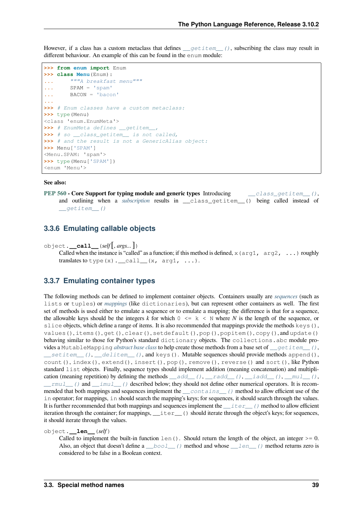However, if a class has a custom metaclass that defines *\_\_getitem\_\_()*, subscribing the class may result in different behaviour. An example of this can be found in the enum module:

```
>>> from enum import Enum
>>> class Menu(Enum):
... """A breakfast menu"""
... SPAM = 'spam'
... BACON = 'bacon'
...
>>> # Enum classes have a custom metaclass:
>>> type(Menu)
<class 'enum.EnumMeta'>
>>> # EnumMeta defines __getitem__,
>>> # so __class_getitem__ is not called,
>>> # and the result is not a GenericAlias object:
>>> Menu['SPAM']
<Menu.SPAM: 'spam'>
>>> type(Menu['SPAM'])
<enum 'Menu'>
```
#### **See also:**

**PEP 560 - Core Support for typing module and generic types** Introducing *\_\_class\_getitem\_\_()*, and outlining when a *subscription* results in \_\_class\_getitem\_\_() being called instead of *\_\_getitem\_\_()*

## **[3.3.6](https://www.python.org/dev/peps/pep-0560) Emulating callab[le object](#page-78-0)s**

```
object.__call__(self[, args...])
```
Called when the instance is "called" as a function; if this method is defined,  $x$  ( $arg1$ ,  $arg2$ , ...) roughly translates to type  $(x)$ .  $\text{call}(x, \text{arg1}, \ldots)$ .

## **3.3.7 Emulating container types**

The following methods can be defined to implement container objects. Containers usually are *sequences* (such as lists or tuples) or *mappings* (like dictionaries), but can represent other containers as well. The first set of methods is used either to emulate a sequence or to emulate a mapping; the difference is that for a sequence, the allowable keys should be the integers  $k$  for which  $0 \le k \le N$  where N is the length of the sequence, or slice objects, which define a range of items. It is also recommended that mappings provide the [methods](#page-146-0) keys(), values(), items(), [get\(\)](#page-143-1), clear(), setdefault(), pop(), popitem(), copy(), and update() behaving similar to those for Python's standard dictionary objects. The collections.abc module provides a MutableMapping *abstract base class* to help create those methods from a base set of *\_\_getitem\_\_()*, *\_\_setitem\_\_()*, *\_\_delitem\_\_()*, and keys(). Mutable sequences should provide methods append(), count(), index(), extend(), insert(), pop(), remove(), reverse() and sort(), like Python standard list objects. Finally, sequence types should implement addition (meaning concatenation) and multiplication(meaning repetition) b[y defining the meth](#page-136-1)ods  $\_add\_()$ ,  $\_radd\_()$ ,  $\_iadd\_()$ ,  $\_mul\_()$ , *[\\_\\_rmul\\_\\_\(\)](#page-45-1)* and *[\\_\\_imul\\_\\_\(\)](#page-45-2)* described below; they should not define other numerical operators. It is recommended that both mappings and sequences implement the *\_\_contains\_\_()* method to allow efficient use of the in operator; for mappings, in should search the mapping's keys; for sequences, it should search through the values. It is further recommended that both mappings and se[quences implem](#page-46-0)ent the *[\\_\\_iter](#page-46-1)\_\_()* [method t](#page-47-0)[o allow efficient](#page-46-2) [iteration through](#page-46-3) th[e container; for m](#page-47-1)appings, \_\_iter\_\_() should iterate through the object's keys; for sequences, it should iterate through the values.

object.**\_\_len\_\_**(*self*)

<span id="page-44-0"></span>Called to implement the built-in function  $l \in \Lambda$  (). Should return th[e length of the](#page-45-3) object, an integer  $\geq 0$ . Also, an object that doesn't define a *\_\_bool\_\_()* method and whose *\_\_len\_\_()* method returns zero is considered to be false in a Boolean context.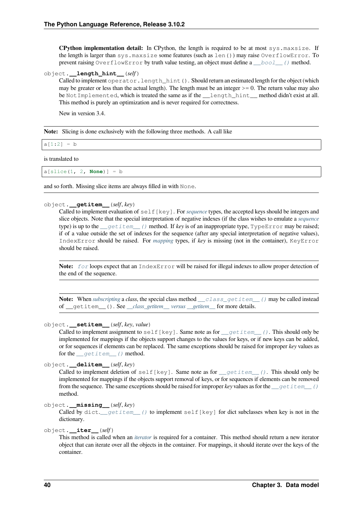**CPython implementation detail:** In CPython, the length is required to be at most sys.maxsize. If the length is larger than sys.maxsize some features (such as len()) may raise OverflowError. To prevent raising OverflowError by truth value testing, an object must define a *\_\_bool\_\_()* method.

### object.**\_\_length\_hint\_\_**(*self*)

Called to implement operator.length\_hint(). Should return an estimated length for the object (which may be greater or less than the actual length). The length must be an integer  $> = 0$ . The return value may also be NotImplemented, which is treated the same as if the \_\_length\_hint\_\_ [method didn'](#page-34-0)t exist at all. This method is purely an optimization and is never required for correctness.

New in version 3.4.

**Note:** Slicing is done exclusively with the following three methods. A call like

 $a[1:2] = b$ 

### is translated to

a[slice(1, 2, **None**)] = b

and so forth. Missing slice items are always filled in with None.

### object.**\_\_getitem\_\_**(*self*, *key*)

<span id="page-45-0"></span>Called to implement evaluation of self[key]. For *sequence* types, the accepted keys should be integers and slice objects. Note that the special interpretation of negative indexes (if the class wishes to emulate a *sequence* type) is up to the *\_\_getitem\_\_()* method. If *key* is of an inappropriate type, TypeError may be raised; if of a value outside the set of indexes for the sequence (after any special interpretation of negative values), IndexError should be raised. For *mapping* type[s, if](#page-146-0) *key* is missing (not in the container), KeyError should be raised.

**Note:** *for* loops expect that an Ind[exError](#page-143-1) will be raised for illegal indexes to allow proper detection of the end of the sequence.

**Note:** [Whe](#page-103-0)n *subscripting* a *class*, the special class method *\_\_class\_getitem\_\_()* may be called instead of \_\_getitem\_\_(). See *\_\_class\_getitem\_\_ versus \_\_getitem\_\_* for more details.

### object.**\_\_setitem\_\_**(*self*, *key*, *value*)

Called to imp[lement assig](#page-78-0)nment to self[key]. Same note as for *. This should only be* implemented for mappingsi[f the objects support changes to the va](#page-43-0)lues for keys, or if new keys can be added, or for sequences if elements can be replaced. The same exceptions should be raised for improper *key* values as for the *\_\_getitem\_\_()* method.

### <span id="page-45-1"></span>object.**\_\_delitem\_\_**(*self*, *key*)

Called to implement deletion of  $self[key]$ . Same note as for *. This should only be* implemented for mappings if the objects support removal of keys, or for sequences if elements can be removed from t[he sequence. The sam](#page-45-0)e exceptions should be raised for improper *key* values as for the *\_\_getitem\_\_()* method.

### <span id="page-45-2"></span>object.**\_\_missing\_\_**(*self*, *key*)

Called by dict.*\_\_getitem\_\_()* to implement self[key] for dict subclasses wh[en key is not in the](#page-45-0) dictionary.

### object.**\_\_iter\_\_**(*self*)

<span id="page-45-4"></span><span id="page-45-3"></span>This method is called when an *iterator* is required for a container. This method should return a new iterator object that can it[erate over all the obje](#page-45-0)cts in the container. For mappings, it should iterate over the keys of the container.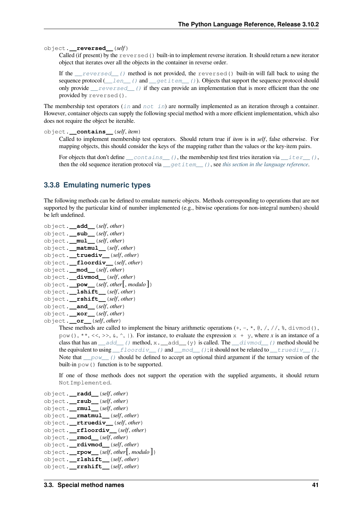object.**\_\_reversed\_\_**(*self*)

Called (if present) by the reversed() built-in to implement reverse iteration. It should return a new iterator object that iterates over all the objects in the container in reverse order.

If the *\_\_reversed\_\_()* method is not provided, the reversed() built-in will fall back to using the sequence protocol (*\_\_len\_\_()* and *\_\_getitem\_\_()*). Objects that support the sequence protocol should only provide *\_\_reversed\_\_()* if they can provide an implementation that is more efficient than the one provided by reversed().

The member[ship test operators \(](#page-45-4)*in* and *not in*) are normally implemented as an iteration through a container. However, container objec[ts can supply th](#page-44-0)e fo[llowing special meth](#page-45-0)od with a more efficient implementation, which also does not require th[e object be iterable.](#page-45-4)

### object.**\_\_contains\_\_**(*self*, *item*)

Called to implement mem[ber](#page-86-0)ship [test opera](#page-86-0)tors. Should return true if *item* is in *self*, false otherwise. For mapping objects, this should consider the keys of the mapping rather than the values or the key-item pairs.

<span id="page-46-4"></span>For objects that don't define *\_\_contains\_\_()*, the membership test first tries iteration via *\_\_iter\_\_()*, then the old sequence iteration protocol via *\_\_getitem\_\_()*, see *this section in the language reference*.

### **3.3.8 Emulating numeri[c types](#page-46-4)**

The following methods can be defined to emulate [numeric objects. Me](#page-45-0)thod[s corresponding to operations that are](#page-86-0) not supported by the particular kind of number implemented (e.g., bitwise operations for non-integral numbers) should be left undefined.

<span id="page-46-8"></span><span id="page-46-2"></span><span id="page-46-0"></span>object.**\_\_add\_\_**(*self*, *other*) object.**\_\_sub\_\_**(*self*, *other*) object.**\_\_mul\_\_**(*self*, *other*) object.**\_\_matmul\_\_**(*self*, *other*) object.**\_\_truediv\_\_**(*self*, *other*) object.**\_\_floordiv\_\_**(*self*, *other*) object.**\_\_mod\_\_**(*self*, *other*) object.**\_\_divmod\_\_**(*self*, *other*) object.**\_\_pow\_\_**(*self*, *other*[, *modulo* ]) object.**\_\_lshift\_\_**(*self*, *other*) object.**\_\_rshift\_\_**(*self*, *other*) object.**\_\_and\_\_**(*self*, *other*) object.**\_\_xor\_\_**(*self*, *other*) object.**\_\_or\_\_**(*self*, *other*)

> <span id="page-46-9"></span><span id="page-46-7"></span><span id="page-46-6"></span><span id="page-46-5"></span>These methods are called to implement the binary arithmetic operations  $(+, -, *, \theta, /, / /, *, \text{divmod}(),$ pow(), \*\*, <<, >>,  $\xi$ ,  $\gamma$ , |). For instance, to evaluate the expression  $x + y$ , where *x* is an instance of a class that has an *\_\_add\_\_()* method, x.\_\_add\_\_(y) is called. The *\_\_divmod\_\_()* method should be the equivalent to using  $_f$  *\_\_floordiv\_\_()* and  $\text{mod}$  (); it should not be related to  $\text{im}$  *\_\_truediv\_\_()*. Note that *\_\_pow\_()* should be defined to accept an optional third argument if the ternary version of the built-in  $pow()$  function is to be supported.

> If one of thos[e methods doe](#page-46-0)[s not suppor](#page-46-6)t th[e operation w](#page-46-7)ith the s[upplied arguments](#page-46-5)[, it should return](#page-46-8) NotImp[lemented](#page-46-9).

<span id="page-46-10"></span><span id="page-46-3"></span><span id="page-46-1"></span>object.**\_\_radd\_\_**(*self*, *other*) object.**\_\_rsub\_\_**(*self*, *other*) object.**\_\_rmul\_\_**(*self*, *other*) object.**\_\_rmatmul\_\_**(*self*, *other*) object.**\_\_rtruediv\_\_**(*self*, *other*) object.**\_\_rfloordiv\_\_**(*self*, *other*) object.**\_\_rmod\_\_**(*self*, *other*) object.**\_\_rdivmod\_\_**(*self*, *other*) object.**\_\_rpow\_\_**(*self*, *other*[, *modulo* ]) object.**\_\_rlshift\_\_**(*self*, *other*) object.**\_\_rrshift\_\_**(*self*, *other*)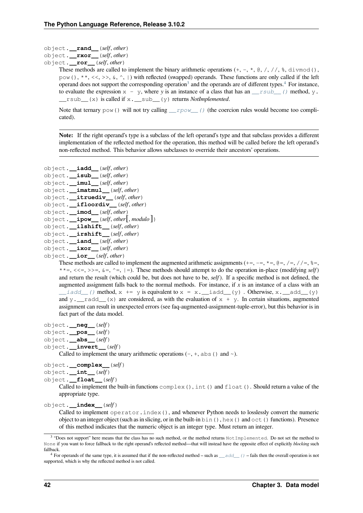object.**\_\_rand\_\_**(*self*, *other*)

object.**\_\_rxor\_\_**(*self*, *other*)

object.**\_\_ror\_\_**(*self*, *other*)

These methods are called to implement the binary arithmetic operations  $(+, -, *, \theta, /, / /, *, \text{divmod}(),$  $pow(), **, \langle\langle, \rangle\rangle, \&, \langle, \rangle)$  with reflected (swapped) operands. These functions are only called if the left operand does not support the corresponding operation<sup>3</sup> and the operands are of different types.<sup>4</sup> For instance, to evaluate the expression  $x - y$ , where y is an instance of a class that has an  $rsub$  () method, y. \_\_rsub\_\_(x) is called if x.\_\_sub\_\_(y) returns *NotImplemented*.

Note that ternary p[ow](#page-47-2)() will not try calling *\_\_rpow* () (the coercion rules would beco[m](#page-47-3)e too complicated).

**Note:** If the right operand's type is a subclass of the left operand's type and that subclass provides a different implementation of the reflected method for th[e operation, this](#page-46-10) method will be called before the left operand's non-reflected method. This behavior allows subclasses to override their ancestors' operations.

```
object.__iadd__(self, other)
object.__isub__(self, other)
object.__imul__(self, other)
object.__imatmul__(self, other)
object.__itruediv__(self, other)
object.__ifloordiv__(self, other)
object.__imod__(self, other)
object.__ipow__(self, other[, modulo ])
object.__ilshift__(self, other)
object.__irshift__(self, other)
object.__iand__(self, other)
object.__ixor__(self, other)
```

```
object.__ior__(self, other)
```
These methods are called to implement the augmented arithmetic assignments  $(+, -, -, \times, \theta =, /=, /=, /=, \hat{\theta} =,$ \*\*=, <<=, >>=,  $\&=$ ,  $\&=$ ,  $\&=$ ,  $\&=$ ). These methods should attempt to do the operation in-place (modifying *self*) and return the result (which could be, but does not have to be, *self*). If a specific method is not defined, the augmented assignment falls back to the normal methods. For instance, if  $x$  is an instance of a class with an  $\_i$ add $\_$ () method,  $x \leftrightarrow y$  is equivalent to  $x = x$ .  $\_i$  add $\_$ (y) . Otherwise,  $x \cdot$   $\_$ add $\_$ (y) and y.  $\text{rad}_{\text{max}}(x)$  are considered, as with the evaluation of  $x + y$ . In certain situations, augmented assignment can result in unexpected errors (see faq-augmented-assignment-tuple-error), but this behavior is in fact part of the data model.

- object.**[\\_\\_neg\\_\\_](#page-47-0)**(*self*)
- object.**\_\_pos\_\_**(*self*)
- object.**\_\_abs\_\_**(*self*)
- object.**\_\_invert\_\_**(*self*)

Called to implement the unary arithmetic operations  $(-, +, abs)$  and  $\sim$ ).

object.**\_\_complex\_\_**(*self*)

object.**\_\_int\_\_**(*self*)

<span id="page-47-4"></span>object.**\_\_float\_\_**(*self*)

Called to implement the built-in functions  $complex()$ , int() and  $float()$ . Should return a value of the appropriate type.

<span id="page-47-5"></span>object.**\_\_index\_\_**(*self*)

Called to implement operator.index(), and whenever Python needs to losslessly convert the numeric object to an integer object (such as in slicing, or in the built-in bin(), hex() and oct() functions). Presence of this method indicates that the numeric object is an integer type. Must return an integer.

<sup>&</sup>lt;sup>3</sup> "Does not support" here means that the class has no such method, or the method returns Not Implemented. Do not set the method to None if you want to force fallback to the right operand's reflected method—that will instead have the opposite effect of explicitly *blocking* such fallback.

<span id="page-47-3"></span><span id="page-47-2"></span><sup>4</sup> For operands of the same type, it is assumed that if the non-reflected method – such as *\_\_add\_\_()* – fails then the overall operation is not supported, which is why the reflected method is not called.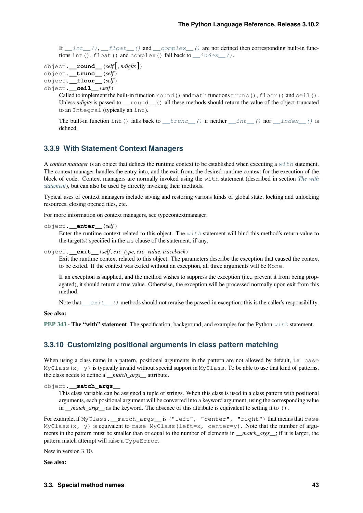If *\_\_int\_\_()*, *\_\_float\_\_()* and *\_\_complex\_\_()* are not defined then corresponding built-in functions int(), float() and complex() fall back to *\_\_index\_\_()*.

object.**\_\_round\_\_**(*self*[, *ndigits*])

object.**\_\_trunc\_\_**(*self*)

object.**[\\_\\_floor\\_](#page-47-4)\_**(*[self](#page-47-5)*)

<span id="page-48-0"></span>object.**\_\_ceil\_\_**(*self*)

Called to implement the built-in function round() and math functions trunc(),  $floor()$  and  $ceil()$ . Unless *ndigits* is passed to round () all these methods should return the value of the object truncated to an Integral (typically an int).

The built-in function int() falls back to *\_\_trunc\_\_()* if neither *\_\_int\_\_()* nor *\_\_index\_\_()* is defined.

## **3.3.9 With Statement Context Ma[nagers](#page-48-0)**

A *context manager* is an object that defines the runtime context to be established when executing a *with* statement. The context manager handles the entry into, and the exit from, the desired runtime context for the execution of the block of code. Context managers are normally invoked using the with statement (described in section *The with statement*), but can also be used by directly invoking their methods.

Typical uses of context managers include saving and restoring various kinds of global state, locki[ng and](#page-106-0) unlocking resources, closing opened files, etc.

[For more](#page-106-0) information on context managers, see typecontextmanager.

```
object.__enter__(self)
```
Enter the runtime context related to this object. The  $w$  the statement will bind this method's return value to the target(s) specified in the as clause of the statement, if any.

<span id="page-48-1"></span>object.**\_\_exit\_\_**(*self*, *exc\_type*, *exc\_value*, *traceback*)

Exit the runtime context related to this object. The parameters describe the exception that caused the context to be exited. If the context was exited without an exc[eption,](#page-106-0) all three arguments will be None.

<span id="page-48-2"></span>If an exception is supplied, and the method wishes to suppress the exception (i.e., prevent it from being propagated), it should return a true value. Otherwise, the exception will be processed normally upon exit from this method.

Note that  $exit$  () methods should not reraise the passed-in exception; this is the caller's responsibility.

**See also:**

**PEP 343 - The "with" statement** The specification, background, and examples for the Python *with* statement.

## **3.3.10 Customizing positional arguments in class pattern matching**

[When usi](https://www.python.org/dev/peps/pep-0343)ng a class name in a pattern, positional arguments in the pattern are not allowed by [default](#page-106-0), i.e. case MyClass  $(x, y)$  is typically invalid without special support in MyClass. To be able to use that kind of patterns, the class needs to define a *\_\_match\_args\_\_* attribute.

```
object.__match_args__
```
This class variable can be assigned a tuple of strings. When this class is used in a class pattern with positional arguments, each positional argument will be converted into a keyword argument, using the corresponding value in *\_\_match\_args\_\_* as the keyword. The absence of this attribute is equivalent to setting it to ().

For example, if MyClass. \_\_match\_args\_\_ is ("left", "center", "right") that means that case MyClass(x, y) is equivalent to case MyClass(left=x, center=y). Note that the number of arguments in the pattern must be smaller than or equal to the number of elements in *match args* ; if it is larger, the pattern match attempt will raise a TypeError.

New in version 3.10.

**See also:**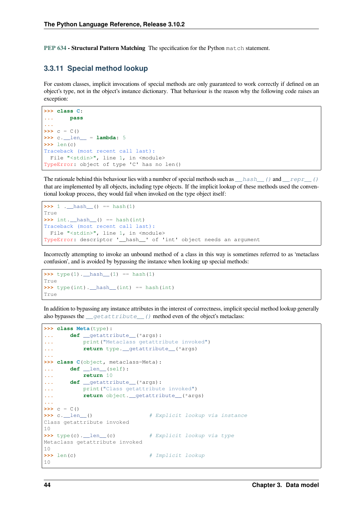### **3.3.11 Special method lookup**

[For custom](https://www.python.org/dev/peps/pep-0634) classes, implicit invocations of special methods are only guaranteed to work correctly if defined on an object's type, not in the object's instance dictionary. That behaviour is the reason why the following code raises an exception:

```
>>> class C:
... pass
...
\Rightarrow > \circ = C()>>> c.__len__ = lambda: 5
>>> len(c)
Traceback (most recent call last):
 File "<stdin>", line 1, in <module>
TypeError: object of type 'C' has no len()
```
The rationale behind this behaviour lies with a number of special methods such as *\_\_hash\_\_()* and *\_\_repr\_\_()* that are implemented by all objects, including type objects. If the implicit lookup of these methods used the conventional lookup process, they would fail when invoked on the type object itself:

```
>>> 1 .__hash__() == hash(1)
True
>>> int.__hash__() == hash(int)
Traceback (most recent call last):
 File "<stdin>", line 1, in <module>
TypeError: descriptor '__hash__' of 'int' object needs an argument
```
Incorrectly attempting to invoke an unbound method of a class in this way is sometimes referred to as 'metaclass confusion', and is avoided by bypassing the instance when looking up special methods:

```
>>> type(1). _{\text{hash}}(1) == \text{hash}(1)True
>>> type(int).__hash__(int) == hash(int)
True
```
In addition to bypassing any instance attributes in the interest of correctness, implicit special method lookup generally also bypasses the *\_\_getattribute\_\_()* method even of the object's metaclass:

```
>>> class Meta(type):
... def __getattribute__(*args):
... print("Metaclass getattribute invoked")
... returntype.__getattribute__(*args)
...
>>> class C(object, metaclass=Meta):
... def __len__(self):
... return 10
... def __getattribute__(*args):
... print("Class getattribute invoked")
... return object.__getattribute__(*args)
...
\Rightarrow > \circ = C()>>> c.__len__() # Explicit lookup via instance
Class getattribute invoked
10
>>> type(c).__len__(c) # Explicit lookup via type
Metaclass getattribute invoked
10
>>> len(c) # Implicit lookup
10
```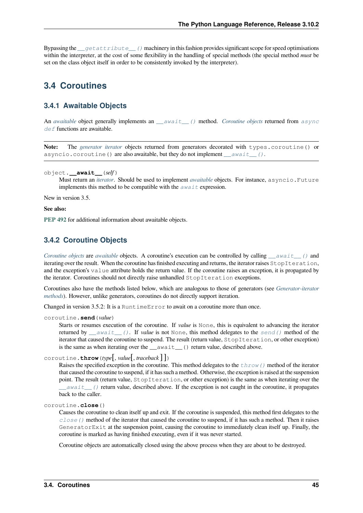Bypassing the *qetattribute* () machinery in this fashion provides significant scope for speed optimisations within the interpreter, at the cost of some flexibility in the handling of special methods (the special method *must* be set on the class object itself in order to be consistently invoked by the interpreter).

# **3.4 Coroutines**

## **3.4.1 Awaitable Objects**

An *awaitable* object generally implements an *\_\_await\_\_()* method. *Coroutine objects* returned from *async def* functions are awaitable.

**Note:** The *generator iterator* objects returned from generators decorated with types.coroutin[e\(\)](#page-119-0) or [as](#page-119-0)[yncio.c](#page-137-0)oroutine() are also awaitabl[e, but they do not](#page-50-0) implement *[\\_\\_await\\_\\_\(\)](#page-138-0)*.

```
object.__await__(self)
```
Must return an *[iterator](#page-141-1)*. Should be used to implement *awaitable* obj[ects. For instance](#page-50-0), asyncio.Future implements this method to be compatible with the *await* expression.

<span id="page-50-0"></span>New in version 3.5.

**See also:**

**PEP 492** for additional information about awaitable obje[cts.](#page-81-0)

## **3.4.2 Coroutine Objects**

*[Coroutine](https://www.python.org/dev/peps/pep-0492) objects* are *awaitable* objects. A coroutine's execution can be controlled by calling *\_\_await\_\_()* and iterating over the result. When the coroutine has finished executing and returns, the iterator raises StopIteration, and the exception's value attribute holds the return value. If the coroutine raises an exception, it is propagated by the iterator. Coroutines should not directly raise unhandled StopIteration exceptions.

[Coroutines also h](#page-138-0)ave [the metho](#page-137-0)ds listed below, which are analogous to those of generators (see *[Generator-iter](#page-50-0)ator methods*). However, unlike generators, coroutines do not directly support iteration.

Changed in version 3.5.2: It is a RuntimeError to await on a coroutine more than once.

```
coroutine.send(value)
```
[St](#page-75-0)arts or resumes execution of the coroutine. If *value* is None, this is equivalent to adv[ancing the iterator](#page-75-0) returned by *\_\_await\_\_()*. If *value* is not None, this method delegates to the *send()* method of the iterator that caused the coroutine to suspend. The result (return value, StopIteration, or other exception) is the same as when iterating over the await () return value, described above.

```
coroutine.throw(type[, value[, traceback ] ])
```
Raises the s[pecified exception](#page-50-0) in the coroutine. This method delegates to the *throw()* [method](#page-75-1) of the iterator that caused the coroutine to suspend, if it has such a method. Otherwise, the exception is raised at the suspension point. The result (return value, StopIteration, or other exception) is the same as when iterating over the *\_\_await\_\_()* return value, described above. If the exception is not caught in the coroutine, it propagates back to the caller.

```
coroutine.close()
```
Causes the coroutine to clean itself up and exit. If the coroutine is suspended, this method first delegates to the *[close\(\)](#page-50-0)* method of the iterator that caused the coroutine to suspend, if it has such a method. Then it raises GeneratorExit at the suspension point, causing the coroutine to immediately clean itself up. Finally, the coroutine is marked as having finished executing, even if it was never started.

[Coroutine o](#page-75-2)bjects are automatically closed using the above process when they are about to be destroyed.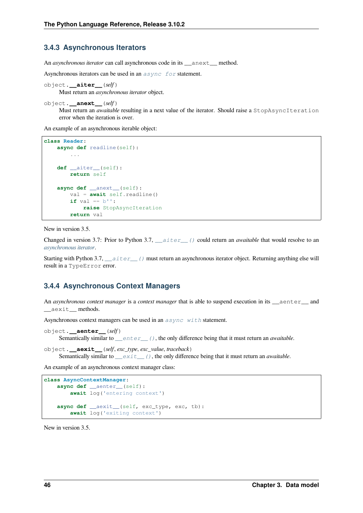## **3.4.3 Asynchronous Iterators**

An *asynchronous iterator* can call asynchronous code in its \_\_anext\_\_ method.

Asynchronous iterators can be used in an *async for* statement.

```
object.__aiter__(self)
     Must return an asynchronous iterator object.
```

```
object.__anext__(self)
```
Must return an *awaitable* resulting [in a next valu](#page-119-1)e of the iterator. Should raise a StopAsyncIteration error when the iteration is over.

An example of an asynchronous iterable object:

```
class Reader:
    async def readline(self):
   def __aiter__(self):
       return self
    async def __anext__(self):
       val = await self.readline()
        if val == b'':raise StopAsyncIteration
        return val
```
New in version 3.5.

Changed in version 3.7: Prior to Python 3.7, *\_\_aiter\_\_()* could return an *awaitable* that would resolve to an *asynchronous iterator*.

Starting with Python 3.7, *\_\_aiter\_\_()* must return an asynchronous iterator object. Returning anything else will result in a TypeError error.

## **3.4.4 Asynchron[ous Context](#page-51-0) Managers**

An *asynchronous context manager* is a *context manager* that is able to suspend execution in its \_\_aenter\_ and \_\_aexit\_\_ methods.

Asynchronous context managers can be used in an *async with* statement.

```
object.__aenter__(self)
     Semantically similar to __enter__(), the only difference being that it must return an awaitable.
```
object.**\_\_aexit\_\_**(*self*, *exc\_type*, *exc\_value*, *[traceback](#page-120-0)*) Semantically similar to *\_\_exit\_\_()*, the only difference being that it must return an *awaitable*.

An example of an asynchrono[us context manag](#page-48-1)er class:

```
class AsyncContextManager:
    async def __aenter__(self):
        await log('entering context')
    async def __aexit__(self, exc_type, exc, tb):
        await log('exiting context')
```
New in version 3.5.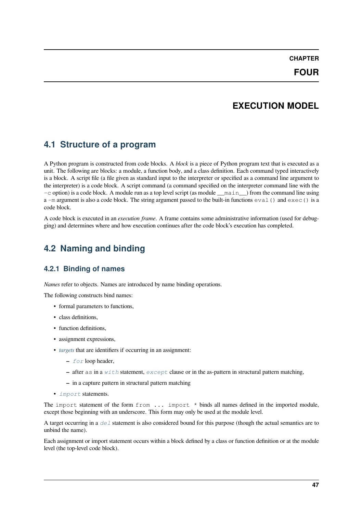# **EXECUTION MODEL**

# **4.1 Structure of a program**

A Python program is constructed from code blocks. A *block* is a piece of Python program text that is executed as a unit. The following are blocks: a module, a function body, and a class definition. Each command typed interactively is a block. A script file (a file given as standard input to the interpreter or specified as a command line argument to the interpreter) is a code block. A script command (a command specified on the interpreter command line with the  $-c$  option) is a code block. A module run as a top level script (as module  $\text{main}$ ) from the command line using a  $-m$  argument is also a code block. The string argument passed to the built-in functions  $eval()$  and  $exec()$  is a code block.

A code block is executed in an *execution frame*. A frame contains some administrative information (used for debugging) and determines where and how execution continues after the code block's execution has completed.

# **4.2 Naming and binding**

## <span id="page-52-0"></span>**4.2.1 Binding of names**

*Names* refer to objects. Names are introduced by name binding operations.

The following constructs bind names:

- formal parameters to functions,
- class definitions,
- function definitions.
- assignment expressions,
- *targets* that are identifiers if occurring in an assignment:
	- **–** *for* loop header,
	- **–** after as in a *with* statement, *except* clause or in the as-pattern in structural pattern matching,
	- **[–](#page-91-0)** in a capture pattern in structural pattern matching
- *imp[ort](#page-103-0)* statements.

The import statement [of the](#page-106-0) form  $f$ rom  $\dots$  import  $*$  binds all names defined in the imported module, except those beginning with an underscore. This form may only be used at the module level.

A targ[et occurri](#page-97-0)ng in a *del* statement is also considered bound for this purpose (though the actual semantics are to unbind the name).

Each assignment or import statement occurs within a block defined by a class or function definition or at the module level (the top-level cod[e bloc](#page-94-0)k).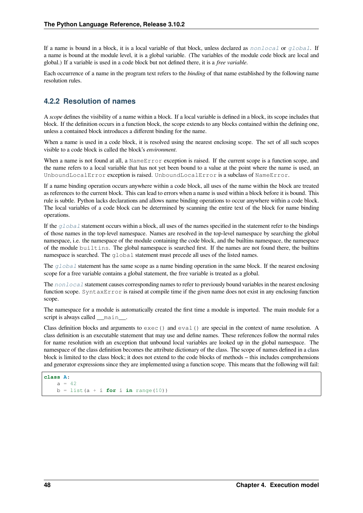If a name is bound in a block, it is a local variable of that block, unless declared as *nonlocal* or *global*. If a name is bound at the module level, it is a global variable. (The variables of the module code block are local and global.) If a variable is used in a code block but not defined there, it is a *free variable*.

Each occurrence of a name in the program text refers to the *binding* of that name esta[blished by the](#page-100-0) fo[llowing na](#page-100-1)me resolution rules.

## **4.2.2 Resolution of names**

A *scope* defines the visibility of a name within a block. If a local variable is defined in a block, its scope includes that block. If the definition occurs in a function block, the scope extends to any blocks contained within the defining one, unless a contained block introduces a different binding for the name.

When a name is used in a code block, it is resolved using the nearest enclosing scope. The set of all such scopes visible to a code block is called the block's *environment*.

When a name is not found at all, a NameError exception is raised. If the current scope is a function scope, and the name refers to a local variable that has not yet been bound to a value at the point where the name is used, an UnboundLocalError exception is raised. UnboundLocalError is a subclass of NameError.

If a name binding operation occurs anywhere within a code block, all uses of the name within the block are treated as references to the current block. This can lead to errors when a name is used within a block before it is bound. This rule is subtle. Python lacks declarations and allows name binding operations to occur anywhere within a code block. The local variables of a code block can be determined by scanning the entire text of the block for name binding operations.

If the *global* statement occurs within a block, all uses of the names specified in the statement refer to the bindings of those names in the top-level namespace. Names are resolved in the top-level namespace by searching the global namespace, i.e. the namespace of the module containing the code block, and the builtins namespace, the namespace of the module builtins. The global namespace is searched first. If the names are not found there, the builtins name[space is se](#page-100-1)arched. The global statement must precede all uses of the listed names.

The *global* statement has the same scope as a name binding operation in the same block. If the nearest enclosing scope for a free variable contains a global statement, the free variable is treated as a global.

The *nonlocal* statement causes corresponding names to refer to previously bound variables in the nearest enclosing func[tion scope](#page-100-1). SyntaxError is raised at compile time if the given name does not exist in any enclosing function scope.

The namespace for a module is automatically created the first time a module is imported. The main module for a scri[pt is always c](#page-100-0)alled <u>main</u>.

Class definition blocks and arguments to  $\epsilon \times \epsilon$  () and  $\epsilon \lor \epsilon$  are special in the context of name resolution. A class definition is an executable statement that may use and define names. These references follow the normal rules for name resolution with an exception that unbound local variables are looked up in the global namespace. The namespace of the class definition becomes the attribute dictionary of the class. The scope of names defined in a class block is limited to the class block; it does not extend to the code blocks of methods – this includes comprehensions and generator expressions since they are implemented using a function scope. This means that the following will fail:

```
class A:
     a = 42b = \text{list}(a + i \text{ for } i \text{ in } range(10))
```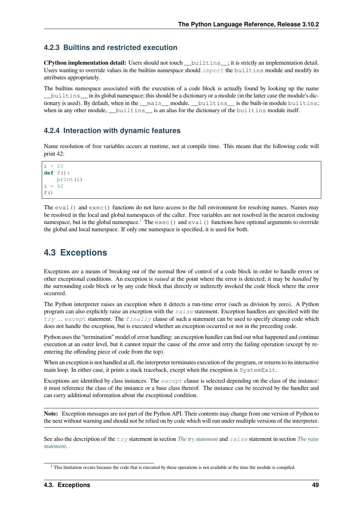## **4.2.3 Builtins and restricted execution**

**CPython implementation detail:** Users should not touch \_\_builtins\_\_; it is strictly an implementation detail. Users wanting to override values in the builtins namespace should *import* the builtins module and modify its attributes appropriately.

The builtins namespace associated with the execution of a code block is actually found by looking up the name \_\_builtins\_\_ in its global namespace; this should be a dictionary or a module (in the latter case the module's dictionary is used). By default, when in the \_\_main\_\_module, \_\_[builtin](#page-97-0)s\_\_ is the built-in module builtins; when in any other module, \_\_builtins\_\_ is an alias for the dictionary of the builtins module itself.

## **4.2.4 Interaction with dynamic features**

Name resolution of free variables occurs at runtime, not at compile time. This means that the following code will print 42:

```
i = 10def f():
   print(i)
i = 42f()
```
The eval() and exec() functions do not have access to the full environment for resolving names. Names may be resolved in the local and global namespaces of the caller. Free variables are not resolved in the nearest enclosing namespace, but in the global namespace.<sup>1</sup> The exec() and eval() functions have optional arguments to override the global and local namespace. If only one namespace is specified, it is used for both.

# **4.3 Exceptions**

Exceptions are a means of breaking out of the normal flow of control of a code block in order to handle errors or other exceptional conditions. An exception is *raised* at the point where the error is detected; it may be *handled* by the surrounding code block or by any code block that directly or indirectly invoked the code block where the error occurred.

The Python interpreter raises an exception when it detects a run-time error (such as division by zero). A Python program can also explicitly raise an exception with the *raise* statement. Exception handlers are specified with the *try* … *except* statement. The *finally* clause of such a statement can be used to specify cleanup code which does not handle the exception, but is executed whether an exception occurred or not in the preceding code.

Python uses the "termination" model of error handling: an exception handler can find out what happened and continue execution at an outer level, but it cannot repair the ca[use of th](#page-96-0)e error and retry the failing operation (except by re[enter](#page-104-0)ing [the offend](#page-104-0)ing piece of co[de from the](#page-104-0) top).

When an exception is not handled at all, the interpreter terminates execution of the program, or returns to its interactive main loop. In either case, it prints a stack traceback, except when the exception is SystemExit.

Exceptions are identified by class instances. The *except* clause is selected depending on the class of the instance: it must reference the class of the instance or a base class thereof. The instance can be received by the handler and can carry additional information about the exceptional condition.

**Note:** Exception messages are not part of the Py[thon API.](#page-104-0) Their contents may change from one version of Python to the next without warning and should not be relied on by code which will run under multiple versions of the interpreter.

See also the description of the *try* statement in section *The try statement* and *raise* statement in section *The raise statement*.

<sup>&</sup>lt;sup>1</sup> This limitation occurs because t[he code](#page-104-0) that is executed by these [operations is not avai](#page-104-0)lable [at the time](#page-96-0) the module is compiled.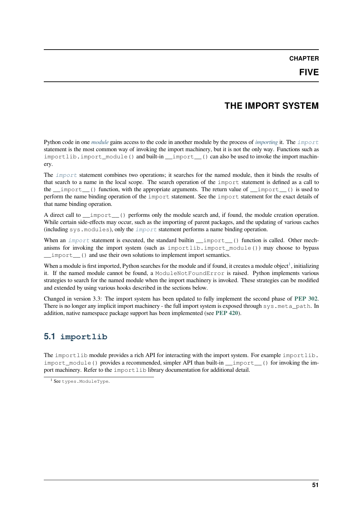# **THE IMPORT SYSTEM**

Python code in one *module* gains access to the code in another module by the process of *importing* it. The *import* statement is the most common way of invoking the import machinery, but it is not the only way. Functions such as importlib.import\_module() and built-in \_\_import\_\_() can also be used to invoke the import machinery.

The *import* state[ment co](#page-143-2)mbines two operations; it searches for the named module, [then it bin](#page-142-1)ds the [results of](#page-97-0) that search to a name in the local scope. The search operation of the import statement is defined as a call to the  $\pm$  import () function, with the appropriate arguments. The return value of  $\pm$  mport () is used to perform the name binding operation of the import statement. See the import statement for the exact details of that [name bind](#page-97-0)ing operation.

A direct call to \_\_import\_\_() performs only the module search and, if found, the module creation operation. While certain side-effects may occur, such as the importing of parent packages, and the updating of various caches (including sys.modules), only the *import* statement performs a name binding operation.

When an *import* statement is executed, the standard builtin \_\_import\_\_() function is called. Other mechanisms for invoking the import system (such as importlib.import\_module()) may choose to bypass \_\_import\_\_() and use their owns[olutions to](#page-97-0) implement import semantics.

When a module is first imported, Python searches for the module and if found, it creates a module object<sup>1</sup>, initializing it. If the [named m](#page-97-0)odule cannot be found, a ModuleNotFoundError is raised. Python implements various strategies to search for the named module when the import machinery is invoked. These strategies can be modified and extended by using various hooks described in the sections below.

Changed in version 3.3: The import system has been updated to fully implement the second phase [of](#page-56-0) **PEP 302**. There is no longer any implicit import machinery - the full import system is exposed through sys.meta path. In addition, native namespace package support has been implemented (see **PEP 420**).

## **5.1 importlib**

The importlib module provides a rich API for interacting with the import system. For example importlib. import\_module() provides a recommended, simpler API than built-in \_\_import\_\_() for invoking the import machinery. Refer to the  $\text{import lib}$  library documentation for additional detail.

<span id="page-56-0"></span><sup>&</sup>lt;sup>1</sup> See types.ModuleType.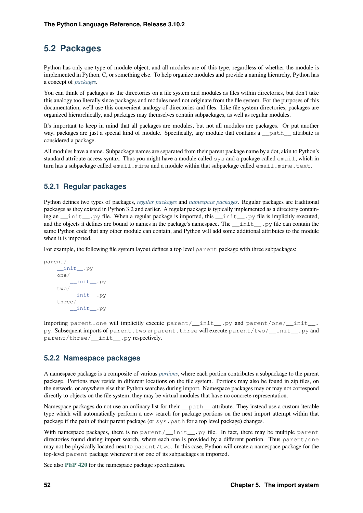# **5.2 Packages**

Python has only one type of module object, and all modules are of this type, regardless of whether the module is implemented in Python, C, or something else. To help organize modules and provide a naming hierarchy, Python has a concept of *packages*.

You can think of packages as the directories on a file system and modules as files within directories, but don't take this analogy too literally since packages and modules need not originate from the file system. For the purposes of this documentation, we'll use this convenient analogy of directories and files. Like file system directories, packages are organized hi[erarchical](#page-144-0)ly, and packages may themselves contain subpackages, as well as regular modules.

It's important to keep in mind that all packages are modules, but not all modules are packages. Or put another way, packages are just a special kind of module. Specifically, any module that contains a \_\_path\_\_ attribute is considered a package.

All modules have a name. Subpackage names are separated from their parent package name by a dot, akin to Python's standard attribute access syntax. Thus you might have a module called sys and a package called email, which in turn has a subpackage called email.mime and a module within that subpackage called email.mime.text.

## **5.2.1 Regular packages**

Python defines two types of packages, *regular packages* and *namespace packages*. Regular packages are traditional packages as they existed in Python 3.2 and earlier. A regular package is typically implemented as a directory containing an \_\_init\_\_.py file. When a regular package is imported, this \_\_init\_\_.py file is implicitly executed, and the objects it defines are bound to names in the package's namespace. The *\_\_init\_\_\_*.py file can contain the same Python code that any other mod[ule can contain, an](#page-146-1)d P[ython will add some a](#page-144-1)dditional attributes to the module when it is imported.

For example, the following file system layout defines a top level parent package with three subpackages:

```
parent/
   __init__.py
   one/
       __init__.py
    two/
       __init__.py
    three/
        __init__.py
```
Importing parent.one will implicitly execute parent/\_\_init\_\_.py and parent/one/\_\_init\_\_. py. Subsequent imports of parent.two or parent.three will execute parent/two/\_\_init\_\_.py and parent/three/\_\_init\_\_.py respectively.

# **5.2.2 Namespace packages**

A namespace package is a composite of various *portions*, where each portion contributes a subpackage to the parent package. Portions may reside in different locations on the file system. Portions may also be found in zip files, on the network, or anywhere else that Python searches during import. Namespace packages may or may not correspond directly to objects on the file system; they may be virtual modules that have no concrete representation.

Namespace packages do not use an ordinary list [for their](#page-145-0) \_\_path\_\_ attribute. They instead use a custom iterable type which will automatically perform a new search for package portions on the next import attempt within that package if the path of their parent package (or sys.path for a top level package) changes.

With namespace packages, there is no parent /\_\_init\_\_.py file. In fact, there may be multiple parent directories found during import search, where each one is provided by a different portion. Thus parent/one may not be physically located next to parent/two. In this case, Python will create a namespace package for the top-level parent package whenever it or one of its subpackages is imported.

See also **PEP 420** for the namespace package specification.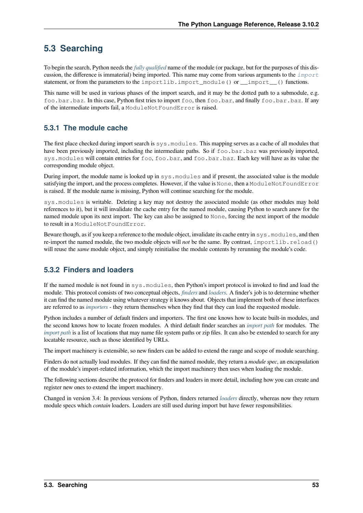# **5.3 Searching**

To begin the search, Python needs the *fully qualified* name of the module (or package, but for the purposes of this discussion, the difference is immaterial) being imported. This name may come from various arguments to the *import* statement, or from the parameters to the importlib. import module() or \_\_import () functions.

This name will be used in various phases of the import search, and it may be the dotted path to a submodule, e.g. foo.bar.baz. In this case, Pytho[n first tries to im](#page-146-2)port foo, then foo.bar, and finally foo.bar.baz[. If any](#page-97-0) of the intermediate imports fail, a ModuleNotFoundError is raised.

## **5.3.1 The module cache**

The first place checked during import search is sys.modules. This mapping serves as a cache of all modules that have been previously imported, including the intermediate paths. So if  $f \circ \circ \cdot$  bar.baz was previously imported, sys.modules will contain entries for foo, foo.bar, and foo.bar.baz. Each key will have as its value the corresponding module object.

During import, the module name is looked up in sys.modules and if present, the associated value is the module satisfying the import, and the process completes. However, if the value is None, then a ModuleNotFoundError is raised. If the module name is missing, Python will continue searching for the module.

sys.modules is writable. Deleting a key may not destroy the associated module (as other modules may hold references to it), but it will invalidate the cache entry for the named module, causing Python to search anew for the named module upon its next import. The key can also be assigned to None, forcing the next import of the module to result in a ModuleNotFoundError.

Beware though, as if you keep a reference to the module object, invalidate its cache entry in sys.modules, and then re-import the named module, the two module objects will *not* be the same. By contrast, importlib.reload() will reuse the *same* module object, and simply reinitialise the module contents by rerunning the module's code.

## **5.3.2 Finders and loaders**

If the named module is not found in sys.modules, then Python's import protocol is invoked to find and load the module. This protocol consists of two conceptual objects, *finders* and *loaders*. A finder's job is to determine whether it can find the named module using whatever strategy it knows about. Objects that implement both of these interfaces are referred to as *importers* - they return themselves when they find that they can load the requested module.

Python includes a number of default finders and importers. The first one knows how to locate built-in modules, and the second knows how to locate frozen modules. A thir[d defaul](#page-140-0)t fin[der sear](#page-143-3)ches an *import path* for modules. The *import path* is a list of locations that may name file system paths or zip files. It can also be extended to search for any locatable resourc[e, such as](#page-142-2) those identified by URLs.

The import machinery is extensible, so new finders can be added to extend the range [and scope of](#page-142-3) module searching.

[Finders do n](#page-142-3)ot actually load modules. If they can find the named module, they return a *module spec*, an encapsulation of the module's import-related information, which the import machinery then uses when loading the module.

The following sections describe the protocol for finders and loaders in more detail, including how you can create and register new ones to extend the import machinery.

Changed in version 3.4: In previous versions of Python, finders returned *loaders* directly, whereas now they return module specs which *contain* loaders. Loaders are still used during import but have fewer responsibilities.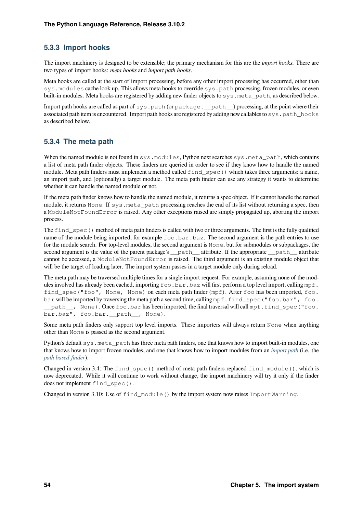## **5.3.3 Import hooks**

The import machinery is designed to be extensible; the primary mechanism for this are the *import hooks*. There are two types of import hooks: *meta hooks* and *import path hooks*.

Meta hooks are called at the start of import processing, before any other import processing has occurred, other than sys.modules cache look up. This allows meta hooks to override sys.path processing, frozen modules, or even built-in modules. Meta hooks are registered by adding new finder objects to sys.meta path, as described below.

Import path hooks are called as part of sys.path (or package. \_\_path \_\_) processing, at the point where their associated path item is encountered. Import path hooks are registered by adding new callables to sys.path\_hooks as described below.

## **5.3.4 The meta path**

When the named module is not found in sys.modules, Python next searches sys.meta\_path, which contains a list of meta path finder objects. These finders are queried in order to see if they know how to handle the named module. Meta path finders must implement a method called find spec() which takes three arguments: a name, an import path, and (optionally) a target module. The meta path finder can use any strategy it wants to determine whether it can handle the named module or not.

If the meta path finder knows how to handle the named module, it returns a spec object. If it cannot handle the named module, it returns None. If sys.meta\_path processing reaches the end of its list without returning a spec, then a ModuleNotFoundError is raised. Any other exceptions raised are simply propagated up, aborting the import process.

The find spec() method of meta path finders is called with two or three arguments. The first is the fully qualified name of the module being imported, for example  $f \circ \circ \cdot b$  ard  $h \circ \circ \circ b$ . The second argument is the path entries to use for the module search. For top-level modules, the second argument is None, but for submodules or subpackages, the second argument is the value of the parent package's \_\_path\_\_ attribute. If the appropriate \_\_path\_\_ attribute cannot be accessed, a ModuleNotFoundError is raised. The third argument is an existing module object that will be the target of loading later. The import system passes in a target module only during reload.

The meta path may be traversed multiple times for a single import request. For example, assuming none of the modules involved has already been cached, importing  $f \circ \circ \cdot \circ \circ \circ \cdot \circ \circ \cdot$  will first perform a top level import, calling mpf. find\_spec("foo", None, None) on each meta path finder (mpf). After foo has been imported, foo. bar will be imported by traversing the meta path a second time, calling mpf.find\_spec("foo.bar", foo. path , None). Once foo.bar has been imported, the final traversal will call mpf.find spec("foo. bar.baz", foo.bar. \_\_ path\_\_, None).

Some meta path finders only support top level imports. These importers will always return None when anything other than None is passed as the second argument.

Python's default sys.meta\_path has three meta path finders, one that knows how to import built-in modules, one that knows how to import frozen modules, and one that knows how to import modules from an *import path* (i.e. the *path based finder*).

Changed in version 3.4: The find\_spec() method of meta path finders replaced find\_module(), which is now deprecated. While it will continue to work without change, the import machinery will tr[y it only if th](#page-142-3)e finder [does not impleme](#page-145-1)nt find spec().

Changed in version 3.10: Use of find\_module() by the import system now raises ImportWarning.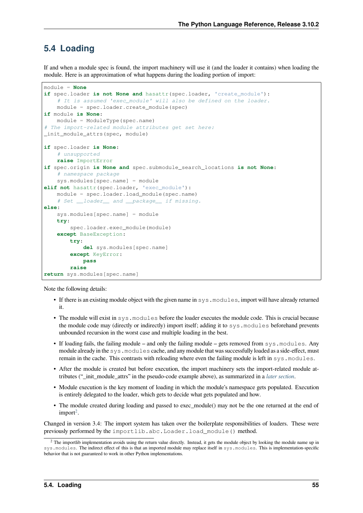# **5.4 Loading**

If and when a module spec is found, the import machinery will use it (and the loader it contains) when loading the module. Here is an approximation of what happens during the loading portion of import:

```
module = None
if spec.loader is not None and hasattr(spec.loader, 'create_module'):
    # It is assumed 'exec_module' will also be defined on the loader.
    module = spec.loader.create_module(spec)
if module is None:
    module = ModuleType(spec.name)
# The import-related module attributes get set here:
_init_module_attrs(spec, module)
if spec.loader is None:
    # unsupported
   raise ImportError
if spec.origin is None and spec.submodule_search_locations is not None:
    # namespace package
    sys.modules[spec.name] = module
elif not hasattr(spec.loader, 'exec_module'):
    module = spec.loader.load_module(spec.name)
    # Set __loader__ and __package__ if missing.
else:
    sys.modules[spec.name] = module
    try:
        spec.loader.exec_module(module)
    except BaseException:
        try:
            del sys.modules[spec.name]
        except KeyError:
            pass
        raise
return sys.modules[spec.name]
```
Note the following details:

- If there is an existing module object with the given name in sys. modules, import will have already returned it.
- The module will exist in sys.modules before the loader executes the module code. This is crucial because the module code may (directly or indirectly) import itself; adding it to sys.modules beforehand prevents unbounded recursion in the worst case and multiple loading in the best.
- If loading fails, the failing module and only the failing module gets removed from sys.modules. Any module already in the sys.modules cache, and any module that was successfully loaded as a side-effect, must remain in the cache. This contrasts with reloading where even the failing module is left in sys.modules.
- After the module is created but before execution, the import machinery sets the import-related module attributes ("\_init\_module\_attrs" in the pseudo-code example above), as summarized in a *later section*.
- Module execution is the key moment of loading in which the module's namespace gets populated. Execution is entirely delegated to the loader, which gets to decide what gets populated and how.
- The module created during loading and passed to exec\_module() may not be the one [returned at t](#page-62-0)he end of  $import<sup>2</sup>$ .

Changed in version 3.4: The import system has taken over the boilerplate responsibilities of loaders. These were previously performed by the importlib.abc.Loader.load\_module() method.

<span id="page-60-0"></span> $<sup>2</sup>$  The impor[tli](#page-60-0)b implementation avoids using the return value directly. Instead, it gets the module object by looking the module name up in</sup> sys.modules. The indirect effect of this is that an imported module may replace itself in sys.modules. This is implementation-specific behavior that is not guaranteed to work in other Python implementations.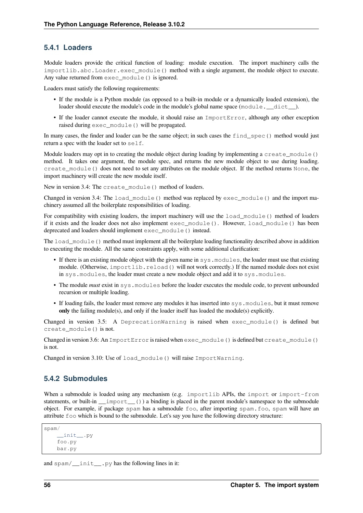## **5.4.1 Loaders**

Module loaders provide the critical function of loading: module execution. The import machinery calls the importlib.abc.Loader.exec\_module() method with a single argument, the module object to execute. Any value returned from exec\_module() is ignored.

Loaders must satisfy the following requirements:

- If the module is a Python module (as opposed to a built-in module or a dynamically loaded extension), the loader should execute the module's code in the module's global name space (module. \_\_dict\_\_).
- If the loader cannot execute the module, it should raise an ImportError, although any other exception raised during exec\_module() will be propagated.

In many cases, the finder and loader can be the same object; in such cases the find\_spec() method would just return a spec with the loader set to self.

Module loaders may opt in to creating the module object during loading by implementing a create\_module() method. It takes one argument, the module spec, and returns the new module object to use during loading. create module() does not need to set any attributes on the module object. If the method returns None, the import machinery will create the new module itself.

New in version 3.4: The create\_module() method of loaders.

Changed in version 3.4: The load\_module() method was replaced by exec\_module() and the import machinery assumed all the boilerplate responsibilities of loading.

For compatibility with existing loaders, the import machinery will use the load\_module() method of loaders if it exists and the loader does not also implement exec\_module(). However, load\_module() has been deprecated and loaders should implement exec\_module() instead.

The load\_module() method must implement all the boilerplate loading functionality described above in addition to executing the module. All the same constraints apply, with some additional clarification:

- If there is an existing module object with the given name in sys.modules, the loader must use that existing module. (Otherwise, importlib.reload() will not work correctly.) If the named module does not exist in sys.modules, the loader must create a new module object and add it to sys.modules.
- The module *must* exist in sys. modules before the loader executes the module code, to prevent unbounded recursion or multiple loading.
- If loading fails, the loader must remove any modules it has inserted into sys.modules, but it must remove **only** the failing module(s), and only if the loader itself has loaded the module(s) explicitly.

Changed in version 3.5: A DeprecationWarning is raised when exec\_module() is defined but create\_module() is not.

Changed in version 3.6: An ImportError is raised when exec\_module() is defined but create\_module() is not.

Changed in version 3.10: Use of load\_module() will raise ImportWarning.

## **5.4.2 Submodules**

When a submodule is loaded using any mechanism (e.g. importlib APIs, the import or import-from statements, or built-in \_\_import\_\_()) a binding is placed in the parent module's namespace to the submodule object. For example, if package spam has a submodule foo, after importing spam.foo, spam will have an attribute foo which is bound to the submodule. Let's say you have the following directory structure:

```
spam/
    __init__.py
    foo.py
    bar.py
```
and spam/\_\_init\_\_.py has the following lines in it: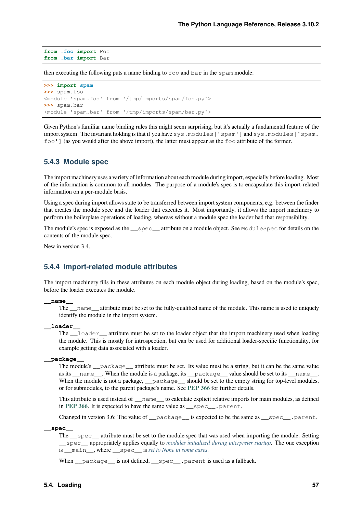then executing the following puts a name binding to  $f \circ \circ$  and  $\bar{f}$  bar in the spam module:

```
>>> import spam
>>> spam.foo
<module 'spam.foo' from '/tmp/imports/spam/foo.py'>
>>> spam.bar
<module 'spam.bar' from '/tmp/imports/spam/bar.py'>
```
Given Python's familiar name binding rules this might seem surprising, but it's actually a fundamental feature of the import system. The invariant holding is that if you have sys.modules['spam'] and sys.modules['spam. foo'] (as you would after the above import), the latter must appear as the foo attribute of the former.

## **5.4.3 Module spec**

The import machinery uses a variety of information about each module during import, especially before loading. Most of the information is common to all modules. The purpose of a module's spec is to encapsulate this import-related information on a per-module basis.

Using a spec during import allows state to be transferred between import system components, e.g. between the finder that creates the module spec and the loader that executes it. Most importantly, it allows the import machinery to perform the boilerplate operations of loading, whereas without a module spec the loader had that responsibility.

The module's spec is exposed as the \_\_spec\_\_ attribute on a module object. See ModuleSpec for details on the contents of the module spec.

New in version 3.4.

## **5.4.4 Import-related module attributes**

<span id="page-62-0"></span>The import machinery fills in these attributes on each module object during loading, based on the module's spec, before the loader executes the module.

#### **\_\_name\_\_**

The \_\_name\_\_ attribute must be set to the fully-qualified name of the module. This name is used to uniquely identify the module in the import system.

### **\_\_loader\_\_**

The  $\_\$ loader  $\_\$  attribute must be set to the loader object that the import machinery used when loading the module. This is mostly for introspection, but can be used for additional loader-specific functionality, for example getting data associated with a loader.

#### **\_\_package\_\_**

The module's package attribute must be set. Its value must be a string, but it can be the same value as its \_\_name\_\_. When the module is a package, its \_\_package\_\_ value should be set to its \_\_name\_\_. When the module is not a package, \_\_package\_\_ should be set to the empty string for top-level modules, or for submodules, to the parent package's name. See **PEP 366** for further details.

This attribute is used instead of \_\_name\_\_ to calculate explicit relative imports for main modules, as defined in **PEP 366**. It is expected to have the same value as spec. parent.

Changed in version 3.6: The value of \_\_package\_\_ [is expec](https://www.python.org/dev/peps/pep-0366)ted to be the same as \_\_spec\_\_.parent.

**\_\_spec\_\_**

The [\\_\\_spe](https://www.python.org/dev/peps/pep-0366)c\_\_ attribute must be set to the module spec that was used when importing the module. Setting \_\_spec\_\_ appropriately applies equally to *modules initialized during interpreter startup*. The one exception is \_\_main\_\_, where \_\_spec\_\_ is *set to None in some cases*.

When \_\_package\_\_ is not defined, \_\_spec\_\_.parent is used as a fallback.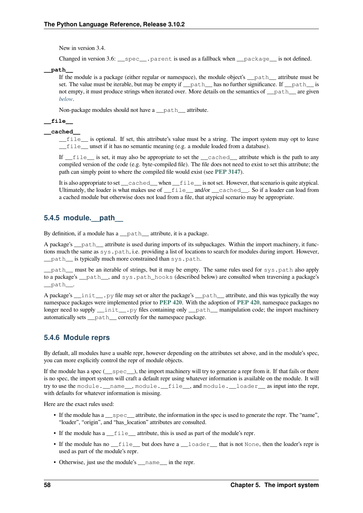New in version 3.4.

Changed in version 3.6: \_\_spec\_\_.parent is used as a fallback when \_\_package\_\_ is not defined.

### **\_\_path\_\_**

If the module is a package (either regular or namespace), the module object's \_\_path\_\_ attribute must be set. The value must be iterable, but may be empty if \_\_path\_\_ has no further significance. If \_\_path\_ is not empty, it must produce strings when iterated over. More details on the semantics of path are given *below*.

Non-package modules should not have a <u>path</u> attribute.

### **\_\_file\_\_**

### **\_\_ca[ched\\_](#page-63-0)\_**

\_\_file\_\_ is optional. If set, this attribute's value must be a string. The import system may opt to leave \_\_file\_\_ unset if it has no semantic meaning (e.g. a module loaded from a database).

If \_\_file\_\_ is set, it may also be appropriate to set the \_\_cached\_\_ attribute which is the path to any compiled version of the code (e.g. byte-compiled file). The file does not need to exist to set this attribute; the path can simply point to where the compiled file would exist (see **PEP 3147**).

It is also appropriate to set \_\_cached\_\_ when \_\_file\_\_ is not set. However, that scenario is quite atypical. Ultimately, the loader is what makes use of \_\_file\_\_ and/or \_\_cached\_\_. So if a loader can load from a cached module but otherwise does not load from a file, that aty[pical scenar](https://www.python.org/dev/peps/pep-3147)io may be appropriate.

## **5.4.5 module.\_\_path\_\_**

By definition, if a module has a path attribute, it is a package.

<span id="page-63-0"></span>A package's path attribute is used during imports of its subpackages. Within the import machinery, it functions much the same as sys.path, i.e. providing a list of locations to search for modules during import. However, \_\_path\_\_ is typically much more constrained than sys.path.

path must be an iterable of strings, but it may be empty. The same rules used for sys.path also apply to a package's \_\_path\_\_, and sys.path\_hooks (described below) are consulted when traversing a package's \_\_path\_\_.

A package's \_\_init\_\_.py file may set or alter the package's \_\_path\_\_ attribute, and this was typically the way namespace packages were implemented prior to **PEP 420**. With the adoption of **PEP 420**, namespace packages no longer need to supply \_\_init\_\_.py files containing only \_\_path\_\_ manipulation code; the import machinery automatically sets \_\_path\_\_ correctly for the namespace package.

## **5.4.6 Module reprs**

By default, all modules have a usable repr, however depending on the attributes set above, and in the module's spec, you can more explicitly control the repr of module objects.

If the module has a spec  $(\_\text{spec})$ , the import machinery will try to generate a repr from it. If that fails or there is no spec, the import system will craft a default repr using whatever information is available on the module. It will try to use the module.\_\_name\_\_, module.\_\_file\_\_, and module.\_\_loader\_\_ as input into the repr, with defaults for whatever information is missing.

Here are the exact rules used:

- If the module has a serial attribute, the information in the spec is used to generate the repr. The "name", "loader", "origin", and "has\_location" attributes are consulted.
- If the module has a  $file$  attribute, this is used as part of the module's repr.
- If the module has no \_\_file\_\_ but does have a \_\_loader\_\_ that is not None, then the loader's repr is used as part of the module's repr.
- Otherwise, just use the module's \_\_name\_\_ in the repr.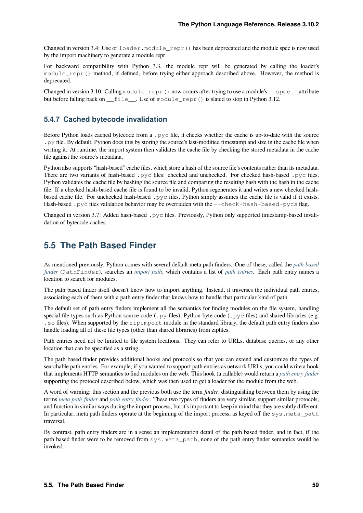Changed in version 3.4: Use of loader.module repr() has been deprecated and the module spec is now used by the import machinery to generate a module repr.

For backward compatibility with Python 3.3, the module repr will be generated by calling the loader's module\_repr() method, if defined, before trying either approach described above. However, the method is deprecated.

Changed in version 3.10: Calling module  $\chi$  repr() now occurs after trying to use a module's  $\chi$  spec attribute but before falling back on \_\_file\_\_. Use of module\_repr() is slated to stop in Python 3.12.

## **5.4.7 Cached bytecode invalidation**

Before Python loads cached bytecode from a .  $pyc$  file, it checks whether the cache is up-to-date with the source .py file. By default, Python does this by storing the source's last-modified timestamp and size in the cache file when writing it. At runtime, the import system then validates the cache file by checking the stored metadata in the cache file against the source's metadata.

Python also supports "hash-based" cache files, which store a hash of the source file's contents rather than its metadata. There are two variants of hash-based .pyc files: checked and unchecked. For checked hash-based .pyc files, Python validates the cache file by hashing the source file and comparing the resulting hash with the hash in the cache file. If a checked hash-based cache file is found to be invalid, Python regenerates it and writes a new checked hashbased cache file. For unchecked hash-based . pyc files, Python simply assumes the cache file is valid if it exists. Hash-based .pyc files validation behavior may be overridden with the --check-hash-based-pycs flag.

Changed in version 3.7: Added hash-based .pyc files. Previously, Python only supported timestamp-based invalidation of bytecode caches.

# **5.5 The Path Based Finder**

As mentioned previously, Python comes with several default meta path finders. One of these, called the *path based finder* (PathFinder), searches an *import path*, which contains a list of *path entries*. Each path entry names a location to search for modules.

The path based finder itself doesn't know how to import anything. Instead, it traverses the individual p[ath entries,](#page-145-1) [associ](#page-145-1)ating each of them with a path [entry finder t](#page-142-3)hat knows how to handlet[hat particula](#page-145-2)r kind of path.

The default set of path entry finders implement all the semantics for finding modules on the file system, handling special file types such as Python source code (.py files), Python byte code (.pyc files) and shared libraries (e.g. .so files). When supported by the zipimport module in the standard library, the default path entry finders also handle loading all of these file types (other than shared libraries) from zipfiles.

Path entries need not be limited to file system locations. They can refer to URLs, database queries, or any other location that can be specified as a string.

The path based finder provides additional hooks and protocols so that you can extend and customize the types of searchable path entries. For example, if you wanted to support path entries as network URLs, you could write a hook that implements HTTP semantics to find modules on the web. This hook (a callable) would return a *path entry finder* supporting the protocol described below, which was then used to get a loader for the module from the web.

A word of warning: this section and the previous both use the term *finder*, distinguishing between them by using the terms *meta path finder* and *path entry finder*. These two types of finders are very similar, support similar protocols, and function in similar ways during the import process, but it's important to keep in mind that they ar[e subtly different.](#page-145-3) In particular, meta path finders operate at the beginning of the import process, as keyed off the sys.meta\_path traversal.

By co[ntrast, path entry](#page-143-4) fin[ders are in a sense](#page-145-3) an implementation detail of the path based finder, and in fact, if the path based finder were to be removed from sys.meta\_path, none of the path entry finder semantics would be invoked.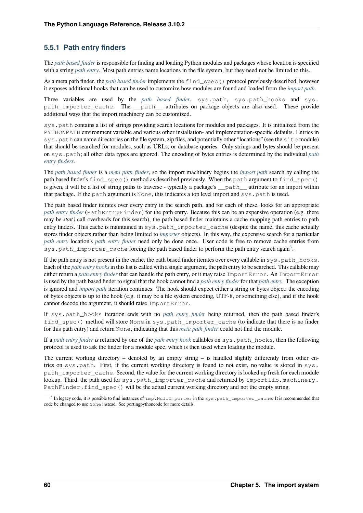## **5.5.1 Path entry finders**

The *path based finder* is responsible for finding and loading Python modules and packages whose location is specified with a string *path entry*. Most path entries name locations in the file system, but they need not be limited to this.

As a meta path finder, the *path based finder* implements the find\_spec() protocol previously described, however it ex[poses additional h](#page-145-1)ooks that can be used to customize how modules are found and loaded from the *import path*.

Three varia[bles are](#page-145-2) used by the *path based finder*, sys.path, sys.path hooks and sys. path\_importer\_cache. The \_\_path\_\_ attributes on package objects are also used. These provide additional ways that the i[mport machinery c](#page-145-1)an be customized.

sys.path contains a list of strings providing search locations for modules and packages. It is initial[ized from th](#page-142-3)e PYTHONPATH environment variable an[d various other install](#page-145-1)ation- and implementation-specific defaults. Entries in sys.path can name directories on the file system, zip files, and potentially other "locations" (see the site module) that should be searched for modules, such as URLs, or database queries. Only strings and bytes should be present on sys.path; all other data types are ignored. The encoding of bytes entries is determined by the individual *path entry finders*.

The *path based finder* is a *meta path finder*, so the import machinery begins the *import path* search by calling the path based finder's find\_spec() method as described previously. When the path argument to find\_spec() is given, it will be a list of string paths to traverse - typically a package's \_\_path\_\_ attribute for an import w[ithin](#page-145-3) [that package.](#page-145-3) If the path argument is None, this indicates a top level import and sys.path is used.

The [path based finder](#page-145-1) iter[ates over every en](#page-143-4)try in the search path, and for each [of these, loo](#page-142-3)ks for an appropriate *path entry finder* (PathEntryFinder) for the path entry. Because this can be an expensive operation (e.g. there may be *stat()* call overheads for this search), the path based finder maintains a cache mapping path entries to path entry finders. This cache is maintained in sys.path\_importer\_cache (despite the name, this cache actually stores finder objects rather than being limited to *importer* objects). In this way, the expensive search for a particular *[path entry](#page-145-3)* location's *path entry finder* need only be done once. User code is free to remove cache entries from sys.path\_importer\_cache forcing the path based finder to perform the path entry search again<sup>3</sup>.

If the path entry is not present in the cache, the path based finder iterates over every callable in sys.path hooks. Each of the *path entry hooks*in this list is called wi[th a single](#page-142-2) argument, the path entry to be searched. This callable may [either retur](#page-145-2)n a *path e[ntry finder](#page-145-3)* that can handle the path entry, or it may raise ImportError. An Im[po](#page-65-0)rtError is used by the path based finder to signal that the hook cannot find a *path entry finder* for that *path entry*. The exception is ignored and *import path* iteration continues. The hook should expect either a string or bytes object; the encoding of bytes ob[jects is up to the](#page-145-4) hook (e.g. it may be a file system encoding, UTF-8, or something else), and if the hook cannot decode [the argument, it](#page-145-3) should raise ImportError.

If sys.path\_hooks iteration ends with no *path entry finder* [being returne](#page-145-3)d, the[n the path](#page-145-2) based finder's find\_spec() [method w](#page-142-3)ill store None in sys.path\_importer\_cache (to indicate that there is no finder for this path entry) and return None, indicating that this *meta path finder* could not find the module.

If a *path entry finder is* returned by one of the *path entry hook* callables on sys.path\_hooks, then the following protocol is used to ask the finder for a module spe[c, which is then us](#page-145-3)ed when loading the module.

The current working directory – denoted by an empt[y string – is ha](#page-143-4)ndled slightly differently from other entries on sys.path. First, if the current working directory is found to not exist, no value is stored in sys. pa[th\\_importer\\_](#page-145-3)cache. Second, the val[ue for the curren](#page-145-4)t working directory is looked up fresh for each module lookup. Third, the path used for sys.path\_importer\_cache and returned by importlib.machinery. PathFinder.find spec() will be the actual current working directory and not the empty string.

<span id="page-65-0"></span> $^3$  In legacy code, it is possible to find instances of  $\text{imp.NullImporter}$  in the sys.path\_importer\_cache. It is recommended that code be changed to use None instead. See portingpythoncode for more details.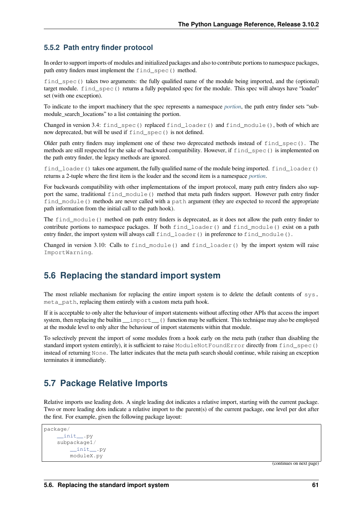## **5.5.2 Path entry finder protocol**

In order to support imports of modules and initialized packages and also to contribute portions to namespace packages, path entry finders must implement the find\_spec() method.

find\_spec() takes two arguments: the fully qualified name of the module being imported, and the (optional) target module. find spec() returns a fully populated spec for the module. This spec will always have "loader" set (with one exception).

To indicate to the import machinery that the spec represents a namespace *portion*, the path entry finder sets "submodule search locations" to a list containing the portion.

Changed in version 3.4: find spec() replaced find loader() and find module(), both of which are now deprecated, but will be used if find spec() is not defined.

Older path entry finders may implement one of these two deprecated methods instead of  $find\ spec()$ . The methods are still respected for the sake of backward compatibility. However, if  $find\_spec()$  is implemented on the path entry finder, the legacy methods are ignored.

find loader() takes one argument, the fully qualified name of the module being imported. find loader() returns a 2-tuple where the first item is the loader and the second item is a namespace *portion*.

For backwards compatibility with other implementations of the import protocol, many path entry finders also support the same, traditional find\_module() method that meta path finders support. However path entry finder find\_module() methods are never called with a path argument (they are expe[cted to r](#page-145-0)ecord the appropriate path information from the initial call to the path hook).

The find\_module() method on path entry finders is deprecated, as it does not allow the path entry finder to contribute portions to namespace packages. If both find\_loader() and find\_module() exist on a path entry finder, the import system will always call  $find\_loader()$  in preference to find\_module().

Changed in version 3.10: Calls to find\_module() and find\_loader() by the import system will raise ImportWarning.

# **5.6 Replacing the standard import system**

The most reliable mechanism for replacing the entire import system is to delete the default contents of sys. meta\_path, replacing them entirely with a custom meta path hook.

If it is acceptable to only alter the behaviour of import statements without affecting other APIs that access the import system, then replacing the builtin \_\_import \_\_() function may be sufficient. This technique may also be employed at the module level to only alter the behaviour of import statements within that module.

To selectively prevent the import of some modules from a hook early on the meta path (rather than disabling the standard import system entirely), it is sufficient to raise ModuleNotFoundError directly from find\_spec() instead of returning None. The latter indicates that the meta path search should continue, while raising an exception terminates it immediately.

# **5.7 Package Relative Imports**

Relative imports use leading dots. A single leading dot indicates a relative import, starting with the current package. Two or more leading dots indicate a relative import to the parent(s) of the current package, one level per dot after the first. For example, given the following package layout:

```
package/
     _init_.py
    subpackage1/
        __init__.py
        moduleX.py
```
(continues on next page)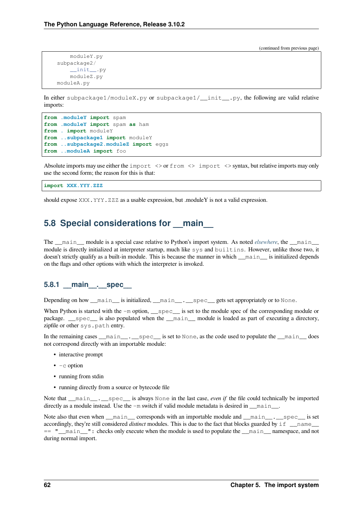```
moduleY.py
subpackage2/
    __init__.py
    moduleZ.py
moduleA.py
```
In either subpackage1/moduleX.py or subpackage1/\_\_init\_\_.py, the following are valid relative imports:

```
from .moduleY import spam
from .moduleY import spam as ham
from . import moduleY
from ..subpackage1 import moduleY
from ..subpackage2.moduleZ import eggs
from ..moduleA import foo
```
Absolute imports may use either the import <> or from <> import <> syntax, but relative imports may only use the second form; the reason for this is that:

```
import XXX.YYY.ZZZ
```
should expose XXX.YYY. ZZZ as a usable expression, but .moduleY is not a valid expression.

# **5.8 Special considerations for \_\_main\_\_**

The \_\_main \_\_module is a special case relative to Python's import system. As noted *elsewhere*, the \_\_main\_ module is directly initialized at interpreter startup, much like sys and builtins. However, unlike those two, it doesn't strictly qualify as a built-in module. This is because the manner in which \_\_main\_\_ is initialized depends on the flags and other options with which the interpreter is invoked.

## **5.8.1 \_\_main\_\_.\_\_spec\_\_**

Depending on how \_\_main\_\_ is initialized, \_\_main\_\_. \_\_spec\_\_gets set appropriately or to None.

When Python is started with the  $-m$  option,  $\_\text{spec}$  is set to the module spec of the corresponding module or package. \_\_spec\_\_ is also populated when the \_\_main\_\_ module is loaded as part of executing a directory, zipfile or other sys.path entry.

In the remaining cases \_\_main\_\_. \_\_spec\_\_ is set to None, as the code used to populate the \_\_main\_\_ does not correspond directly with an importable module:

- interactive prompt
- $\bullet$  -c option
- running from stdin
- running directly from a source or bytecode file

Note that \_\_main\_\_.\_\_spec\_\_ is always None in the last case, *even if* the file could technically be imported directly as a module instead. Use the  $-m$  switch if valid module metadata is desired in  $\text{main}$ .

Note also that even when \_\_main\_\_ corresponds with an importable module and \_\_main\_\_. \_\_spec\_\_ is set accordingly, they're still considered *distinct* modules. This is due to the fact that blocks guarded by if name  $==$  "\_\_main\_\_": checks only execute when the module is used to populate the  $\_$ main $\_$  namespace, and not during normal import.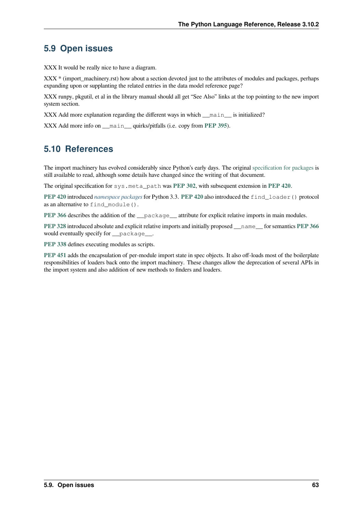# **5.9 Open issues**

XXX It would be really nice to have a diagram.

 $XXX$ <sup>\*</sup> (import machinery.rst) how about a section devoted just to the attributes of modules and packages, perhaps expanding upon or supplanting the related entries in the data model reference page?

XXX runpy, pkgutil, et al in the library manual should all get "See Also" links at the top pointing to the new import system section.

XXX Add more explanation regarding the different ways in which \_\_main\_\_ is initialized?

XXX Add more info on \_\_main\_\_ quirks/pitfalls (i.e. copy from **PEP 395**).

# **5.10 References**

The import machinery has evolved considerably since Python's early days. The original specification for packages is still available to read, although some details have changed since the writing of that document.

The original specification for sys.meta\_path was **PEP 302**, with subsequent extension in **PEP 420**.

**PEP 420** introduced *namespace packages* for Python 3.3. **PEP 420** also introduced the [find\\_loader\(\)](https://www.python.org/doc/essays/packages/) protocol as an alternative to find\_module().

**PEP366** describes the addition of the \_\_package\_\_ [attribut](https://www.python.org/dev/peps/pep-0302)e for explicit relative imports i[n main mo](https://www.python.org/dev/peps/pep-0420)dules.

**[PEP 328](https://www.python.org/dev/peps/pep-0420)** introduced [absolute and explicit](#page-144-1) relative imports [and initia](https://www.python.org/dev/peps/pep-0420)lly proposed \_\_name\_\_ for semantics **PEP 366** would eventually specify for \_\_package\_\_.

**[PEP 338](https://www.python.org/dev/peps/pep-0366)** defines executing modules as scripts.

**[PEP 451](https://www.python.org/dev/peps/pep-0328)** adds the encapsulation of per-module import state in spec objects. It also off-loads most of theb[oilerplate](https://www.python.org/dev/peps/pep-0366) responsibilities of loaders back onto the import machinery. These changes allow the deprecation of several APIs in [the impor](https://www.python.org/dev/peps/pep-0338)t system and also addition of new methods to finders and loaders.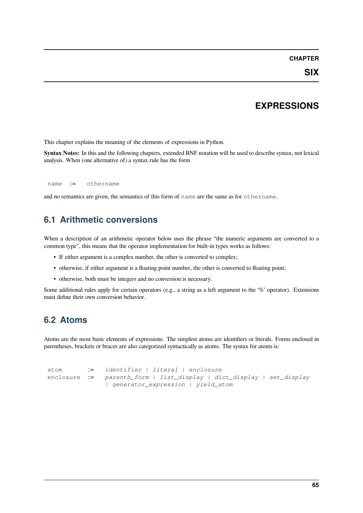# **EXPRESSIONS**

This chapter explains the meaning of the elements of expressions in Python.

**Syntax Notes:** In this and the following chapters, extended BNF notation will be used to describe syntax, not lexical analysis. When (one alternative of) a syntax rule has the form

name := othername

and no semantics are given, the semantics of this form of name are the same as for othername.

# **6.1 Arithmetic conversions**

When a description of an arithmetic operator below uses the phrase "the numeric arguments are converted to a common type", this means that the operator implementation for built-in types works as follows:

- If either argument is a complex number, the other is converted to complex;
- otherwise, if either argument is a floating point number, the other is converted to floating point;
- otherwise, both must be integers and no conversion is necessary.

Some additional rules apply for certain operators (e.g., a string as a left argument to the '%' operator). Extensions must define their own conversion behavior.

# **6.2 Atoms**

Atoms are the most basic elements of expressions. The simplest atoms are identifiers or literals. Forms enclosed in parentheses, brackets or braces are also categorized syntactically as atoms. The syntax for atoms is:

atom ::= *identifier* | *literal* | *enclosure* enclosure ::= *parenth\_form* | *list\_display* | *dict\_display* | *set\_display* | *generator\_expression* | *yield\_atom*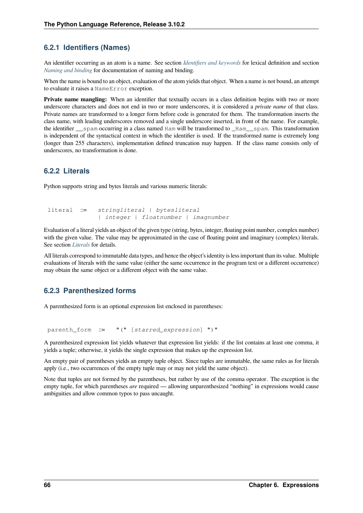## **6.2.1 Identifiers (Names)**

An identifier occurring as an atom is a name. See section *Identifiers and keywords* for lexical definition and section *Naming and binding* for documentation of naming and binding.

When the name is bound to an object, evaluation of the atom yields that object. When a name is not bound, an attempt to evaluate it raises a NameError exception.

**[Private name man](#page-52-0)gling:** When an identifier that textu[ally occurs in a class defi](#page-13-0)nition begins with two or more underscore characters and does not end in two or more underscores, it is considered a *private name* of that class. Private names are transformed to a longer form before code is generated for them. The transformation inserts the class name, with leading underscores removed and a single underscore inserted, in front of the name. For example, the identifier spam occurring in a class named Ham will be transformed to Ham spam. This transformation is independent of the syntactical context in which the identifier is used. If the transformed name is extremely long (longer than 255 characters), implementation defined truncation may happen. If the class name consists only of underscores, no transformation is done.

## **6.2.2 Literals**

Python supports string and bytes literals and various numeric literals:

```
literal ::= stringliteral | bytesliteral
              | integer | floatnumber | imagnumber
```
Evaluation of a literal yields an object of the given type (string, bytes, integer, floating point number, complex number) with the given value. The value may be approximated in the case of floating point and imaginary (complex) literals. See section *Literals* for details.

All literals correspond to immutable data types, and hence the object's identity is less important than its value. Multiple evaluations of literals with the same value (either the same occurrence in the program text or a different occurrence) may obtain [the sam](#page-15-0)e object or a different object with the same value.

## **6.2.3 Parenthesized forms**

A parenthesized form is an optional expression list enclosed in parentheses:

```
parenth form ::= "(" [starred expression] ")"
```
A parenthesized expression list yields whatever that expression list yields: if the list contains at least one comma, it yields a tuple; otherwise, it yields the single expression that makes up the expression list.

An empty pair of parentheses yields an empty tuple object. Since tuples are immutable, the same rules as for literals apply (i.e., two occurrences of the empty tuple may or may not yield the same object).

Note that tuples are not formed by the parentheses, but rather by use of the comma operator. The exception is the empty tuple, for which parentheses *are* required — allowing unparenthesized "nothing" in expressions would cause ambiguities and allow common typos to pass uncaught.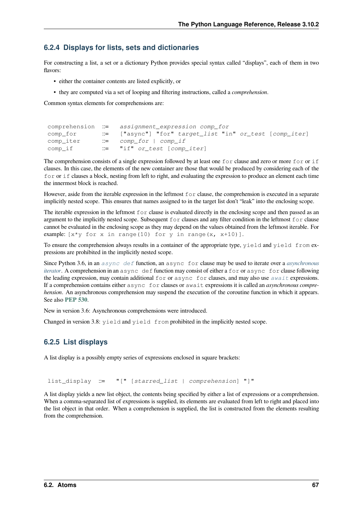## **6.2.4 Displays for lists, sets and dictionaries**

For constructing a list, a set or a dictionary Python provides special syntax called "displays", each of them in two flavors:

- either the container contents are listed explicitly, or
- they are computed via a set of looping and filtering instructions, called a *comprehension*.

Common syntax elements for comprehensions are:

|           | comprehension ::= assignment expression comp for                  |
|-----------|-------------------------------------------------------------------|
| comp for  | $\therefore$ ["async"] "for" target list "in" or test [comp iter] |
| comp iter | $ ::=$ comp for $ $ comp if                                       |
| comp if   | $ ::=$ "if" or test [comp iter]                                   |

The comprehension consists of a single expression followed by at least one  $f$ or clause and zero or more  $f$ or or i $f$ clauses. In this case, the elements of the new container are those that would be produced by considering each of the for or if clauses a block, nesting from left to right, and evaluating the expression to produce an element each time the innermost block is reached.

However, aside from the iterable expression in the leftmost  $f \circ r$  clause, the comprehension is executed in a separate implicitly nested scope. This ensures that names assigned to in the target list don't "leak" into the enclosing scope.

The iterable expression in the leftmost  $f \circ r$  clause is evaluated directly in the enclosing scope and then passed as an argument to the implicitly nested scope. Subsequent  $f \circ r$  clauses and any filter condition in the leftmost  $f \circ r$  clause cannot be evaluated in the enclosing scope as they may depend on the values obtained from the leftmost iterable. For example:  $[x * y for x in range(10) for y in range(x, x+10)].$ 

To ensure the comprehension always results in a container of the appropriate type, yield and yield from expressions are prohibited in the implicitly nested scope.

Since Python 3.6, in an *async def* function, an async for clause may be used to iterate over a *asynchronous iterator*. A comprehension in an async def function may consist of either a for or async for clause following the leading expression, may contain additional for or async for clauses, and may also use *await* expressions. If a comprehension contains either async for clauses or await expressions it is called an *asynchronous comprehension*. An asynchron[ous comprehen](#page-119-0)sion may suspend the execution of the coroutine function in wh[ich it appears.](#page-137-0) [See also](#page-137-0) **PEP 530**.

New in version 3.6: Asynchronous comprehensions were introduced.

Changed in version 3.8: yield and yield from prohibited in the implicitly nested scope.

### **6.2.5 List displays**

A list display is a possibly empty series of expressions enclosed in square brackets:

list\_display ::= "[" [*starred\_list* | *comprehension*] "]"

A list display yields a new list object, the contents being specified by either a list of expressions or a comprehension. When a comma-separated list of expressions is supplied, its elements are evaluated from left to right and placed into the list object in that order. When a comprehension is supplied, the list is constructed from the elements resulting from the comprehension.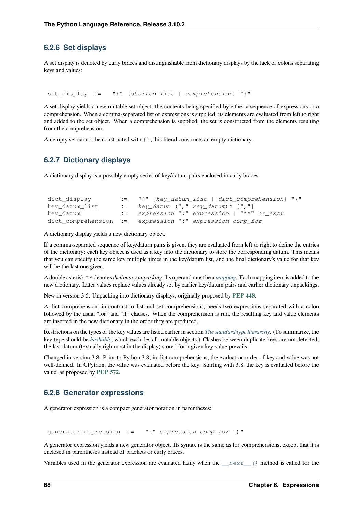### **6.2.6 Set displays**

A set display is denoted by curly braces and distinguishable from dictionary displays by the lack of colons separating keys and values:

set\_display ::= "{" (*starred\_list* | *comprehension*) "}"

A set display yields a new mutable set object, the contents being specified by either a sequence of expressions or a comprehension. When a comma-separated list of expressions is supplied, its elements are evaluated from left to right and added to the set object. When a comprehension is supplied, the set is constructed from the elements resulting from the comprehension.

An empty set cannot be constructed with  $\{\}$ ; this literal constructs an empty dictionary.

#### **6.2.7 Dictionary displays**

A dictionary display is a possibly empty series of key/datum pairs enclosed in curly braces:

```
dict_display ::= "{" [key_datum_list | dict_comprehension] "}"
key_datum_list ::= key_datum ("," key_datum)* [","]
key_datum ::= expression ":" expression | "**" or_expr
dict_comprehension ::= expression ":" expression comp_for
```
A dictionary display yields a new dictionary object.

If a comma-separated sequence of key/datum pairs is given, they are evaluated from left to right to define the entries of the dictionary: each key object is used as a key into the dictionary to store the corresponding datum. This means that you can specify the same key multiple times in the key/datum list, and the final dictionary's value for that key will be the last one given.

A double asterisk \*\* denotes *dictionary unpacking*. Its operand must be a *mapping*. Each mapping item is added to the new dictionary. Later values replace values already set by earlier key/datum pairs and earlier dictionary unpackings.

New in version 3.5: Unpacking into dictionary displays, originally proposed by **PEP 448**.

A dict comprehension, in contrast to list and set comprehensions, ne[eds two e](#page-143-0)xpressions separated with a colon followed by the usual "for" and "if" clauses. When the comprehension is run, the resulting key and value elements are inserted in the new dictionary in the order they are produced.

Restrictions on the types of the key values are listed earlier in section *The standa[rd type hier](https://www.python.org/dev/peps/pep-0448)archy*. (To summarize, the key type should be *hashable*, which excludes all mutable objects.) Clashes between duplicate keys are not detected; the last datum (textually rightmost in the display) stored for a given key value prevails.

Changed in version 3.8: Prior to Python 3.8, in dict comprehensions, the evaluation order of key and value was not well-defined. In CPython, the value was evaluated before the key. [Starting with 3.8, the key is](#page-23-0) evaluated before the value, as proposed by **[PEP 5](#page-141-0)72**.

### **6.2.8 Generator expressions**

A generator expressio[n is a com](https://www.python.org/dev/peps/pep-0572)pact generator notation in parentheses:

generator\_expression ::= "(" *expression comp\_for* ")"

A generator expression yields a new generator object. Its syntax is the same as for comprehensions, except that it is enclosed in parentheses instead of brackets or curly braces.

Variables used in the generator expression are evaluated lazily when the *\_\_next\_\_()* method is called for the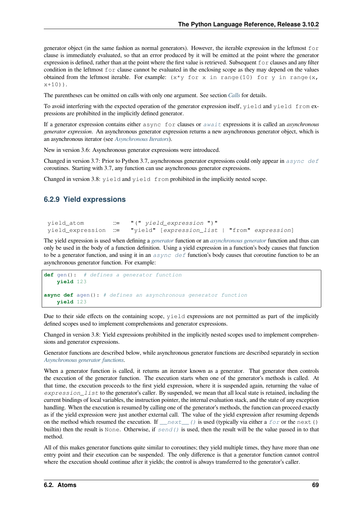generator object (in the same fashion as normal generators). However, the iterable expression in the leftmost for clause is immediately evaluated, so that an error produced by it will be emitted at the point where the generator expression is defined, rather than at the point where the first value is retrieved. Subsequent for clauses and any filter condition in the leftmost for clause cannot be evaluated in the enclosing scope as they may depend on the values obtained from the leftmost iterable. For example:  $(x*y for x in range(10) for y in range(x,$  $x+10)$ ).

The parentheses can be omitted on calls with only one argument. See section *Calls* for details.

To avoid interfering with the expected operation of the generator expression itself, yield and yield from expressions are prohibited in the implicitly defined generator.

If a generator expression contains either async for clauses or *await* e[xpress](#page-79-0)ions it is called an *asynchronous generator expression*. An asynchronous generator expression returns a new asynchronous generator object, which is an asynchronous iterator (see *Asynchronous Iterators*).

New in version 3.6: Asynchronous generator expressions were intr[oduced.](#page-81-0)

Changed in version 3.7: Prior to Python 3.7, asynchronous generator expressions could only appear in *async def* coroutines. Starting with 3.7, [any function can use as](#page-51-0)ynchronous generator expressions.

Changed in version 3.8: yield and yield from prohibited in the implicitly nested scope.

## **6.2.9 Yield expressions**

```
yield_atom ::= "(" yield_expression ")"
yield_expression ::= "yield" [expression_list | "from" expression]
```
The yield expression is used when defining a *generator* function or an *asynchronous generator* function and thus can only be used in the body of a function definition. Using a yield expression in a function's body causes that function to be a generator function, and using it in an *async def* function's body causes that coroutine function to be an asynchronous generator function. For example:

```
def gen(): # defines a generator function
   yield 123
async def agen(): # defines an asynchronous generator function
    yield 123
```
Due to their side effects on the containing scope, yield expressions are not permitted as part of the implicitly defined scopes used to implement comprehensions and generator expressions.

Changed in version 3.8: Yield expressions prohibited in the implicitly nested scopes used to implement comprehensions and generator expressions.

Generator functions are described below, while asynchronous generator functions are described separately in section *Asynchronous generator functions*.

When a generator function is called, it returns an iterator known as a generator. That generator then controls the execution of the generator function. The execution starts when one of the generator's methods is called. At that time, the execution proceeds to the first yield expression, where it is suspended again, returning the value of *[expression\\_list](#page-76-0)* to the generator's caller. By suspended, we mean that all local state is retained, including the current bindings of local variables, the instruction pointer, the internal evaluation stack, and the state of any exception handling. When the execution is resumed by calling one of the generator's methods, the function can proceed exactly as if the yield expression were just another external call. The value of the yield expression after resuming depends on the method which resumed the execution. If *\_\_next\_\_()* is used (typically via either a *for* or the next() builtin) then the result is None. Otherwise, if *send()* is used, then the result will be the value passed in to that method.

All of this makes generator functions quite similar to coroutines; they yield multiple times, they have more than one entry point and their execution can be suspend[ed. The only diff](#page-75-0)erence is that a generator fu[nction](#page-103-0) cannot control where the execution should continue after it yiel[ds; the co](#page-75-1)ntrol is always transferred to the generator's caller.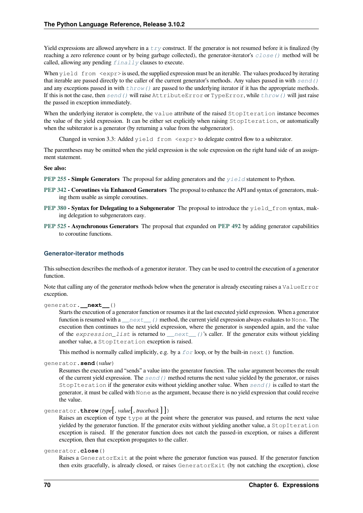Yield expressions are allowed anywhere in a  $txy$  construct. If the generator is not resumed before it is finalized (by reaching a zero reference count or by being garbage collected), the generator-iterator's *close()* method will be called, allowing any pending *finally* clauses to execute.

When  $y$  ield from  $\langle \exp r \rangle$  is used, the supplied expression must be an iterable. The values produced by iterating that iterable are passed directly to the caller [of the](#page-104-0) current generator's methods. Any values passed in with *send()* and any exceptions passed in with  $throw()$  are passed to the underlying iterator if it h[as the appro](#page-75-2)priate methods. If this is not the case, then *s[end\(\)](#page-104-0)* will raise AttributeError or TypeError, while *throw()* will just raise the passed in exception immediately.

When the underlying iterator is complete, the value attribute of the raised StopIteration instance [becomes](#page-75-1) the value of the yield expression. [It can be e](#page-75-3)ither set explicitly when raising StopIter[ation](#page-75-3), or automatically whenthe subiterator is a g[enerator \(](#page-75-1)by returning a value from the subgenerator).

Changed in version 3.3: Added yield from  $\langle \exp r \rangle$  to delegate control flow to a subiterator.

The parentheses may be omitted when the yield expression is the sole expression on the right hand side of an assignment statement.

**See also:**

- **PEP 255 Simple Generators** The proposal for adding generators and the *yield* statement to Python.
- **PEP 342 Coroutines via Enhanced Generators** The proposal to enhance the API and syntax of generators, making them usable as simple coroutines.
- **[PEP 380](https://www.python.org/dev/peps/pep-0255) Syntax for Delegating to a Subgenerator** The proposal to intr[oduce th](#page-95-0)e yield\_from syntax, mak[ing](https://www.python.org/dev/peps/pep-0342) delegation to subgenerators easy.
- **PEP 525 Asynchronous Generators** The proposal that expanded on **PEP 492** by adding generator capabilities [to c](https://www.python.org/dev/peps/pep-0380)oroutine functions.

#### **[Generat](https://www.python.org/dev/peps/pep-0525)or-iterator methods**

This subsection describes the methods of a generator iterator. They can be used to control the execution of a generator function.

Note that calling any of the generator methods below when the generator is already executing raises a ValueError exception.

```
generator.__next__()
```
<span id="page-75-0"></span>Starts the execution of a generator function or resumes it at the last executed yield expression. When a generator function is resumed with a *\_\_next\_\_()* method, the current yield expression always evaluates to None. The execution then continues to the next yield expression, where the generator is suspended again, and the value of the *expression\_list* is returned to *\_\_next\_\_()*'s caller. If the generator exits without yielding another value, a StopIteration exception is raised.

Thismethod is normally c[alled implicitly,](#page-75-0) e.g. by a *for* loop, or by the built-in next () function.

generator.**send**(*value*)

Resumes the execution and "sends" a value in[to the generator](#page-75-0) function. The *value* argument becomes the result of the current yield expression. The *send()* method returns the next value yielded by the generator, or raises StopIteration if the generator exits without y[ieldin](#page-103-0)g another value. When *send()* is called to start the generator, it must be called with None as the argument, because there is no yield expression that could receive the value.

```
generator.throw(type[, value[, traceback ] ])
```
Raises an exception of type type at the point where the generator was pause[d, and ret](#page-75-1)urns the next value yielded by the generator function. If the generator exits without yielding another value, a StopIteration exception is raised. If the generator function does not catch the passed-in exception, or raises a different exception, then that exception propagates to the caller.

```
generator.close()
```
<span id="page-75-2"></span>Raises a GeneratorExit at the point where the generator function was paused. If the generator function then exits gracefully, is already closed, or raises GeneratorExit (by not catching the exception), close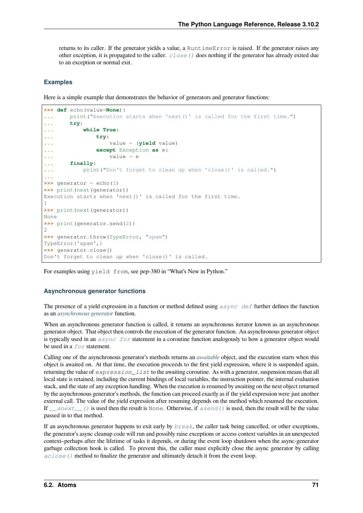returns to its caller. If the generator yields a value, a RuntimeError is raised. If the generator raises any other exception, it is propagated to the caller. *close()* does nothing if the generator has already exited due to an exception or normal exit.

#### **Examples**

Here is a simple example that demonstrates the behavior of generators and generator functions:

```
>>> def echo(value=None):
... print("Execution starts when 'next()' is called for the first time.")
... try:
... while True:
... try:
... value = (yield value)
... except Exception as e:
... value = e
... finally:
... print("Don't forget to clean up when 'close()' is called.")
...
>>> generator = echo(1)
>>> print(next(generator))
Execution starts when 'next()' is called for the first time.
1
>>> print(next(generator))
None
>>> print(generator.send(2))
2
>>> generator.throw(TypeError, "spam")
TypeError('spam',)
>>> generator.close()
Don't forget to clean up when 'close()' is called.
```
For examples using yield from, see pep-380 in "What's New in Python."

#### **Asynchronous generator functions**

The presence of a yield expression in a function or method defined using *async def* further defines the function as an *asynchronous generator* function.

<span id="page-76-0"></span>When an asynchronous generator function is called, it returns an asynchronous iterator known as an asynchronous generator object. That object then controls the execution of the generator function. An asynchronous generator object is typically used in an *async for* statement in a coroutine function an[alogously to ho](#page-119-0)w a generator object would be used in a *for* [statement.](#page-137-1)

Calling one of the asynchronous generator's methods returns an *awaitable* object, and the execution starts when this object is awaited on. At that time, the execution proceeds to the first yield expression, where it is suspended again, returning the value of *[expression](#page-119-1)\_list* to the awaiting coroutine. As with a generator, suspension means that all local state is [retain](#page-103-0)ed, including the current bindings of local variables, the instruction pointer, the internal evaluation stack, and the state of any exception handling. When the executi[on is resum](#page-137-2)ed by awaiting on the next object returned by the asynchronous generator's methods, the function can proceed exactly as if the yield expression were just another external call. The value of the yield expression after resuming depends on the method which resumed the execution. If *\_\_anext\_\_()* is used then the result is None. Otherwise, if *asend()* is used, then the result will be the value passed in to that method.

If an asynchronous generator happens to exit early by *break*, the caller task being cancelled, or other exceptions, the generator's async cleanup code will run and possibly raise exceptions or access context variables in an unexpected c[ontext–perhaps aft](#page-77-0)er the lifetime of tasks it depends, or during [the event lo](#page-77-1)op shutdown when the async-generator garbage collection hook is called. To prevent this, the caller must explicitly close the async generator by calling *aclose()* method to finalize the generator and ultim[ately det](#page-97-0)ach it from the event loop.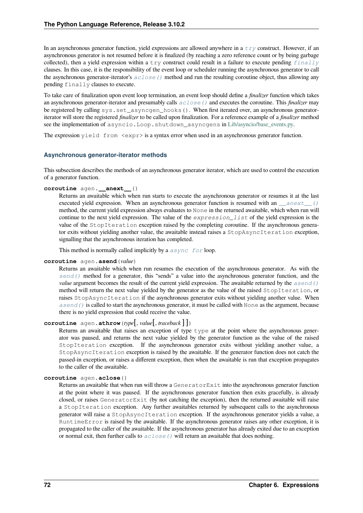In an asynchronous generator function, yield expressions are allowed anywhere in a  $t<sub>Y</sub>y$  construct. However, if an asynchronous generator is not resumed before it is finalized (by reaching a zero reference count or by being garbage collected), then a yield expression within a try construct could result in a failure to execute pending *finally* clauses. In this case, it is the responsibility of the event loop or scheduler running the asynchronous generator to call the asynchronous generator-iterator's *aclose()* method and run the resulting cor[outine](#page-104-0) object, thus allowing any pending finally clauses to execute.

To take care of finalization upon event loop termination, an event loop should define a *finalizer* function [which takes](#page-104-0) an asynchronous generator-iterator and presumably calls *aclose()* and executes the coroutine. This *finalizer* may be registered by calling sys.set\_[asyncgen\\_](#page-77-2)hooks(). When first iterated over, an asynchronous generatoriterator will store the registered *finalizer* to be called upon finalization. For a reference example of a *finalizer* method see the implementation of asyncio.Loop.shutdown\_asyncgens in Lib/asyncio/base\_events.py.

The expression  $y$  i eld from  $\langle \exp r \rangle$  is a syntax err[or when used](#page-77-2) in an asynchronous generator function.

#### **Asynchronous generator-iterator methods**

This subsection describes the methods of an asynchronous generator iterator, which are used to control the execution of a generator function.

#### **coroutine** agen.**\_\_anext\_\_**()

<span id="page-77-0"></span>Returns an awaitable which when run starts to execute the asynchronous generator or resumes it at the last executed yield expression. When an asynchronous generator function is resumed with an *\_\_anext\_\_()* method, the current yield expression always evaluates to None in the returned awaitable, which when run will continue to the next yield expression. The value of the *expression\_list* of the yield expression is the value of the StopIteration exception raised by the completing coroutine. If the asynchronous generator exits without yielding another value, the awaitable instead raises a StopAsyncIteration [exception,](#page-77-0) signalling that the asynchronous iteration has completed.

This method is normally called implicitly by a *async for* loop.

#### **coroutine** agen.**asend**(*value*)

<span id="page-77-1"></span>Returns an awaitable which when run resumes the execution of the asynchronous generator. As with the *send()* method for a generator, this "sends" a value into the asynchronous generator function, and the *value* argument becomes the result of the curr[ent yield expre](#page-119-1)ssion. The awaitable returned by the *asend()* method will return the next value yielded by the generator as the value of the raised StopIteration, or raises StopAsyncIteration if the asynchronous generator exits without yielding another value. When *[asend\(\)](#page-75-1)* is called to start the asynchronous generator, it must be called with None as the argument, because there is no yield expression that could receive the value.

#### **coroutine** agen.**athrow**(*type*[, *value*[, *traceback* ] ])

Returns an awaitable that raises an exception of type type at the point where the asynchronous gener[ator was p](#page-77-1)aused, and returns the next value yielded by the generator function as the value of the raised StopIteration exception. If the asynchronous generator exits without yielding another value, a StopAsyncIteration exception is raised by the awaitable. If the generator function does not catch the passed-in exception, or raises a different exception, then when the awaitable is run that exception propagates to the caller of the awaitable.

#### **coroutine** agen.**aclose**()

<span id="page-77-2"></span>Returns an awaitable that when run will throw a GeneratorExit into the asynchronous generator function at the point where it was paused. If the asynchronous generator function then exits gracefully, is already closed, or raises GeneratorExit (by not catching the exception), then the returned awaitable will raise a StopIteration exception. Any further awaitables returned by subsequent calls to the asynchronous generator will raise a StopAsyncIteration exception. If the asynchronous generator yields a value, a RuntimeError is raised by the awaitable. If the asynchronous generator raises any other exception, it is propagated to the caller of the awaitable. If the asynchronous generator has already exited due to an exception or normal exit, then further calls to *aclose()* will return an awaitable that does nothing.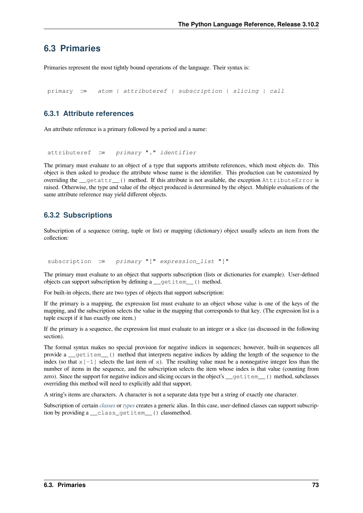# **6.3 Primaries**

<span id="page-78-0"></span>Primaries represent the most tightly bound operations of the language. Their syntax is:

```
primary ::= atom | attributeref | subscription | slicing | call
```
### **6.3.1 Attribute references**

An attribute reference is a primary followed by a period and a name:

```
attributeref ::= primary "." identifier
```
The primary must evaluate to an object of a type that supports attribute references, which most objects do. This object is then asked to produce the attribute whose name is the identifier. This production can be customized by overriding the \_\_getattr\_\_() method. If this attribute is not available, the exception AttributeError is raised. Otherwise, the type and value of the object produced is determined by the object. Multiple evaluations of the same attribute reference may yield different objects.

### **6.3.2 Subscriptions**

Subscription of a sequence (string, tuple or list) or mapping (dictionary) object usually selects an item from the collection:

subscription ::= *primary* "[" *expression\_list* "]"

The primary must evaluate to an object that supports subscription (lists or dictionaries for example). User-defined objects can support subscription by defining a \_\_getitem\_\_() method.

For built-in objects, there are two types of objects that support subscription:

If the primary is a mapping, the expression list must evaluate to an object whose value is one of the keys of the mapping, and the subscription selects the value in the mapping that corresponds to that key. (The expression list is a tuple except if it has exactly one item.)

If the primary is a sequence, the expression list must evaluate to an integer or a slice (as discussed in the following section).

The formal syntax makes no special provision for negative indices in sequences; however, built-in sequences all provide a \_\_getitem\_\_() method that interprets negative indices by adding the length of the sequence to the index (so that  $x[-1]$  selects the last item of x). The resulting value must be a nonnegative integer less than the number of items in the sequence, and the subscription selects the item whose index is that value (counting from zero). Since the support for negative indices and slicing occurs in the object's  $q$ etitem () method, subclasses overriding this method will need to explicitly add that support.

A string's items are characters. A character is not a separate data type but a string of exactly one character.

Subscription of certain *classes* or *types* creates a generic alias. In this case, user-defined classes can support subscription by providing a \_\_class\_getitem\_\_() classmethod.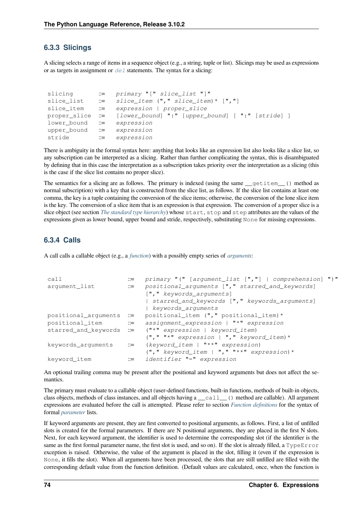### **6.3.3 Slicings**

A slicing selects a range of items in a sequence object (e.g., a string, tuple or list). Slicings may be used as expressions or as targets in assignment or *del* statements. The syntax for a slicing:

| slicing                    | $ ::=$ primary "[" slice list "]"                                 |
|----------------------------|-------------------------------------------------------------------|
| slice list                 | $\mathrel{::}=$ slice_item ("," slice_item)* [","]                |
|                            | slice item := expression   proper slice                           |
|                            | proper_slice ::= [lower_bound] ":" [upper_bound] [ ":" [stride] ] |
| lower bound ::= expression |                                                                   |
| upper bound ::= expression |                                                                   |
| stride                     | := expression                                                     |

There is ambiguity in the formal syntax here: anything that looks like an expression list also looks like a slice list, so any subscription can be interpreted as a slicing. Rather than further complicating the syntax, this is disambiguated by defining that in this case the interpretation as a subscription takes priority over the interpretation as a slicing (this is the case if the slice list contains no proper slice).

The semantics for a slicing are as follows. The primary is indexed (using the same  ${\_}getitem$  () method as normal subscription) with a key that is constructed from the slice list, as follows. If the slice list contains at least one comma, the key is a tuple containing the conversion of the slice items; otherwise, the conversion of the lone slice item is the key. The conversion of a slice item that is an expression is that expression. The conversion of a proper slice is a slice object (see section *The standard type hierarchy*) whose start, stop and step attributes are the values of the expressions given as lower bound, upper bound and stride, respectively, substituting None for missing expressions.

### **6.3.4 Calls**

<span id="page-79-0"></span>A call calls a callable object (e.g., a *function*) with a possibly empty series of *arguments*:

| call            | $\mathrel{\mathop:}=$                               | primary "(" [argument_list [","]   comprehension] ")"                       |
|-----------------|-----------------------------------------------------|-----------------------------------------------------------------------------|
| arqument list   | $\therefore =$                                      | positional_arguments ["," starred_and_keywords]                             |
|                 |                                                     | ["," keywords_arguments]                                                    |
|                 |                                                     | starred_and_keywords ["," keywords_arguments]                               |
|                 |                                                     | keywords_arguments                                                          |
|                 |                                                     | positional_arguments ::= positional_item $\langle " , "$ positional_item) * |
| positional item | $\mathbb{R}^n \times \mathbb{R}^n \to \mathbb{R}^n$ | assignment_expression   "*" expression                                      |
|                 |                                                     | starred_and_keywords ::= ("*" expression   keyword_item)                    |
|                 |                                                     | (", " "*" expression   ", " keyword_item) *                                 |
|                 |                                                     | keywords_arguments ::= (keyword_item   "**" expression)                     |
|                 |                                                     | ("," keyword_item   "," "**" expression)*                                   |
| keyword item    |                                                     | := identifier "=" expression                                                |

An optional trailing comma may be present after the positional and keyword arguments but does not affect the semantics.

The primary must evaluate to a callable object (user-defined functions, built-in functions, methods of built-in objects, class objects, methods of class instances, and all objects having a \_\_call\_\_() method are callable). All argument expressions are evaluated before the call is attempted. Please refer to section *Function definitions* for the syntax of formal *parameter* lists.

If keyword arguments are present, they are first converted to positional arguments, as follows. First, a list of unfilled slots is created for the formal parameters. If there are N positional arguments, they are placed in the first N slots. Next, for each keyword argument, the identifier is used to determine the corr[esponding slot \(if th](#page-116-0)e identifier is the samea[s the first fo](#page-144-0)rmal parameter name, the first slot is used, and so on). If the slot is already filled, a  $TypeError$ exception is raised. Otherwise, the value of the argument is placed in the slot, filling it (even if the expression is None, it fills the slot). When all arguments have been processed, the slots that are still unfilled are filled with the corresponding default value from the function definition. (Default values are calculated, once, when the function is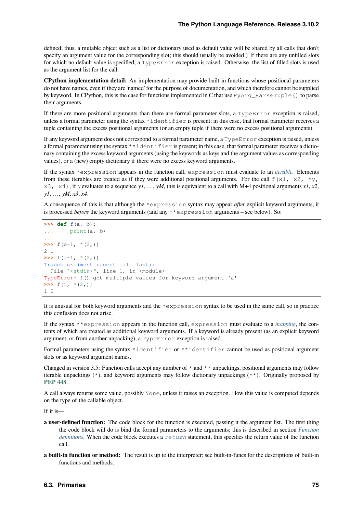defined; thus, a mutable object such as a list or dictionary used as default value will be shared by all calls that don't specify an argument value for the corresponding slot; this should usually be avoided.) If there are any unfilled slots for which no default value is specified, a TypeError exception is raised. Otherwise, the list of filled slots is used as the argument list for the call.

**CPython implementation detail:** An implementation may provide built-in functions whose positional parameters do not have names, even if they are 'named' for the purpose of documentation, and which therefore cannot be supplied by keyword. In CPython, this is the case for functions implemented in C that use  $PvArg$  ParseTuple() to parse their arguments.

If there are more positional arguments than there are formal parameter slots, a TypeError exception is raised, unless a formal parameter using the syntax \*identifier is present; in this case, that formal parameter receives a tuple containing the excess positional arguments (or an empty tuple if there were no excess positional arguments).

If any keyword argument does not correspond to a formal parameter name, a  $TypeError$  exception is raised, unless a formal parameter using the syntax \*\*identifier is present; in this case, that formal parameter receives a dictionary containing the excess keyword arguments (using the keywords as keys and the argument values as corresponding values), or a (new) empty dictionary if there were no excess keyword arguments.

If the syntax \*expression appears in the function call, expression must evaluate to an *iterable*. Elements from these iterables are treated as if they were additional positional arguments. For the call  $f(x1, x2, *y, x3)$ x3, x4), if *y* evaluates to a sequence *y1*, …, *yM*, this is equivalent to a call with M+4 positional arguments *x1*, *x2*, *y1*, …, *yM*, *x3*, *x4*.

A consequence of this is that although the \*expression syntax may appear *after* explicit key[word ar](#page-142-0)guments, it is processed *before* the keyword arguments (and any \*\*expression arguments – see below). So:

```
>>> def f(a, b):
... print(a, b)
...
>>> f(b=1, * (2,))2 1
>>> f(a=1, * (2,))Traceback (most recent call last):
 File "<stdin>", line 1, in <module>
TypeError: f() got multiple values for keyword argument 'a'
\Rightarrow f(1, * (2,))1 2
```
It is unusual for both keyword arguments and the \*expression syntax to be used in the same call, so in practice this confusion does not arise.

If the syntax \*\*expression appears in the function call, expression must evaluate to a *mapping*, the contents of which are treated as additional keyword arguments. If a keyword is already present (as an explicit keyword argument, or from another unpacking), a TypeError exception is raised.

Formal parameters using the syntax \*identifier or \*\*identifier cannot be used as p[ositional](#page-143-0) argument slots or as keyword argument names.

Changed in version 3.5: Function calls accept any number of  $*$  and  $**$  unpackings, positional arguments may follow iterable unpackings (\*), and keyword arguments may follow dictionary unpackings (\*\*). Originally proposed by **PEP 448**.

A call always returns some value, possibly None, unless it raises an exception. How this value is computed depends on the type of the callable object.

[If it is—](https://www.python.org/dev/peps/pep-0448)

- **a user-defined function:** The code block for the function is executed, passing it the argument list. The first thing the code block will do is bind the formal parameters to the arguments; this is described in section *Function definitions*. When the code block executes a *return* statement, this specifies the return value of the function call.
- **a built-in function or method:** The result is up to the interpreter; see built-in-funcs for the descriptions o[f built-in](#page-116-0) [functions a](#page-116-0)nd methods.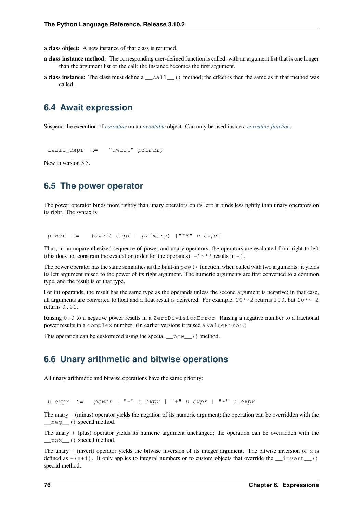**a class object:** A new instance of that class is returned.

- **a class instance method:** The corresponding user-defined function is called, with an argument list that is one longer than the argument list of the call: the instance becomes the first argument.
- **a class instance:** The class must define a  $\text{I}_\text{cell}$  () method; the effect is then the same as if that method was called.

## **6.4 Await expression**

<span id="page-81-0"></span>Suspend the execution of *coroutine* on an *awaitable* object. Can only be used inside a *coroutine function*.

await\_expr ::= "await" *primary*

New in version 3.5.

### **6.5 The power operator**

The power operator binds more tightly than unary operators on its left; it binds less tightly than unary operators on its right. The syntax is:

power ::= (*await\_expr* | *primary*) ["\*\*" *u\_expr*]

Thus, in an unparenthesized sequence of power and unary operators, the operators are evaluated from right to left (this does not constrain the evaluation order for the operands):  $-1 \times 2$  results in -1.

The power operator has the same semantics as the built-in  $pow($ ) function, when called with two arguments: it yields its left argument raised to the power of its right argument. The numeric arguments are first converted to a common type, and the result is of that type.

For int operands, the result has the same type as the operands unless the second argument is negative; in that case, all arguments are converted to float and a float result is delivered. For example,  $10**2$  returns 100, but  $10**-2$ returns 0.01.

Raising 0.0 to a negative power results in a ZeroDivisionError. Raising a negative number to a fractional power results in a complex number. (In earlier versions it raised a ValueError.)

This operation can be customized using the special  $_{\text{pow}}$  () method.

### **6.6 Unary arithmetic and bitwise operations**

All unary arithmetic and bitwise operations have the same priority:

u\_expr ::= *power* | "-" *u\_expr* | "+" *u\_expr* | "~" *u\_expr*

The unary - (minus) operator yields the negation of its numeric argument; the operation can be overridden with the \_neg\_() special method.

The unary + (plus) operator yields its numeric argument unchanged; the operation can be overridden with the \_\_pos\_\_() special method.

The unary  $\sim$  (invert) operator yields the bitwise inversion of its integer argument. The bitwise inversion of  $\times$  is defined as  $-(x+1)$ . It only applies to integral numbers or to custom objects that override the  $\text{__invert__}}()$ special method.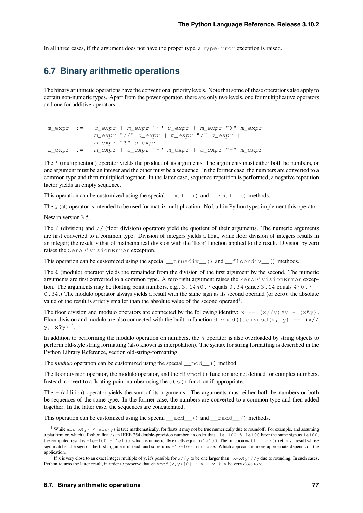In all three cases, if the argument does not have the proper type, a TypeError exception is raised.

# **6.7 Binary arithmetic operations**

The binary arithmetic operations have the conventional priority levels. Note that some of these operations also apply to certain non-numeric types. Apart from the power operator, there are only two levels, one for multiplicative operators and one for additive operators:

m\_expr ::= *u\_expr* | *m\_expr* "\*" *u\_expr* | *m\_expr* "@" *m\_expr* | *m\_expr* "//" *u\_expr* | *m\_expr* "/" *u\_expr* | *m\_expr* "%" *u\_expr* a\_expr ::= *m\_expr* | *a\_expr* "+" *m\_expr* | *a\_expr* "-" *m\_expr*

The \* (multiplication) operator yields the product of its arguments. The arguments must either both be numbers, or one argument must be an integer and the other must be a sequence. In the former case, the numbers are converted to a common type and then multiplied together. In the latter case, sequence repetition is performed; a negative repetition factor yields an empty sequence.

This operation can be customized using the special  $\mu$  mul () and  $\mu$  rmul () methods.

The  $\theta$  (at) operator is intended to be used for matrix multiplication. No builtin Python types implement this operator.

New in version 3.5.

The / (division) and // (floor division) operators yield the quotient of their arguments. The numeric arguments are first converted to a common type. Division of integers yields a float, while floor division of integers results in an integer; the result is that of mathematical division with the 'floor' function applied to the result. Division by zero raises the ZeroDivisionError exception.

This operation can be customized using the special  $_t$  ruediv () and  $_t$  floordiv () methods.

The % (modulo) operator yields the remainder from the division of the first argument by the second. The numeric arguments are first converted to a common type. A zero right argument raises the ZeroDivisionError exception. The arguments may be floating point numbers, e.g.,  $3.14\%0.7$  equals 0.34 (since  $3.14$  equals  $4*0.7 +$ 0.34.) The modulo operator always yields a result with the same sign as its second operand (or zero); the absolute value of the result is strictly smaller than the absolute value of the second operand<sup>1</sup>.

The floor division and modulo operators are connected by the following identity:  $x = (x//y) * y + (x*y)$ . Floor division and modulo are also connected with the built-in function divmod(): divmod(x, y) ==  $(x//$ y,  $x \frac{8}{3}y$ ). $^{2}$ .

In addition to performing the modulo operation on numbers, the % operator is also overloaded by string objects to perform old-style string formatting (also known as interpolation). The syntax for string formatting is described in the Python Li[bra](#page-82-0)ry Reference, section old-string-formatting.

The *modulo* operation can be customized using the special \_\_mod\_\_() method.

The floor division operator, the modulo operator, and the  $\dim \text{od}(x)$  function are not defined for complex numbers. Instead, convert to a floating point number using the abs() function if appropriate.

The + (addition) operator yields the sum of its arguments. The arguments must either both be numbers or both be sequences of the same type. In the former case, the numbers are converted to a common type and then added together. In the latter case, the sequences are concatenated.

This operation can be customized using the special  $\_add$  () and  $\_radd$  () methods.

<sup>&</sup>lt;sup>1</sup> While abs (x%y) < abs (y) is true mathematically, for floats it may not be true numerically due to roundoff. For example, and assuming a platform on which a Python float is an IEEE 754 double-precision number, in order that  $-1e-100$  % 1e100 have the same sign as 1e100, the computed result is  $-1e-100 + 1e100$ , which is numerically exactly equal to  $1e100$ . The function math. fmod () returns a result whose sign matches the sign of the first argument instead, and so returns -1e-100 in this case. Which approach is more appropriate depends on the application.

<span id="page-82-0"></span><sup>&</sup>lt;sup>2</sup> If x is very close to an exact integer multiple of y, it's possible for  $x//y$  to be one larger than  $(x-x\frac{8}{y})//y$  due to rounding. In such cases, Python returns the latter result, in order to preserve that divmod(x, y)[0] \* y + x % y be very close to x.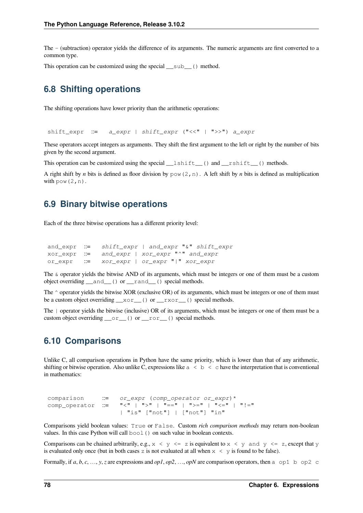The - (subtraction) operator yields the difference of its arguments. The numeric arguments are first converted to a common type.

This operation can be customized using the special \_\_sub\_\_() method.

## **6.8 Shifting operations**

The shifting operations have lower priority than the arithmetic operations:

shift\_expr ::= *a\_expr* | *shift\_expr* ("<<" | ">>") *a\_expr*

These operators accept integers as arguments. They shift the first argument to the left or right by the number of bits given by the second argument.

This operation can be customized using the special \_\_lshift\_() and \_\_rshift\_() methods.

A right shift by *n* bits is defined as floor division by  $pow(2, n)$ . A left shift by *n* bits is defined as multiplication with  $pow(2,n)$ .

### **6.9 Binary bitwise operations**

Each of the three bitwise operations has a different priority level:

```
and_expr ::= shift_expr | and_expr "&" shift_expr
xor_expr ::= and_expr | xor_expr "^" and_expr
or_expr ::= xor_expr | or_expr "|" xor_expr
```
The  $\&$  operator yields the bitwise AND of its arguments, which must be integers or one of them must be a custom object overriding \_\_and\_\_() or \_\_rand\_\_() special methods.

The  $\hat{\ }$  operator yields the bitwise XOR (exclusive OR) of its arguments, which must be integers or one of them must be a custom object overriding  $\_\text{xor}\_\text{r}$  () or  $\_\text{rxor}\_\text{r}$  () special methods.

The  $\perp$  operator yields the bitwise (inclusive) OR of its arguments, which must be integers or one of them must be a custom object overriding or () or ror () special methods.

# **6.10 Comparisons**

Unlike C, all comparison operations in Python have the same priority, which is lower than that of any arithmetic, shifting or bitwise operation. Also unlike C, expressions like  $a < b < c$  have the interpretation that is conventional in mathematics:

comparison ::= *or\_expr* (*comp\_operator or\_expr*)\* comp\_operator ::= "<" | ">" | "==" | ">=" | "<=" | "!=" | "is" ["not"] | ["not"] "in"

Comparisons yield boolean values: True or False. Custom *rich comparison methods* may return non-boolean values. In this case Python will call bool() on such value in boolean contexts.

Comparisons can be chained arbitrarily, e.g.,  $x < y \le z$  is equivalent to  $x < y$  and  $y \le z$ , except that y is evaluated only once (but in both cases z is not evaluated at all when  $x < y$  is found to be false).

Formally, if *a*, *b*, *c*, …, *y*, *z* are expressions and *op1*, *op2*, …, *opN* are comparison operators, then a op1 b op2 c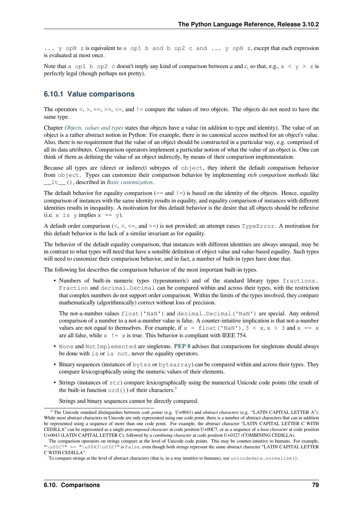$\ldots$  y opN z is equivalent to a op1 b and b op2 c and  $\ldots$  y opN z, except that each expression is evaluated at most once.

Note that a op1 b op2 c doesn't imply any kind of comparison between *a* and *c*, so that, e.g.,  $x < y > z$  is perfectly legal (though perhaps not pretty).

#### **6.10.1 Value comparisons**

The operators  $\langle, \rangle, \langle=,\rangle = \langle, \langle=,\rangle$  and  $\langle=$  compare the values of two objects. The objects do not need to have the same type.

Chapter *Objects, values and types* states that objects have a value (in addition to type and identity). The value of an object is a rather abstract notion in Python: For example, there is no canonical access method for an object's value. Also, there is no requirement that the value of an object should be constructed in a particular way, e.g. comprised of all its data attributes. Comparison operators implement a particular notion of what the value of an object is. One can think of [them as defining the valu](#page-22-0)e of an object indirectly, by means of their comparison implementation.

Because all types are (direct or indirect) subtypes of object, they inherit the default comparison behavior from object. Types can customize their comparison behavior by implementing *rich comparison methods* like \_\_lt\_\_(), described in *Basic customization*.

The default behavior for equality comparison  $(==$  and  $!=)$  is based on the identity of the objects. Hence, equality comparison of instances with the same identity results in equality, and equality comparison of instances with different identities results in inequa[lity. A motivation fo](#page-31-0)r this default behavior is the desire that all objects should be reflexive (i.e. x is y implies  $x == y$ ).

A default order comparison ( $\langle \cdot, \cdot \rangle$ ,  $\langle \cdot, \cdot \rangle$ , and  $\rangle =$ ) is not provided; an attempt raises TypeError. A motivation for this default behavior is the lack of a similar invariant as for equality.

The behavior of the default equality comparison, that instances with different identities are always unequal, may be in contrast to what types will need that have a sensible definition of object value and value-based equality. Such types will need to customize their comparison behavior, and in fact, a number of built-in types have done that.

The following list describes the comparison behavior of the most important built-in types.

• Numbers of built-in numeric types (typesnumeric) and of the standard library types fractions. Fraction and decimal.Decimal can be compared within and across their types, with the restriction that complex numbers do not support order comparison. Within the limits of the types involved, they compare mathematically (algorithmically) correct without loss of precision.

The not-a-number values float ('NaN') and decimal.Decimal('NaN') are special. Any ordered comparison of a number to a not-a-number value is false. A counter-intuitive implication is that not-a-number values are not equal to themselves. For example, if  $x = \text{float}('NaN'), 3 < x, x < 3$  and  $x == x$ are all false, while  $x$  ! = x is true. This behavior is compliant with IEEE 754.

- None and NotImplemented are singletons. **PEP 8** advises that comparisons for singletons should always be done with is or is not, never the equality operators.
- Binary sequences (instances of bytes or bytearray) can be compared within and across their types. They compare lexicographically using the numeric val[ues of t](https://www.python.org/dev/peps/pep-0008)heir elements.
- Strings (instances of str) compare lexicographically using the numerical Unicode code points (the result of the built-in function  $\text{ord}(t)$  of their characters.<sup>3</sup>

Strings and binary sequences cannot be directly compared.

<sup>3</sup> The Unicode standard distinguishes between *code points* (e.g. U+0041) and *abstract characters* (e.g. "LATIN CAPITAL LETTER A"). While most abstract characters in Unicode are only represented usin[g o](#page-84-0)ne code point, there is a number of abstract characters that can in addition be represented using a sequence of more than one code point. For example, the abstract character "LATIN CAPITAL LETTER C WITH CEDILLA" can be represented as a single *precomposed character* at code position U+00C7, or as a sequence of a *base character* at code position U+0043 (LATIN CAPITAL LETTER C), followed by a *combining character* at code position U+0327 (COMBINING CEDILLA).

<span id="page-84-0"></span>The comparison operators on strings compare at the level of Unicode code points. This may be counter-intuitive to humans. For example, "\u00C7" == "\u0043\u0327" is False, even though both strings represent the same abstract character "LATIN CAPITAL LETTER C WITH CEDILLA".

To compare strings at the level of abstract characters (that is, in a way intuitive to humans), use unicodedata.normalize().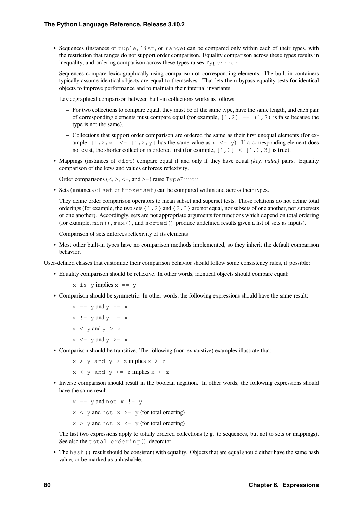• Sequences (instances of tuple, list, or range) can be compared only within each of their types, with the restriction that ranges do not support order comparison. Equality comparison across these types results in inequality, and ordering comparison across these types raises TypeError.

Sequences compare lexicographically using comparison of corresponding elements. The built-in containers typically assume identical objects are equal to themselves. That lets them bypass equality tests for identical objects to improve performance and to maintain their internal invariants.

Lexicographical comparison between built-in collections works as follows:

- **–** For two collections to compare equal, they must be of the same type, have the same length, and each pair of corresponding elements must compare equal (for example,  $\begin{bmatrix} 1 \\ 2 \end{bmatrix}$  ==  $\begin{bmatrix} 1 \\ 2 \end{bmatrix}$ ) is false because the type is not the same).
- **–** Collections that support order comparison are ordered the same as their first unequal elements (for example,  $[1,2,x] \leq [1,2,y]$  has the same value as  $x \leq y$ ). If a corresponding element does not exist, the shorter collection is ordered first (for example,  $[1,2] < [1,2,3]$  is true).
- Mappings (instances of dict) compare equal if and only if they have equal *(key, value)* pairs. Equality comparison of the keys and values enforces reflexivity.

Order comparisons  $(<,>,<,>=$ , and  $>=$ ) raise TypeError.

• Sets (instances of set or frozenset) can be compared within and across their types.

They define order comparison operators to mean subset and superset tests. Those relations do not define total orderings (for example, the two sets {1,2} and {2,3} are not equal, nor subsets of one another, nor supersets of one another). Accordingly, sets are not appropriate arguments for functions which depend on total ordering (for example, min(), max(), and sorted() produce undefined results given a list of sets as inputs).

Comparison of sets enforces reflexivity of its elements.

• Most other built-in types have no comparison methods implemented, so they inherit the default comparison behavior.

User-defined classes that customize their comparison behavior should follow some consistency rules, if possible:

• Equality comparison should be reflexive. In other words, identical objects should compare equal:

 $x$  is y implies  $x == y$ 

- Comparison should be symmetric. In other words, the following expressions should have the same result:
	- $x = v$  and  $v = x$  $x := y$  and  $y := x$  $x < y$  and  $y > x$  $x \le y$  and  $y \ge x$
- Comparison should be transitive. The following (non-exhaustive) examples illustrate that:

 $x > y$  and  $y > z$  implies  $x > z$ 

- $x \leq y$  and  $y \leq z$  implies  $x \leq z$
- Inverse comparison should result in the boolean negation. In other words, the following expressions should have the same result:

```
x == y and not x != yx \leq y and not x \geq y (for total ordering)
x > y and not x \le y (for total ordering)
```
The last two expressions apply to totally ordered collections (e.g. to sequences, but not to sets or mappings). See also the total\_ordering() decorator.

• The hash() result should be consistent with equality. Objects that are equal should either have the same hash value, or be marked as unhashable.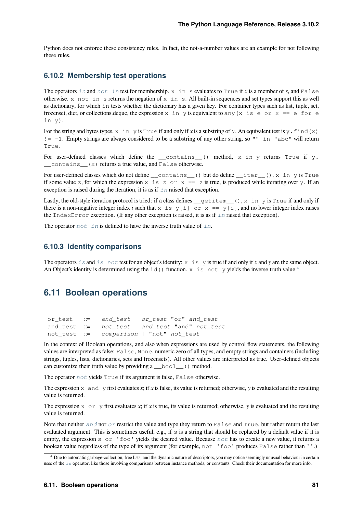Python does not enforce these consistency rules. In fact, the not-a-number values are an example for not following these rules.

#### **6.10.2 Membership test operations**

<span id="page-86-0"></span>The operators *in* and *not in* test for membership.  $x$  in s evaluates to  $True$  if  $x$  is a member of  $s$ , and  $False$ otherwise.  $x \text{ not in } s$  returns the negation of  $x \text{ in } s$ . All built-in sequences and set types support this as well as dictionary, for which in tests whether the dictionary has a given key. For container types such as list, tuple, set, frozenset, dict, or collections.deque, the expression  $x \in Y$  is equivalent to any (x is e or  $x == e$  for e in y).

For the string and bytes types,  $x \in \mathbb{R}$  y is  $True$  if and only if x is a substring of y. An equivalent test is y.find (x)  $!= -1$ . Empty strings are always considered to be a substring of any other string, so "" in "abc" will return True.

For user-defined classes which define the  $\_\_$ contains $\_\_$ () method, x in y returns True if y. \_\_contains\_\_(x) returns a true value, and False otherwise.

For user-defined classes which do not define \_\_contains\_\_() but do define \_\_iter\_\_(), x in y is True if some value z, for which the expression x is z or  $x == z$  is true, is produced while iterating over y. If an exception is raised during the iteration, it is as if *in* raised that exception.

Lastly, the old-style iteration protocol is tried: if a class defines \_\_getitem\_\_(), x in y is True if and only if there is a non-negative integer index *i* such that  $x \text{ is } y[i]$  or  $x == y[i]$ , and no lower integer index raises the IndexError exception. (If any other exce[ptio](#page-86-0)n is raised, it is as if *in* raised that exception).

The operator *not in* is defined to have the inverse truth value of *in*.

#### **6.10.3 Identity comparisons**

<span id="page-86-1"></span>The operators *is* [and](#page-86-0) *is not* test for an object's identity: x is y [is](#page-86-0) true if and only if *x* and *y* are the same object. An Object's identity is determined using the id() function.  $x$  is not y yields the inverse truth value.<sup>4</sup>

## **6.11 Bo[ole](#page-86-1)a[n oper](#page-86-1)ations**

<span id="page-86-2"></span>

|  | or test $ ::=$ and test   or test "or" and test    |
|--|----------------------------------------------------|
|  | and test $ ::=$ not test   and test "and" not test |
|  | not_test := comparison   "not" not_test            |

In the context of Boolean operations, and also when expressions are used by control flow statements, the following values are interpreted as false: False, None, numeric zero of all types, and empty strings and containers (including strings, tuples, lists, dictionaries, sets and frozensets). All other values are interpreted as true. User-defined objects can customize their truth value by providing a \_\_bool () method.

The operator *not* yields True if its argument is false, False otherwise.

The expression  $x$  and  $y$  first evaluates  $x$ ; if  $x$  is false, its value is returned; otherwise,  $y$  is evaluated and the resulting value is returned.

The e[x](#page-86-2)pression  $x \circ r$  y first evaluates *x*; if *x* is true, its value is returned; otherwise, *y* is evaluated and the resulting value is returned.

Note that neither *and* nor *or* restrict the value and type they return to False and True, but rather return the last evaluated argument. This is sometimes useful, e.g., if s is a string that should be replaced by a default value if it is empty, the expression s or 'foo' yields the desired value. Because *not* has to create a new value, it returns a boolean value regardless of the type of its argument (for example, not 'foo' produces False rather than ''.)

<sup>4</sup> Due to automati[c garba](#page-86-2)ge-c[ollect](#page-86-2)ion, free lists, and the dynamic nature of descriptors, you may notice seemingly unusual behaviour in certain uses of the *is* operator, like those involving comparisons between instance methods, or constants. Check their documentation for more info.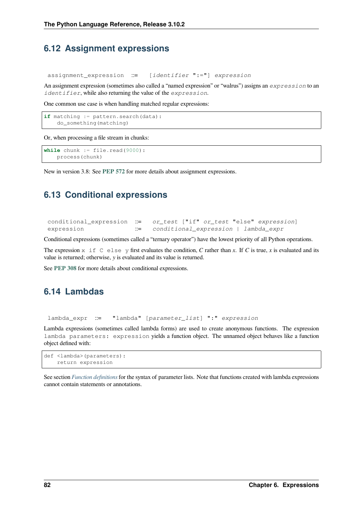# **6.12 Assignment expressions**

assignment\_expression ::= [*identifier* ":="] *expression*

An assignment expression (sometimes also called a "named expression" or "walrus") assigns an *expression* to an *identifier*, while also returning the value of the *expression*.

One common use case is when handling matched regular expressions:

```
if matching := pattern.search(data):
    do_something(matching)
```
Or, when processing a file stream in chunks:

```
while chunk := file.read(9000):
   process(chunk)
```
New in version 3.8: See **PEP 572** for more details about assignment expressions.

## **6.13 Conditio[nal ex](https://www.python.org/dev/peps/pep-0572)pressions**

conditional\_expression ::= *or\_test* ["if" *or\_test* "else" *expression*] expression ::= *conditional\_expression* | *lambda\_expr*

Conditional expressions (sometimes called a "ternary operator") have the lowest priority of all Python operations.

The expression  $x \text{ if } C \text{ else } y \text{ first evaluates the condition, } C \text{ rather than } x.$  If *C* is true, *x* is evaluated and its value is returned; otherwise, *y* is evaluated and its value is returned.

See **PEP 308** for more details about conditional expressions.

# **6.14 [Lam](https://www.python.org/dev/peps/pep-0308)bdas**

lambda\_expr ::= "lambda" [*parameter\_list*] ":" *expression*

Lambda expressions (sometimes called lambda forms) are used to create anonymous functions. The expression lambda parameters: expression yields a function object. The unnamed object behaves like a function object defined with:

```
def <lambda>(parameters):
    return expression
```
See section *Function definitions* for the syntax of parameter lists. Note that functions created with lambda expressions cannot contain statements or annotations.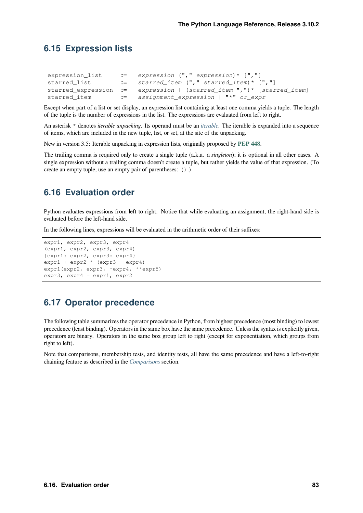# **6.15 Expression lists**

| expression list | $\mathrel{\mathop:}=$ expression ("," expression)* [","]                |
|-----------------|-------------------------------------------------------------------------|
|                 | starred list $\cdots$ := starred item ("," starred item)* [","]         |
|                 | starred expression ::= expression   (starred item ",") * [starred item] |
|                 |                                                                         |

Except when part of a list or set display, an expression list containing at least one comma yields a tuple. The length of the tuple is the number of expressions in the list. The expressions are evaluated from left to right.

An asterisk \* denotes *iterable unpacking*. Its operand must be an *iterable*. The iterable is expanded into a sequence of items, which are included in the new tuple, list, or set, at the site of the unpacking.

New in version 3.5: Iterable unpacking in expression lists, originally proposed by **PEP 448**.

The trailing comma is required only to create a single tuple (a.k.[a. a](#page-142-0) *singleton*); it is optional in all other cases. A single expression without a trailing comma doesn't create a tuple, but rather yields the value of that expression. (To create an empty tuple, use an empty pair of parentheses: ().)

# **6.16 Evaluation order**

Python evaluates expressions from left to right. Notice that while evaluating an assignment, the right-hand side is evaluated before the left-hand side.

In the following lines, expressions will be evaluated in the arithmetic order of their suffixes:

```
expr1, expr2, expr3, expr4
(expr1, expr2, expr3, expr4)
{expr1: expr2, expr3: expr4}
expr1 + expr2 * (expr3 - expr4)expr1(expr2, expr3, *expr4, **expr5)
expr3, expr4 = expr1, expr2
```
# **6.17 Operator precedence**

The following table summarizes the operator precedence in Python, from highest precedence (most binding) to lowest precedence (least binding). Operators in the same box have the same precedence. Unless the syntax is explicitly given, operators are binary. Operators in the same box group left to right (except for exponentiation, which groups from right to left).

Note that comparisons, membership tests, and identity tests, all have the same precedence and have a left-to-right chaining feature as described in the *Comparisons* section.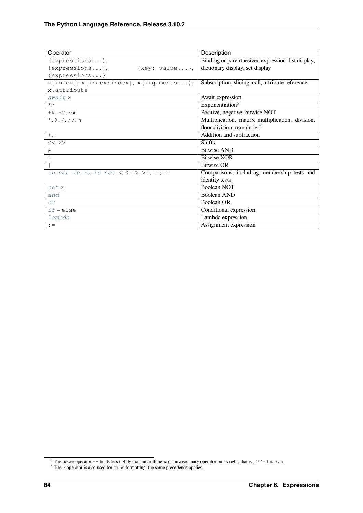| Operator                                              | Description                                        |
|-------------------------------------------------------|----------------------------------------------------|
| (expressions),                                        | Binding or parenthesized expression, list display, |
| [expressions],<br>$\{key: value \},\$                 | dictionary display, set display                    |
| ${expressions}$                                       |                                                    |
| $x[index], x[index:index], x(arguments),$             | Subscription, slicing, call, attribute reference   |
| x.attribute                                           |                                                    |
| await x                                               | Await expression                                   |
| $\star\star$                                          | Exponentiation $5$                                 |
| $+x, -x, -x$                                          | Positive, negative, bitwise NOT                    |
| $*, \, \mathbb{e}, \, / \, / \, / \, , \, \mathbb{e}$ | Multiplication, matrix multiplication, division,   |
|                                                       | floor division, remainder <sup>6</sup>             |
| $+, -$                                                | Addition and subtraction                           |
| <<,>>                                                 | <b>Shifts</b>                                      |
| $\delta$                                              | <b>Bitwise AND</b>                                 |
| $\wedge$                                              | <b>Bitwise XOR</b>                                 |
|                                                       | <b>Bitwise OR</b>                                  |
| in, not in, is, is not, <, <=, >, >=, !=, ==          | Comparisons, including membership tests and        |
|                                                       | identity tests                                     |
| not x                                                 | Boolean NOT                                        |
| and                                                   | <b>Boolean AND</b>                                 |
| O <sub>L</sub>                                        | Boolean OR                                         |
| $if$ -else                                            | Conditional expression                             |
| lambda                                                | Lambda expression                                  |
| $: =$                                                 | Assignment expression                              |

<sup>&</sup>lt;sup>5</sup> The power operator  $\star \star$  binds less tightly than an arithmetic or bitwise unary operator on its right, that is,  $2 \star \star$  -1 is 0.5.

<span id="page-89-0"></span> $6$  The  $\frac{1}{6}$  operator is also used for string formatting; the same precedence applies.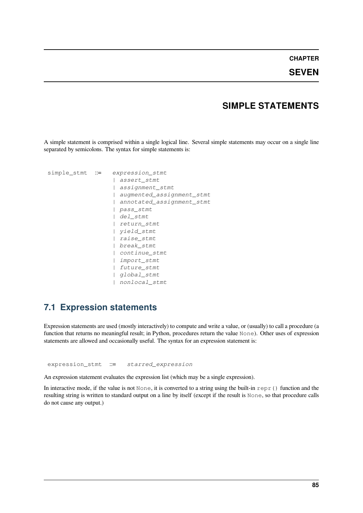# **CHAPTER SEVEN**

# **SIMPLE STATEMENTS**

A simple statement is comprised within a single logical line. Several simple statements may occur on a single line separated by semicolons. The syntax for simple statements is:

```
simple_stmt ::= expression_stmt
                  | assert_stmt
                  | assignment_stmt
                  | augmented_assignment_stmt
                  | annotated_assignment_stmt
                  | pass_stmt
                  | del_stmt
                  | return_stmt
                  | yield_stmt
                  | raise_stmt
                  | break_stmt
                  | continue_stmt
                  | import_stmt
                  | future_stmt
                  | global_stmt
                  | nonlocal_stmt
```
# **7.1 Expression statements**

Expression statements are used (mostly interactively) to compute and write a value, or (usually) to call a procedure (a function that returns no meaningful result; in Python, procedures return the value None). Other uses of expression statements are allowed and occasionally useful. The syntax for an expression statement is:

expression\_stmt ::= *starred\_expression*

An expression statement evaluates the expression list (which may be a single expression).

In interactive mode, if the value is not None, it is converted to a string using the built-in  $\text{repr}( )$  function and the resulting string is written to standard output on a line by itself (except if the result is None, so that procedure calls do not cause any output.)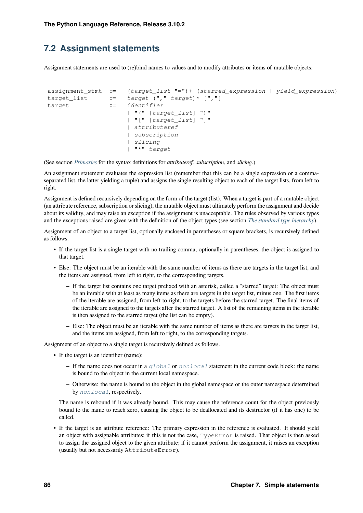# **7.2 Assignment statements**

<span id="page-91-1"></span>Assignment statements are used to (re)bind names to values and to modify attributes or items of mutable objects:

```
assignment_stmt ::= (target_list "=")+ (starred_expression | yield_expression)
target_list ::= target ("," target)* [","]
target ::= identifier
                    | "(" [target_list] ")"
                    | "[" [target_list] "]"
                    | attributeref
                    | subscription
                    | slicing
                     | "*" target
```
(See section *Primaries* for the syntax definitions for *attributeref*, *subscription*, and *slicing*.)

An assignment statement evaluates the expression list (remember that this can be a single expression or a commaseparated list, the latter yielding a tuple) and assigns the single resulting object to each of the target lists, from left to right.

Assignment [is defined](#page-78-0) recursively depending on the form of the target (list). When a target is part of a mutable object (an attribute reference, subscription or slicing), the mutable object must ultimately perform the assignment and decide about its validity, and may raise an exception if the assignment is unacceptable. The rules observed by various types and the exceptions raised are given with the definition of the object types (see section *The standard type hierarchy*).

Assignment of an object to a target list, optionally enclosed in parentheses or square brackets, is recursively defined as follows.

- If the target list is a single target with no trailing comma, optionally in parent[heses, the object is assigned](#page-23-0) to that target.
- Else: The object must be an iterable with the same number of items as there are targets in the target list, and the items are assigned, from left to right, to the corresponding targets.
	- **–** If the target list contains one target prefixed with an asterisk, called a "starred" target: The object must be an iterable with at least as many items as there are targets in the target list, minus one. The first items of the iterable are assigned, from left to right, to the targets before the starred target. The final items of the iterable are assigned to the targets after the starred target. A list of the remaining items in the iterable is then assigned to the starred target (the list can be empty).
	- **–** Else: The object must be an iterable with the same number of items as there are targets in the target list, and the items are assigned, from left to right, to the corresponding targets.

Assignment of an object to a single target is recursively defined as follows.

- If the target is an identifier (name):
	- **–** If the name does not occur in a *global* or *nonlocal* statement in the current code block: the name is bound to the object in the current local namespace.
	- **–** Otherwise: the name is bound to the object in the global namespace or the outer namespace determined by *nonlocal*, respectively.

The name is rebound if it was already bound. This may cause the reference count for the object previously bound to the name to reach zero, causing the object to be deallocated and its destructor (if it has one) to be called.

<span id="page-91-0"></span>• If the ta[rget is an att](#page-100-0)ribute reference: The primary expression in the reference is evaluated. It should yield an object with assignable attributes; if this is not the case, TypeError is raised. That object is then asked to assign the assigned object to the given attribute; if it cannot perform the assignment, it raises an exception (usually but not necessarily AttributeError).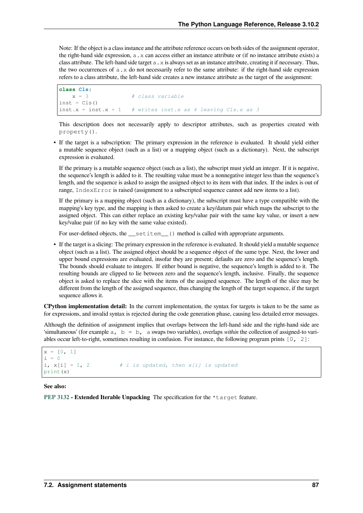Note: If the object is a class instance and the attribute reference occurs on both sides of the assignment operator, the right-hand side expression, a.x can access either an instance attribute or (if no instance attribute exists) a class attribute. The left-hand side target  $a \cdot x$  is always set as an instance attribute, creating it if necessary. Thus, the two occurrences of  $a \cdot x$  do not necessarily refer to the same attribute: if the right-hand side expression refers to a class attribute, the left-hand side creates a new instance attribute as the target of the assignment:

```
class Cls:
   x = 3 # class variable
inst = Cls()inst.x = inst.x + 1 # writes inst.x as 4 leaving Cls.x as 3
```
This description does not necessarily apply to descriptor attributes, such as properties created with property().

• If the target is a subscription: The primary expression in the reference is evaluated. It should yield either a mutable sequence object (such as a list) or a mapping object (such as a dictionary). Next, the subscript expression is evaluated.

If the primary is a mutable sequence object (such as a list), the subscript must yield an integer. If it is negative, the sequence's length is added to it. The resulting value must be a nonnegative integer less than the sequence's length, and the sequence is asked to assign the assigned object to its item with that index. If the index is out of range, IndexError is raised (assignment to a subscripted sequence cannot add new items to a list).

If the primary is a mapping object (such as a dictionary), the subscript must have a type compatible with the mapping's key type, and the mapping is then asked to create a key/datum pair which maps the subscript to the assigned object. This can either replace an existing key/value pair with the same key value, or insert a new key/value pair (if no key with the same value existed).

For user-defined objects, the \_setitem\_() method is called with appropriate arguments.

• If the target is a slicing: The primary expression in the reference is evaluated. It should yield a mutable sequence object (such as a list). The assigned object should be a sequence object of the same type. Next, the lower and upper bound expressions are evaluated, insofar they are present; defaults are zero and the sequence's length. The bounds should evaluate to integers. If either bound is negative, the sequence's length is added to it. The resulting bounds are clipped to lie between zero and the sequence's length, inclusive. Finally, the sequence object is asked to replace the slice with the items of the assigned sequence. The length of the slice may be different from the length of the assigned sequence, thus changing the length of the target sequence, if the target sequence allows it.

**CPython implementation detail:** In the current implementation, the syntax for targets is taken to be the same as for expressions, and invalid syntax is rejected during the code generation phase, causing less detailed error messages.

Although the definition of assignment implies that overlaps between the left-hand side and the right-hand side are 'simultaneous' (for example a, b = b, a swaps two variables), overlaps *within* the collection of assigned-to variables occur left-to-right, sometimes resulting in confusion. For instance, the following program prints [0, 2]:

```
x = [0, 1]i = 0i, x[i] = 1, 2 # i is updated, then x[i] is updated
print(x)
```
#### **See also:**

**PEP 3132 - Extended Iterable Unpacking** The specification for the \*target feature.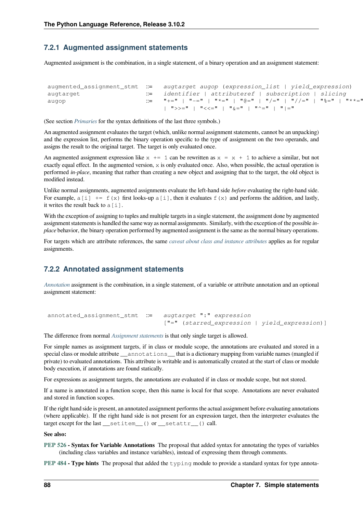### **7.2.1 Augmented assignment statements**

Augmented assignment is the combination, in a single statement, of a binary operation and an assignment statement:

|           | augmented_assignment_stmt ::= augtarget augop (expression_list   yield_expression) |
|-----------|------------------------------------------------------------------------------------|
| augtarget | $\therefore$ identifier   attributeref   subscription   slicing                    |
| auqop     |                                                                                    |
|           | │ ">>=" │ "<<=" │ "&=" │ "^=" │ "│=" │                                             |

(See section *Primaries* for the syntax definitions of the last three symbols.)

An augmented assignment evaluates the target (which, unlike normal assignment statements, cannot be an unpacking) and the expression list, performs the binary operation specific to the type of assignment on the two operands, and assigns ther[esult to the](#page-78-0) original target. The target is only evaluated once.

An augmented assignment expression like  $x \rightarrow 1$  can be rewritten as  $x = x + 1$  to achieve a similar, but not exactly equal effect. In the augmented version,  $x$  is only evaluated once. Also, when possible, the actual operation is performed *in-place*, meaning that rather than creating a new object and assigning that to the target, the old object is modified instead.

Unlike normal assignments, augmented assignments evaluate the left-hand side *before* evaluating the right-hand side. For example,  $a[i]$  +=  $f(x)$  first looks-up  $a[i]$ , then it evaluates  $f(x)$  and performs the addition, and lastly, it writes the result back to  $a[i]$ .

With the exception of assigning to tuples and multiple targets in a single statement, the assignment done by augmented assignment statements is handled the same way as normal assignments. Similarly, with the exception of the possible *inplace* behavior, the binary operation performed by augmented assignment is the same as the normal binary operations.

For targets which are attribute references, the same *caveat about class and instance attributes* applies as for regular assignments.

### **7.2.2 Annotated assignment statem[ents](#page-91-0)**

*Annotation* assignment is the combination, in a single statement, of a variable or attribute annotation and an optional assignment statement:

```
annotated_assignment_stmt ::= augtarget ":" expression
                               ["=" (starred_expression | yield_expression)]
```
The difference from normal *Assignment statements* is that only single target is allowed.

For simple names as assignment targets, if in class or module scope, the annotations are evaluated and stored in a special class or module attribute \_\_annotations\_\_ that is a dictionary mapping from variable names (mangled if private) to evaluated annotations. This attribute is writable and is automatically created at the start of class or module body execution, if annotatio[ns are found statically.](#page-91-1)

For expressions as assignment targets, the annotations are evaluated if in class or module scope, but not stored.

If a name is annotated in a function scope, then this name is local for that scope. Annotations are never evaluated and stored in function scopes.

If the right hand side is present, an annotated assignment performs the actual assignment before evaluating annotations (where applicable). If the right hand side is not present for an expression target, then the interpreter evaluates the target except for the last \_\_setitem\_\_() or \_\_setattr\_\_() call.

#### **See also:**

**PEP 526 - Syntax for Variable Annotations** The proposal that added syntax for annotating the types of variables (including class variables and instance variables), instead of expressing them through comments.

**PEP 484 - Type hints** The proposal that added the typing module to provide a standard syntax for type annota-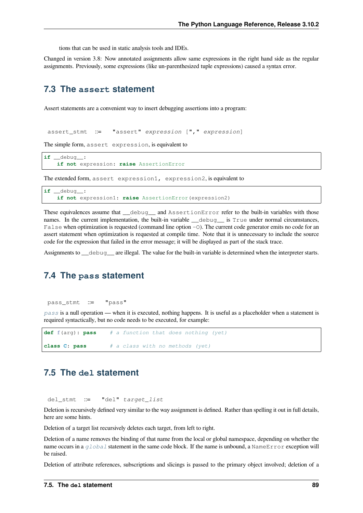tions that can be used in static analysis tools and IDEs.

Changed in version 3.8: Now annotated assignments allow same expressions in the right hand side as the regular assignments. Previously, some expressions (like un-parenthesized tuple expressions) caused a syntax error.

## **7.3 The assert statement**

Assert statements are a convenient way to insert debugging assertions into a program:

assert\_stmt ::= "assert" *expression* ["," *expression*]

The simple form, assert expression, is equivalent to

**if** \_\_debug\_\_: **if not** expression: **raise** AssertionError

The extended form, assert expression1, expression2, is equivalent to

```
if __debug__:
    if not expression1: raise AssertionError(expression2)
```
These equivalences assume that \_\_debug\_\_ and AssertionError refer to the built-in variables with those names. In the current implementation, the built-in variable  $\_\_\_\_\_\_\$ is True under normal circumstances, False when optimization is requested (command line option -0). The current code generator emits no code for an assert statement when optimization is requested at compile time. Note that it is unnecessary to include the source code for the expression that failed in the error message; it will be displayed as part of the stack trace.

Assignments to  $\delta$  debug are illegal. The value for the built-in variable is determined when the interpreter starts.

### **7.4 The pass statement**

<span id="page-94-1"></span>pass\_stmt ::= "pass"

*pass* is a null operation — when it is executed, nothing happens. It is useful as a placeholder when a statement is required syntactically, but no code needs to be executed, for example:

```
def f(arg): pass # a function that does nothing (yet)
class C: pass # a class with no methods (yet)
```
## **7.5 The del statement**

<span id="page-94-0"></span>del\_stmt ::= "del" *target\_list*

Deletion is recursively defined very similar to the way assignment is defined. Rather than spelling it out in full details, here are some hints.

Deletion of a target list recursively deletes each target, from left to right.

Deletion of a name removes the binding of that name from the local or global namespace, depending on whether the name occurs in a *global* statement in the same code block. If the name is unbound, a NameError exception will be raised.

Deletion of attribute references, subscriptions and slicings is passed to the primary object involved; deletion of a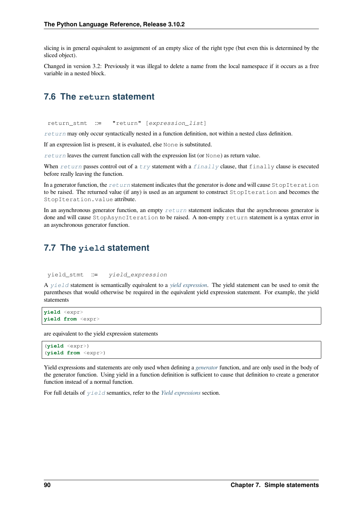slicing is in general equivalent to assignment of an empty slice of the right type (but even this is determined by the sliced object).

Changed in version 3.2: Previously it was illegal to delete a name from the local namespace if it occurs as a free variable in a nested block.

# **7.6 The return statement**

<span id="page-95-1"></span>return\_stmt ::= "return" [*expression\_list*]

*return* may only occur syntactically nested in a function definition, not within a nested class definition.

If an expression list is present, it is evaluated, else None is substituted.

*return* leaves the current function call with the expression list (or None) as return value.

[When](#page-95-1) *return* passes control out of a *try* statement with a *finally* clause, that finally clause is executed before really leaving the function.

[In a gener](#page-95-1)ator function, the *return* statement indicates that the generator is done and will cause StopIteration to be raised. The returned value (if an[y\) is u](#page-104-0)sed as an argum[ent to const](#page-104-0)ruct StopIteration and becomes the Stop[Iterati](#page-95-1)on.value attribute.

In an asynchronous generator function, an empty *return* statement indicates that the asynchronous generator is done and will cause Stop[AsyncIt](#page-95-1)eration to be raised. A non-empty return statement is a syntax error in an asynchronous generator function.

# **7.7 The yield statement**

<span id="page-95-0"></span>yield\_stmt ::= *yield\_expression*

A *yield* statement is semantically equivalent to a *yield expression*. The yield statement can be used to omit the parentheses that would otherwise be required in the equivalent yield expression statement. For example, the yield statements

**yield** <expr> **y[ield fr](#page-95-0)om** <expr>

are equivalent to the yield expression statements

```
(yield <expr>)
(yield from <expr>)
```
Yield expressions and statements are only used when defining a *generator* function, and are only used in the body of the generator function. Using yield in a function definition is sufficient to cause that definition to create a generator function instead of a normal function.

For full details of *yield* semantics, refer to the *Yield expressions* [section](#page-140-0).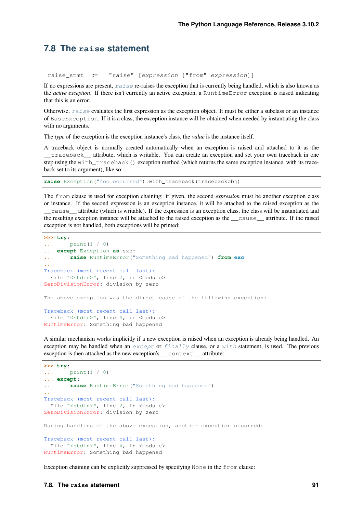## **7.8 The raise statement**

<span id="page-96-0"></span>raise\_stmt ::= "raise" [*expression* ["from" *expression*]]

If no expressions are present, *raise* re-raises the exception that is currently being handled, which is also known as the *active exception*. If there isn't currently an active exception, a RuntimeError exception is raised indicating that this is an error.

Otherwise, *raise* evaluates the first expression as the exception object. It must be either a subclass or an instance of BaseException. If iti[s a class,](#page-96-0) the exception instance will be obtained when needed by instantiating the class with no arguments.

The *type* of [the exce](#page-96-0)ption is the exception instance's class, the *value* is the instance itself.

A traceback object is normally created automatically when an exception is raised and attached to it as the \_\_traceback\_\_ attribute, which is writable. You can create an exception and set your own traceback in one step using the with\_traceback() exception method (which returns the same exception instance, with its traceback set to its argument), like so:

raise Exception("foo occurred").with\_traceback(tracebackobj)

The from clause is used for exception chaining: if given, the second *expression* must be another exception class or instance. If the second expression is an exception instance, it will be attached to the raised exception as the \_\_cause\_\_ attribute (which is writable). If the expression is an exception class, the class will be instantiated and the resulting exception instance will be attached to the raised exception as the \_\_cause\_\_ attribute. If the raised exception is not handled, both exceptions will be printed:

```
>>> try:
... print(1 / 0)
... except Exception as exc:
... raise RuntimeError("Something bad happened") from exc
...
Traceback (most recent call last):
File "<stdin>", line 2, in <module>
ZeroDivisionError: division by zero
The above exception was the direct cause of the following exception:
Traceback (most recent call last):
File "<stdin>", line 4, in <module>
RuntimeError: Something bad happened
```
A similar mechanism works implicitly if a new exception is raised when an exception is already being handled. An exception may be handled when an *except* or *finally* clause, or a *with* statement, is used. The previous exception is then attached as the new exception's context attribute:

```
>>> try:
... print(1 / 0)
... except:
... raise RuntimeError("Something bad happened")
...
Traceback (most recent call last):
File "<stdin>", line 2, in <module>
ZeroDivisionError: division by zero
During handling of the above exception, another exception occurred:
Traceback (most recent call last):
 File "<stdin>", line 4, in <module>
RuntimeError: Something bad happened
```
Exception chaining can be explicitly suppressed by specifying None in the from clause: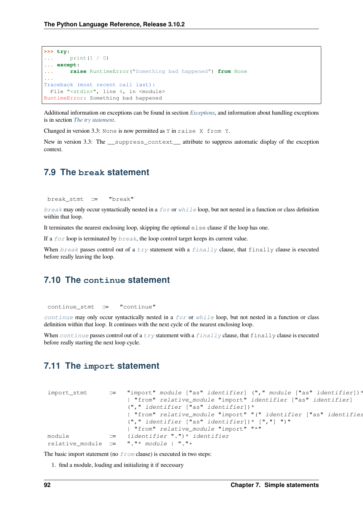```
>>> try:
... print(1 / 0)
... except:
... raise RuntimeError("Something bad happened") from None
...
Traceback (most recent call last):
 File "<stdin>", line 4, in <module>
RuntimeError: Something bad happened
```
Additional information on exceptions can be found in section *Exceptions*, and information about handling exceptions is in section *The try statement*.

Changed in version 3.3: None is now permitted as Y in raise X from Y.

New in version 3.3: The suppress\_context att[ribute to su](#page-54-0)ppress automatic display of the exception context.

## **7.9 The break statement**

```
break stmt := "break"
```
*break* may only occur syntactically nested in a *for* or *while* loop, but not nested in a function or class definition within that loop.

It terminates the nearest enclosing loop, skipping the optional else clause if the loop has one.

[If a](#page-97-0) *for* loop is terminated by *break*, the loop [cont](#page-103-0)rol [target k](#page-103-1)eeps its current value.

When *break* passes control out of a *try* statement with a *finally* clause, that finally clause is executed before really leaving the loop.

## **7.10 [The](#page-97-0) continue st[ate](#page-104-0)ment**

<span id="page-97-1"></span>continue\_stmt ::= "continue"

*continue* may only occur syntactically nested in a *for* or *while* loop, but not nested in a function or class definition within that loop. It continues with the next cycle of the nearest enclosing loop.

When *continue* passes control out of a *try* statement with a *finally* clause, that finally clause is executed [before really](#page-97-1) starting the next loop cycle.

## **7.11 [The](#page-97-1) import state[men](#page-104-0)t**

<span id="page-97-2"></span>

| import stmt | $ ::=$ "import" module ["as" identifier] ("," module ["as" identifier]) *                                           |
|-------------|---------------------------------------------------------------------------------------------------------------------|
|             | "from" relative_module "import" identifier ["as" identifier]                                                        |
|             | $\langle$ "," identifier ["as" identifier])*                                                                        |
|             | "from" relative_module "import" "(" identifier ["as" identifier]                                                    |
|             | $(\mathsf{''}, \mathsf{''}$ identifier $(\mathsf{''as''}$ identifier])* $(\mathsf{''}, \mathsf{''}, \mathsf{''})$ " |
|             | "from" relative module "import" "*"                                                                                 |
| module      | $ ::=$ (identifier ".")* identifier                                                                                 |
|             | relative module $ ::=$ "."* module $ $ "."+                                                                         |

The basic import statement (no *from* clause) is executed in two steps:

1. find a module, loading and initializing it if necessary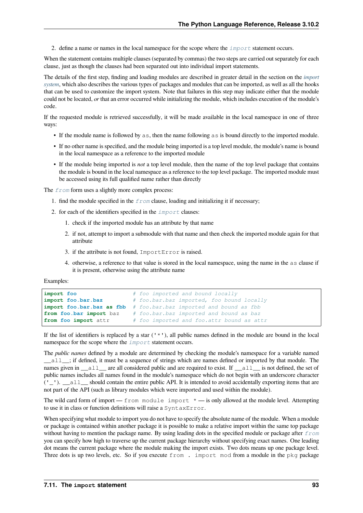2. define a name or names in the local namespace for the scope where the *import* statement occurs.

When the statement contains multiple clauses (separated by commas) the two steps are carried out separately for each clause, just as though the clauses had been separated out into individual import statements.

The details of the first step, finding and loading modules are described in gre[ater detail](#page-97-2) in the section on the *import system*, which also describes the various types of packages and modules that can be imported, as well as all the hooks that can be used to customize the import system. Note that failures in this step may indicate either that the module could not be located, *or* that an error occurred while initializing the module, which includes execution of the module's code.

[If the](#page-56-0) requested module is retrieved successfully, it will be made available in the local namespace in one of three ways:

- If the module name is followed by as, then the name following as is bound directly to the imported module.
- If no other name is specified, and the module being imported is a top level module, the module's name is bound in the local namespace as a reference to the imported module
- If the module being imported is *not* a top level module, then the name of the top level package that contains the module is bound in the local namespace as a reference to the top level package. The imported module must be accessed using its full qualified name rather than directly

The *from* form uses a slightly more complex process:

- 1. find the module specified in the *from* clause, loading and initializing it if necessary;
- 2. for each of the identifiers specified in the *import* clauses:
	- [1.](#page-97-2) check if the imported module has an attribute by that name
	- 2. if not, attempt to import a [submo](#page-97-2)dule with that name and then check the imported module again for that attribute
	- 3. if the attribute is not found, ImportError is raised.
	- 4. otherwise, a reference to that value is stored in the local namespace, using the name in the as clause if it is present, otherwise using the attribute name

Examples:

```
import foo # foo imported and bound locally
import foo.bar.baz # foo.bar.baz imported, foo bound locally
import foo.bar.baz as fbb # foo.bar.baz imported and bound as fbb
from foo.bar import baz # foo.bar.baz imported and bound as baz
from foo import attr # foo imported and foo.attr bound as attr
```
If the list of identifiers is replaced by a star  $(1 \times 1)$ , all public names defined in the module are bound in the local namespace for the scope where the *import* statement occurs.

The *public names* defined by a module are determined by checking the module's namespace for a variable named \_\_all\_\_; if defined, it must be a sequence of strings which are names defined or imported by that module. The names given in \_\_all\_ are all considered public and are required to exist. If \_\_all\_ is not defined, the set of public names includes all names fo[und in the](#page-97-2) module's namespace which do not begin with an underscore character  $('_')$ .  $\_all\_$  should contain the entire public API. It is intended to avoid accidentally exporting items that are not part of the API (such as library modules which were imported and used within the module).

The wild card form of import  $-$  from module import  $*$  — is only allowed at the module level. Attempting to use it in class or function definitions will raise a SyntaxError.

When specifying what module to import you do not have to specify the absolute name of the module. When a module or package is contained within another package it is possible to make a relative import within the same top package without having to mention the package name. By using leading dots in the specified module or package after *from* you can specify how high to traverse up the current package hierarchy without specifying exact names. One leading dot means the current package where the module making the import exists. Two dots means up one package level. Three dots is up two levels, etc. So if you execute from . import mod from a module in the pkg package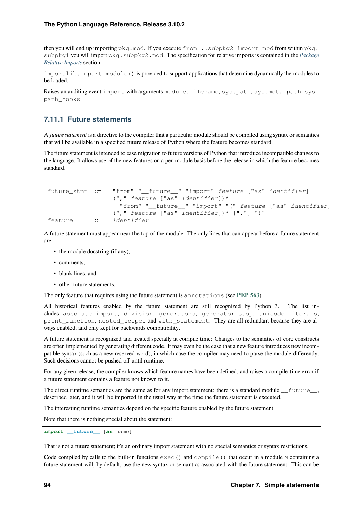then you will end up importing pkg.mod. If you execute from ..subpkg2 import mod from within pkg. subpkg1 you will import pkg.subpkg2.mod. The specification for relative imports is contained in the *Package Relative Imports* section.

importlib.import\_module() is provided to support applications that determine dynamically the modules to be loaded.

[Raises an auditin](#page-66-0)g event import with arguments module, filename, [sys.](#page-66-0)path, sys.meta path, sys. path\_hooks.

#### **7.11.1 Future statements**

A *future statement* is a directive to the compiler that a particular module should be compiled using syntax or semantics that will be available in a specified future release of Python where the feature becomes standard.

The future statement is intended to ease migration to future versions of Python that introduce incompatible changes to the language. It allows use of the new features on a per-module basis before the release in which the feature becomes standard.

```
future_stmt ::= "from" "__future__" "import" feature ["as" identifier]
                 ("," feature ["as" identifier])*
                 | "from" "__future__" "import" "(" feature ["as" identifier]
                 ("," feature ["as" identifier])* [","] ")"
feature ::= identifier
```
A future statement must appear near the top of the module. The only lines that can appear before a future statement are:

- the module docstring (if any),
- comments,
- blank lines, and
- other future statements.

The only feature that requires using the future statement is annotations (see **PEP 563**).

All historical features enabled by the future statement are still recognized by Python 3. The list includes absolute\_import, division, generators, generator\_stop, unicode\_literals, print\_function, nested\_scopes and with\_statement. They are [all redund](https://www.python.org/dev/peps/pep-0563)ant because they are always enabled, and only kept for backwards compatibility.

A future statement is recognized and treated specially at compile time: Changes to the semantics of core constructs are often implemented by generating different code. It may even be the case that a new feature introduces new incompatible syntax (such as a new reserved word), in which case the compiler may need to parse the module differently. Such decisions cannot be pushed off until runtime.

For any given release, the compiler knows which feature names have been defined, and raises a compile-time error if a future statement contains a feature not known to it.

The direct runtime semantics are the same as for any import statement: there is a standard module future, described later, and it will be imported in the usual way at the time the future statement is executed.

The interesting runtime semantics depend on the specific feature enabled by the future statement.

Note that there is nothing special about the statement:

**import \_\_future\_\_** [**as** name]

That is not a future statement; it's an ordinary import statement with no special semantics or syntax restrictions.

Code compiled by calls to the built-in functions  $\epsilon \times \epsilon c$  () and compile () that occur in a module M containing a future statement will, by default, use the new syntax or semantics associated with the future statement. This can be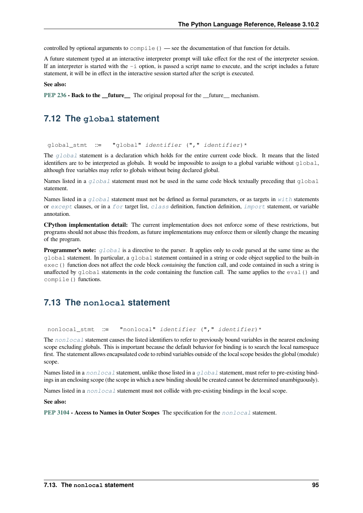controlled by optional arguments to  $\text{compile}( )$  — see the documentation of that function for details.

A future statement typed at an interactive interpreter prompt will take effect for the rest of the interpreter session. If an interpreter is started with the  $-i$  option, is passed a script name to execute, and the script includes a future statement, it will be in effect in the interactive session started after the script is executed.

#### **See also:**

**PEP 236 - Back to the \_\_future\_\_** The original proposal for the \_\_future\_\_ mechanism.

# **[7.12](https://www.python.org/dev/peps/pep-0236) The global statement**

<span id="page-100-1"></span>global\_stmt ::= "global" *identifier* ("," *identifier*)\*

The *global* statement is a declaration which holds for the entire current code block. It means that the listed identifiers are to be interpreted as globals. It would be impossible to assign to a global variable without global, although free variables may refer to globals without being declared global.

Names listed in a *global* statement must not be used in the same code block textually preceding that global state[ment.](#page-100-1)

Names listed in a *global* statement must not be defined as formal parameters, or as targets in *with* statements or *except* claus[es, or in a](#page-100-1) *for* target list, *class* definition, function definition, *import* statement, or variable annotation.

**CPython implementation detail:** The current implementation does not enforce some of these restrictions, but programs shouldn[ot abuse t](#page-100-1)[his fre](#page-103-0)edom, asf[uture im](#page-117-0)plementations may enforce the[m or silent](#page-97-2)ly c[hange th](#page-106-0)e meaning of [the progra](#page-104-0)m.

**Programmer's note:** *global* is a directive to the parser. It applies only to code parsed at the same time as the global statement. In particular, a global statement contained in a string or code object supplied to the built-in exec() function does not affect the code block *containing* the function call, and code contained in such a string is unaffected by  $q$ lobal statements in the code containing the function call. The same applies to the  $eval()$  and compile() function[s.](#page-100-1)

# **7.13 The nonlocal statement**

<span id="page-100-0"></span>nonlocal\_stmt ::= "nonlocal" *identifier* ("," *identifier*)\*

The *nonlocal* statement causes the listed identifiers to refer to previously bound variables in the nearest enclosing scope excluding globals. This is important because the default behavior for binding is to search the local namespace first. The statement allows encapsulated code to rebind variables outside of the local scope besides the global (module) scope.

Na[mes listed in a](#page-100-0) *nonlocal* statement, unlike those listed in a *global* statement, must refer to pre-existing bindings in an enclosing scope (the scope in which a new binding should be created cannot be determined unambiguously).

Names listed in a *nonlocal* statement must not collide with pre-existing bindings in the local scope.

**See also:**

**PEP 3104 - Access to Names in Outer Scopes** The specification for the *nonlocal* statement.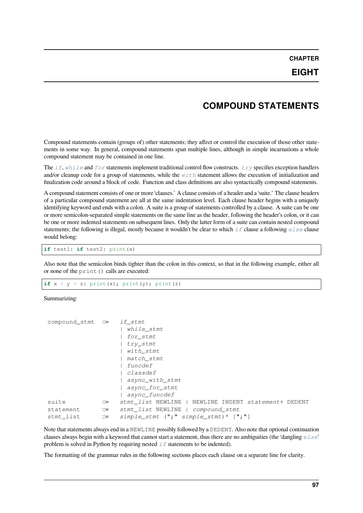# **COMPOUND STATEMENTS**

Compound statements contain (groups of) other statements; they affect or control the execution of those other statements in some way. In general, compound statements span multiple lines, although in simple incarnations a whole compound statement may be contained in one line.

The *if*, *while* and *for* statements implement traditional control flow constructs. *try* specifies exception handlers and/or cleanup code for a group of statements, while the *with* statement allows the execution of initialization and finalization code around a block of code. Function and class definitions are also syntactically compound statements.

A compound statement consists of one or more 'clauses.' A clause consists of a header and a 'suite.' The clause headers ofa [par](#page-103-2)t[icular co](#page-103-1)mp[ound](#page-103-0) statement are all at the same indentation level. Each cla[use he](#page-104-0)ader begins with a uniquely identifying keyword and ends with a colon. A suite is a gro[up of s](#page-106-0)tatements controlled by a clause. A suite can be one or more semicolon-separated simple statements on the same line as the header, following the header's colon, or it can be one or more indented statements on subsequent lines. Only the latter form of a suite can contain nested compound statements; the following is illegal, mostly because it wouldn't be clear to which *if* clause a following *else* clause would belong:

```
if test1: if test2: print(x)
```
Also note that the semicolon binds tighter than the colon in this context, so that [in t](#page-103-2)he following exam[ple, eit](#page-103-2)her all or none of the print() calls are executed:

**if**  $x < y < z$ : print(x); print(y); print(z)

Summarizing:

```
compound_stmt ::= if_stmt
                   | while_stmt
                   | for_stmt
                   | try_stmt
                   | with_stmt
                   | match_stmt
                   | funcdef
                   | classdef
                   | async_with_stmt
                   | async_for_stmt
                   | async_funcdef
suite ::= stmt list NEWLINE | NEWLINE INDENT statement+ DEDENT
statement ::= stmt_list NEWLINE | compound_stmt
stmt_list ::= simple_stmt (";" simple_stmt)* [";"]
```
Note that statements always end in a NEWLINE possibly followed by a DEDENT. Also note that optional continuation clauses always begin with a keyword that cannot start a statement, thus there are no ambiguities (the 'dangling *else*' problem is solved in Python by requiring nested  $\exists f$  statements to be indented).

The formatting of the grammar rules in the following sections places each clause on a separate line for clarity.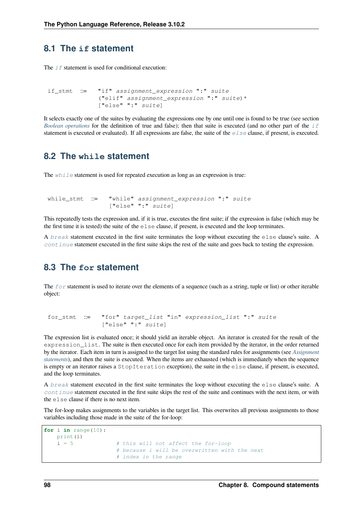## **8.1 The if statement**

<span id="page-103-2"></span>The *if* statement is used for conditional execution:

```
if_stmt ::= "if" assignment_expression ":" suite
              ("elif" assignment_expression ":" suite)*
              ["else" ":" suite]
```
It selects exactly one of the suites by evaluating the expressions one by one until one is found to be true (see section *Boolean operations* for the definition of true and false); then that suite is executed (and no other part of the *if* statement is executed or evaluated). If all expressions are false, the suite of the *else* clause, if present, is executed.

## **8.2 [The](#page-86-2) while statement**

<span id="page-103-1"></span>The *while* statement is used for repeated execution as long as an expression is true:

```
while_stmt ::= "while" assignment_expression ":" suite
                ["else" ":" suite]
```
This repeatedly tests the expression and, if it is true, executes the first suite; if the expression is false (which may be the first time it is tested) the suite of the else clause, if present, is executed and the loop terminates.

A *break* statement executed in the first suite terminates the loop without executing the else clause's suite. A *continue* statement executed in the first suite skips the rest of the suite and goes back to testing the expression.

## **8.3 [Th](#page-97-0)[e](#page-97-1) for statement**

<span id="page-103-0"></span>The *for* statement is used to iterate over the elements of a sequence (such as a string, tuple or list) or other iterable object:

```
for_stmt ::= "for" target_list "in" expression_list ":" suite
              ["else" ":" suite]
```
The expression list is evaluated once; it should yield an iterable object. An iterator is created for the result of the expression\_list. The suite is then executed once for each item provided by the iterator, in the order returned by the iterator. Each item in turn is assigned to the target list using the standard rules for assignments (see *Assignment statements*), and then the suite is executed. When the items are exhausted (which is immediately when the sequence is empty or an iterator raises a StopIteration exception), the suite in the else clause, if present, is executed, and the loop terminates.

A *break* statement executed in the first suite terminates the loop without executing the else claus[e's suite. A](#page-91-1) *[continu](#page-91-1)e* statement executed in the first suite skips the rest of the suite and continues with the next item, or with the else clause if there is no next item.

The for-loop makes assignments to the variables in the target list. This overwrites all previous assignments to those [va](#page-97-1)[riables i](#page-97-0)[nc](#page-97-1)luding those made in the suite of the for-loop:

```
for i in range(10):
   print(i)
   i = 5 # this will not affect the for-loop
                    # because i will be overwritten with the next
                    # index in the range
```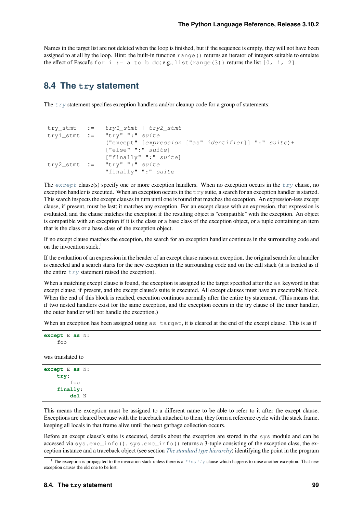Names in the target list are not deleted when the loop is finished, but if the sequence is empty, they will not have been assigned to at all by the loop. Hint: the built-in function range() returns an iterator of integers suitable to emulate the effect of Pascal's for  $i := a \text{ to } b \text{ do}; e.g., \text{list}(\text{range}(3))$  returns the list  $[0, 1, 2]$ .

# **8.4 The try statement**

<span id="page-104-0"></span>The  $t<sub>Y</sub>$  statement specifies exception handlers and/or cleanup code for a group of statements:

```
try_stmt ::= try1_stmt | try2_stmt
try1_stmt ::= "try" ":" suite
               ("except" [expression ["as" identifier]] ":" suite)+
               ["else" ":" suite]
               ["finally" ":" suite]
try2_stmt ::= "try" ":" suite
               "finally" ":" suite
```
The  $except$  clause(s) specify one or more exception handlers. When no exception occurs in the  $try$  clause, no exception handler is executed. When an exception occurs in the  $\pm \text{ry}$  suite, a search for an exception handler is started. This search inspects the except clauses in turn until one is found that matches the exception. An expression-less except clause, if present, must be last; it matches any exception. For an except clause with an expression, that expression is eval[uated, and](#page-104-0) the clause matches the exception if the resulting object is "compatible" with the exce[ption.](#page-104-0) An object is compatible with an exception if it is the class or a base class of the exception object, or a tuple containing an item that is the class or a base class of the exception object.

If no except clause matches the exception, the search for an exception handler continues in the surrounding code and on the invocation stack. $<sup>1</sup>$ </sup>

If the evaluation of an expression in the header of an except clause raises an exception, the original search for a handler is canceled and a search starts for the new exception in the surrounding code and on the call stack (it is treated as if the e[nt](#page-104-1)ire  $t_{TY}$  statement raised the exception).

When a matching except clause is found, the exception is assigned to the target specified after the  $\alpha$ s keyword in that except clause, if present, and the except clause's suite is executed. All except clauses must have an executable block. When the end of this block is reached, execution continues normally after the entire try statement. (This means that if two ne[sted h](#page-104-0)andlers exist for the same exception, and the exception occurs in the try clause of the inner handler, the outer handler will not handle the exception.)

When an exception has been assigned using as target, it is cleared at the end of the except clause. This is as if

```
except E as N:
    foo
```
was translated to

```
except E as N:
    try:
        foo
    finally:
        del N
```
This means the exception must be assigned to a different name to be able to refer to it after the except clause. Exceptions are cleared because with the traceback attached to them, they form a reference cycle with the stack frame, keeping all locals in that frame alive until the next garbage collection occurs.

Before an except clause's suite is executed, details about the exception are stored in the sys module and can be accessed via sys.exc\_info(). sys.exc\_info() returns a 3-tuple consisting of the exception class, the exception instance and a traceback object (see section *The standard type hierarchy*) identifying the point in the program

<span id="page-104-1"></span><sup>1</sup> The exception is propagated to the invocation stack unless there is a *finally* clause which happens to raise another exception. That new exception causes the old one to be lost.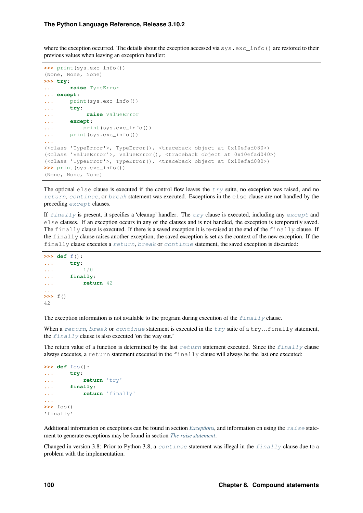where the exception occurred. The details about the exception accessed via  $sys$ .exc $info()$  are restored to their previous values when leaving an exception handler:

```
>>> print(sys.exc_info())
(None, None, None)
>>> try:
... raise TypeError
... except:
... print(sys.exc_info())
... try:
... raise ValueError
... except:
... print(sys.exc_info())
... print(sys.exc_info())
...
(<class 'TypeError'>, TypeError(), <traceback object at 0x10efad080>)
(<class 'ValueError'>, ValueError(), <traceback object at 0x10efad040>)
(<class 'TypeError'>, TypeError(), <traceback object at 0x10efad080>)
>>> print(sys.exc_info())
(None, None, None)
```
The optional else clause is executed if the control flow leaves the *try* suite, no exception was raised, and no *return*, *continue*, or *break* statement was executed. Exceptions in the else clause are not handled by the preceding *except* clauses.

If *finally* is present, it specifies a 'cleanup' handler. The *try* clause is executed, including any *except* and else clauses. If an exception occurs in any of the clauses and is not [hand](#page-104-0)led, the exception is temporarily saved. The [fina](#page-95-1)lly [clause i](#page-97-1)s e[xecuted.](#page-97-0) If there is a saved exception it is re-raised at the end of the finally clause. If the finally [claus](#page-104-0)e raises another exception, the saved exception is set as the context of the new exception. If the f[inally](#page-104-0) clause executes a *return*, *break* or *continue* [state](#page-104-0)ment, the saved exception is disca[rded:](#page-104-0)

```
>>> def f():
... try:
... 1/0
... finally:
... return 42
...
>>> f()
42
```
The exception information is not available to the program during execution of the *finally* clause.

When a *return*, *break* or *continue* statement is executed in the *try* suite of a try…finally statement, the *finally* clause is also executed 'on the way out.'

The return value of a function is determined by the last *return* statement exec[uted. Since](#page-104-0) the *finally* clause alwayse[xecutes, a](#page-95-1) [return](#page-97-0) st[atement exec](#page-97-1)uted in the finally claus[e will](#page-104-0) always be the last one executed:

```
>>> def foo():
... try:
... return 'try'
... finally:
... return 'finally'
...
>>> foo()
'finally'
```
Additional information on exceptions can be found in section *Exceptions*, and information on using the *raise* statement to generate exceptions may be found in section *The raise statement*.

Changed in version 3.8: Prior to Python 3.8, a *continue* statement was illegal in the *finally* clause due to a problem with the implementation.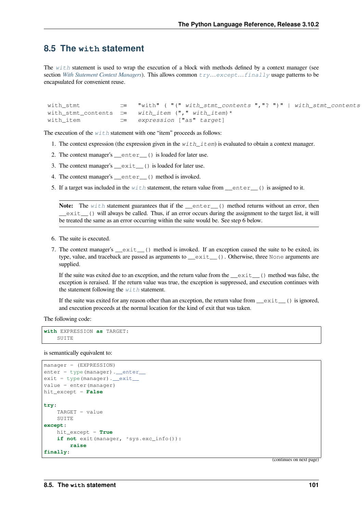# **8.5 The with statement**

<span id="page-106-0"></span>The *with* statement is used to wrap the execution of a block with methods defined by a context manager (see section *With Statement Context Managers*). This allows common *try*…*except*…*finally* usage patterns to be encapsulated for convenient reuse.

```
_stmt ::=h_stt_contents ", "? ")" | with_stmt_contents ) '
with_stmt_contents ::= with_item ("," with_item)*
with_item ::= expression ["as" target]
```
The execution of the *with* statement with one "item" proceeds as follows:

- 1. The context expression (the expression given in the *with\_item*) is evaluated to obtain a context manager.
- 2. The context manager's \_\_enter\_\_() is loaded for later use.
- 3. The context m[anager](#page-106-0)'s \_\_exit\_\_() is loaded for later use.
- 4. The context manager's \_\_enter\_() method is invoked.
- 5. If a target was included in the *with* statement, the return value from \_\_enter\_\_() is assigned to it.

**Note:** The *with* statement guarantees that if the \_\_enter\_\_() method returns without an error, then  $\frac{1}{2}$  = exit () will always be called. Thus, if an error occurs during the assignment to the target list, it will be treated the same as an erro[r occur](#page-106-0)ring within the suite would be. See step 6 below.

- 6. The suite is [execute](#page-106-0)d.
- 7. The context manager's 
sexit
suit () method is invoked. If an exception caused the suite to be exited, its type, value, and traceback are passed as arguments to  $\rho$  exit $\qquad$  (). Otherwise, three None arguments are supplied.

If the suite was exited due to an exception, and the return value from the  $\rho$ = $\alpha$  it  $\rho$ () method was false, the exception is reraised. If the return value was true, the exception is suppressed, and execution continues with the statement following the *with* statement.

If the suite was exited for any reason other than an exception, the return value from \_\_exit\_\_() is ignored, and execution proceeds at the normal location for the kind of exit that was taken.

The following code:

```
with EXPRESSION as TARGET:
    SUITE
```
is semantically equivalent to:

```
manager = (EXPRESSION)enter = type(manager) .__enter_
exit = type(manager) . \text{__exit__}value = enter(manager)
hit_except = False
try:
    TARGET = value
    SUITE
except:
    hit_except = True
    if not exit(manager, *sys.exc_info()):
        raise
finally:
```
(continues on next page)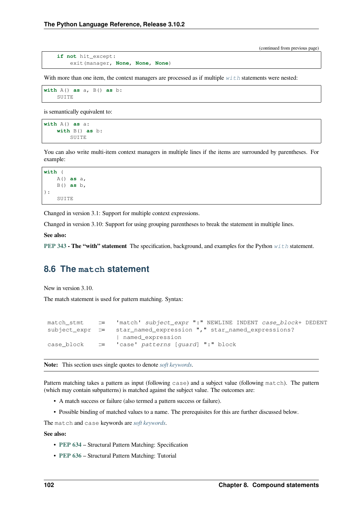```
if not hit_except:
    exit(manager, None, None, None)
```
With more than one item, the context managers are processed as if multiple  $with$  statements were nested:

**with** A() **as** a, B() **as** b: SUITE

is semantically equivalent to:

```
with A() as a:
    with B() as b:
        SUITE
```
You can also write multi-item context managers in multiple lines if the items are surrounded by parentheses. For example:

```
with (
    A() as a,
    B() as b,
):
    SUITE
```
Changed in version 3.1: Support for multiple context expressions.

Changed in version 3.10: Support for using grouping parentheses to break the statement in multiple lines.

**See also:**

**PEP 343 - The "with" statement** The specification, background, and examples for the Python *with* statement.

### **[8.6](https://www.python.org/dev/peps/pep-0343) The match statement**

New in version 3.10.

The match statement is used for pattern matching. Syntax:

```
match_stmt ::= 'match' subject_expr ":" NEWLINE INDENT case_block+ DEDENT
subject_expr ::= star_named_expression "," star_named_expressions?
                 | named_expression
case_block ::= 'case' patterns [guard] ":" block
```
**Note:** This section uses single quotes to denote *soft keywords*.

Pattern matching takes a pattern as input (following case) and a subject value (following match). The pattern (which may contain subpatterns) is matched agai[nst the subject](#page-14-0) value. The outcomes are:

- A match success or failure (also termed a pattern success or failure).
- Possible binding of matched values to a name. The prerequisites for this are further discussed below.

The match and case keywords are *soft keywords*.

**See also:**

- **PEP 634** Structural Pattern Matching: Specification
- **PEP 636** Structural Pattern [Matching: Tut](#page-14-0)orial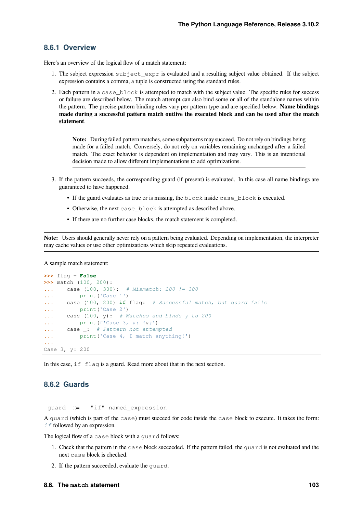## **8.6.1 Overview**

Here's an overview of the logical flow of a match statement:

- 1. The subject expression subject\_expr is evaluated and a resulting subject value obtained. If the subject expression contains a comma, a tuple is constructed using the standard rules.
- 2. Each pattern in a case\_block is attempted to match with the subject value. The specific rules for success or failure are described below. The match attempt can also bind some or all of the standalone names within the pattern. The precise pattern binding rules vary per pattern type and are specified below. **Name bindings made during a successful pattern match outlive the executed block and can be used after the match statement**.

**Note:** During failed pattern matches, some subpatterns may succeed. Do not rely on bindings being made for a failed match. Conversely, do not rely on variables remaining unchanged after a failed match. The exact behavior is dependent on implementation and may vary. This is an intentional decision made to allow different implementations to add optimizations.

- 3. If the pattern succeeds, the corresponding guard (if present) is evaluated. In this case all name bindings are guaranteed to have happened.
	- If the guard evaluates as true or is missing, the block inside case\_block is executed.
	- Otherwise, the next case\_block is attempted as described above.
	- If there are no further case blocks, the match statement is completed.

**Note:** Users should generally never rely on a pattern being evaluated. Depending on implementation, the interpreter may cache values or use other optimizations which skip repeated evaluations.

A sample match statement:

```
>>> flag = False
>>> match (100, 200):
... case (100, 300): # Mismatch: 200 != 300
... print('Case 1')
... case (100, 200) if flag: # Successful match, but guard fails
... print('Case 2')
... case (100, y): # Matches and binds y to 200
... print(f'Case 3, y: {y}')
... case _: # Pattern not attempted
... print('Case 4, I match anything!')
...
Case 3, y: 200
```
In this case, if flag is a guard. Read more about that in the next section.

## **8.6.2 Guards**

guard ::= "if" named\_expression

A guard (which is part of the case) must succeed for code inside the case block to execute. It takes the form: *if* followed by an expression.

The logical flow of a case block with a guard follows:

- 1. Check that the pattern in the case block succeeded. If the pattern failed, the guard is not evaluated and the next case block is checked.
- 2. If the pattern succeeded, evaluate the guard.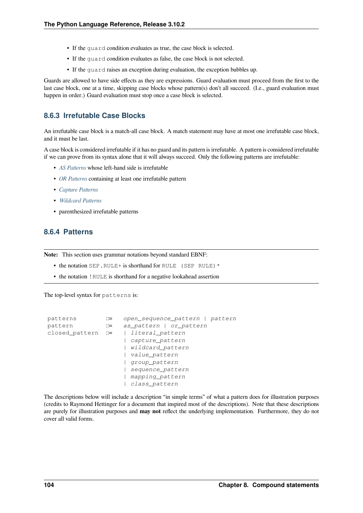- If the guard condition evaluates as true, the case block is selected.
- If the guard condition evaluates as false, the case block is not selected.
- If the guard raises an exception during evaluation, the exception bubbles up.

Guards are allowed to have side effects as they are expressions. Guard evaluation must proceed from the first to the last case block, one at a time, skipping case blocks whose pattern(s) don't all succeed. (I.e., guard evaluation must happen in order.) Guard evaluation must stop once a case block is selected.

## **8.6.3 Irrefutable Case Blocks**

An irrefutable case block is a match-all case block. A match statement may have at most one irrefutable case block, and it must be last.

<span id="page-109-0"></span>A case block is considered irrefutable if it has no guard and its pattern is irrefutable. A pattern is considered irrefutable if we can prove from its syntax alone that it will always succeed. Only the following patterns are irrefutable:

- *AS Patterns* whose left-hand side is irrefutable
- *OR Patterns* containing at least one irrefutable pattern
- *Capture Patterns*
- *[Wildcard Pa](#page-110-0)tterns*
- [parenthesize](#page-110-1)d irrefutable patterns

## **8.6.4 [Patterns](#page-111-0)**

**Note:** This section uses grammar notations beyond standard EBNF:

- the notation SEP. RULE+ is shorthand for RULE (SEP RULE)  $*$
- the notation ! RULE is shorthand for a negative lookahead assertion

The top-level syntax for patterns is:

```
patterns ::= open_sequence_pattern | pattern
pattern ::= as_pattern | or_pattern
closed_pattern ::= | literal_pattern
                    | capture_pattern
                    | wildcard_pattern
                    | value_pattern
                    | group_pattern
                    | sequence_pattern
                    | mapping_pattern
                    | class_pattern
```
The descriptions below will include a description "in simple terms" of what a pattern does for illustration purposes (credits to Raymond Hettinger for a document that inspired most of the descriptions). Note that these descriptions are purely for illustration purposes and **may not** reflect the underlying implementation. Furthermore, they do not cover all valid forms.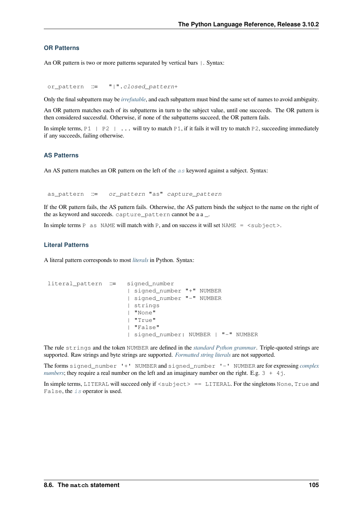#### **OR Patterns**

An OR pattern is two or more patterns separated by vertical bars |. Syntax:

<span id="page-110-1"></span>or\_pattern ::= "|".*closed\_pattern*+

Only the final subpattern may be *irrefutable*, and each subpattern must bind the same set of names to avoid ambiguity.

An OR pattern matches each of its subpatterns in turn to the subject value, until one succeeds. The OR pattern is then considered successful. Otherwise, if none of the subpatterns succeed, the OR pattern fails.

In simple terms,  $P1 \mid P2 \mid \ldots$  [will tr](#page-109-0)y to match P1, if it fails it will try to match P2, succeeding immediately if any succeeds, failing otherwise.

#### **AS Patterns**

<span id="page-110-0"></span>An AS pattern matches an OR pattern on the left of the *as* keyword against a subject. Syntax:

as\_pattern ::= *or\_pattern* "as" *capture\_pattern*

If the OR pattern fails, the AS pattern fails. Otherwise, the AS pattern binds the subject to the name on the right of the as keyword and succeeds. capture\_pattern cannot be a a \_.

In simple terms P as NAME will match with P, and on success it will set NAME =  $\langle \text{subject}\rangle$ .

### **Literal Patterns**

A literal pattern corresponds to most *literals* in Python. Syntax:

```
literal_pattern := signed_number
                      | signed_number "+" NUMBER
                      | signed_number "-" NUMBER
                      | strings
                      | "None"
                      | "True"
                      | "False"
                      | signed_number: NUMBER | "-" NUMBER
```
The rule strings and the token NUMBER are defined in the *standard Python grammar*. Triple-quoted strings are supported. Raw strings and byte strings are supported. *Formatted string literals* are not supported.

The forms signed\_number '+' NUMBER and signed\_number '-' NUMBER are for expressing *complex numbers*; they require a real number on the left and an imagina[ry number on the right. E.g](#page-124-0).  $3 + 4$ j.

In simple terms, LITERAL will succeed only if  $\langle \text{subject}\rangle =$  LITERAL. For the singletons None, True and False, the *is* operator is used.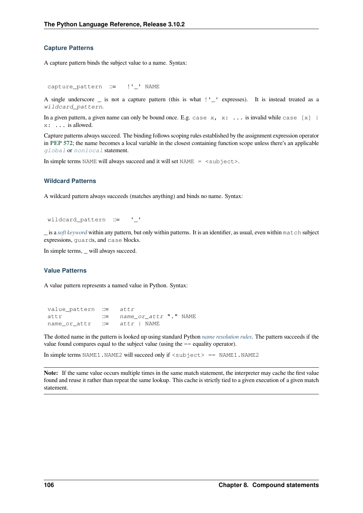#### **Capture Patterns**

A capture pattern binds the subject value to a name. Syntax:

capture\_pattern ::= !'\_' NAME

A single underscore \_ is not a capture pattern (this is what !'\_' expresses). It is instead treated as a *wildcard\_pattern*.

In a given pattern, a given name can only be bound once. E.g. case  $x, x: ...$  is invalid while case  $[x]$  | x: ... is allowed.

Capture patterns always succeed. The binding follows scoping rules established by the assignment expression operator in **PEP 572**; the name becomes a local variable in the closest containing function scope unless there's an applicable *global* or *nonlocal* statement.

In simple terms NAME will always succeed and it will set NAME  $=$   $\langle \text{subject}\rangle$ .

### **[Wildcar](#page-100-0)d [Patterns](#page-100-1)**

<span id="page-111-0"></span>A wildcard pattern always succeeds (matches anything) and binds no name. Syntax:

```
wildcard pattern := ''
```
\_ is a *soft keyword* within any pattern, but only within patterns. It is an identifier, as usual, even within match subject expressions, guards, and case blocks.

In simple terms, \_ will always succeed.

#### **Value Patterns**

A value pattern represents a named value in Python. Syntax:

value\_pattern ::= *attr* attr  $::=$  *name or attr* "." NAME name\_or\_attr ::= *attr* | NAME

The dotted name in the pattern is looked up using standard Python *name resolution rules*. The pattern succeeds if the value found compares equal to the subject value (using the == equality operator).

In simple terms NAME1.NAME2 will succeed only if  $\langle \text{subject} \rangle == \text{NAME1}$ .NAME2

**Note:** If the same value occurs multiple times in the same match [statement, the interpre](#page-53-0)ter may cache the first value found and reuse it rather than repeat the same lookup. This cache is strictly tied to a given execution of a given match statement.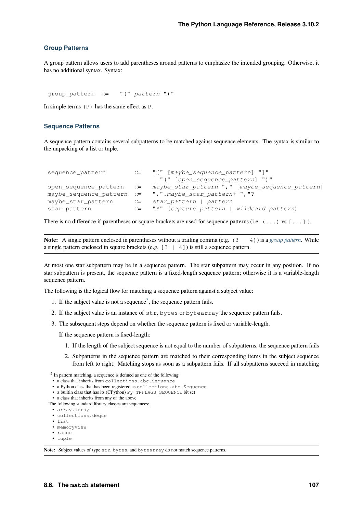#### **Group Patterns**

<span id="page-112-0"></span>A group pattern allows users to add parentheses around patterns to emphasize the intended grouping. Otherwise, it has no additional syntax. Syntax:

group\_pattern ::= "(" *pattern* ")"

In simple terms (P) has the same effect as P.

#### **Sequence Patterns**

A sequence pattern contains several subpatterns to be matched against sequence elements. The syntax is similar to the unpacking of a list or tuple.

```
sequence pattern ::= "[" [maybe sequence pattern] "]"
                          | "(" [open_sequence_pattern] ")"
open_sequence_pattern ::= maybe_star_pattern "," [maybe_sequence_pattern]
maybe_sequence_pattern ::= ",".maybe_star_pattern+ ","?
maybe_star_pattern ::= star_pattern | pattern
star_pattern ::= "*" (capture_pattern | wildcard_pattern)
```
There is no difference if parentheses or square brackets are used for sequence patterns (i.e.  $(\ldots)$  vs  $[\ldots]$ ).

**Note:** A single pattern enclosed in parentheses without a trailing comma (e.g.  $(3 \mid 4)$ ) is a *group pattern*. While a single pattern enclosed in square brackets (e.g.  $\begin{bmatrix} 3 & | & 4 \end{bmatrix}$ ) is still a sequence pattern.

At most one star subpattern may be in a sequence pattern. The star subpattern may occur in any position. If no star subpattern is present, the sequence pattern is a fixed-length sequence pattern; otherwise [it is a variable](#page-112-0)-length sequence pattern.

The following is the logical flow for matching a sequence pattern against a subject value:

- 1. If the subject value is not a sequence<sup>2</sup>, the sequence pattern fails.
- 2. If the subject value is an instance of str, bytes or bytearray the sequence pattern fails.
- 3. The subsequent steps depend on whether the sequence pattern is fixed or variable-length.

If the sequence pattern is fixed-lengt[h](#page-112-1):

- 1. If the length of the subject sequence is not equal to the number of subpatterns, the sequence pattern fails
- 2. Subpatterns in the sequence pattern are matched to their corresponding items in the subject sequence from left to right. Matching stops as soon as a subpattern fails. If all subpatterns succeed in matching

• list

**Note:** Subject values of type str, bytes, and bytearray do not match sequence patterns.

<sup>2</sup> In pattern matching, a sequence is defined as one of the following:

<sup>•</sup> a class that inherits from collections.abc.Sequence

<sup>•</sup> a Python class that has been registered as collections.abc.Sequence

<sup>•</sup> a builtin class that has its (CPython) Py\_TPFLAGS\_SEQUENCE bit set

<sup>•</sup> a class that inherits from any of the above

<span id="page-112-1"></span>The following standard library classes are sequences:

<sup>•</sup> array.array

<sup>•</sup> collections.deque

<sup>•</sup> memoryview

<sup>•</sup> range

<sup>•</sup> tuple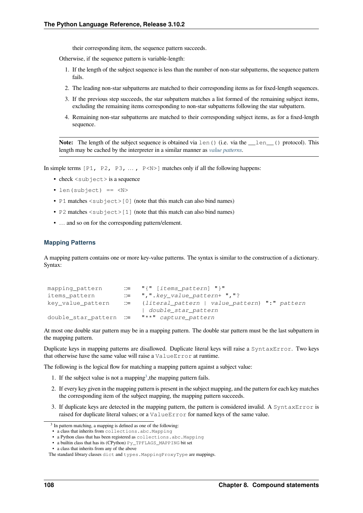their corresponding item, the sequence pattern succeeds.

Otherwise, if the sequence pattern is variable-length:

- 1. If the length of the subject sequence is less than the number of non-star subpatterns, the sequence pattern fails.
- 2. The leading non-star subpatterns are matched to their corresponding items as for fixed-length sequences.
- 3. If the previous step succeeds, the star subpattern matches a list formed of the remaining subject items, excluding the remaining items corresponding to non-star subpatterns following the star subpattern.
- 4. Remaining non-star subpatterns are matched to their corresponding subject items, as for a fixed-length sequence.

**Note:** The length of the subject sequence is obtained via len() (i.e. via the len() protocol). This length may be cached by the interpreter in a similar manner as *value patterns*.

In simple terms  $[P1, P2, P3, \ldots, P\langle N \rangle]$  matches only if all the following happens:

- check  $\leq$ subject  $>$  is a sequence
- len(subject) == <N>
- P1 matches <subject>[0] (note that this match can also bind names)
- P2 matches  $\langle \text{subject}\rangle$  [1] (note that this match can also bind names)
- ... and so on for the corresponding pattern/element.

#### **Mapping Patterns**

A mapping pattern contains one or more key-value patterns. The syntax is similar to the construction of a dictionary. Syntax:

| mapping pattern   | $ ::= "{\nmid "  $ [items pattern] " $"$                    |
|-------------------|-------------------------------------------------------------|
| items pattern     | $ ::= ","'.key\_value\_pattern + "."$                       |
| key value pattern | $\dddot{z}$ = (literal pattern   value pattern) ":" pattern |
|                   | double star pattern                                         |
|                   | double_star_pattern ::= "**" capture_pattern                |

At most one double star pattern may be in a mapping pattern. The double star pattern must be the last subpattern in the mapping pattern.

Duplicate keys in mapping patterns are disallowed. Duplicate literal keys will raise a SyntaxError. Two keys that otherwise have the same value will raise a ValueError at runtime.

The following is the logical flow for matching a mapping pattern against a subject value:

- 1. If the subject value is not a mapping<sup>3</sup>, the mapping pattern fails.
- 2. If every key given in the mapping pattern is present in the subject mapping, and the pattern for each key matches the corresponding item of the subject mapping, the mapping pattern succeeds.
- 3. If duplicate keys are detected in the [m](#page-113-0)apping pattern, the pattern is considered invalid. A SyntaxError is raised for duplicate literal values; or a ValueError for named keys of the same value.

<sup>&</sup>lt;sup>3</sup> In pattern matching, a mapping is defined as one of the following:

<sup>•</sup> a class that inherits from collections.abc.Mapping

<sup>•</sup> a Python class that has been registered as collections.abc.Mapping

<sup>•</sup> a builtin class that has its (CPython) Py\_TPFLAGS\_MAPPING bit set

<sup>•</sup> a class that inherits from any of the above

<span id="page-113-0"></span>The standard library classes dict and types. MappingProxyType are mappings.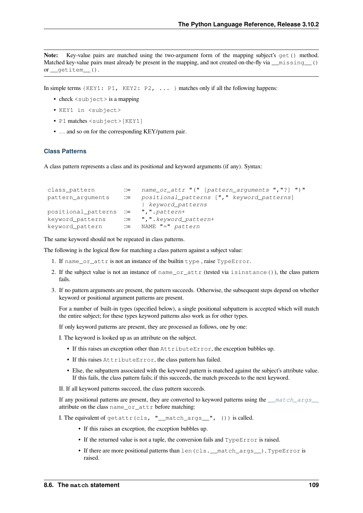**Note:** Key-value pairs are matched using the two-argument form of the mapping subject's get () method. Matched key-value pairs must already be present in the mapping, and not created on-the-fly via \_\_missing\_\_() or \_\_getitem\_\_().

In simple terms  $\{KEY1: P1, KEY2: P2, ... \}$  matches only if all the following happens:

- check <subject> is a mapping
- KEY1 in <subject>
- P1 matches <subject>[KEY1]
- ... and so on for the corresponding KEY/pattern pair.

#### **Class Patterns**

A class pattern represents a class and its positional and keyword arguments (if any). Syntax:

```
class_pattern ::= name_or_attr "(" [pattern_arguments ","?] ")"
pattern_arguments ::= positional_patterns ["," keyword_patterns]
                       | keyword_patterns
positional_patterns ::= ",".pattern+
keyword_patterns ::= ",".keyword_pattern+
keyword_pattern ::= NAME "=" pattern
```
The same keyword should not be repeated in class patterns.

The following is the logical flow for matching a class pattern against a subject value:

- 1. If name\_or\_attr is not an instance of the builtin type , raise TypeError.
- 2. If the subject value is not an instance of name\_or\_attr (tested via isinstance()), the class pattern fails.
- 3. If no pattern arguments are present, the pattern succeeds. Otherwise, the subsequent steps depend on whether keyword or positional argument patterns are present.

For a number of built-in types (specified below), a single positional subpattern is accepted which will match the entire subject; for these types keyword patterns also work as for other types.

If only keyword patterns are present, they are processed as follows, one by one:

I. The keyword is looked up as an attribute on the subject.

- If this raises an exception other than AttributeError, the exception bubbles up.
- If this raises AttributeError, the class pattern has failed.
- Else, the subpattern associated with the keyword pattern is matched against the subject's attribute value. If this fails, the class pattern fails; if this succeeds, the match proceeds to the next keyword.
- II. If all keyword patterns succeed, the class pattern succeeds.

If any positional patterns are present, they are converted to keyword patterns using the *\_\_match\_args\_\_* attribute on the class name\_or\_attr before matching:

I. The equivalent of getattr(cls, "\_\_match\_args\_\_", ()) is called.

- If this raises an exception, the exception bubbles up.
- If the returned value is not a tuple, the conversion fails and TypeError is raised.
- If there are more positional patterns than len(cls.\_match\_args\_), TypeError is raised.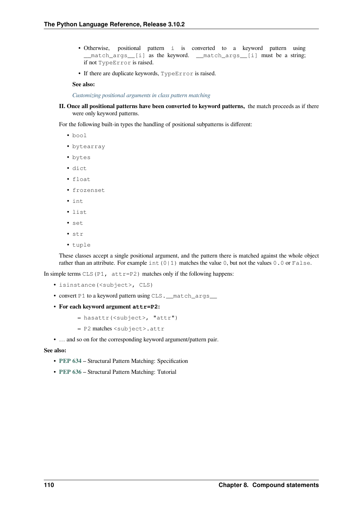- Otherwise, positional pattern i is converted to a keyword pattern using \_\_match\_args\_\_[i] as the keyword. \_\_match\_args\_\_[i] must be a string; if not TypeError is raised.
- If there are duplicate keywords, TypeError is raised.

#### **See also:**

*Customizing positional arguments in class pattern matching*

**II. Once all positional patterns have been converted to keyword patterns,** the match proceeds as if there were only keyword patterns.

Fort[he following built-in types the handling of positional subpa](#page-48-0)tterns is different:

- bool
- bytearray
- bytes
- dict
- float
- frozenset
- int
- list
- set
- str
- tuple

These classes accept a single positional argument, and the pattern there is matched against the whole object rather than an attribute. For example  $int(0|1)$  matches the value 0, but not the values 0.0 or False.

In simple terms  $CLS(PI, attr=P2)$  matches only if the following happens:

- isinstance(<subject>, CLS)
- convert P1 to a keyword pattern using CLS. \_\_match\_args\_\_
- **For each keyword argument attr=P2:**
	- **–** hasattr(<subject>, "attr")
	- **–** P2 matches <subject>.attr
- ... and so on for the corresponding keyword argument/pattern pair.

#### **See also:**

- **PEP 634** Structural Pattern Matching: Specification
- **PEP 636** Structural Pattern Matching: Tutorial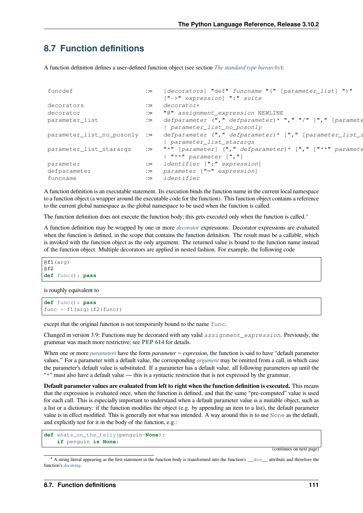# **8.7 Function definitions**

<span id="page-116-1"></span>A function definition defines a user-defined function object (see section *The standard type hierarchy*):

```
funcdef ::= [decorators] "def" funcname "(" [parameter_list] ")"
                          ["->" expression] ":" suite
decorators ::= decorator+
decorator ::= "@" assignment_expression NEWLINE
parameter_list ::= defparameter ("," defparameter)* "," "/" ["," [parameter_
                          | parameter_list_no_posonly
parameter_list_no_posonly ::= defparameter ("," defparameter)* ["," [parameter_list_sta:
                          | parameter_list_starargs
parameter_list_starargs ::= "*" [parameter] ("," defparameter)* ["," ["**" parameter
                          | "**" parameter [","]
parameter ::= identifier [":" expression]
defparameter ::= parameter ["=" expression]
funcname ::= identifier
```
A function definition is an executable statement. Its execution binds the function name in the current local namespace to a function object (a wrapper around the executable code for the function). This function object contains a reference to the current global namespace as the global namespace to be used when the function is called.

The function definition does not execute the function body; this gets executed only when the function is called.<sup>4</sup>

A function definition may be wrapped by one or more *decorator* expressions. Decorator expressions are evaluated when the function is defined, in the scope that contains the function definition. The result must be a callable, which is invoked with the function object as the only argument. The returned value is bound to the function name i[ns](#page-116-0)tead of the function object. Multiple decorators are applied in nested fashion. For example, the following code

**@f1**(arg) **@f2 def** func(): **pass**

is roughly equivalent to

```
def func(): pass
func = f1(arg) (f2(func))
```
except that the original function is not temporarily bound to the name func.

Changed in version 3.9: Functions may be decorated with any valid *assignment\_expression*. Previously, the grammar was much more restrictive; see **PEP 614** for details.

When one or more *parameters* have the form *parameter* = *expression*, the function is said to have "default parameter values." For a parameter with a default value, the corresponding *argument* may be omitted from a call, in which case the parameter's default value is substituted. If a parameter has a default value, all following parameters up until the "\*" must also have a default value — thi[s is a synta](https://www.python.org/dev/peps/pep-0614)ctic restriction that is not expressed by the grammar.

**Default paramete[r values are](#page-144-0) evaluated from left to right when the function definition is executed.** This means that the expression is evaluated once, when the function is defin[ed, and th](#page-136-0)at the same "pre-computed" value is used for each call. This is especially important to understand when a default parameter value is a mutable object, such as a list or a dictionary: if the function modifies the object (e.g. by appending an item to a list), the default parameter value is in effect modified. This is generally not what was intended. A way around this is to use None as the default, and explicitly test for it in the body of the function, e.g.:

```
def whats_on_the_telly(penguin=None):
    if penguin is None:
```
<span id="page-116-0"></span><sup>&</sup>lt;sup>4</sup> A string literal appearing as the first statement in the function body is transformed into the function's  $\_\text{doc}\_\text{attribute}$  and therefore the function's *docstring*.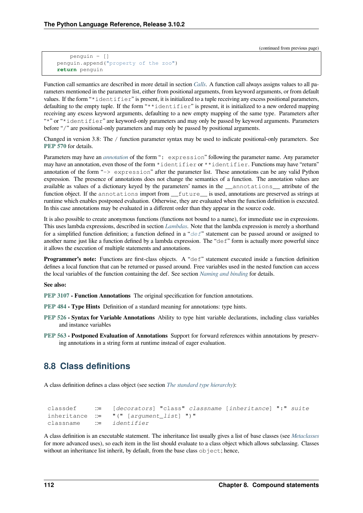penguin  $=$   $\lceil \rceil$ penguin.append("property of the zoo") **return** penguin

Function call semantics are described in more detail in section *Calls*. A function call always assigns values to all parameters mentioned in the parameter list, either from positional arguments, from keyword arguments, or from default values. If the form "\*identifier" is present, it is initialized to a tuple receiving any excess positional parameters, defaulting to the empty tuple. If the form "\*\*identifier" is present, it is initialized to a new ordered mapping receiving any excess keyword arguments, defaulting to a new [empt](#page-79-0)y mapping of the same type. Parameters after "\*" or "\*identifier" are keyword-only parameters and may only be passed by keyword arguments. Parameters before "/" are positional-only parameters and may only be passed by positional arguments.

Changed in version 3.8: The / function parameter syntax may be used to indicate positional-only parameters. See **PEP 570** for details.

Parameters may have an *annotation* of the form ": expression" following the parameter name. Any parameter may have an annotation, even those of the form \*identifier or \*\*identifier. Functions may have "return" annotation of the form "-> expression" after the parameter list. These annotations can be any valid Python [expression](https://www.python.org/dev/peps/pep-0570). The presence of annotations does not change the semantics of a function. The annotation values are available as values of a [dictionary](#page-140-0) keyed by the parameters' names in the \_\_annotations\_\_ attribute of the function object. If the annotations import from \_\_future\_\_ is used, annotations are preserved as strings at runtime which enables postponed evaluation. Otherwise, they are evaluated when the function definition is executed. In this case annotations may be evaluated in a different order than they appear in the source code.

It is also possible to create anonymous functions (functions not bound to a name), for immediate use in expressions. This uses lambda expressions, described in section *Lambdas*. Note that the lambda expression is merely a shorthand for a simplified function definition; a function defined in a "*def*" statement can be passed around or assigned to another name just like a function defined by a lambda expression. The " $\det$ " form is actually more powerful since it allows the execution of multiple statements and annotations.

**Programmer's note:** Functions are first-class ob[jects. A](#page-87-0) "def" statement executed inside a function definition defines a local function that can be returned or passed around[. Fre](#page-116-1)e variables used in the nested function can access the local variables of the function containing the def. See section *Naming and binding* for details.

#### **See also:**

**PEP 3107 - Function Annotations** The original specification for function annotations.

- **PEP 484 Type Hints** Definition of a standard meaning for ann[otations: type hints.](#page-52-0)
- **PEP 526 Syntax for Variable Annotations** Ability to type hint variable declarations, including class variables [and i](https://www.python.org/dev/peps/pep-3107)nstance variables
- **[PEP 563](https://www.python.org/dev/peps/pep-0484) Postponed Evaluation of Annotations** Support for forward references within annotations by preserv[ing](https://www.python.org/dev/peps/pep-0526) annotations in a string form at runtime instead of eager evaluation.

## **[8.8](https://www.python.org/dev/peps/pep-0563) Class definitions**

<span id="page-117-0"></span>A class definition defines a class object (see section *The standard type hierarchy*):

|                                 | classdef ::= [decorators] "class" classname [inheritance] ":" suite |
|---------------------------------|---------------------------------------------------------------------|
|                                 | inheritance $ ::=$ "(" [arqument list] ")"                          |
| classname ::= <i>identifier</i> |                                                                     |

A class definition is an executable statement. The inheritance list usually gives a list of base classes (see *Metaclasses* for more advanced uses), so each item in the list should evaluate to a class object which allows subclassing. Classes without an inheritance list inherit, by default, from the base class object; hence,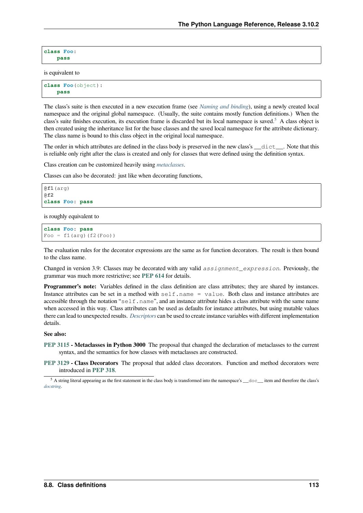```
class Foo:
    pass
```
is equivalent to

```
class Foo(object):
    pass
```
The class's suite is then executed in a new execution frame (see *Naming and binding*), using a newly created local namespace and the original global namespace. (Usually, the suite contains mostly function definitions.) When the class's suite finishes execution, its execution frame is discarded but its local namespace is saved.<sup>5</sup> A class object is then created using the inheritance list for the base classes and the saved local namespace for the attribute dictionary. The class name is bound to this class object in the original localn[amespace.](#page-52-0)

The order in which attributes are defined in the class body is preserved in the new class's \_\_dic[t\\_](#page-118-0)\_. Note that this is reliable only right after the class is created and only for classes that were defined using the definition syntax.

Class creation can be customized heavily using *metaclasses*.

Classes can also be decorated: just like when decorating functions,

```
@f1(arg)
@f2
class Foo: pass
```
is roughly equivalent to

```
class Foo: pass
Foo = f1(\arg)(f2(Foo))
```
The evaluation rules for the decorator expressions are the same as for function decorators. The result is then bound to the class name.

Changed in version 3.9: Classes may be decorated with any valid *assignment\_expression*. Previously, the grammar was much more restrictive; see **PEP 614** for details.

**Programmer's note:** Variables defined in the class definition are class attributes; they are shared by instances. Instance attributes can be set in a method with self.name = value. Both class and instance attributes are accessible through the notation "self.name", and an instance attribute hides a class attribute with the same name when accessed in this way. Class attribu[tes can be](https://www.python.org/dev/peps/pep-0614) used as defaults for instance attributes, but using mutable values there can lead to unexpected results. *Descriptors* can be used to create instance variables with different implementation details.

#### **See also:**

- **PEP 3115 Metaclasses in Pytho[n 3000](#page-36-0)** The proposal that changed the declaration of metaclasses to the current syntax, and the semantics for how classes with metaclasses are constructed.
- **PEP 3129 Class Decorators** The proposal that added class decorators. Function and method decorators were [intro](https://www.python.org/dev/peps/pep-3115)duced in **PEP 318**.

<span id="page-118-0"></span><sup>5</sup> A string literal appearing as the first statement in the class body is transformed into the namespace's \_\_doc\_\_ item and therefore the class's *docstring*.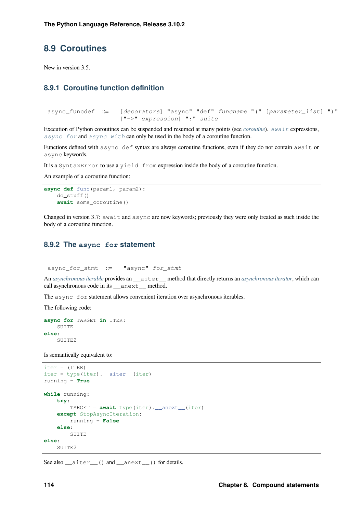# **8.9 Coroutines**

New in version 3.5.

## **8.9.1 Coroutine function definition**

```
async_funcdef ::= [decorators] "async" "def" funcname "(" [parameter_list] ")"
                   ["->" expression] ":" suite
```
Execution of Python coroutines can be suspended and resumed at many points (see *coroutine*). *await* expressions, *async for* and *async with* can only be used in the body of a coroutine function.

Functions defined with async def syntax are always coroutine functions, even if they do not contain await or async keywords.

It is a [Synta](#page-119-0)xError [to use a](#page-120-0) yield from expression inside the body of a cor[outine func](#page-138-0)t[ion.](#page-81-0)

An example of a coroutine function:

```
async def func(param1, param2):
   do_stuff()
    await some_coroutine()
```
Changed in version 3.7: await and async are now keywords; previously they were only treated as such inside the body of a coroutine function.

## **8.9.2 The async for statement**

<span id="page-119-0"></span>async\_for\_stmt ::= "async" *for\_stmt*

An *asynchronous iterable* provides an \_\_aiter\_\_ method that directly returns an *asynchronous iterator*, which can call asynchronous code in its anext method.

The async for statement allows convenient iteration over asynchronous iterables.

Th[e following code:](#page-137-0)

```
async for TARGET in ITER:
     SUITE
else:
     SUITE<sub>2</sub>
```
Is semantically equivalent to:

```
iter = (ITER)
iter = type(iter).__aiter__(iter)
running = True
while running:
    try:
        TARGET = await type(iter).__anext__(iter)
    except StopAsyncIteration:
        running = False
    else:
        SUITE
else:
    SUITE<sub>2</sub>
```
See also \_\_aiter\_() and \_\_anext\_() for details.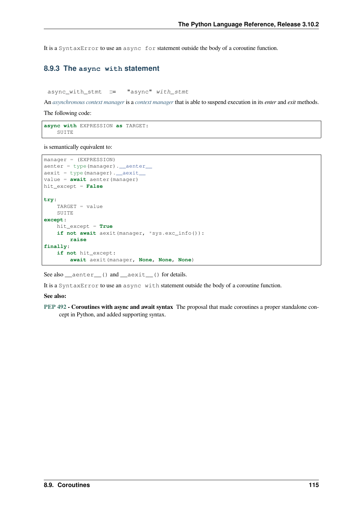It is a SyntaxError to use an async for statement outside the body of a coroutine function.

## **8.9.3 The async with statement**

<span id="page-120-0"></span>async\_with\_stmt ::= "async" *with\_stmt*

An *asynchronous context manager* is a *context manager* that is able to suspend execution in its *enter* and *exit* methods.

The following code:

```
async with EXPRESSION as TARGET:
    SUITE
```
is semantically equivalent to:

```
manager = (EXPRESSION)
aenter = type(manager).__aenter__
aexit = type(manager) . __ aexit_
value = await aenter(manager)
hit_except = False
try:
    TARGET = value
   SUITE
except:
   hit_except = True
    if not await aexit(manager, *sys.exc_info()):
        raise
finally:
    if not hit_except:
        await aexit(manager, None, None, None)
```
See also \_\_\_aenter\_() and \_\_\_aexit\_() for details.

It is a SyntaxError to use an async with statement outside the body of a coroutine function.

**See also:**

**PEP 492 - Coroutines with async and await syntax** The proposal that made coroutines a proper standalone concept in Python, and added supporting syntax.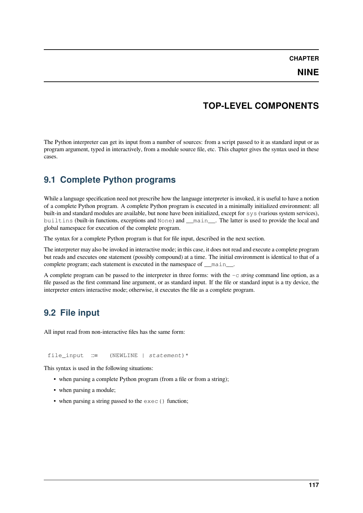# **TOP-LEVEL COMPONENTS**

The Python interpreter can get its input from a number of sources: from a script passed to it as standard input or as program argument, typed in interactively, from a module source file, etc. This chapter gives the syntax used in these cases.

# **9.1 Complete Python programs**

While a language specification need not prescribe how the language interpreter is invoked, it is useful to have a notion of a complete Python program. A complete Python program is executed in a minimally initialized environment: all built-in and standard modules are available, but none have been initialized, except for sys (various system services), builtins (built-in functions, exceptions and None) and \_\_main\_\_. The latter is used to provide the local and global namespace for execution of the complete program.

The syntax for a complete Python program is that for file input, described in the next section.

The interpreter may also be invoked in interactive mode; in this case, it does not read and execute a complete program but reads and executes one statement (possibly compound) at a time. The initial environment is identical to that of a complete program; each statement is executed in the namespace of  $\ldots$  main.

A complete program can be passed to the interpreter in three forms: with the  $-c$  *string* command line option, as a file passed as the first command line argument, or as standard input. If the file or standard input is a tty device, the interpreter enters interactive mode; otherwise, it executes the file as a complete program.

## **9.2 File input**

All input read from non-interactive files has the same form:

file\_input ::= (NEWLINE | *statement*)\*

This syntax is used in the following situations:

- when parsing a complete Python program (from a file or from a string);
- when parsing a module;
- when parsing a string passed to the  $\epsilon \geq \epsilon$  () function;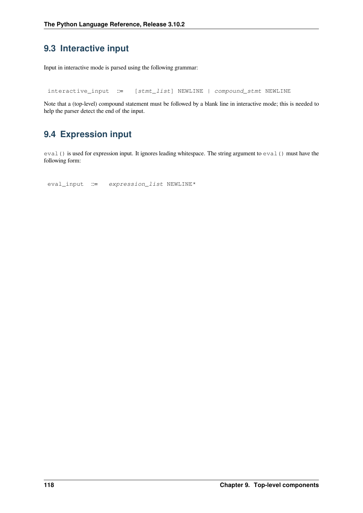# **9.3 Interactive input**

Input in interactive mode is parsed using the following grammar:

interactive\_input ::= [*stmt\_list*] NEWLINE | *compound\_stmt* NEWLINE

Note that a (top-level) compound statement must be followed by a blank line in interactive mode; this is needed to help the parser detect the end of the input.

# **9.4 Expression input**

eval() is used for expression input. It ignores leading whitespace. The string argument to eval() must have the following form:

eval\_input ::= *expression\_list* NEWLINE\*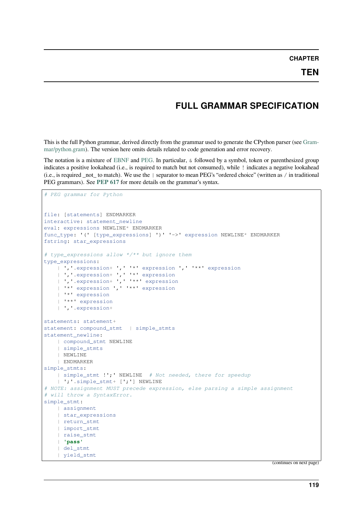# **FULL GRAMMAR SPECIFICATION**

<span id="page-124-0"></span>This is the full Python grammar, derived directly from the grammar used to generate the CPython parser (see Grammar/python.gram). The version here omits details related to code generation and error recovery.

The notation is a mixture of EBNF and PEG. In particular, & followed by a symbol, token or parenthesized group indicates a positive lookahead (i.e., is required to match but not consumed), while ! indicates a negative lookahead (i.e., is required \_not\_ to match). We use the | separator to mean PEG's "ordered choice" (written as / in tra[ditional](https://github.com/python/cpython/tree/3.10/Grammar/python.gram) [PEG grammars\).](https://github.com/python/cpython/tree/3.10/Grammar/python.gram) See **PEP 617** for more details on the grammar's syntax.

```
# PEG grammar for Python
file: [statements] ENDMARKER
interactive: statement_newline
eval: expressions NEWLINE* ENDMARKER
func_type: '(' [type_expressions] ')' '->' expression NEWLINE* ENDMARKER
fstring: star_expressions
# type_expressions allow */** but ignore them
type_expressions:
   | ','.expression+ ',' '*' expression ',' '**' expression
    | ','.expression+ ',' '*' expression
    | ','.expression+ ',' '**' expression
    | '*' expression ',' '**' expression
    | '*' expression
    | '**' expression
    | ','.expression+
statements: statement+
statement: compound_stmt | simple_stmts
statement_newline:
   | compound_stmt NEWLINE
   | simple_stmts
    | NEWLINE
    | ENDMARKER
simple_stmts:
   | simple_stmt !';' NEWLINE # Not needed, there for speedup
    | ';'.simple_stmt+ [';'] NEWLINE
# NOTE: assignment MUST precede expression, else parsing a simple assignment
# will throw a SyntaxError.
simple_stmt:
   | assignment
    | star_expressions
    | return_stmt
    | import_stmt
    | raise_stmt
     | 'pass'
    | del_stmt
    | yield_stmt
```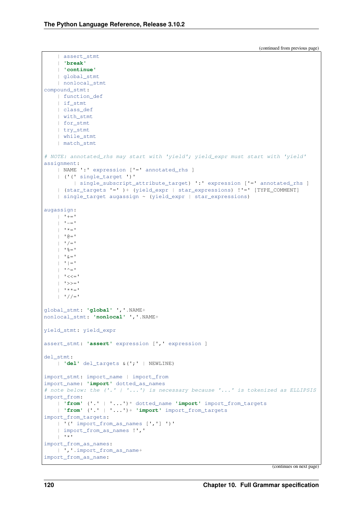```
| assert_stmt
    | 'break'
    | 'continue'
    | global_stmt
    | nonlocal_stmt
compound_stmt:
   | function_def
    | if_stmt
    | class_def
    | with_stmt
    | for_stmt
    | try_stmt
    | while_stmt
    | match_stmt
# NOTE: annotated_rhs may start with 'yield'; yield_expr must start with 'yield'
assignment:
    | NAME ':' expression ['=' annotated_rhs ]
    | ('(' single_target ')'
         | single_subscript_attribute_target) ':' expression ['=' annotated_rhs ]
    | (star_targets '=' )+ (yield_expr | star_expressions) !'=' [TYPE_COMMENT]
    | single_target augassign ~ (yield_expr | star_expressions)
augassign:
    | '+='
    | \cdot | | =| \rightarrow \star = \rightarrow|\qquad \theta ='
    | \cdot | /='
    | \quad ' \frac{6}{6} = '
    |\quad \cdot \infty ='
    | | | | | = || ' ^{\wedge} = '
    | | | | | | | | | || | | > > = '| '**='
    | \cdot \cdot \cdot | / | = 1global_stmt: 'global' ','.NAME+
nonlocal_stmt: 'nonlocal' ','.NAME+
yield_stmt: yield_expr
assert_stmt: 'assert' expression [',' expression ]
del_stmt:
   | 'del' del_targets &(';' | NEWLINE)
import_stmt: import_name | import_from
import_name: 'import' dotted_as_names
# note below: the ('.' | '...') is necessary because '...' is tokenized as ELLIPSIS
import_from:
    | 'from' ('.' | '...')* dotted_name 'import' import_from_targets
    | 'from' ('.' | '...')+ 'import' import_from_targets
import_from_targets:
    | '(' import_from_as_names [','] ')'
    | import_from_as_names !','
    | | \star |import_from_as_names:
   | ','.import_from_as_name+
import_from_as_name:
```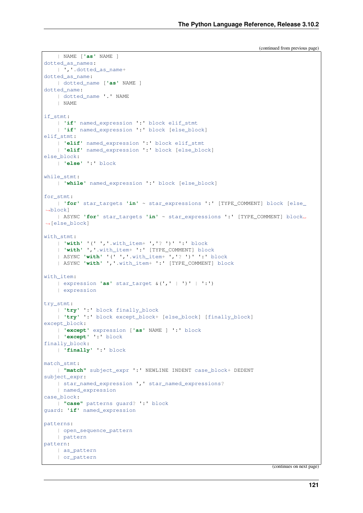```
| NAME ['as' NAME ]
dotted_as_names:
  | ','.dotted_as_name+
dotted_as_name:
   | dotted_name ['as' NAME ]
dotted_name:
   | dotted_name '.' NAME
    | NAME
if_stmt:
   | 'if' named_expression ':' block elif_stmt
    | 'if' named_expression ':' block [else_block]
elif_stmt:
    | 'elif' named_expression ':' block elif_stmt
    | 'elif' named_expression ':' block [else_block]
else_block:
   | 'else' ':' block
while stmt:
   | 'while' named_expression ':' block [else_block]
for_stmt:
   | 'for' star_targets 'in' ~ star_expressions ':' [TYPE_COMMENT] block [else_
,→block]
   | ASYNC 'for' star_targets 'in' ~ star_expressions ':' [TYPE_COMMENT] block␣
,→[else_block]
with_stmt:
   | 'with' '(' ','.with_item+ ','? ')' ':' block
    | 'with' ','.with_item+ ':' [TYPE_COMMENT] block
   | ASYNC 'with' '(' ','.with_item+ ','? ')' ':' block
    | ASYNC 'with' ','.with_item+ ':' [TYPE_COMMENT] block
with_item:
    | expression 'as' star_target &(',' | ')' | ':')
    | expression
try_stmt:
    | 'try' ':' block finally_block
   | 'try' ':' block except_block+ [else_block] [finally_block]
except_block:
   | 'except' expression ['as' NAME ] ':' block
   | 'except' ':' block
finally_block:
   | 'finally' ':' block
match_stmt:
   | "match" subject_expr ':' NEWLINE INDENT case_block+ DEDENT
subject_expr:
   | star_named_expression ',' star_named_expressions?
   | named_expression
case_block:
   | "case" patterns guard? ':' block
guard: 'if' named_expression
patterns:
   | open_sequence_pattern
   | pattern
pattern:
   | as_pattern
   | or_pattern
```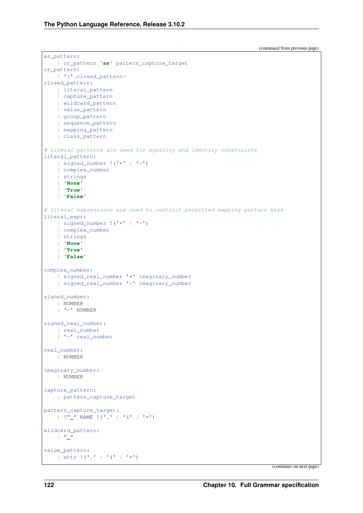```
as_pattern:
   | or_pattern 'as' pattern_capture_target
or_pattern:
   | '|'.closed_pattern+
closed_pattern:
   | literal_pattern
   | capture_pattern
   | wildcard_pattern
   | value_pattern
   | group_pattern
   | sequence_pattern
   | mapping_pattern
    | class_pattern
# Literal patterns are used for equality and identity constraints
literal_pattern:
    | signed_number !('+' | '-')
    | complex_number
   | strings
   | 'None'
    | 'True'
    | 'False'
# Literal expressions are used to restrict permitted mapping pattern keys
literal_expr:
   | signed_number !('+' | '-')
   | complex_number
   | strings
    | 'None'
    | 'True'
   | 'False'
complex_number:
    | signed_real_number '+' imaginary_number
    | signed_real_number '-' imaginary_number
signed_number:
   | NUMBER
    | '-' NUMBER
signed_real_number:
   | real_number
    | '-' real_number
real_number:
   | NUMBER
imaginary_number:
   | NUMBER
capture_pattern:
   | pattern_capture_target
pattern_capture_target:
   | !"_" NAME !('.' | '(' | '=')
wildcard_pattern:
   | "_"
value_pattern:
   | attr !('.' | '(' | '=')
```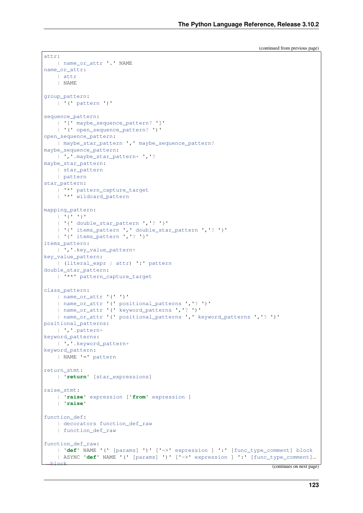```
attr:
   | name_or_attr '.' NAME
name_or_attr:
  | attr
   | NAME
group_pattern:
  | '(' pattern ')'
sequence_pattern:
   | '[' maybe_sequence_pattern? ']'
   | '(' open_sequence_pattern? ')'
open_sequence_pattern:
   | maybe_star_pattern ',' maybe_sequence_pattern?
maybe_sequence_pattern:
   | ','.maybe_star_pattern+ ','?
maybe_star_pattern:
   | star_pattern
   | pattern
star_pattern:
   | '*' pattern_capture_target
   | '*' wildcard_pattern
mapping_pattern:
   | '\{' '\}'
    | '{' double_star_pattern ','? '}'
   | '{' items_pattern ',' double_star_pattern ','? '}'
   | '{' items_pattern ','? '}'
items_pattern:
   | ','.key_value_pattern+
key_value_pattern:
   | (literal_expr | attr) ':' pattern
double_star_pattern:
   | '**' pattern_capture_target
class_pattern:
   | name_or_attr '(' ')'
   | name_or_attr '(' positional_patterns ','? ')'
   | name_or_attr '(' keyword_patterns ','? ')'
   | name_or_attr '(' positional_patterns ',' keyword_patterns ','? ')'
positional_patterns:
   | ','.pattern+
keyword_patterns:
  | ','.keyword_pattern+
keyword_pattern:
   | NAME '=' pattern
return_stmt:
   | 'return' [star_expressions]
raise_stmt:
   | 'raise' expression ['from' expression ]
   | 'raise'
function_def:
   | decorators function_def_raw
   | function_def_raw
function_def_raw:
  | 'def' NAME '(' [params] ')' ['->' expression ] ':' [func_type_comment] block
   | ASYNC 'def' NAME '(' [params] ')' ['->' expression ] ':' [func_type_comment]␣
  ,→block (continues on next page)
```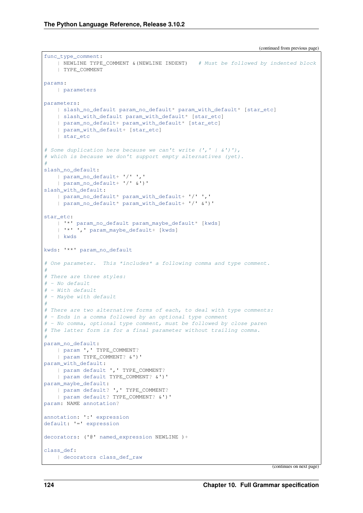```
(continued from previous page)
```

```
func_type_comment:
   | NEWLINE TYPE_COMMENT &(NEWLINE INDENT) # Must be followed by indented block
    | TYPE_COMMENT
params:
  | parameters
parameters:
   | slash_no_default param_no_default* param_with_default* [star_etc]
   | slash_with_default param_with_default* [star_etc]
   | param_no_default+ param_with_default* [star_etc]
   | param_with_default+ [star_etc]
   | star_etc
# Some duplication here because we can't write (',' | &')'),
# which is because we don't support empty alternatives (yet).
#
slash_no_default:
   | param_no_default+ '/' ','
   | param_no_default+ '/' &')'
slash_with_default:
   | param_no_default* param_with_default+ '/' ','
   | param_no_default* param_with_default+ '/' &')'
star_etc:
   | '*' param_no_default param_maybe_default* [kwds]
    | '*' ',' param_maybe_default+ [kwds]
    | kwds
kwds: '**' param_no_default
# One parameter. This *includes* a following comma and type comment.
#
# There are three styles:
# - No default
# - With default
# - Maybe with default
#
# There are two alternative forms of each, to deal with type comments:
# - Ends in a comma followed by an optional type comment
# - No comma, optional type comment, must be followed by close paren
# The latter form is for a final parameter without trailing comma.
#
param_no_default:
   | param ',' TYPE_COMMENT?
   | param TYPE_COMMENT? &')'
param_with_default:
   | param default ',' TYPE_COMMENT?
   | param default TYPE_COMMENT? &')'
param_maybe_default:
   | param default? ',' TYPE_COMMENT?
   | param default? TYPE_COMMENT? &')'
param: NAME annotation?
annotation: ':' expression
default: '=' expression
decorators: ('@' named_expression NEWLINE )+
class_def:
   | decorators class_def_raw
```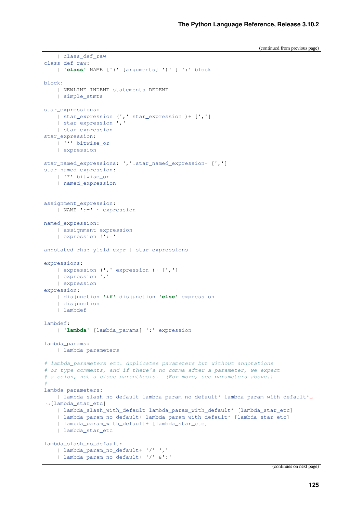```
| class_def_raw
class_def_raw:
   | 'class' NAME ['(' [arguments] ')' ] ':' block
block:
  | NEWLINE INDENT statements DEDENT
   | simple_stmts
star_expressions:
   | star_expression (',' star_expression )+ [',']
   | star_expression ','
    | star_expression
star_expression:
   | '*' bitwise_or
   | expression
star_named_expressions: ','.star_named_expression+ [',']
star_named_expression:
   | '*' bitwise_or
   | named_expression
assignment_expression:
  | NAME ':=' ~ expression
named_expression:
   | assignment_expression
    | expression !':='
annotated_rhs: yield_expr | star_expressions
expressions:
    | expression (',' expression )+ [',']
    | expression ','
    | expression
expression:
    | disjunction 'if' disjunction 'else' expression
    | disjunction
    | lambdef
lambdef:
   | 'lambda' [lambda_params] ':' expression
lambda_params:
   | lambda_parameters
# lambda_parameters etc. duplicates parameters but without annotations
# or type comments, and if there's no comma after a parameter, we expect
# a colon, not a close parenthesis. (For more, see parameters above.)
#
lambda_parameters:
   | lambda_slash_no_default lambda_param_no_default* lambda_param_with_default*␣
,→[lambda_star_etc]
   | lambda_slash_with_default lambda_param_with_default* [lambda_star_etc]
    | lambda_param_no_default+ lambda_param_with_default* [lambda_star_etc]
    | lambda_param_with_default+ [lambda_star_etc]
    | lambda_star_etc
lambda_slash_no_default:
   | lambda_param_no_default+ '/' ','
    | lambda_param_no_default+ '/' &':'
```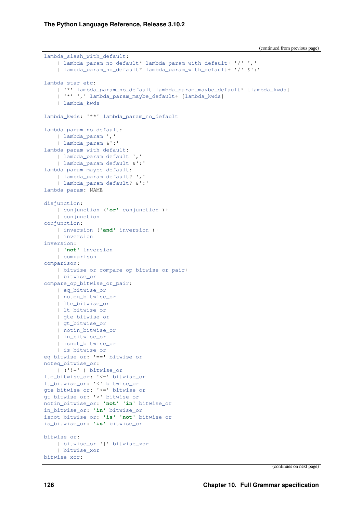```
lambda_slash_with_default:
    | lambda_param_no_default* lambda_param_with_default+ '/' ','
    | lambda_param_no_default* lambda_param_with_default+ '/' &':'
lambda_star_etc:
   | '*' lambda_param_no_default lambda_param_maybe_default* [lambda_kwds]
    | '*' ',' lambda_param_maybe_default+ [lambda_kwds]
    | lambda_kwds
lambda_kwds: '**' lambda_param_no_default
lambda_param_no_default:
   | lambda_param ','
    | lambda_param &':'
lambda_param_with_default:
   | lambda_param default ','
    | lambda_param default &':'
lambda_param_maybe_default:
   | lambda_param default? ','
    | lambda_param default? &':'
lambda_param: NAME
disjunction:
   | conjunction ('or' conjunction )+
   | conjunction
conjunction:
   | inversion ('and' inversion )+
   | inversion
inversion:
   | 'not' inversion
   | comparison
comparison:
   | bitwise_or compare_op_bitwise_or_pair+
    | bitwise_or
compare_op_bitwise_or_pair:
   | eq_bitwise_or
   | noteq_bitwise_or
   | lte_bitwise_or
   | lt_bitwise_or
   | gte_bitwise_or
   | gt_bitwise_or
   | notin_bitwise_or
   | in_bitwise_or
   | isnot_bitwise_or
    | is_bitwise_or
eq_bitwise_or: '==' bitwise_or
noteq_bitwise_or:
   | ('!=' ) bitwise_or
lte_bitwise_or: '<=' bitwise_or
lt_bitwise_or: '<' bitwise_or
gte_bitwise_or: '>=' bitwise_or
gt_bitwise_or: '>' bitwise_or
notin_bitwise_or: 'not' 'in' bitwise_or
in_bitwise_or: 'in' bitwise_or
isnot_bitwise_or: 'is' 'not' bitwise_or
is_bitwise_or: 'is' bitwise_or
bitwise_or:
   | bitwise_or '|' bitwise_xor
    | bitwise_xor
bitwise_xor:
```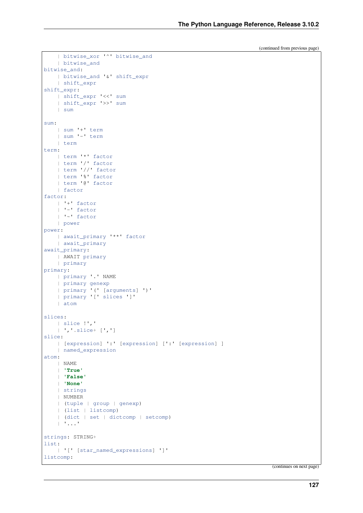```
| bitwise_xor '^' bitwise_and
   | bitwise_and
bitwise_and:
   | bitwise_and '&' shift_expr
   | shift_expr
shift_expr:
   | shift_expr '<<' sum
   | shift_expr '>>' sum
   | sum
sum:
   | sum '+' term
   | sum '-' term
   | term
term:
   | term '*' factor
   | term '/' factor
   | term '//' factor
   | term '%' factor
   | term '@' factor
   | factor
factor:
   | '+' factor
    | '-' factor
   | '~' factor
   | power
power:
   | await_primary '**' factor
   | await_primary
await_primary:
   | AWAIT primary
    | primary
primary:
   | primary '.' NAME
    | primary genexp
    | primary '(' [arguments] ')'
    | primary '[' slices ']'
    | atom
slices:
    | slice !','
   | ','.slice+ [',']
slice:
   | [expression] ':' [expression] [':' [expression] ]
   | named_expression
atom:
   | NAME
   | 'True'
   | 'False'
   | 'None'
   | strings
   | NUMBER
   | (tuple | group | genexp)
   | (list | listcomp)
   | (dict | set | dictcomp | setcomp)
    | '...'
strings: STRING+
list:
   | '[' [star_named_expressions] ']'
listcomp:
```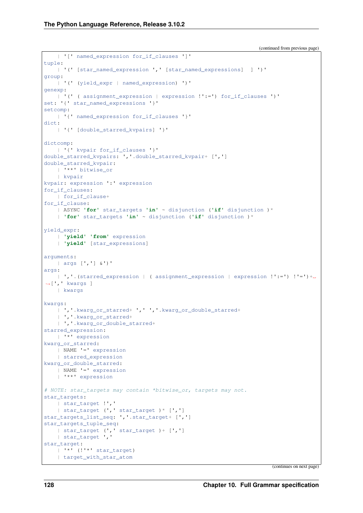```
(continued from previous page)
```

```
| '[' named_expression for_if_clauses ']'
tuple:
   | '(' [star_named_expression ',' [star_named_expressions] ] ')'
group:
   | '(' (yield_expr | named_expression) ')'
genexp:
  | '(' ( assignment_expression | expression !':=') for_if_clauses ')'
set: '{' star_named_expressions '}'
setcomp:
  | '{' named_expression for_if_clauses '}'
dict:
    | '{' [double_starred_kvpairs] '}'
dictcomp:
   | '{' kvpair for_if_clauses '}'
double_starred_kvpairs: ','.double_starred_kvpair+ [',']
double_starred_kvpair:
  | '**' bitwise_or
   | kvpair
kvpair: expression ':' expression
for_if_clauses:
   | for_if_clause+
for_if_clause:
   | ASYNC 'for' star_targets 'in' ~ disjunction ('if' disjunction )*
   | 'for' star_targets 'in' ~ disjunction ('if' disjunction )*
yield_expr:
   | 'yield' 'from' expression
    | 'yield' [star_expressions]
arguments:
   | args [','] &')'
args:
    | ','.(starred_expression | ( assignment_expression | expression !':=') !'=')+␣
,→[',' kwargs ]
   | kwargs
kwargs:
   | ','.kwarg_or_starred+ ',' ','.kwarg_or_double_starred+
    | ','.kwarg_or_starred+
   | ','.kwarg_or_double_starred+
starred_expression:
   | '*' expression
kwarg_or_starred:
   | NAME '=' expression
   | starred_expression
kwarg_or_double_starred:
   | NAME '=' expression
   | '**' expression
# NOTE: star_targets may contain *bitwise_or, targets may not.
star_targets:
   | star_target !','
   | star_target (',' star_target )* [',']
star_targets_list_seq: ','.star_target+ [',']
star_targets_tuple_seq:
   | star_target (',' star_target )+ [',']
   | star_target ','
star_target:
   | '*' (!'*' star_target)
    | target_with_star_atom
```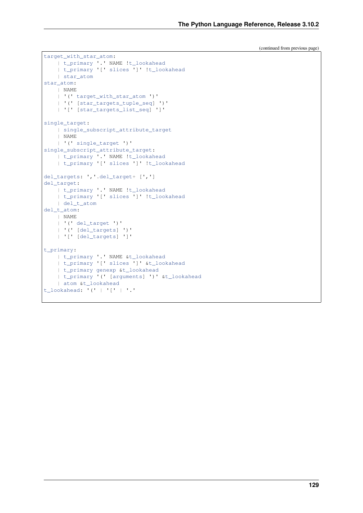```
target_with_star_atom:
    | t_primary '.' NAME !t_lookahead
    | t_primary '[' slices ']' !t_lookahead
    | star_atom
star_atom:
   | NAME
    | '(' target_with_star_atom ')'
   | '(' [star_targets_tuple_seq] ')'
    | '[' [star_targets_list_seq] ']'
single_target:
   | single_subscript_attribute_target
    | NAME
    | '(' single_target ')'
single_subscript_attribute_target:
   | t_primary '.' NAME !t_lookahead
    | t_primary '[' slices ']' !t_lookahead
del_targets: ','.del_target+ [',']
del_target:
    | t_primary '.' NAME !t_lookahead
    | t_primary '[' slices ']' !t_lookahead
    | del_t_atom
del_t_atom:
   | NAME
   | '(' del_target ')'
    | '(' [del_targets] ')'
    | '[' [del_targets] ']'
t_primary:
   | t_primary '.' NAME &t_lookahead
    | t_primary '[' slices ']' &t_lookahead
    | t_primary genexp &t_lookahead
    | t_primary '(' [arguments] ')' &t_lookahead
    | atom &t_lookahead
t_lookahead: '(' | '[' | '.'
```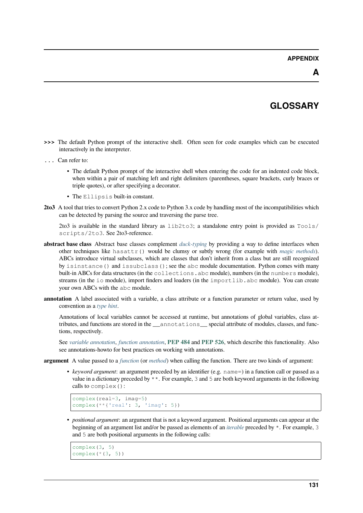**A**

# **GLOSSARY**

- **>>>** The default Python prompt of the interactive shell. Often seen for code examples which can be executed interactively in the interpreter.
- **...** Can refer to:
	- The default Python prompt of the interactive shell when entering the code for an indented code block, when within a pair of matching left and right delimiters (parentheses, square brackets, curly braces or triple quotes), or after specifying a decorator.
	- The Ellipsis built-in constant.
- **2to3** A tool that tries to convert Python 2.x code to Python 3.x code by handling most of the incompatibilities which can be detected by parsing the source and traversing the parse tree.

2to3 is available in the standard library as lib2to3; a standalone entry point is provided as Tools/ scripts/2to3. See 2to3-reference.

- **abstract base class** Abstract base classes complement *duck-typing* by providing a way to define interfaces when other techniques like hasattr() would be clumsy or subtly wrong (for example with *magic methods*). ABCs introduce virtual subclasses, which are classes that don't inherit from a class but are still recognized by isinstance() and issubclass(); see the abc module documentation. Python comes with many built-in ABCs for data structures (in the collec[tions.abc](#page-139-0) module), numbers (in the numbers module), streams (in the io module), import finders and loaders (in the importlib.abc module)[. You can creat](#page-49-0)e your own ABCs with the abc module.
- <span id="page-136-1"></span>**annotation** A label associated with a variable, a class attribute or a function parameter or return value, used by convention as a *type hint*.

<span id="page-136-2"></span>Annotations of local variables cannot be accessed at runtime, but annotations of global variables, class attributes, and functions are stored in the \_\_annotations\_\_ special attribute of modules, classes, and functions, respectiv[ely.](#page-147-0)

See *variable annotation*, *function annotation*, **PEP 484** and **PEP 526**, which describe this functionality. Also see annotations-howto for best practices on working with annotations.

**argument** A value passed to a *function* (or *method*) when calling the function. There are two kinds of argument:

• *[keyword argument](#page-148-0)*: [an argument preced](#page-140-0)[ed by an id](https://www.python.org/dev/peps/pep-0484)enti[fier \(e.g.](https://www.python.org/dev/peps/pep-0526) name=) in a function call or passed as a value in a dictionary preceded by  $*$ . For example, 3 and 5 are both keyword arguments in the following calls to complex[\(\)](#page-140-1):

```
complex(real=3, imag=5)
complex(**{'real': 3, 'imag': 5})
```
• *positional argument*: an argument that is not a keyword argument. Positional arguments can appear at the beginning of an argument list and/or be passed as elements of an *iterable* preceded by \*. For example, 3 and 5 are both positional arguments in the following calls:

```
complex(3, 5)
complex(*(3, 5))
```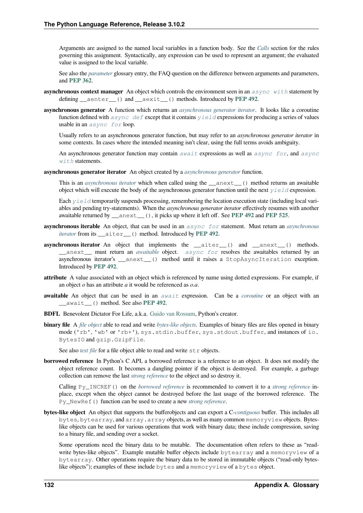Arguments are assigned to the named local variables in a function body. See the *Calls* section for the rules governing this assignment. Syntactically, any expression can be used to represent an argument; the evaluated value is assigned to the local variable.

See also the *parameter* glossary entry, the FAQ question on the difference between [argum](#page-79-0)ents and parameters, and **PEP 362**.

- **asynchronous context manager** An object which controls the environment seen in an *async with* statement by defining \_\_[aenter\\_](#page-144-0)\_() and \_\_aexit\_\_() methods. Introduced by **PEP 492**.
- **asynchro[nous gene](https://www.python.org/dev/peps/pep-0362)rator** A function which returns an *asynchronous generator iterator*. It looks like a coroutine function defined with *async def* except that it contains *yield* expressions fo[r producing a se](#page-120-0)ries of values usable in an *async for* loop.

<span id="page-137-3"></span><span id="page-137-1"></span>Usually refers to an asynchronous generator function, but may refer to an *[asynchro](https://www.python.org/dev/peps/pep-0492)nous generator iterator* in some contexts. In cas[es where the in](#page-119-1)tended meani[ng isn't clear, using the full terms](#page-137-2) avoids ambiguity.

An asynchr[onous generato](#page-119-0)r function may contain *await* expressions as well as *async for*, and *async with* statements.

**asynchronous generator iterator** An object created by a *asynchronous generator* function.

This is an *asynchronous iterator* which when call[ed using](#page-81-0) the \_\_anext\_\_() [method returns](#page-119-0) an a[waitable](#page-120-0) [object](#page-120-0) which will execute the body of the asynchronous generator function until the next *yield* expression.

<span id="page-137-2"></span>Each *yield* temporarily suspends processing, reme[mbering the location exe](#page-137-3)cution state (including local variables and [pending try-statements](#page-137-4)). When the *asynchronous generator iterator* effectively resumes with another awaitable returned by \_\_anext\_\_(), it picks up where it left off. See **PEP 492** and **P[EP 525](#page-95-0)**.

- **asynchronous iterable** An object, that can be used in an *async for* statement. Must return an *asynchronous iterator* [from](#page-95-0) its \_\_aiter\_\_() method. Introduced by **PEP 492**.
- <span id="page-137-0"></span>**asynchronous iterator** An object that implements the \_\_aiter\_() [and](https://www.python.org/dev/peps/pep-0492) \_\_anext\_() methods. \_\_anext\_\_ must return an *awaitable* object. *async for* resolves the awaitables returned by an asynchronous iterator's \_\_anext\_\_() method u[ntil it raises](#page-119-0) a StopAsyncIteration [exception.](#page-137-4) [Introdu](#page-137-4)ced by **PEP 492**.
- <span id="page-137-4"></span>**attribute** A value associated with an object which is refer[enced by name](#page-119-0) using dotted expressions. For example, if an object *o* has an attribute *a* it [would be r](#page-137-5)eferenced as *o.a*.
- **awaitable** An obje[ct that can](https://www.python.org/dev/peps/pep-0492) be used in an *await* expression. Can be a *coroutine* or an object with an \_\_await\_\_() method. See also **PEP 492**.
- **BDFL** Benevolent Dictator For Life, a.k.a. Guido van Rossum, Python's creator.
- <span id="page-137-5"></span>**binary file** A *file object* able to read and write *b[ytes-like](#page-81-0) objects*. Examples of bina[ry files ar](#page-138-0)e files opened in binary mode ('rb', 'wb' or 'rb+'), [sys.std](https://www.python.org/dev/peps/pep-0492)in.buffer, sys.stdout.buffer, and instances of io. BytesIO and gzip.GzipFile.

<span id="page-137-8"></span>Seealso *[text file](#page-139-1)* for a file object able to r[ead and write](#page-137-6)  $str$  objects.

**borrowed reference** In Python's C API, a borrowed reference is a reference to an object. It does not modify the object reference count. It becomes a dangling pointer if the object is destroyed. For example, a garbage collectio[n can re](#page-147-1)move the last *strong reference* to the object and so destroy it.

<span id="page-137-7"></span>Calling Py\_INCREF() on the *borrowed reference* is recommended to convert it to a *strong reference* inplace, except when the object cannot be destroyed before the last usage of the borrowed reference. The Py\_NewRef() function can [be used to creat](#page-147-2)e a new *strong reference*.

**bytes-like object** An object that supports the bufferobjects and can export a C-*contiguous* buffer. This includes all bytes, bytearray, and arr[ay.array](#page-137-7) objects, as well as many common memoryview [objects. By](#page-147-2)teslike objects can be used for various operations that w[ork with binary d](#page-147-2)ata; these include compression, saving to a binary file, and sending over a socket.

<span id="page-137-6"></span>Some operations need the binary data to be mutable. The documentat[ion often r](#page-138-1)efers to these as "readwrite bytes-like objects". Example mutable buffer objects include bytearray and a memoryview of a bytearray. Other operations require the binary data to be stored in immutable objects ("read-only byteslike objects"); examples of these include bytes and a memoryview of a bytes object.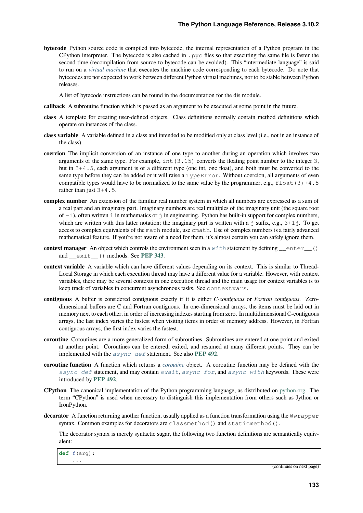**bytecode** Python source code is compiled into bytecode, the internal representation of a Python program in the CPython interpreter. The bytecode is also cached in  $.pyc$  files so that executing the same file is faster the second time (recompilation from source to bytecode can be avoided). This "intermediate language" is said to run on a *virtual machine* that executes the machine code corresponding to each bytecode. Do note that bytecodes are not expected to work between different Python virtual machines, nor to be stable between Python releases.

<span id="page-138-2"></span>A list of byt[ecode instruction](#page-148-1)s can be found in the documentation for the dis module.

- **callback** A subroutine function which is passed as an argument to be executed at some point in the future.
- **class** A template for creating user-defined objects. Class definitions normally contain method definitions which operate on instances of the class.
- **class variable** A variable defined in a class and intended to be modified only at class level (i.e., not in an instance of the class).
- **coercion** The implicit conversion of an instance of one type to another during an operation which involves two arguments of the same type. For example, int (3.15) converts the floating point number to the integer 3, but in 3+4.5, each argument is of a different type (one int, one float), and both must be converted to the same type before they can be added or it will raise a TypeError. Without coercion, all arguments of even compatible types would have to be normalized to the same value by the programmer, e.g.,  $f$ loat (3)+4.5 rather than just  $3+4$ . 5.
- **complex number** An extension of the familiar real number system in which all numbers are expressed as a sum of a real part and an imaginary part. Imaginary numbers are real multiples of the imaginary unit (the square root of  $-1$ ), often written i in mathematics or  $\dot{\uparrow}$  in engineering. Python has built-in support for complex numbers, which are written with this latter notation; the imaginary part is written with a j suffix, e.g.,  $3+1$ j. To get access to complex equivalents of the math module, use cmath. Use of complex numbers is a fairly advanced mathematical feature. If you're not aware of a need for them, it's almost certain you can safely ignore them.
- **context manager** An object which controls the environment seen in a with statement by defining \_\_enter\_\_() and \_\_exit\_\_() methods. See **PEP 343**.
- **context variable** A variable which can have different values depending on its context. This is similar to Thread-Local Storage in which each execution thread may have a different value for a variable. However, with context variables, there may be several contexts in one execution thread [and th](#page-106-0)e main usage for context variables is to keep track of variables in concurr[ent asynch](https://www.python.org/dev/peps/pep-0343)ronous tasks. See contextvars.
- **contiguous** A buffer is considered contiguous exactly if it is either *C-contiguous* or *Fortran contiguous*. Zerodimensional buffers are C and Fortran contiguous. In one-dimensional arrays, the items must be laid out in memory next to each other, in order of increasing indexes starting from zero. In multidimensional C-contiguous arrays, the last index varies the fastest when visiting items in order of memory address. However, in Fortran contiguous arrays, the first index varies the fastest.
- <span id="page-138-1"></span>**coroutine** Coroutines are a more generalized form of subroutines. Subroutines are entered at one point and exited at another point. Coroutines can be entered, exited, and resumed at many different points. They can be implemented with the *async def* statement. See also **PEP 492**.
- <span id="page-138-0"></span>**coroutine function** A function which returns a *coroutine* object. A coroutine function may be defined with the *async def* statement, and may contain *await*, *async for*, and *async with* keywords. These were introduced by **PEP 4[92](#page-119-1)**.
- **CPython** The canonical implementation of the Python progr[amming la](https://www.python.org/dev/peps/pep-0492)nguage, as distributed on python.org. The term "CPython" is used when necessary [t](#page-81-0)[o distingu](#page-138-0)[ish this imp](#page-119-0)leme[ntation from oth](#page-120-0)ers such as Jython or [IronPython.](#page-119-1)
- **decorator** A functi[on returnin](https://www.python.org/dev/peps/pep-0492)g another function, usually applied as a function transformation using the [@wrap](https://www.python.org)per syntax. Common examples for decorators are classmethod() and staticmethod().

The decorator syntax is merely syntactic sugar, the following two function definitions are semantically equivalent:

**def** f(arg): ...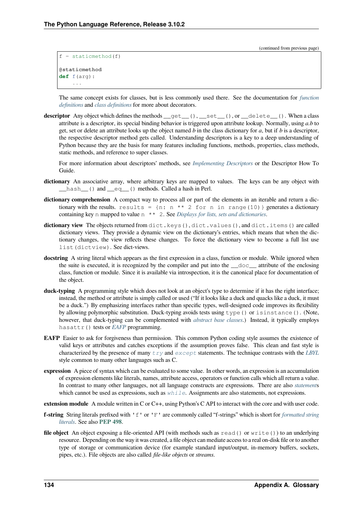```
f =staticmethod(f)
@staticmethod
def f(arg):
    ...
```
The same concept exists for classes, but is less commonly used there. See the documentation for *function definitions* and *class definitions* for more about decorators.

descriptor Any object which defines the methods \_get\_(), \_set\_(), or \_delete\_(). When a class attribute is a descriptor, its special binding behavior is triggered upon attribute lookup. Normally, using *a.b* to get, set or delete an attribute looks up the object named *b* in the class dictionary for *a*, but if *b* is a de[scriptor,](#page-116-1) [the respec](#page-116-1)tive [descriptor metho](#page-117-0)d gets called. Understanding descriptors is a key to a deep understanding of Python because they are the basis for many features including functions, methods, properties, class methods, static methods, and reference to super classes.

For more information about descriptors' methods, see *Implementing Descriptors* or the Descriptor How To Guide.

- **dictionary** An associative array, where arbitrary keys are mapped to values. The keys can be any object with hash () and eq () methods. Called a has[h in Perl.](#page-36-0)
- **dictionary comprehension** A compact way to process all or part of the elements in an iterable and return a dictionary with the results. results =  $\{n: n * * 2 \text{ for } n \text{ in } range(10)\}$  generates a dictionary containing key n mapped to value n \*\* 2. See *Displays for lists, sets and dictionaries*.
- dictionary view The objects returned from dict.keys(), dict.values(), and dict.items() are called dictionary views. They provide a dynamic view on the dictionary's entries, which means that when the dictionary changes, the view reflects these change[s. To force the dictionary view to b](#page-72-0)ecome a full list use list(dictview). See dict-views.
- **docstring** A string literal which appears as the first expression in a class, function or module. While ignored when the suite is executed, it is recognized by the compiler and put into the  $\_\text{doc}\_\text{attribute}$  attribute of the enclosing class, function or module. Since it is available via introspection, it is the canonical place for documentation of the object.
- **duck-typing** A programming style which does not look at an object's type to determine if it has the right interface; instead, the method or attribute is simply called or used ("If it looks like a duck and quacks like a duck, it must be a duck.") By emphasizing interfaces rather than specific types, well-designed code improves its flexibility by allowing polymorphic substitution. Duck-typing avoids tests using type() or isinstance(). (Note, however, that duck-typing can be complemented with *abstract base classes*.) Instead, it typically employs hasattr() tests or *EAFP* programming.
- <span id="page-139-0"></span>**EAFP** Easier to ask for forgiveness than permission. This common Python coding style assumes the existence of valid keys or attributes and catches exceptions if the assumption proves false. This clean and fast style is characterized by the presence of many *try* and *except* [statements. The tec](#page-136-1)hnique contrasts with the *LBYL* style common to man[y other](#page-139-2) languages such as C.
- <span id="page-139-2"></span>**expression** A piece of syntax which can be evaluated to some value. In other words, an expression is an accumulation of expression elements like literals, names, attribute access, operators or function calls which all return a value. In contrast to many other languages, [not al](#page-104-0)l lan[guage con](#page-104-0)structs are expressions. There are also *state[ment](#page-143-0)*s which cannot be used as expressions, such as  $while$ . Assignments are also statements, not expressions.
- <span id="page-139-3"></span>**extension module** A module written in C or C++, using Python's C API to interact with the core and with user code.
- **f-string** String literals prefixed with 'f' or 'F' are commonly called "f-strings" which is short for *form[atted string](#page-147-3) literals*. See also **PEP 498**.
- <span id="page-139-1"></span>**file object** An object exposing a file-oriented API (with methods such as read() or write()) to an underlying resource. Depending on the way it was created, a file object can mediate access to a real on-disk file or to another type of storage or communication device (for example standard input/output, in-memory [buffers, sockets,](#page-17-0) [pipes, e](#page-17-0)tc.). File [objects ar](https://www.python.org/dev/peps/pep-0498)e also called *file-like objects* or *streams*.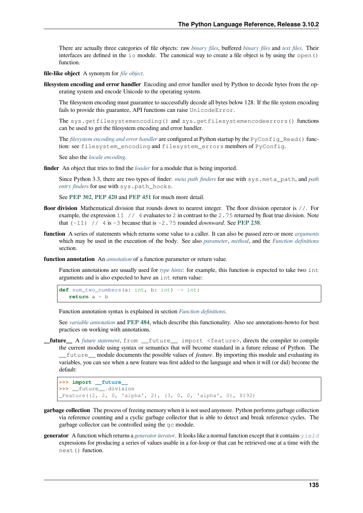There are actually three categories of file objects: raw *binary files*, buffered *binary files* and *text files*. Their interfaces are defined in the io module. The canonical way to create a file object is by using the open () function.

**file-like object** A synonym for *file object*.

**filesystem encoding and error handler** Encoding and error [handler use](#page-137-8)d by Pyth[on to decod](#page-137-8)e by[tes from](#page-147-1) the operating system and encode Unicode to the operating system.

The filesystem encoding [must guara](#page-139-1)ntee to successfully decode all bytes below 128. If the file system encoding fails to provide this guarantee, API functions can raise UnicodeError.

<span id="page-140-2"></span>The sys.getfilesystemencoding() and sys.getfilesystemencodeerrors() functions can be used to get the filesystem encoding and error handler.

The *filesystem encoding and error handler* are configured at Python startup by the PyConfig\_Read() function: see filesystem\_encoding and filesystem\_errors members of PyConfig.

See also the *locale encoding*.

**finder** An [object that tries to find the](#page-140-2) *loader* for a module that is being imported.

Since Python 3.3, there are two types of finder: *meta path finders* for use with sys.meta\_path, and *path entry finders* [for use with](#page-143-1) sys.path\_hooks.

<span id="page-140-4"></span>See **PEP 302**, **PEP 420** and **P[EP 451](#page-143-2)** for much more detail.

- **floor division** Mathematical division that rounds dow[n to nearest integ](#page-143-3)er. The floor division operator is //. [For](#page-145-0) [example, the](#page-145-0) expression 11 // 4 evaluates to 2 in contrast to the 2.75 returned by float true division. Note that  $(-11)$  [// 4](https://www.python.org/dev/peps/pep-0420) is  $-3$  be[cause that](https://www.python.org/dev/peps/pep-0451) is  $-2$ . 75 rounded *downward*. See PEP 238.
- **function** A series of statements which returns some value to a caller. It can also be passed zero or more *arguments* which may be used in the execution of the body. See also *parameter*, *method*, and the *Function definitions* section.
- **function annotation** An *annotation* of a function parameter or return value.

<span id="page-140-1"></span>Function annotations are usually used for *type hints*: for exa[mple, this](#page-144-0)f[unction](#page-143-4) is expect[ed to take two](#page-116-1) int arguments and is also expected to have an int return value:

```
def sum_two_numbers(a: int, b: int) -> int:
  return a + b
```
Function annotation syntax is explained in section *Function definitions*.

See *variable annotation* and **PEP 484**, which describe this functionality. Also see annotations-howto for best practices on working with annotations.

**future** A *future statement*, from future [import <feat](#page-116-1)ure>, directs the compiler to compile the current module using syntax or semantics that will become standard in a future release of Python. The \_\_[future\\_\\_](#page-148-0) module doc[uments the](https://www.python.org/dev/peps/pep-0484) possible values of *feature*. By importing this module and evaluating its variables, you can see when a new feature was first added to the language and when it will (or did) become the default:

```
>>> import __future__
>>> __future__.division
_Feature((2, 2, 0, 'alpha', 2), (3, 0, 0, 'alpha', 0), 8192)
```
- **garbage collection** The process of freeing memory when it is not used anymore. Python performs garbage collection via reference counting and a cyclic garbage collector that is able to detect and break reference cycles. The garbage collector can be controlled using the gc module.
- <span id="page-140-5"></span><span id="page-140-3"></span>**generator** A function which returns a *generator iterator*. It looks like a normal function except that it contains *yield* expressions for producing a series of values usable in a for-loop or that can be retrieved one at a time with the next() function.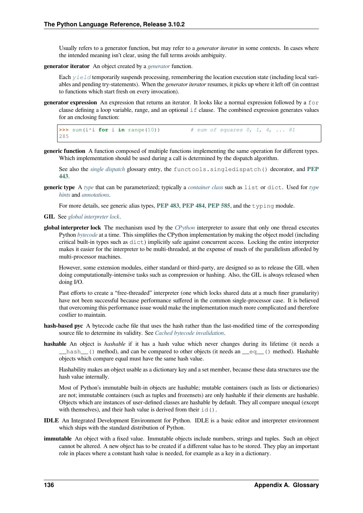Usually refers to a generator function, but may refer to a *generator iterator* in some contexts. In cases where the intended meaning isn't clear, using the full terms avoids ambiguity.

**generator iterator** An object created by a *generator* function.

Each *yield* temporarily suspends processing, remembering the location execution state (including local variables and pending try-statements). When the *generator iterator* resumes, it picks up where it left off (in contrast to functions which start fresh on ever[y invocatio](#page-140-3)n).

**generator expression** An expression that returns an iterator. It looks like a normal expression followed by a for claus[e definin](#page-95-0)g a loop variable, range, and an optional if clause. The combined expression generates values for an enclosing function:

**>>>** sum(i\*i **for** i **in** range(10)) *# sum of squares 0, 1, 4, ... 81* 285

**generic function** A function composed of multiple functions implementing the same operation for different types. Which implementation should be used during a call is determined by the dispatch algorithm.

See also the *single dispatch* glossary entry, the functools.singledispatch() decorator, and **PEP 443**.

**generic type** A *type* that can be parameterized; typically a *container class* such as list or dict. Used for *type hints* and *an[notations](#page-147-4)*.

[For](https://www.python.org/dev/peps/pep-0443) more details, see generic alias types, **PEP 483**, **PEP 484**, **PEP 585**, and the typing module.

**GIL** See *global [inter](#page-147-5)preter lock*.

**globa[l inte](#page-147-0)rpr[eter lock](#page-136-2)** The mechanism used by the *CPython* interpreter to assure that only one thread executes Python *bytecode* at a time. This simplifie[s the CPyt](https://www.python.org/dev/peps/pep-0483)[hon implem](https://www.python.org/dev/peps/pep-0484)[entation b](https://www.python.org/dev/peps/pep-0585)y making the object model (including critical built-in types such as dict) implicitly safe against concurrent access. Locking the entire interpreter ma[kes it easier for the int](#page-141-0)erpreter to be multi-threaded, at the expense of much of the parallelism afforded by multi-processor machines.

<span id="page-141-0"></span>Howev[er, some e](#page-138-2)xtension modules, either standard or third-party, are designed so as to release the GIL when doing computationally-intensive tasks such as compression or hashing. Also, the GIL is always released when doing I/O.

Past efforts to create a "free-threaded" interpreter (one which locks shared data at a much finer granularity) have not been successful because performance suffered in the common single-processor case. It is believed that overcoming this performance issue would make the implementation much more complicated and therefore costlier to maintain.

- **hash-based pyc** A bytecode cache file that uses the hash rather than the last-modified time of the corresponding source file to determine its validity. See *Cached bytecode invalidation*.
- **hashable** An object is *hashable* if it has a hash value which never changes during its lifetime (it needs a hash\_() method), and can be compared to other objects (it needs an  $\_eq$ \_() method). Hashable objects which compare equal must have [the same hash value.](#page-64-0)

Hashability makes an object usable as a dictionary key and a set member, because these data structures use the hash value internally.

Most of Python's immutable built-in objects are hashable; mutable containers (such as lists or dictionaries) are not; immutable containers (such as tuples and frozensets) are only hashable if their elements are hashable. Objects which are instances of user-defined classes are hashable by default. They all compare unequal (except with themselves), and their hash value is derived from their  $id()$ .

- **IDLE** An Integrated Development Environment for Python. IDLE is a basic editor and interpreter environment which ships with the standard distribution of Python.
- **immutable** An object with a fixed value. Immutable objects include numbers, strings and tuples. Such an object cannot be altered. A new object has to be created if a different value has to be stored. They play an important role in places where a constant hash value is needed, for example as a key in a dictionary.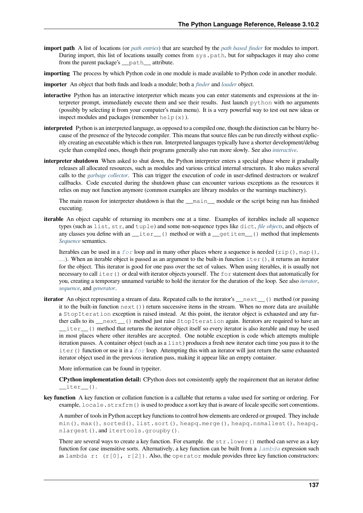- **import path** A list of locations (or *path entries*) that are searched by the *path based finder* for modules to import. During import, this list of locations usually comes from sys.path, but for subpackages it may also come from the parent package's \_\_path\_\_ attribute.
- **importing** The process by which P[ython code i](#page-145-1)n one module is made ava[ilable to Python co](#page-145-2)de in another module.
- **importer** An object that both finds and loads a module; both a *finder* and *loader* object.
- <span id="page-142-2"></span>**interactive** Python has an interactive interpreter which means you can enter statements and expressions at the interpreter prompt, immediately execute them and see their results. Just launch python with no arguments (possibly by selecting it from your computer's main men[u\). It i](#page-140-4)s av[ery pow](#page-143-2)erful way to test out new ideas or inspect modules and packages (remember  $\text{help}(x)$ ).
- <span id="page-142-0"></span>**interpreted** Python is an interpreted language, as opposed to a compiled one, though the distinction can be blurry because of the presence of the bytecode compiler. This means that source files can be run directly without explicitly creating an executable which is then run. Interpreted languages typically have a shorter development/debug cycle than compiled ones, though their programs generally also run more slowly. See also *interactive*.
- **interpreter shutdown** When asked to shut down, the Python interpreter enters a special phase where it gradually releases all allocated resources, such as modules and various critical internal structures. It also makes several calls to the *garbage collector*. This can trigger the execution of code in user-defined destructors or weakref callbacks. Code executed during the shutdown phase can encounter various exceptions [as the res](#page-142-0)ources it relies on may not function anymore (common examples are library modules or the warnings machinery).

Themain r[eason for interpret](#page-140-5)er shutdown is that the \_\_main\_\_ module or the script being run has finished executing.

**iterable** An object capable of returning its members one at a time. Examples of iterables include all sequence types (such as list, str, and tuple) and some non-sequence types like dict, *file objects*, and objects of any classes you define with an \_\_iter\_() method or with a \_getitem\_() method that implements *Sequence* semantics.

Iterables can be used in a *for* loop and in many other places where a sequence is needed (zip(), map(), ...). When an iterable object is passed as an argument to the built-in function  $i \text{teer}(t)$ [, it ret](#page-139-1)urns an iterator for the object. This iterator is good for one pass over the set of values. When using iterables, it is usually not [necessary](#page-146-0) to call iter() or deal with iterator objects yourself. The for statement does that automatically for you, creating a temporary [unna](#page-103-0)med variable to hold the iterator for the duration of the loop. See also *iterator*, *sequence*, and *generator*.

<span id="page-142-1"></span>**iterator** An object representing a stream of data. Repeated calls to the iterator's \_next\_() method (or passing it to the built-in function  $next()$  return successive items in the stream. When no more data are available a StopIteration exception is raised instead. At this point, the iterator object is exhausted and [any fur](#page-142-1)[ther calls](#page-146-0) to its [\\_\\_next](#page-140-3)\_\_() method just raise StopIteration again. Iterators are required to have an \_\_iter\_\_() method that returns the iterator object itself so every iterator is also iterable and may be used in most places where other iterables are accepted. One notable exception is code which attempts multiple iteration passes. A container object (such as a list) produces a fresh new iterator each time you pass it to the iter() function or use it in a  $for$  loop. Attempting this with an iterator will just return the same exhausted iterator object used in the previous iteration pass, making it appear like an empty container.

More information can be found in typeiter.

**CPython implementation det[ail:](#page-103-0)** CPython does not consistently apply the requirement that an iterator define  $\_iter$   $()$ .

**key function** A key function or collation function is a callable that returns a value used for sorting or ordering. For example,  $locale.strxfrm()$  is used to produce a sort key that is aware of locale specific sort conventions.

A number of tools in Python accept key functions to control how elements are ordered or grouped. They include min(), max(), sorted(), list.sort(), heapq.merge(), heapq.nsmallest(), heapq. nlargest(), and itertools.groupby().

There are several ways to create a key function. For example. the str.lower() method can serve as a key function for case insensitive sorts. Alternatively, a key function can be built from a *lambda* expression such as lambda r:  $(r[0], r[2])$ . Also, the operator module provides three key function constructors: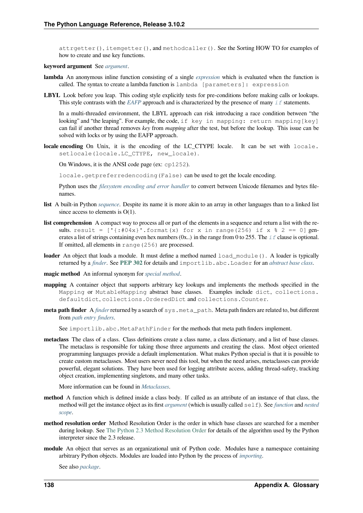attrgetter(), itemgetter(), and methodcaller(). See the Sorting HOW TO for examples of how to create and use key functions.

#### **keyword argument** See *argument*.

- **lambda** An anonymous inline function consisting of a single *expression* which is evaluated when the function is called. The syntax to create a lambda function is lambda [parameters]: expression
- **LBYL** Look before you [leap. Thi](#page-136-0)s coding style explicitly tests for pre-conditions before making calls or lookups. This style contrasts with the *EAFP* approach and is chara[cterized by](#page-139-3) the presence of many *if* statements.

<span id="page-143-0"></span>In a multi-threaded environment, the LBYL approach can risk introducing a race condition between "the looking" and "the leaping". For example, the code, if key in mapping: return mapping[key] can fail if another thread removes *key* from *mapping* after the test, but before the lookup[. Th](#page-103-1)is issue can be solved with locks or by usin[g the E](#page-139-2)AFP approach.

**locale encoding** On Unix, it is the encoding of the LC\_CTYPE locale. It can be set with locale. setlocale(locale.LC\_CTYPE, new\_locale).

On Windows, it is the ANSI code page (ex: cp1252).

<span id="page-143-1"></span>locale.getpreferredencoding(False) can be used to get the locale encoding.

Python uses the *filesystem encoding and error handler* to convert between Unicode filenames and bytes filenames.

- **list** A built-in Python *sequence*. Despite its name it is more akin to an array in other languages than to a linked list sinceaccess to elements is  $O(1)$ .
- **list comprehension** A compact way to process all or part of the elements in a sequence and return a list with the results. result =  $['{\text{:}}#04x]'$ . format(x) for x in range(256) if x  $8$  2 == 0] generates a list of st[rings cont](#page-146-0)aining even hex numbers (0x..) in the range from 0 to 255. The *if* clause is optional. If omitted, all elements in range(256) are processed.
- **loader** An object that loads a module. It must define a method named load module(). A loader is typically returned by a *finder*. See **PEP 302** for details and importlib.abc.Loader for an *[abs](#page-103-1)tract base class*.
- **magic method** An informal synonym for *special method*.
- <span id="page-143-2"></span>**mapping** A container object that supports arbitrary key lookups and implements the methods specified in the Mapping or [Mut](#page-140-4)abl[eMappin](https://www.python.org/dev/peps/pep-0302)g abstract base classes. Examples include dict, [collections](#page-136-1). defaultdict, collections[.OrderedDic](#page-147-6)t and collections.Counter.
- **meta path finder** A *finder* returned by a search of sys.meta\_path. Meta path finders are related to, but different from *path entry finders*.

<span id="page-143-3"></span>See importlib.abc.MetaPathFinder for the methods that meta path finders implement.

**metaclass** The class [of a c](#page-140-4)lass. Class definitions create a class name, a class dictionary, and a list of base classes. The [metaclass is respo](#page-145-0)nsible for taking those three arguments and creating the class. Most object oriented programming languages provide a default implementation. What makes Python special is that it is possible to create custom metaclasses. Most users never need this tool, but when the need arises, metaclasses can provide powerful, elegant solutions. They have been used for logging attribute access, adding thread-safety, tracking object creation, implementing singletons, and many other tasks.

More information can be found in *Metaclasses*.

- **method** A function which is defined inside a class body. If called as an attribute of an instance of that class, the method will get the instance object as its first *argument* (which is usually called self). See *function* and *nested scope*.
- <span id="page-143-4"></span>**method resolution order** Method Res[olution Order](#page-40-0) is the order in which base classes are searched for a member during lookup. See The Python 2.3 Method [Resolutio](#page-136-0)n Order for details of the algorithm [used by t](#page-140-1)he [Python](#page-144-1) [interp](#page-144-1)reter since the 2.3 release.
- **module** An object that serves as an organizational unit of Python code. Modules have a namespace containing arbitrary Python ob[jects. Modules are loaded into Python by t](https://www.python.org/download/releases/2.3/mro/)he process of *importing*.

See also *package*.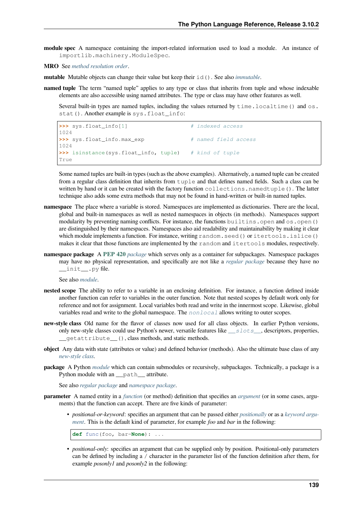**module spec** A namespace containing the import-related information used to load a module. An instance of importlib.machinery.ModuleSpec.

#### **MRO** See *method resolution order*.

**mutable** Mutable objects can change their value but keep their id(). See also *immutable*.

**named tuple** The term "named tuple" applies to any type or class that inherits from tuple and whose indexable elem[ents are also accessible u](#page-143-0)sing named attributes. The type or class may have other features as well.

Several built-in types are named tuples, including the values returned by  $time$ . localtime() and  $\circ s$ . stat(). Another example is sys.float\_info:

| $\rightarrow \rightarrow$ sys.float_info[1]<br> 1024 | # indexed access     |
|------------------------------------------------------|----------------------|
| >>> sys.float_info.max_exp                           | # named field access |
| 11024                                                |                      |
| True                                                 |                      |

Some named tuples are built-in types (such as the above examples). Alternatively, a named tuple can be created from a regular class definition that inherits from tuple and that defines named fields. Such a class can be written by hand or it can be created with the factory function collections.namedtuple(). The latter technique also adds some extra methods that may not be found in hand-written or built-in named tuples.

- **namespace** The place where a variable is stored. Namespaces are implemented as dictionaries. There are the local, global and built-in namespaces as well as nested namespaces in objects (in methods). Namespaces support modularity by preventing naming conflicts. For instance, the functions builtins.open and  $\circ s$ .open() are distinguished by their namespaces. Namespaces also aid readability and maintainability by making it clear which module implements a function. For instance, writing random. seed() or itertools.islice() makes it clear that those functions are implemented by the random and itertools modules, respectively.
- **namespace package** A **PEP 420** *package* which serves only as a container for subpackages. Namespace packages may have no physical representation, and specifically are not like a *regular package* because they have no \_\_init\_\_.py file.

<span id="page-144-2"></span>See also *module*.

- **nested scope** The abilit[y to refer](https://www.python.org/dev/peps/pep-0420) [to a var](#page-144-0)iable in an enclosing definition. [For instance, a f](#page-146-0)unction defined inside another function can refer to variables in the outer function. Note that nested scopes by default work only for reference and not for assignment. Local variables both read and write in the innermost scope. Likewise, global variable[s read an](#page-143-1)d write to the global namespace. The *nonlocal* allows writing to outer scopes.
- **new-style class** Old name for the flavor of classes now used for all class objects. In earlier Python versions, only new-style classes could use Python's newer, versatile features like *\_\_slots\_\_*, descriptors, properties, \_\_getattribute\_\_(), class methods, and static [methods.](#page-100-0)
- <span id="page-144-1"></span>**object** Any data with state (attributes or value) and defined behavior (methods). Also the ultimate base class of any *new-style class*.
- **package** A Python *module* which can contain submodules or recursively, su[bpackages. Te](#page-38-0)chnically, a package is a Python module with an \_\_path\_\_ attribute.

<span id="page-144-0"></span>[See also](#page-144-1) *regular package* and *namespace package*.

- **parameter** A nam[ed entity](#page-143-1) in a *function* (or method) definition that specifies an *argument* (or in some cases, arguments) that the function can accept. There are five kinds of parameter:
	- *po[sitional-or-keywo](#page-146-0)rd*: [specifies an argumen](#page-144-2)t that can be passed either *positionally* or as a *keyword argument*. This is the def[ault kind](#page-140-0) of parameter, for example *foo* and *bar* [in the follo](#page-136-0)wing:

```
def func(foo, bar=None): ...
```
• *[positi](#page-136-0)onal-only*: specifies an argument that can be supplied only by po[sition. Posit](#page-136-0)ional-o[nly parameters](#page-136-0) can be defined by including a / character in the parameter list of the function definition after them, for example *posonly1* and *posonly2* in the following: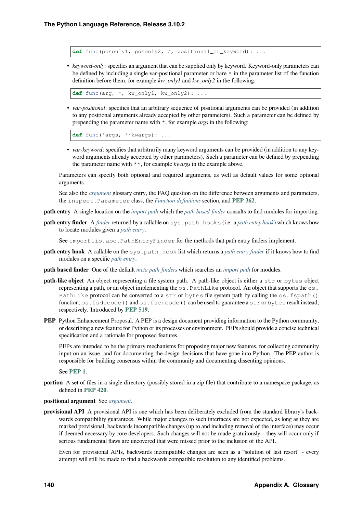```
def func(posonly1, posonly2, /, positional_or_keyword): ...
```
• *keyword-only*: specifies an argument that can be supplied only by keyword. Keyword-only parameters can be defined by including a single var-positional parameter or bare  $*$  in the parameter list of the function definition before them, for example *kw\_only1* and *kw\_only2* in the following:

```
def func(arg, *, kw_only1, kw_only2): ...
```
• *var-positional*: specifies that an arbitrary sequence of positional arguments can be provided (in addition to any positional arguments already accepted by other parameters). Such a parameter can be defined by prepending the parameter name with \*, for example *args* in the following:

```
def func(*args, **kwargs): ...
```
• *var-keyword*: specifies that arbitrarily many keyword arguments can be provided (in addition to any keyword arguments already accepted by other parameters). Such a parameter can be defined by prepending the parameter name with \*\*, for example *kwargs* in the example above.

Parameters can specify both optional and required arguments, as well as default values for some optional arguments.

See also the *argument* glossary entry, the FAQ question on the difference between arguments and parameters, the inspect.Parameter class, the *Function definitions* section, and **PEP 362**.

**path entry** A single location on the *import path* which the *path based finder* consults to find modules for importing.

**path entry finder** A *[finder](#page-136-0)* returned by a callable on sys.path\_hooks (i.e. a *path entry hook*) which knows how to locate modules given a *path entry*.

<span id="page-145-3"></span><span id="page-145-2"></span>See importlib.abc.Pa[thEntryFi](#page-142-0)nder for [the methods that](#page-145-0) path entry finders implement.

- **path entry hook** A [callable](#page-140-1) on the sys.path\_hook list which returns a *path [entry finder](#page-145-1)* if it knows how to find modules on a specific *pat[h entry](#page-145-2)*.
- **path based finder** One of the default *meta path finders* which searches an *import path* for modules.
- <span id="page-145-1"></span><span id="page-145-0"></span>**path-like object** An object representing a file system path. A path-likeo[bject is either a](#page-145-3) str or bytes object representing a path, o[r an object](#page-145-2) implementing the  $\circ s$ . PathLike protocol. An object that supports the  $\circ s$ . PathLike protocol can be converted to a str or bytes file system path by calling the os.fspath() function; os.fsdecode() and [os.fsencode](#page-143-2)() can be used to [guarantee a](#page-142-0) str or bytes result instead, respectively. Introduced by **PEP 519**.
- **PEP** Python Enhancement Proposal. A PEP is a design document providing information to the Python community, or describing a new feature for Python or its processes or environment. PEPs should provide a concise technical specification and a rational[e for propo](https://www.python.org/dev/peps/pep-0519)sed features.

PEPs are intended to be the primary mechanisms for proposing major new features, for collecting community input on an issue, and for documenting the design decisions that have gone into Python. The PEP author is responsible for building consensus within the community and documenting dissenting opinions.

See **PEP 1**.

**portion** A set of files in a single directory (possibly stored in a zip file) that contribute to a namespace package, as defined in **PEP 420**.

#### **positional [argum](https://www.python.org/dev/peps/pep-0001)ent** See *argument*.

**provisional API** A provisional API is one which has been deliberately excluded from the standard library's backwards co[mpatibility](https://www.python.org/dev/peps/pep-0420) guarantees. While major changes to such interfaces are not expected, as long as they are marked provisional, backwards incompatible changes (up to and including removal of the interface) may occur if deemed necessary [by core d](#page-136-0)evelopers. Such changes will not be made gratuitously – they will occur only if serious fundamental flaws are uncovered that were missed prior to the inclusion of the API.

<span id="page-145-4"></span>Even for provisional APIs, backwards incompatible changes are seen as a "solution of last resort" - every attempt will still be made to find a backwards compatible resolution to any identified problems.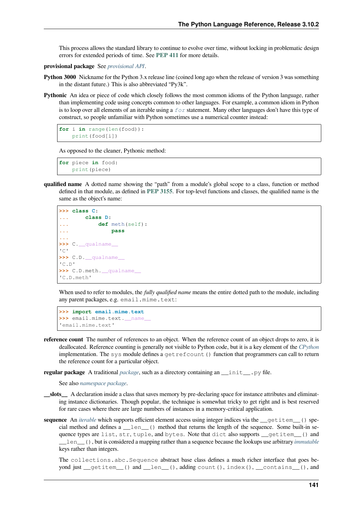This process allows the standard library to continue to evolve over time, without locking in problematic design errors for extended periods of time. See **PEP 411** for more details.

#### <span id="page-146-2"></span>**provisional package** See *provisional API*.

- **Python 3000** Nickname for the Python 3.x release line (coined long ago when the release of version 3 was something in the distant future.) This is also abbrev[iated "Py3](https://www.python.org/dev/peps/pep-0411)k".
- **Pythonic** An idea or piec[e of code which](#page-145-4) closely follows the most common idioms of the Python language, rather than implementing code using concepts common to other languages. For example, a common idiom in Python is to loop over all elements of an iterable using a *for* statement. Many other languages don't have this type of construct, so people unfamiliar with Python sometimes use a numerical counter instead:

```
for i in range(len(food)):
    print(food[i])
```
As opposed to the cleaner, Pythonic method:

```
for piece in food:
   print(piece)
```
**qualified name** A dotted name showing the "path" from a module's global scope to a class, function or method defined in that module, as defined in **PEP 3155**. For top-level functions and classes, the qualified name is the same as the object's name:

```
>>> class C:
... class D:
... def meth(self):
... pass
...
>>> C.__qualname__
"C">>> C.D.__qualname__
'C.D'
>>> C.D.meth.__qualname__
'C.D.meth'
```
When used to refer to modules, the *fully qualified name* means the entire dotted path to the module, including any parent packages, e.g. email.mime.text:

```
>>> import email.mime.text
>>> email.mime.text.__name__
'email.mime.text'
```
**reference count** The number of references to an object. When the reference count of an object drops to zero, it is deallocated. Reference counting is generally not visible to Python code, but it is a key element of the *CPython* implementation. The sys module defines a  $q$ etrefcount() function that programmers can call to return the reference count for a particular object.

**regular package** A traditional *package*, such as a directory containing an *\_\_init\_\_.py* file.

<span id="page-146-0"></span>See also *namespace package*.

- **\_\_slots\_\_** A declaration inside a class that saves memory by pre-declaring space for instance attributes and eliminating instance dictionaries. [Though](#page-144-0) popular, the technique is somewhat tricky to get right and is best reserved for rare [cases where there ar](#page-144-2)e large numbers of instances in a memory-critical application.
- **sequence** An *iterable* which supports efficient element access using integer indices via the \_\_getitem\_() special method and defines  $a \perp e$  () method that returns the length of the sequence. Some built-in sequence types are list, str, tuple, and bytes. Note that dict also supports \_\_getitem\_\_() and \_\_len\_\_(), but is considered a mapping rather than a sequence because the lookups use arbitrary *immutable* keys rat[her than](#page-142-1) integers.

<span id="page-146-1"></span>The collections.abc.Sequence abstract base class defines a much richer interface that goes beyond just \_\_getitem\_() and \_\_len\_(), adding count(), index(), \_\_contains\_(), and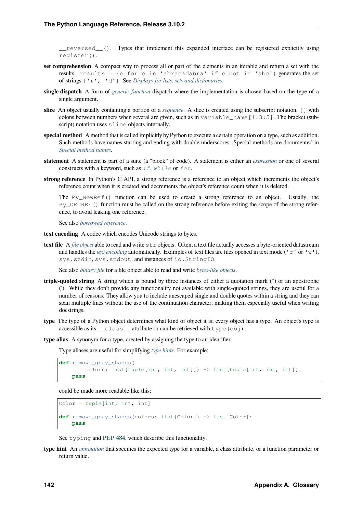reversed (). Types that implement this expanded interface can be registered explicitly using register().

- **set comprehension** A compact way to process all or part of the elements in an iterable and return a set with the results. results = {c for c in 'abracadabra' if c not in 'abc'} generates the set of strings {'r', 'd'}. See *Displays for lists, sets and dictionaries*.
- **single dispatch** A form of *generic function* dispatch where the implementation is chosen based on the type of a single argument.
- **slice** An object usually containing a portion of a *sequence*[. A slice is creat](#page-72-0)ed using the subscript notation, [] with colons between numbers when several are given, such as in  $variable_name[1:3:5]$ . The bracket (subscript) notation uses slice [objects in](#page-141-1)ternally.
- **special method** A method that is called implicitly by Python to execute a certain operation on a type, such as addition. Such methods have names starting and end[ing with](#page-146-1) double underscores. Special methods are documented in *Special method names*.
- **statement** A statement is part of a suite (a "block" of code). A statement is either an *expression* or one of several constructs with a keyword, such as *if*, *while* or *for*.
- **stron[g reference](#page-31-0)** In Python's C API, a strong reference is a reference to an object which increments the object's reference count when it is created and decrements the object's reference count w[hen it is del](#page-139-0)eted.

The Py\_NewRef() function c[an b](#page-103-0)[e used](#page-103-1) to [crea](#page-103-2)te a strong reference to an object. Usually, the Py\_DECREF() function must be called on the strong reference before exiting the scope of the strong reference, to avoid leaking one reference.

See also *borrowed reference*.

**text encoding** A codec which encodes Unicode strings to bytes.

**text file** A *file object* able to read and write str objects. Often, a text file actually accesses a byte-oriented datastream and handles the *[text encoding](#page-137-0)* automatically. Examples of text files are files opened in text mode ('r' or 'w'), sys.stdin, sys.stdout, and instances of io.StringIO.

<span id="page-147-0"></span>See also *[binary](#page-139-1) file* for a file object able to read and write *bytes-like objects*.

- **triple-quoted string** [A string whi](#page-147-0)ch is bound by three instances of either a quotation mark (") or an apostrophe ('). While they don't provide any functionality not available with single-quoted strings, they are useful for a number of reasons. They allow you to include unescaped single and double quotes within a string and they can span mu[ltiple lines](#page-137-1) without the use of the continuation ch[aracter, making t](#page-137-2)hem especially useful when writing docstrings.
- **type** The type of a Python object determines what kind of object it is; every object has a type. An object's type is accessible as its  $\_\_class\_\_$  attribute or can be retrieved with type (obj).

**type alias** A synonym for a type, created by assigning the type to an identifier.

Type aliases are useful for simplifying *type hints*. For example:

```
def remove_gray_shades(
       colors: list[tuple[int, int, int]]) -> list[tuple[int, int, int]]:
   pass
```
could be made more readable like this:

```
Color = tuple(int, int, int]def remove_gray_shades(colors: list[Color]) -> list[Color]:
   pass
```
See typing and **PEP 484**, which describe this functionality.

<span id="page-147-1"></span>**type hint** An *annotation* that specifies the expected type for a variable, a class attribute, or a function parameter or return value.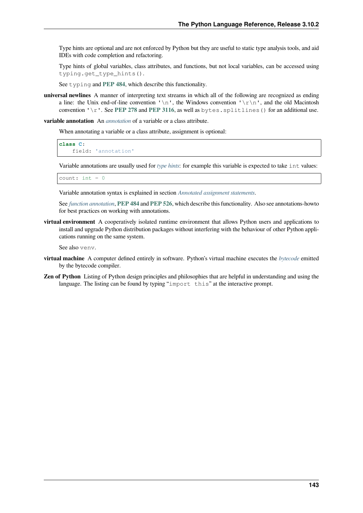Type hints are optional and are not enforced by Python but they are useful to static type analysis tools, and aid IDEs with code completion and refactoring.

Type hints of global variables, class attributes, and functions, but not local variables, can be accessed using typing.get\_type\_hints().

See typing and **PEP 484**, which describe this functionality.

**universal newlines** A manner of interpreting text streams in which all of the following are recognized as ending a line: the Unix end-of-line convention '\n', the Windows convention '\r\n', and the old Macintosh convention '\r'[. See](https://www.python.org/dev/peps/pep-0484) **PEP 278** and **PEP 3116**, as well as bytes.splitlines() for an additional use.

**variable annotation** An *annotation* of a variable or a class attribute.

When annotating a variable or a class attribute, assignment is optional:

**class C**: field: 'an[notation](#page-136-1)'

Variable annotations are usually used for *type hints*: for example this variable is expected to take int values:

count:  $\text{int} = 0$ 

Variable annotation syntax is explained i[n section](#page-147-1) *Annotated assignment statements*.

See *function annotation*, **PEP 484** and **PEP 526**, which describe this functionality. Also see annotations-howto for best practices on working with annotations.

**virtual environment** A cooperatively isolated runtime [environment that allows Python](#page-93-0) users and applications to install and upgrade Python distributio[n packages](https://www.python.org/dev/peps/pep-0526) without interfering with the behaviour of other Python applicati[ons running on the s](#page-140-2)[ame system](https://www.python.org/dev/peps/pep-0484).

See also venv.

- **virtual machine** A computer defined entirely in software. Python's virtual machine executes the *bytecode* emitted by the bytecode compiler.
- **Zen of Python** Listing of Python design principles and philosophies that are helpful in understanding and using the language. The listing can be found by typing "import this" at the interactive prompt.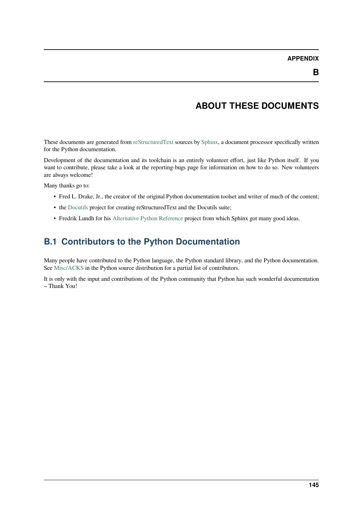**B**

## **ABOUT THESE DOCUMENTS**

These documents are generated from reStructuredText sources by Sphinx, a document processor specifically written for the Python documentation.

Development of the documentation and its toolchain is an entirely volunteer effort, just like Python itself. If you want to contribute, please take a loo[k at the reporting-](http://docutils.sourceforge.net/rst.html)bugs page [for info](http://sphinx-doc.org/)rmation on how to do so. New volunteers are always welcome!

Many thanks go to:

- Fred L. Drake, Jr., the creator of the original Python documentation toolset and writer of much of the content;
- the Docutils project for creating reStructuredText and the Docutils suite;
- Fredrik Lundh for his Alternative Python Reference project from which Sphinx got many good ideas.

## **B.1 C[ontrib](http://docutils.sourceforge.net/)utor[s to the Python Do](http://effbot.org/zone/pyref.htm)cumentation**

Many people have contributed to the Python language, the Python standard library, and the Python documentation. See Misc/ACKS in the Python source distribution for a partial list of contributors.

It is only with the input and contributions of the Python community that Python has such wonderful documentation – Thank You!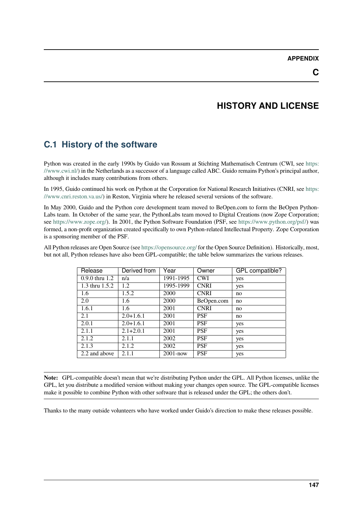**C**

## **HISTORY AND LICENSE**

## **C.1 History of the software**

Python was created in the early 1990s by Guido van Rossum at Stichting Mathematisch Centrum (CWI, see https: //www.cwi.nl/) in the Netherlands as a successor of a language called ABC. Guido remains Python's principal author, although it includes many contributions from others.

In 1995, Guido continued his work on Python at the Corporation for National Research Initiatives (CNRI, see [https:](https://www.cwi.nl/) [//www.cnri.res](https://www.cwi.nl/)ton.va.us/) in Reston, Virginia where he released several versions of the software.

In May 2000, Guido and the Python core development team moved to BeOpen.com to form the BeOpen Python-Labs team. In October of the same year, the PythonLabs team moved to Digital Creations (now Zope Corporation; see https://www.zope.org/). In 2001, the Python Software Foundation (PSF, see https://www.python.org/psf[/\) was](https://www.cnri.reston.va.us/) [formed, a non-profit orga](https://www.cnri.reston.va.us/)nization created specifically to own Python-related Intellectual Property. Zope Corporation is a sponsoring member of the PSF.

All Python releases are Open Source (see https://opensource.org/ for the Open Source Definition). Historically, most, but [not all, Python releases](https://www.zope.org/) have also been GPL-compatible; the table below sum[marizes the various releases.](https://www.python.org/psf/)

| Release            | Derived from  | Year         | Owner       | GPL compatible? |
|--------------------|---------------|--------------|-------------|-----------------|
| $0.9.0$ thru $1.2$ | n/a           | 1991-1995    | <b>CWI</b>  | yes             |
| 1.3 thru 1.5.2     | 1.2           | 1995-1999    | <b>CNRI</b> | yes             |
| 1.6                | 1.5.2         | 2000         | <b>CNRI</b> | no              |
| 2.0                | 1.6           | 2000         | BeOpen.com  | no              |
| 1.6.1              | 1.6           | 2001         | <b>CNRI</b> | no              |
| 2.1                | $2.0 + 1.6.1$ | 2001         | <b>PSF</b>  | no              |
| 2.0.1              | $2.0 + 1.6.1$ | 2001         | <b>PSF</b>  | yes             |
| 2.1.1              | $2.1 + 2.0.1$ | 2001         | <b>PSF</b>  | yes             |
| 2.1.2              | 2.1.1         | 2002         | <b>PSF</b>  | yes             |
| 2.1.3              | 2.1.2         | 2002         | <b>PSF</b>  | yes             |
| 2.2 and above      | 2.1.1         | $2001 - now$ | <b>PSF</b>  | yes             |

**Note:** GPL-compatible doesn't mean that we're distributing Python under the GPL. All Python licenses, unlike the GPL, let you distribute a modified version without making your changes open source. The GPL-compatible licenses make it possible to combine Python with other software that is released under the GPL; the others don't.

Thanks to the many outside volunteers who have worked under Guido's direction to make these releases possible.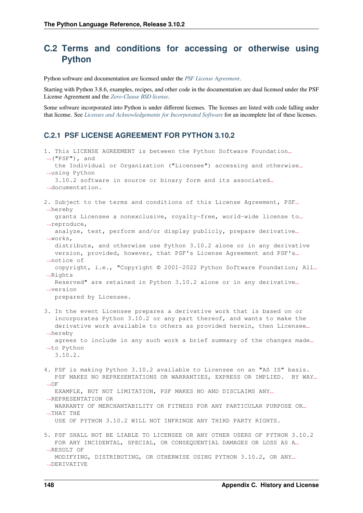# **C.2 Terms and conditions for accessing or otherwise using Python**

Python software and documentation are licensed under the *PSF License Agreement*.

Starting with Python 3.8.6, examples, recipes, and other code in the documentation are dual licensed under the PSF License Agreement and the *Zero-Clause BSD license*.

Some software incorporated into Python is under different [licenses. The licenses](#page-153-0) are listed with code falling under that license. See *Licenses and Acknowledgements for Incorporated Software* for an incomplete list of these licenses.

### **C.2.1 PSF LICENSE AGREEMENT FOR PYTHON 3.10.2**

<span id="page-153-0"></span>1. This LIC[ENSE AGREEMENT is between the Python So](#page-157-0)ftware Foundation␣ *,→*("PSF"), and the Individual or Organization ("Licensee") accessing and otherwise␣ *,→*using Python 3.10.2 software in source or binary form and its associated␣ *,→*documentation. 2. Subject to the terms and conditions of this License Agreement, PSF␣ *,→*hereby grants Licensee a nonexclusive, royalty-free, world-wide license to␣ *,→*reproduce, analyze, test, perform and/or display publicly, prepare derivative. *,→*works, distribute, and otherwise use Python 3.10.2 alone or in any derivative version, provided, however, that PSF's License Agreement and PSF's\_ *,→*notice of copyright, i.e., "Copyright © 2001-2022 Python Software Foundation; All\_ *,→*Rights Reserved" are retained in Python 3.10.2 alone or in any derivative␣ *,→*version prepared by Licensee. 3. In the event Licensee prepares a derivative work that is based on or incorporates Python 3.10.2 or any part thereof, and wants to make the derivative work available to others as provided herein, then Licensee␣ *,→*hereby agrees to include in any such work a brief summary of the changes made␣ *,→*to Python 3.10.2. 4. PSF is making Python 3.10.2 available to Licensee on an "AS IS" basis. PSF MAKES NO REPRESENTATIONS OR WARRANTIES, EXPRESS OR IMPLIED. BY WAY. *,→*OF EXAMPLE, BUT NOT LIMITATION, PSF MAKES NO AND DISCLAIMS ANY␣ *,→*REPRESENTATION OR WARRANTY OF MERCHANTABILITY OR FITNESS FOR ANY PARTICULAR PURPOSE OR␣ *,→*THAT THE USE OF PYTHON 3.10.2 WILL NOT INFRINGE ANY THIRD PARTY RIGHTS. 5. PSF SHALL NOT BE LIABLE TO LICENSEE OR ANY OTHER USERS OF PYTHON 3.10.2 FOR ANY INCIDENTAL, SPECIAL, OR CONSEQUENTIAL DAMAGES OR LOSS AS A␣ *,→*RESULT OF MODIFYING, DISTRIBUTING, OR OTHERWISE USING PYTHON 3.10.2, OR ANY␣

*,→*DERIVATIVE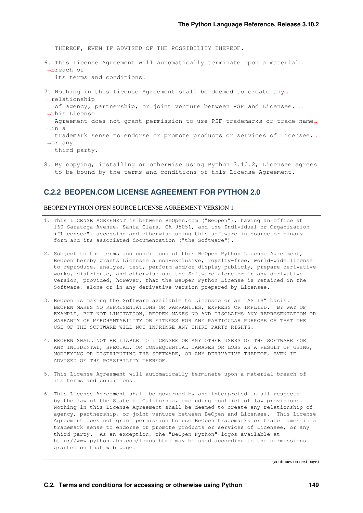THEREOF, EVEN IF ADVISED OF THE POSSIBILITY THEREOF.

6. This License Agreement will automatically terminate upon a material␣ *,→*breach of its terms and conditions. 7. Nothing in this License Agreement shall be deemed to create any␣ *,→*relationship of agency, partnership, or joint venture between PSF and Licensee. ␣ *,→*This License Agreement does not grant permission to use PSF trademarks or trade name␣ *,→*in a trademark sense to endorse or promote products or services of Licensee, \_ *,→*or any third party.

8. By copying, installing or otherwise using Python 3.10.2, Licensee agrees to be bound by the terms and conditions of this License Agreement.

#### **C.2.2 BEOPEN.COM LICENSE AGREEMENT FOR PYTHON 2.0**

#### BEOPEN PYTHON OPEN SOURCE LICENSE AGREEMENT VERSION 1

- 1. This LICENSE AGREEMENT is between BeOpen.com ("BeOpen"), having an office at 160 Saratoga Avenue, Santa Clara, CA 95051, and the Individual or Organization ("Licensee") accessing and otherwise using this software in source or binary form and its associated documentation ("the Software").
- 2. Subject to the terms and conditions of this BeOpen Python License Agreement, BeOpen hereby grants Licensee a non-exclusive, royalty-free, world-wide license to reproduce, analyze, test, perform and/or display publicly, prepare derivative works, distribute, and otherwise use the Software alone or in any derivative version, provided, however, that the BeOpen Python License is retained in the Software, alone or in any derivative version prepared by Licensee.
- 3. BeOpen is making the Software available to Licensee on an "AS IS" basis. BEOPEN MAKES NO REPRESENTATIONS OR WARRANTIES, EXPRESS OR IMPLIED. BY WAY OF EXAMPLE, BUT NOT LIMITATION, BEOPEN MAKES NO AND DISCLAIMS ANY REPRESENTATION OR WARRANTY OF MERCHANTABILITY OR FITNESS FOR ANY PARTICULAR PURPOSE OR THAT THE USE OF THE SOFTWARE WILL NOT INFRINGE ANY THIRD PARTY RIGHTS.
- 4. BEOPEN SHALL NOT BE LIABLE TO LICENSEE OR ANY OTHER USERS OF THE SOFTWARE FOR ANY INCIDENTAL, SPECIAL, OR CONSEQUENTIAL DAMAGES OR LOSS AS A RESULT OF USING, MODIFYING OR DISTRIBUTING THE SOFTWARE, OR ANY DERIVATIVE THEREOF, EVEN IF ADVISED OF THE POSSIBILITY THEREOF.
- 5. This License Agreement will automatically terminate upon a material breach of its terms and conditions.
- 6. This License Agreement shall be governed by and interpreted in all respects by the law of the State of California, excluding conflict of law provisions. Nothing in this License Agreement shall be deemed to create any relationship of agency, partnership, or joint venture between BeOpen and Licensee. This License Agreement does not grant permission to use BeOpen trademarks or trade names in a trademark sense to endorse or promote products or services of Licensee, or any third party. As an exception, the "BeOpen Python" logos available at http://www.pythonlabs.com/logos.html may be used according to the permissions granted on that web page.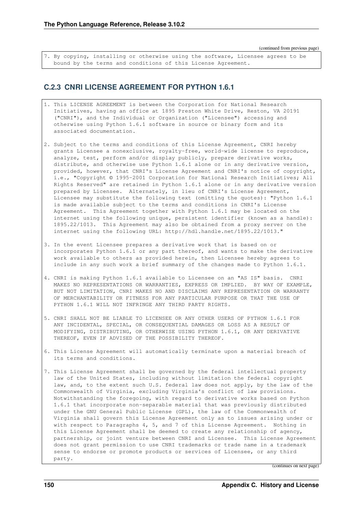7. By copying, installing or otherwise using the software, Licensee agrees to be bound by the terms and conditions of this License Agreement.

## **C.2.3 CNRI LICENSE AGREEMENT FOR PYTHON 1.6.1**

- 1. This LICENSE AGREEMENT is between the Corporation for National Research Initiatives, having an office at 1895 Preston White Drive, Reston, VA 20191 ("CNRI"), and the Individual or Organization ("Licensee") accessing and otherwise using Python 1.6.1 software in source or binary form and its associated documentation.
- 2. Subject to the terms and conditions of this License Agreement, CNRI hereby grants Licensee a nonexclusive, royalty-free, world-wide license to reproduce, analyze, test, perform and/or display publicly, prepare derivative works, distribute, and otherwise use Python 1.6.1 alone or in any derivative version, provided, however, that CNRI's License Agreement and CNRI's notice of copyright, i.e., "Copyright © 1995-2001 Corporation for National Research Initiatives; All Rights Reserved" are retained in Python 1.6.1 alone or in any derivative version prepared by Licensee. Alternately, in lieu of CNRI's License Agreement, Licensee may substitute the following text (omitting the quotes): "Python 1.6.1 is made available subject to the terms and conditions in CNRI's License Agreement. This Agreement together with Python 1.6.1 may be located on the internet using the following unique, persistent identifier (known as a handle): 1895.22/1013. This Agreement may also be obtained from a proxy server on the internet using the following URL: http://hdl.handle.net/1895.22/1013."
- 3. In the event Licensee prepares a derivative work that is based on or incorporates Python 1.6.1 or any part thereof, and wants to make the derivative work available to others as provided herein, then Licensee hereby agrees to include in any such work a brief summary of the changes made to Python 1.6.1.
- 4. CNRI is making Python 1.6.1 available to Licensee on an "AS IS" basis. CNRI MAKES NO REPRESENTATIONS OR WARRANTIES, EXPRESS OR IMPLIED. BY WAY OF EXAMPLE, BUT NOT LIMITATION, CNRI MAKES NO AND DISCLAIMS ANY REPRESENTATION OR WARRANTY OF MERCHANTABILITY OR FITNESS FOR ANY PARTICULAR PURPOSE OR THAT THE USE OF PYTHON 1.6.1 WILL NOT INFRINGE ANY THIRD PARTY RIGHTS.
- 5. CNRI SHALL NOT BE LIABLE TO LICENSEE OR ANY OTHER USERS OF PYTHON 1.6.1 FOR ANY INCIDENTAL, SPECIAL, OR CONSEQUENTIAL DAMAGES OR LOSS AS A RESULT OF MODIFYING, DISTRIBUTING, OR OTHERWISE USING PYTHON 1.6.1, OR ANY DERIVATIVE THEREOF, EVEN IF ADVISED OF THE POSSIBILITY THEREOF.
- 6. This License Agreement will automatically terminate upon a material breach of its terms and conditions.
- 7. This License Agreement shall be governed by the federal intellectual property law of the United States, including without limitation the federal copyright law, and, to the extent such U.S. federal law does not apply, by the law of the Commonwealth of Virginia, excluding Virginia's conflict of law provisions. Notwithstanding the foregoing, with regard to derivative works based on Python 1.6.1 that incorporate non-separable material that was previously distributed under the GNU General Public License (GPL), the law of the Commonwealth of Virginia shall govern this License Agreement only as to issues arising under or with respect to Paragraphs 4, 5, and 7 of this License Agreement. Nothing in this License Agreement shall be deemed to create any relationship of agency, partnership, or joint venture between CNRI and Licensee. This License Agreement does not grant permission to use CNRI trademarks or trade name in a trademark sense to endorse or promote products or services of Licensee, or any third party.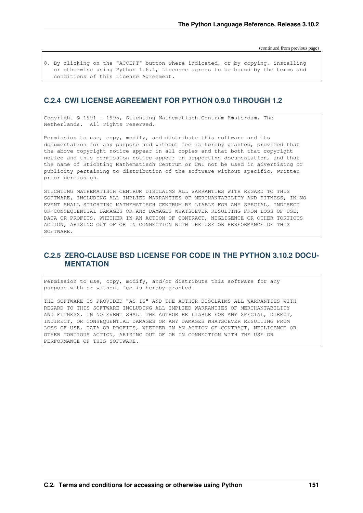8. By clicking on the "ACCEPT" button where indicated, or by copying, installing or otherwise using Python 1.6.1, Licensee agrees to be bound by the terms and conditions of this License Agreement.

## **C.2.4 CWI LICENSE AGREEMENT FOR PYTHON 0.9.0 THROUGH 1.2**

Copyright © 1991 - 1995, Stichting Mathematisch Centrum Amsterdam, The Netherlands. All rights reserved.

Permission to use, copy, modify, and distribute this software and its documentation for any purpose and without fee is hereby granted, provided that the above copyright notice appear in all copies and that both that copyright notice and this permission notice appear in supporting documentation, and that the name of Stichting Mathematisch Centrum or CWI not be used in advertising or publicity pertaining to distribution of the software without specific, written prior permission.

STICHTING MATHEMATISCH CENTRUM DISCLAIMS ALL WARRANTIES WITH REGARD TO THIS SOFTWARE, INCLUDING ALL IMPLIED WARRANTIES OF MERCHANTABILITY AND FITNESS, IN NO EVENT SHALL STICHTING MATHEMATISCH CENTRUM BE LIABLE FOR ANY SPECIAL, INDIRECT OR CONSEQUENTIAL DAMAGES OR ANY DAMAGES WHATSOEVER RESULTING FROM LOSS OF USE, DATA OR PROFITS, WHETHER IN AN ACTION OF CONTRACT, NEGLIGENCE OR OTHER TORTIOUS ACTION, ARISING OUT OF OR IN CONNECTION WITH THE USE OR PERFORMANCE OF THIS SOFTWARE.

## **C.2.5 ZERO-CLAUSE BSD LICENSE FOR CODE IN THE PYTHON 3.10.2 DOCU-MENTATION**

Permission to use, copy, modify, and/or distribute this software for any purpose with or without fee is hereby granted.

THE SOFTWARE IS PROVIDED "AS IS" AND THE AUTHOR DISCLAIMS ALL WARRANTIES WITH REGARD TO THIS SOFTWARE INCLUDING ALL IMPLIED WARRANTIES OF MERCHANTABILITY AND FITNESS. IN NO EVENT SHALL THE AUTHOR BE LIABLE FOR ANY SPECIAL, DIRECT, INDIRECT, OR CONSEQUENTIAL DAMAGES OR ANY DAMAGES WHATSOEVER RESULTING FROM LOSS OF USE, DATA OR PROFITS, WHETHER IN AN ACTION OF CONTRACT, NEGLIGENCE OR OTHER TORTIOUS ACTION, ARISING OUT OF OR IN CONNECTION WITH THE USE OR PERFORMANCE OF THIS SOFTWARE.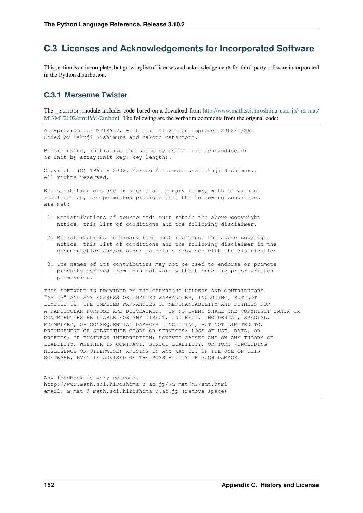# **C.3 Licenses and Acknowledgements for Incorporated Software**

<span id="page-157-0"></span>This section is an incomplete, but growing list of licenses and acknowledgements for third-party software incorporated in the Python distribution.

## **C.3.1 Mersenne Twister**

The random module includes code based on a download from http://www.math.sci.hiroshima-u.ac.jp/~m-mat/ MT/MT2002/emt19937ar.html. The following are the verbatim comments from the original code:

```
A C-program for MT19937, with initialization improved 2002/1/26.
Coded by Takuji Nishimura and Makoto Matsumoto.
Before using, initialize the state by using init_genrand(seed)
or init_by_array(init_key, key_length).
Copyright (C) 1997 - 2002, Makoto Matsumoto and Takuji Nishimura,
All rights reserved.
Redistribution and use in source and binary forms, with or without
modification, are permitted provided that the following conditions
are met:
1. Redistributions of source code must retain the above copyright
   notice, this list of conditions and the following disclaimer.
 2. Redistributions in binary form must reproduce the above copyright
   notice, this list of conditions and the following disclaimer in the
   documentation and/or other materials provided with the distribution.
3. The names of its contributors may not be used to endorse or promote
    products derived from this software without specific prior written
   permission.
THIS SOFTWARE IS PROVIDED BY THE COPYRIGHT HOLDERS AND CONTRIBUTORS
"AS IS" AND ANY EXPRESS OR IMPLIED WARRANTIES, INCLUDING, BUT NOT
LIMITED TO, THE IMPLIED WARRANTIES OF MERCHANTABILITY AND FITNESS FOR
A PARTICULAR PURPOSE ARE DISCLAIMED. IN NO EVENT SHALL THE COPYRIGHT OWNER OR
CONTRIBUTORS BE LIABLE FOR ANY DIRECT, INDIRECT, INCIDENTAL, SPECIAL,
EXEMPLARY, OR CONSEQUENTIAL DAMAGES (INCLUDING, BUT NOT LIMITED TO,
PROCUREMENT OF SUBSTITUTE GOODS OR SERVICES; LOSS OF USE, DATA, OR
PROFITS; OR BUSINESS INTERRUPTION) HOWEVER CAUSED AND ON ANY THEORY OF
LIABILITY, WHETHER IN CONTRACT, STRICT LIABILITY, OR TORT (INCLUDING
NEGLIGENCE OR OTHERWISE) ARISING IN ANY WAY OUT OF THE USE OF THIS
SOFTWARE, EVEN IF ADVISED OF THE POSSIBILITY OF SUCH DAMAGE.
Any feedback is very welcome.
```
http://www.math.sci.hiroshima-u.ac.jp/~m-mat/MT/emt.html email: m-mat @ math.sci.hiroshima-u.ac.jp (remove space)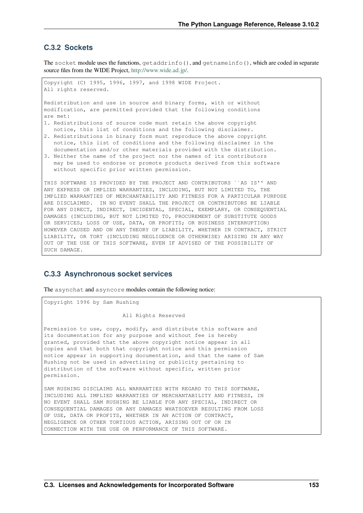## **C.3.2 Sockets**

The socket module uses the functions, getaddrinfo(), and getnameinfo(), which are coded in separate source files from the WIDE Project, http://www.wide.ad.jp/.

```
Copyright (C) 1995, 1996, 1997, and 1998 WIDE Project.
All rights reserved.
Redistribution and use in source and binary forms, with or without
modification, are permitted provided that the following conditions
are met:
1. Redistributions of source code must retain the above copyright
   notice, this list of conditions and the following disclaimer.
2. Redistributions in binary form must reproduce the above copyright
  notice, this list of conditions and the following disclaimer in the
  documentation and/or other materials provided with the distribution.
3. Neither the name of the project nor the names of its contributors
  may be used to endorse or promote products derived from this software
  without specific prior written permission.
THIS SOFTWARE IS PROVIDED BY THE PROJECT AND CONTRIBUTORS ``AS IS'' AND
ANY EXPRESS OR IMPLIED WARRANTIES, INCLUDING, BUT NOT LIMITED TO, THE
IMPLIED WARRANTIES OF MERCHANTABILITY AND FITNESS FOR A PARTICULAR PURPOSE
ARE DISCLAIMED. IN NO EVENT SHALL THE PROJECT OR CONTRIBUTORS BE LIABLE
FOR ANY DIRECT, INDIRECT, INCIDENTAL, SPECIAL, EXEMPLARY, OR CONSEQUENTIAL
DAMAGES (INCLUDING, BUT NOT LIMITED TO, PROCUREMENT OF SUBSTITUTE GOODS
OR SERVICES; LOSS OF USE, DATA, OR PROFITS; OR BUSINESS INTERRUPTION)
HOWEVER CAUSED AND ON ANY THEORY OF LIABILITY, WHETHER IN CONTRACT, STRICT
LIABILITY, OR TORT (INCLUDING NEGLIGENCE OR OTHERWISE) ARISING IN ANY WAY
OUT OF THE USE OF THIS SOFTWARE, EVEN IF ADVISED OF THE POSSIBILITY OF
SUCH DAMAGE.
```
## **C.3.3 Asynchronous socket services**

The asynchat and asyncore modules contain the following notice:

Copyright 1996 by Sam Rushing

All Rights Reserved

Permission to use, copy, modify, and distribute this software and its documentation for any purpose and without fee is hereby granted, provided that the above copyright notice appear in all copies and that both that copyright notice and this permission notice appear in supporting documentation, and that the name of Sam Rushing not be used in advertising or publicity pertaining to distribution of the software without specific, written prior permission.

SAM RUSHING DISCLAIMS ALL WARRANTIES WITH REGARD TO THIS SOFTWARE, INCLUDING ALL IMPLIED WARRANTIES OF MERCHANTABILITY AND FITNESS, IN NO EVENT SHALL SAM RUSHING BE LIABLE FOR ANY SPECIAL, INDIRECT OR CONSEQUENTIAL DAMAGES OR ANY DAMAGES WHATSOEVER RESULTING FROM LOSS OF USE, DATA OR PROFITS, WHETHER IN AN ACTION OF CONTRACT, NEGLIGENCE OR OTHER TORTIOUS ACTION, ARISING OUT OF OR IN CONNECTION WITH THE USE OR PERFORMANCE OF THIS SOFTWARE.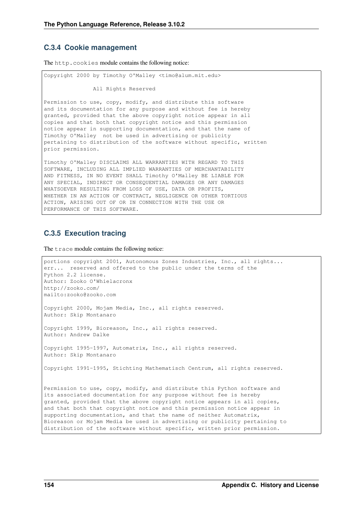#### **C.3.4 Cookie management**

The http.cookies module contains the following notice:

```
Copyright 2000 by Timothy O'Malley <timo@alum.mit.edu>
               All Rights Reserved
Permission to use, copy, modify, and distribute this software
and its documentation for any purpose and without fee is hereby
granted, provided that the above copyright notice appear in all
copies and that both that copyright notice and this permission
notice appear in supporting documentation, and that the name of
Timothy O'Malley not be used in advertising or publicity
pertaining to distribution of the software without specific, written
prior permission.
Timothy O'Malley DISCLAIMS ALL WARRANTIES WITH REGARD TO THIS
SOFTWARE, INCLUDING ALL IMPLIED WARRANTIES OF MERCHANTABILITY
AND FITNESS, IN NO EVENT SHALL Timothy O'Malley BE LIABLE FOR
ANY SPECIAL, INDIRECT OR CONSEQUENTIAL DAMAGES OR ANY DAMAGES
WHATSOEVER RESULTING FROM LOSS OF USE, DATA OR PROFITS,
WHETHER IN AN ACTION OF CONTRACT, NEGLIGENCE OR OTHER TORTIOUS
ACTION, ARISING OUT OF OR IN CONNECTION WITH THE USE OR
PERFORMANCE OF THIS SOFTWARE.
```
### **C.3.5 Execution tracing**

The trace module contains the following notice:

```
portions copyright 2001, Autonomous Zones Industries, Inc., all rights...
err... reserved and offered to the public under the terms of the
Python 2.2 license.
Author: Zooko O'Whielacronx
http://zooko.com/
mailto:zooko@zooko.com
Copyright 2000, Mojam Media, Inc., all rights reserved.
Author: Skip Montanaro
Copyright 1999, Bioreason, Inc., all rights reserved.
Author: Andrew Dalke
Copyright 1995-1997, Automatrix, Inc., all rights reserved.
Author: Skip Montanaro
Copyright 1991-1995, Stichting Mathematisch Centrum, all rights reserved.
Permission to use, copy, modify, and distribute this Python software and
its associated documentation for any purpose without fee is hereby
granted, provided that the above copyright notice appears in all copies,
and that both that copyright notice and this permission notice appear in
supporting documentation, and that the name of neither Automatrix,
Bioreason or Mojam Media be used in advertising or publicity pertaining to
distribution of the software without specific, written prior permission.
```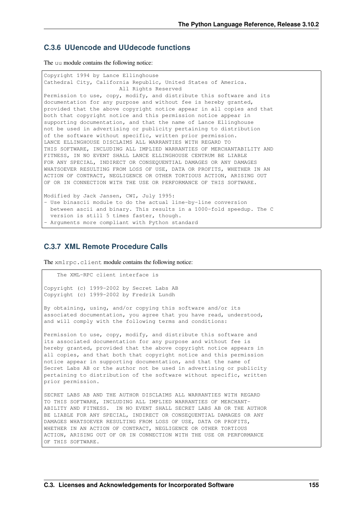### **C.3.6 UUencode and UUdecode functions**

The uu module contains the following notice:

```
Copyright 1994 by Lance Ellinghouse
Cathedral City, California Republic, United States of America.
                       All Rights Reserved
Permission to use, copy, modify, and distribute this software and its
documentation for any purpose and without fee is hereby granted,
provided that the above copyright notice appear in all copies and that
both that copyright notice and this permission notice appear in
supporting documentation, and that the name of Lance Ellinghouse
not be used in advertising or publicity pertaining to distribution
of the software without specific, written prior permission.
LANCE ELLINGHOUSE DISCLAIMS ALL WARRANTIES WITH REGARD TO
THIS SOFTWARE, INCLUDING ALL IMPLIED WARRANTIES OF MERCHANTABILITY AND
FITNESS, IN NO EVENT SHALL LANCE ELLINGHOUSE CENTRUM BE LIABLE
FOR ANY SPECIAL, INDIRECT OR CONSEQUENTIAL DAMAGES OR ANY DAMAGES
WHATSOEVER RESULTING FROM LOSS OF USE, DATA OR PROFITS, WHETHER IN AN
ACTION OF CONTRACT, NEGLIGENCE OR OTHER TORTIOUS ACTION, ARISING OUT
OF OR IN CONNECTION WITH THE USE OR PERFORMANCE OF THIS SOFTWARE.
Modified by Jack Jansen, CWI, July 1995:
- Use binascii module to do the actual line-by-line conversion
 between ascii and binary. This results in a 1000-fold speedup. The C
 version is still 5 times faster, though.
- Arguments more compliant with Python standard
```
### **C.3.7 XML Remote Procedure Calls**

The xmlrpc.client module contains the following notice:

The XML-RPC client interface is

Copyright (c) 1999-2002 by Secret Labs AB Copyright (c) 1999-2002 by Fredrik Lundh

By obtaining, using, and/or copying this software and/or its associated documentation, you agree that you have read, understood, and will comply with the following terms and conditions:

Permission to use, copy, modify, and distribute this software and its associated documentation for any purpose and without fee is hereby granted, provided that the above copyright notice appears in all copies, and that both that copyright notice and this permission notice appear in supporting documentation, and that the name of Secret Labs AB or the author not be used in advertising or publicity pertaining to distribution of the software without specific, written prior permission.

SECRET LABS AB AND THE AUTHOR DISCLAIMS ALL WARRANTIES WITH REGARD TO THIS SOFTWARE, INCLUDING ALL IMPLIED WARRANTIES OF MERCHANT-ABILITY AND FITNESS. IN NO EVENT SHALL SECRET LABS AB OR THE AUTHOR BE LIABLE FOR ANY SPECIAL, INDIRECT OR CONSEQUENTIAL DAMAGES OR ANY DAMAGES WHATSOEVER RESULTING FROM LOSS OF USE, DATA OR PROFITS, WHETHER IN AN ACTION OF CONTRACT, NEGLIGENCE OR OTHER TORTIOUS ACTION, ARISING OUT OF OR IN CONNECTION WITH THE USE OR PERFORMANCE OF THIS SOFTWARE.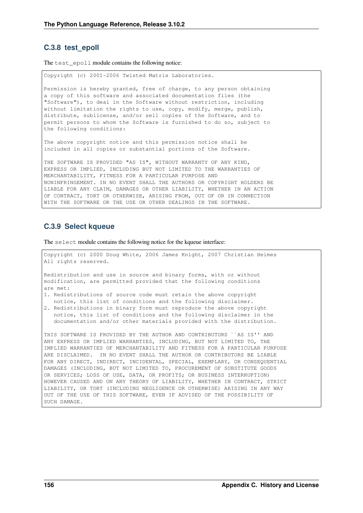#### **C.3.8 test\_epoll**

The test\_epoll module contains the following notice:

Copyright (c) 2001-2006 Twisted Matrix Laboratories.

Permission is hereby granted, free of charge, to any person obtaining a copy of this software and associated documentation files (the "Software"), to deal in the Software without restriction, including without limitation the rights to use, copy, modify, merge, publish, distribute, sublicense, and/or sell copies of the Software, and to permit persons to whom the Software is furnished to do so, subject to the following conditions:

The above copyright notice and this permission notice shall be included in all copies or substantial portions of the Software.

THE SOFTWARE IS PROVIDED "AS IS", WITHOUT WARRANTY OF ANY KIND, EXPRESS OR IMPLIED, INCLUDING BUT NOT LIMITED TO THE WARRANTIES OF MERCHANTABILITY, FITNESS FOR A PARTICULAR PURPOSE AND NONINFRINGEMENT. IN NO EVENT SHALL THE AUTHORS OR COPYRIGHT HOLDERS BE LIABLE FOR ANY CLAIM, DAMAGES OR OTHER LIABILITY, WHETHER IN AN ACTION OF CONTRACT, TORT OR OTHERWISE, ARISING FROM, OUT OF OR IN CONNECTION WITH THE SOFTWARE OR THE USE OR OTHER DEALINGS IN THE SOFTWARE.

#### **C.3.9 Select kqueue**

The select module contains the following notice for the kqueue interface:

Copyright (c) 2000 Doug White, 2006 James Knight, 2007 Christian Heimes All rights reserved.

Redistribution and use in source and binary forms, with or without modification, are permitted provided that the following conditions are met:

- 1. Redistributions of source code must retain the above copyright notice, this list of conditions and the following disclaimer.
- 2. Redistributions in binary form must reproduce the above copyright notice, this list of conditions and the following disclaimer in the documentation and/or other materials provided with the distribution.

THIS SOFTWARE IS PROVIDED BY THE AUTHOR AND CONTRIBUTORS ``AS IS'' AND ANY EXPRESS OR IMPLIED WARRANTIES, INCLUDING, BUT NOT LIMITED TO, THE IMPLIED WARRANTIES OF MERCHANTABILITY AND FITNESS FOR A PARTICULAR PURPOSE ARE DISCLAIMED. IN NO EVENT SHALL THE AUTHOR OR CONTRIBUTORS BE LIABLE FOR ANY DIRECT, INDIRECT, INCIDENTAL, SPECIAL, EXEMPLARY, OR CONSEQUENTIAL DAMAGES (INCLUDING, BUT NOT LIMITED TO, PROCUREMENT OF SUBSTITUTE GOODS OR SERVICES; LOSS OF USE, DATA, OR PROFITS; OR BUSINESS INTERRUPTION) HOWEVER CAUSED AND ON ANY THEORY OF LIABILITY, WHETHER IN CONTRACT, STRICT LIABILITY, OR TORT (INCLUDING NEGLIGENCE OR OTHERWISE) ARISING IN ANY WAY OUT OF THE USE OF THIS SOFTWARE, EVEN IF ADVISED OF THE POSSIBILITY OF SUCH DAMAGE.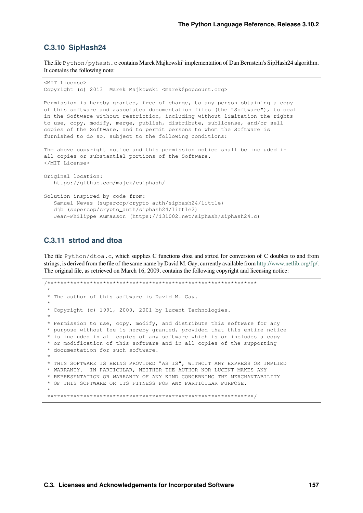## **C.3.10 SipHash24**

The file Python/pyhash.c contains Marek Majkowski' implementation of Dan Bernstein's SipHash24 algorithm. It contains the following note:

```
<MIT License>
Copyright (c) 2013 Marek Majkowski <marek@popcount.org>
Permission is hereby granted, free of charge, to any person obtaining a copy
of this software and associated documentation files (the "Software"), to deal
in the Software without restriction, including without limitation the rights
to use, copy, modify, merge, publish, distribute, sublicense, and/or sell
copies of the Software, and to permit persons to whom the Software is
furnished to do so, subject to the following conditions:
The above copyright notice and this permission notice shall be included in
all copies or substantial portions of the Software.
</MIT License>
Original location:
  https://github.com/majek/csiphash/
Solution inspired by code from:
  Samuel Neves (supercop/crypto_auth/siphash24/little)
  djb (supercop/crypto_auth/siphash24/little2)
  Jean-Philippe Aumasson (https://131002.net/siphash/siphash24.c)
```
### **C.3.11 strtod and dtoa**

The file Python/dtoa.c, which supplies C functions dtoa and strtod for conversion of C doubles to and from strings, is derived from the file of the same name by David M. Gay, currently available from http://www.netlib.org/fp/. The original file, as retrieved on March 16, 2009, contains the following copyright and licensing notice:

```
/****************************************************************
 *
* The author of this software is David M. Gay.
 *
* Copyright (c) 1991, 2000, 2001 by Lucent Technologies.
 *
* Permission to use, copy, modify, and distribute this software for any
* purpose without fee is hereby granted, provided that this entire notice
* is included in all copies of any software which is or includes a copy
* or modification of this software and in all copies of the supporting
* documentation for such software.
 *
* THIS SOFTWARE IS BEING PROVIDED "AS IS", WITHOUT ANY EXPRESS OR IMPLIED
* WARRANTY. IN PARTICULAR, NEITHER THE AUTHOR NOR LUCENT MAKES ANY
* REPRESENTATION OR WARRANTY OF ANY KIND CONCERNING THE MERCHANTABILITY
* OF THIS SOFTWARE OR ITS FITNESS FOR ANY PARTICULAR PURPOSE.
 *
 ***************************************************************/
```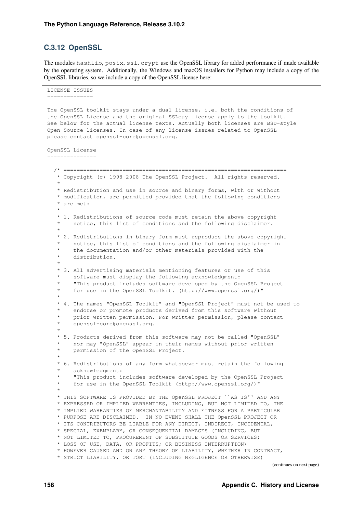#### **C.3.12 OpenSSL**

The modules hashlib, posix, ssl, crypt use the OpenSSL library for added performance if made available by the operating system. Additionally, the Windows and macOS installers for Python may include a copy of the OpenSSL libraries, so we include a copy of the OpenSSL license here:

```
LICENSE ISSUES
==============
The OpenSSL toolkit stays under a dual license, i.e. both the conditions of
the OpenSSL License and the original SSLeay license apply to the toolkit.
See below for the actual license texts. Actually both licenses are BSD-style
Open Source licenses. In case of any license issues related to OpenSSL
please contact openssl-core@openssl.org.
OpenSSL License
---------------
  /* ====================================================================
   * Copyright (c) 1998-2008 The OpenSSL Project. All rights reserved.
   *
   * Redistribution and use in source and binary forms, with or without
   * modification, are permitted provided that the following conditions
   * are met:
   *
   * 1. Redistributions of source code must retain the above copyright
       notice, this list of conditions and the following disclaimer.
   *
   * 2. Redistributions in binary form must reproduce the above copyright
        notice, this list of conditions and the following disclaimer in
        the documentation and/or other materials provided with the
        distribution.
   *
    3. All advertising materials mentioning features or use of this
        software must display the following acknowledgment:
        "This product includes software developed by the OpenSSL Project
        for use in the OpenSSL Toolkit. (http://www.openssl.org/)"
   *
   * 4. The names "OpenSSL Toolkit" and "OpenSSL Project" must not be used to
        endorse or promote products derived from this software without
        prior written permission. For written permission, please contact
        openssl-core@openssl.org.
   *
   * 5. Products derived from this software may not be called "OpenSSL"
        nor may "OpenSSL" appear in their names without prior written
        permission of the OpenSSL Project.
   *
   * 6. Redistributions of any form whatsoever must retain the following
       acknowledgment:
        * "This product includes software developed by the OpenSSL Project
        for use in the OpenSSL Toolkit (http://www.openssl.org/)"
   *
   * THIS SOFTWARE IS PROVIDED BY THE OpenSSL PROJECT ``AS IS'' AND ANY
   * EXPRESSED OR IMPLIED WARRANTIES, INCLUDING, BUT NOT LIMITED TO, THE
   * IMPLIED WARRANTIES OF MERCHANTABILITY AND FITNESS FOR A PARTICULAR
   * PURPOSE ARE DISCLAIMED. IN NO EVENT SHALL THE OpenSSL PROJECT OR
   * ITS CONTRIBUTORS BE LIABLE FOR ANY DIRECT, INDIRECT, INCIDENTAL,
   * SPECIAL, EXEMPLARY, OR CONSEQUENTIAL DAMAGES (INCLUDING, BUT
   * NOT LIMITED TO, PROCUREMENT OF SUBSTITUTE GOODS OR SERVICES;
   * LOSS OF USE, DATA, OR PROFITS; OR BUSINESS INTERRUPTION)
   * HOWEVER CAUSED AND ON ANY THEORY OF LIABILITY, WHETHER IN CONTRACT,
   * STRICT LIABILITY, OR TORT (INCLUDING NEGLIGENCE OR OTHERWISE)
```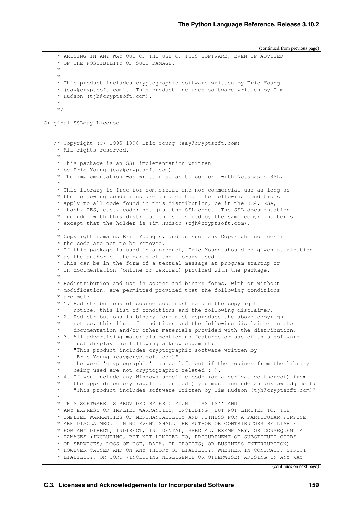```
* ARISING IN ANY WAY OUT OF THE USE OF THIS SOFTWARE, EVEN IF ADVISED
    * OF THE POSSIBILITY OF SUCH DAMAGE.
    * ====================================================================
    *
    * This product includes cryptographic software written by Eric Young
    * (eay@cryptsoft.com). This product includes software written by Tim
    * Hudson (tjh@cryptsoft.com).
    *
    */
Original SSLeay License
        -----------------------
  /* Copyright (C) 1995-1998 Eric Young (eay@cryptsoft.com)
   * All rights reserved.
    *
    * This package is an SSL implementation written
    * by Eric Young (eay@cryptsoft.com).
    * The implementation was written so as to conform with Netscapes SSL.
    *
    * This library is free for commercial and non-commercial use as long as
    * the following conditions are aheared to. The following conditions
    * apply to all code found in this distribution, be it the RC4, RSA,
    * lhash, DES, etc., code; not just the SSL code. The SSL documentation
    * included with this distribution is covered by the same copyright terms
    * except that the holder is Tim Hudson (tjh@cryptsoft.com).
    *
    * Copyright remains Eric Young's, and as such any Copyright notices in
    * the code are not to be removed.
    * If this package is used in a product, Eric Young should be given attribution
    * as the author of the parts of the library used.
    * This can be in the form of a textual message at program startup or
    * in documentation (online or textual) provided with the package.
    *
    * Redistribution and use in source and binary forms, with or without
    * modification, are permitted provided that the following conditions
    * are met:
    * 1. Redistributions of source code must retain the copyright
        notice, this list of conditions and the following disclaimer.
    * 2. Redistributions in binary form must reproduce the above copyright
        notice, this list of conditions and the following disclaimer in the
        documentation and/or other materials provided with the distribution.
    * 3. All advertising materials mentioning features or use of this software
        must display the following acknowledgement:
        "This product includes cryptographic software written by
         Eric Young (eay@cryptsoft.com)"
        The word 'cryptographic' can be left out if the rouines from the library
        being used are not cryptographic related :-).
    * 4. If you include any Windows specific code (or a derivative thereof) from
        the apps directory (application code) you must include an acknowledgement:
         * "This product includes software written by Tim Hudson (tjh@cryptsoft.com)"
    *
    * THIS SOFTWARE IS PROVIDED BY ERIC YOUNG ``AS IS'' AND
    * ANY EXPRESS OR IMPLIED WARRANTIES, INCLUDING, BUT NOT LIMITED TO, THE
    * IMPLIED WARRANTIES OF MERCHANTABILITY AND FITNESS FOR A PARTICULAR PURPOSE
    * ARE DISCLAIMED. IN NO EVENT SHALL THE AUTHOR OR CONTRIBUTORS BE LIABLE
    * FOR ANY DIRECT, INDIRECT, INCIDENTAL, SPECIAL, EXEMPLARY, OR CONSEQUENTIAL
    * DAMAGES (INCLUDING, BUT NOT LIMITED TO, PROCUREMENT OF SUBSTITUTE GOODS
    * OR SERVICES; LOSS OF USE, DATA, OR PROFITS; OR BUSINESS INTERRUPTION)
    * HOWEVER CAUSED AND ON ANY THEORY OF LIABILITY, WHETHER IN CONTRACT, STRICT
    * LIABILITY, OR TORT (INCLUDING NEGLIGENCE OR OTHERWISE) ARISING IN ANY WAY
```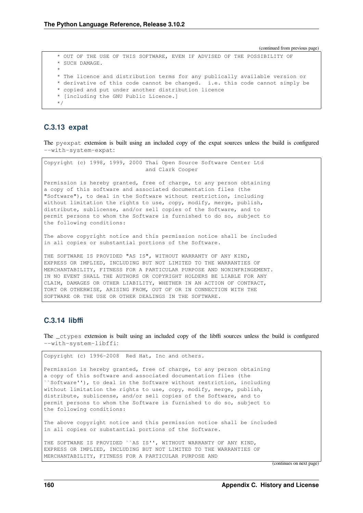```
* OUT OF THE USE OF THIS SOFTWARE, EVEN IF ADVISED OF THE POSSIBILITY OF
* SUCH DAMAGE.
*
* The licence and distribution terms for any publically available version or
* derivative of this code cannot be changed. i.e. this code cannot simply be
* copied and put under another distribution licence
* [including the GNU Public Licence.]
*/
```
### **C.3.13 expat**

The pyexpat extension is built using an included copy of the expat sources unless the build is configured --with-system-expat:

Copyright (c) 1998, 1999, 2000 Thai Open Source Software Center Ltd and Clark Cooper Permission is hereby granted, free of charge, to any person obtaining a copy of this software and associated documentation files (the "Software"), to deal in the Software without restriction, including without limitation the rights to use, copy, modify, merge, publish, distribute, sublicense, and/or sell copies of the Software, and to permit persons to whom the Software is furnished to do so, subject to the following conditions: The above copyright notice and this permission notice shall be included in all copies or substantial portions of the Software. THE SOFTWARE IS PROVIDED "AS IS", WITHOUT WARRANTY OF ANY KIND,

EXPRESS OR IMPLIED, INCLUDING BUT NOT LIMITED TO THE WARRANTIES OF MERCHANTABILITY, FITNESS FOR A PARTICULAR PURPOSE AND NONINFRINGEMENT. IN NO EVENT SHALL THE AUTHORS OR COPYRIGHT HOLDERS BE LIABLE FOR ANY CLAIM, DAMAGES OR OTHER LIABILITY, WHETHER IN AN ACTION OF CONTRACT, TORT OR OTHERWISE, ARISING FROM, OUT OF OR IN CONNECTION WITH THE SOFTWARE OR THE USE OR OTHER DEALINGS IN THE SOFTWARE.

### **C.3.14 libffi**

The \_ctypes extension is built using an included copy of the libffi sources unless the build is configured --with-system-libffi:

Copyright (c) 1996-2008 Red Hat, Inc and others.

Permission is hereby granted, free of charge, to any person obtaining a copy of this software and associated documentation files (the ``Software''), to deal in the Software without restriction, including without limitation the rights to use, copy, modify, merge, publish, distribute, sublicense, and/or sell copies of the Software, and to permit persons to whom the Software is furnished to do so, subject to the following conditions:

The above copyright notice and this permission notice shall be included in all copies or substantial portions of the Software.

THE SOFTWARE IS PROVIDED ``AS IS'', WITHOUT WARRANTY OF ANY KIND, EXPRESS OR IMPLIED, INCLUDING BUT NOT LIMITED TO THE WARRANTIES OF MERCHANTABILITY, FITNESS FOR A PARTICULAR PURPOSE AND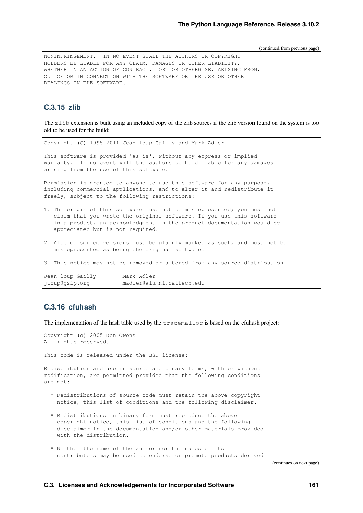```
NONINFRINGEMENT. IN NO EVENT SHALL THE AUTHORS OR COPYRIGHT
HOLDERS BE LIABLE FOR ANY CLAIM, DAMAGES OR OTHER LIABILITY,
WHETHER IN AN ACTION OF CONTRACT, TORT OR OTHERWISE, ARISING FROM,
OUT OF OR IN CONNECTION WITH THE SOFTWARE OR THE USE OR OTHER
DEALINGS IN THE SOFTWARE.
```
### **C.3.15 zlib**

The zlib extension is built using an included copy of the zlib sources if the zlib version found on the system is too old to be used for the build:

```
Copyright (C) 1995-2011 Jean-loup Gailly and Mark Adler
This software is provided 'as-is', without any express or implied
warranty. In no event will the authors be held liable for any damages
arising from the use of this software.
Permission is granted to anyone to use this software for any purpose,
including commercial applications, and to alter it and redistribute it
freely, subject to the following restrictions:
1. The origin of this software must not be misrepresented; you must not
  claim that you wrote the original software. If you use this software
  in a product, an acknowledgment in the product documentation would be
  appreciated but is not required.
2. Altered source versions must be plainly marked as such, and must not be
  misrepresented as being the original software.
3. This notice may not be removed or altered from any source distribution.
Jean-loup Gailly Mark Adler
jloup@gzip.org madler@alumni.caltech.edu
```
### **C.3.16 cfuhash**

The implementation of the hash table used by the tracemalloc is based on the cfuhash project:

```
Copyright (c) 2005 Don Owens
All rights reserved.
This code is released under the BSD license:
Redistribution and use in source and binary forms, with or without
modification, are permitted provided that the following conditions
are met:
  * Redistributions of source code must retain the above copyright
   notice, this list of conditions and the following disclaimer.
  * Redistributions in binary form must reproduce the above
   copyright notice, this list of conditions and the following
    disclaimer in the documentation and/or other materials provided
   with the distribution.
  * Neither the name of the author nor the names of its
    contributors may be used to endorse or promote products derived
```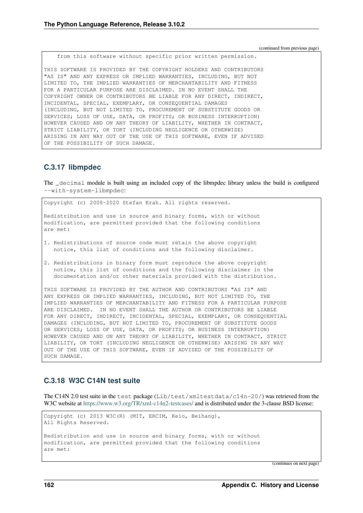from this software without specific prior written permission. THIS SOFTWARE IS PROVIDED BY THE COPYRIGHT HOLDERS AND CONTRIBUTORS "AS IS" AND ANY EXPRESS OR IMPLIED WARRANTIES, INCLUDING, BUT NOT LIMITED TO, THE IMPLIED WARRANTIES OF MERCHANTABILITY AND FITNESS FOR A PARTICULAR PURPOSE ARE DISCLAIMED. IN NO EVENT SHALL THE COPYRIGHT OWNER OR CONTRIBUTORS BE LIABLE FOR ANY DIRECT, INDIRECT, INCIDENTAL, SPECIAL, EXEMPLARY, OR CONSEQUENTIAL DAMAGES (INCLUDING, BUT NOT LIMITED TO, PROCUREMENT OF SUBSTITUTE GOODS OR SERVICES; LOSS OF USE, DATA, OR PROFITS; OR BUSINESS INTERRUPTION) HOWEVER CAUSED AND ON ANY THEORY OF LIABILITY, WHETHER IN CONTRACT, STRICT LIABILITY, OR TORT (INCLUDING NEGLIGENCE OR OTHERWISE) ARISING IN ANY WAY OUT OF THE USE OF THIS SOFTWARE, EVEN IF ADVISED OF THE POSSIBILITY OF SUCH DAMAGE.

## **C.3.17 libmpdec**

The decimal module is built using an included copy of the libmpdec library unless the build is configured --with-system-libmpdec:

Copyright (c) 2008-2020 Stefan Krah. All rights reserved.

Redistribution and use in source and binary forms, with or without modification, are permitted provided that the following conditions are met:

- 1. Redistributions of source code must retain the above copyright notice, this list of conditions and the following disclaimer.
- 2. Redistributions in binary form must reproduce the above copyright notice, this list of conditions and the following disclaimer in the documentation and/or other materials provided with the distribution.

THIS SOFTWARE IS PROVIDED BY THE AUTHOR AND CONTRIBUTORS "AS IS" AND ANY EXPRESS OR IMPLIED WARRANTIES, INCLUDING, BUT NOT LIMITED TO, THE IMPLIED WARRANTIES OF MERCHANTABILITY AND FITNESS FOR A PARTICULAR PURPOSE ARE DISCLAIMED. IN NO EVENT SHALL THE AUTHOR OR CONTRIBUTORS BE LIABLE FOR ANY DIRECT, INDIRECT, INCIDENTAL, SPECIAL, EXEMPLARY, OR CONSEQUENTIAL DAMAGES (INCLUDING, BUT NOT LIMITED TO, PROCUREMENT OF SUBSTITUTE GOODS OR SERVICES; LOSS OF USE, DATA, OR PROFITS; OR BUSINESS INTERRUPTION) HOWEVER CAUSED AND ON ANY THEORY OF LIABILITY, WHETHER IN CONTRACT, STRICT LIABILITY, OR TORT (INCLUDING NEGLIGENCE OR OTHERWISE) ARISING IN ANY WAY OUT OF THE USE OF THIS SOFTWARE, EVEN IF ADVISED OF THE POSSIBILITY OF SUCH DAMAGE.

### **C.3.18 W3C C14N test suite**

The C14N 2.0 test suite in the test package  $(\text{Lib}/\text{test}/\text{xmltestdata}/c14n-20/)$  was retrieved from the W3C website at https://www.w3.org/TR/xml-c14n2-testcases/ and is distributed under the 3-clause BSD license:

```
Copyright (c) 2013 W3C(R) (MIT, ERCIM, Keio, Beihang),
All Rights Reserved.
Redistribution and use in source and binary forms, with or without
modification, are permitted provided that the following conditions
are met:
```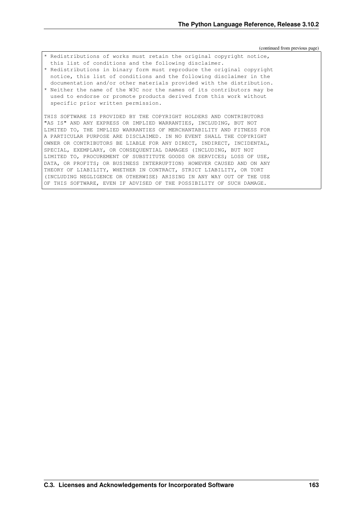\* Redistributions of works must retain the original copyright notice, this list of conditions and the following disclaimer. \* Redistributions in binary form must reproduce the original copyright notice, this list of conditions and the following disclaimer in the documentation and/or other materials provided with the distribution. \* Neither the name of the W3C nor the names of its contributors may be used to endorse or promote products derived from this work without specific prior written permission. THIS SOFTWARE IS PROVIDED BY THE COPYRIGHT HOLDERS AND CONTRIBUTORS "AS IS" AND ANY EXPRESS OR IMPLIED WARRANTIES, INCLUDING, BUT NOT LIMITED TO, THE IMPLIED WARRANTIES OF MERCHANTABILITY AND FITNESS FOR A PARTICULAR PURPOSE ARE DISCLAIMED. IN NO EVENT SHALL THE COPYRIGHT OWNER OR CONTRIBUTORS BE LIABLE FOR ANY DIRECT, INDIRECT, INCIDENTAL, SPECIAL, EXEMPLARY, OR CONSEQUENTIAL DAMAGES (INCLUDING, BUT NOT LIMITED TO, PROCUREMENT OF SUBSTITUTE GOODS OR SERVICES; LOSS OF USE, DATA, OR PROFITS; OR BUSINESS INTERRUPTION) HOWEVER CAUSED AND ON ANY THEORY OF LIABILITY, WHETHER IN CONTRACT, STRICT LIABILITY, OR TORT (INCLUDING NEGLIGENCE OR OTHERWISE) ARISING IN ANY WAY OUT OF THE USE OF THIS SOFTWARE, EVEN IF ADVISED OF THE POSSIBILITY OF SUCH DAMAGE.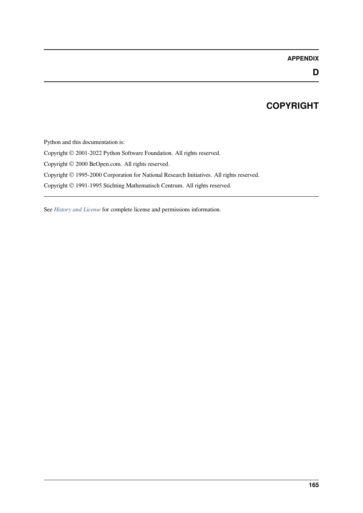# **COPYRIGHT**

Python and this documentation is:

Copyright © 2001-2022 Python Software Foundation. All rights reserved.

Copyright © 2000 BeOpen.com. All rights reserved.

Copyright © 1995-2000 Corporation for National Research Initiatives. All rights reserved.

Copyright © 1991-1995 Stichting Mathematisch Centrum. All rights reserved.

See *History and License* for complete license and permissions information.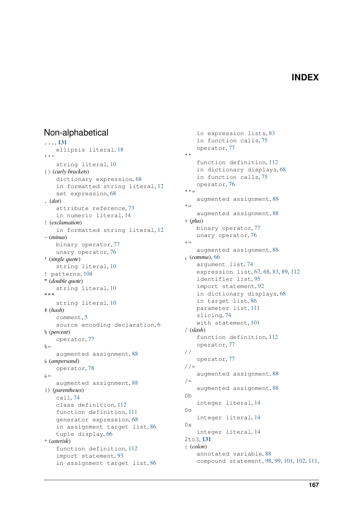## **INDEX**

## Non-alphabetical

```
..., 131
   ellipsis literal, 18
'''string literal, 10
{} (curly brackets)
   dictionary expression, 68
    in formatted string literal, 12
    set expression, 68
. (dot)
    attribute reference, 73
    in numeric literal, 14
! (exclamation)
    in formatted string literal, 12
- (minus)
   binary operator, 77
   unary operator, 76
' (single quote)
    string literal, 10
! patterns, 104
" (double quote)
    string literal, 10
"" "
    string literal, 10
# (hash)
    comment, 5
    source encoding declaration, 6
% (percent)
    operator, 77
z =augmented assignment, 88
& (ampersand)
   operator, 78
\delta =augmented assignment, 88
() (parentheses)
   call, 74
    class definition, 112
    function definition, 111
    generator expression, 68
    in assignment target list, 86
   tuple display, 66
* (asterisk)
    function definition, 112
    import statement, 93
    in assignment target list, 86
```

```
in expression lists, 83
   in function calls, 75
   operator, 77
**
    function definition, 112
   in dictionary displays, 68
   in function calls, 75
   operator, 76
**=
    augmented assignment, 88
x =augmented assignment, 88
+ (plus)
   binary operator, 77
   unary operator, 76
+augmented assignment, 88
, (comma), 66
    argument list, 74
    expression list, 67, 68, 83, 89, 112
   identifier list, 95
   import statement, 92
   in dictionary displays, 68
   in target list, 86
   parameter list, 111
   slicing, 74
   with statement, 101
/ (slash)
    function definition, 112
    operator, 77
//
   operator, 77
//=augmented assignment, 88
/augmented assignment, 88
0b
    integer literal, 14
0o
   integer literal, 14
0xinteger literal, 14
2to3, 131
: (colon)
   annotated variable, 88
   compound statement, 98, 99, 101, 102, 111,
```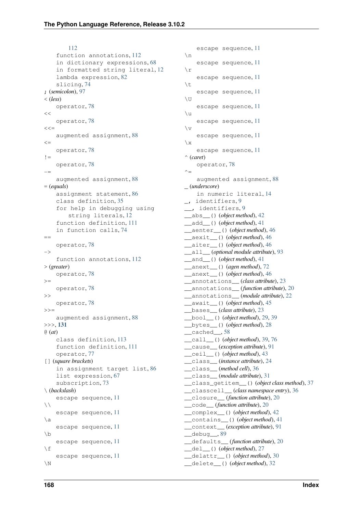```
112
    function annotations, 112
    in dictionary expressions, 68
    in formatted string literal, 12
    lambda expression, 82
    slicing, 74
; (semicolon), 97
< (less)
    operator, 78
\lt\ltoperator, 78
<<=augmented assignment, 88
\leqoperator, 78
!=operator, 78
-augmented assignment, 88
= (equals)
    assignment statement, 86
   class definition, 35
    for help in debugging using
        string literals, 12
    function definition, 111
    in function calls, 74
==
    operator, 78
\rightarrowfunction annotations, 112
> (greater)
    operator, 78
\geqoperator, 78
>>
    operator, 78
>>=augmented assignment, 88
>>>, 131
@ (at)
    class definition, 113
    function definition, 111
    operator, 77
[] (square brackets)
    in assignment target list, 86
    list expression, 67
    subscription, 73
\ (backslash)
    escape sequence, 11
\setminusescape sequence, 11
\a
    escape sequence, 11
\b
    escape sequence, 11
\setminus fescape sequence, 11
\setminus N
```

```
escape sequence, 11
\n
    escape sequence, 11
\r
    escape sequence, 11
\t
    escape sequence, 11
\U
    escape sequence, 11
\u
    escape sequence, 11
\veeescape sequence, 11
\chiescape sequence, 11
^ (caret)
    operator, 78
\sim =augmented assignment, 88
_ (underscore)
    in numeric literal, 14
_, identifiers, 9
__, identifiers, 9
__abs__() (object method), 42
__add__() (object method), 41
__aenter__() (object method), 46
__aexit__() (object method), 46
__aiter__() (object method), 46
__all__ (optional module attribute), 93
__and__() (object method), 41
__anext__() (agen method), 72
__anext__() (object method), 46
__annotations__ (class attribute), 23
__annotations__ (function attribute), 20
__annotations__ (module attribute), 22
__await__() (object method), 45
__bases__ (class attribute), 23
__bool__() (object method), 29, 39
__bytes__() (object method), 28
\_\_c^{\_\_c}cached\_\_, 58
__call__() (object method), 39, 76
__cause__ (exception attribute), 91
__ceil__() (object method), 43
__class__ (instance attribute), 24
__class__ (method cell), 36
__class__ (module attribute), 31
__class_getitem__() (object class method), 37
__classcell__ (class namespace entry), 36
__closure__ (function attribute), 20
__code__ (function attribute), 20
__complex__() (object method), 42
__contains__() (object method), 41
__context__ (exception attribute), 91
__debug__, 89
__defaults__ (function attribute), 20
__del__() (object method), 27
__delattr__() (object method), 30
```
\_\_delete\_[\\_\(\)](#page-94-0) (*object method*), 32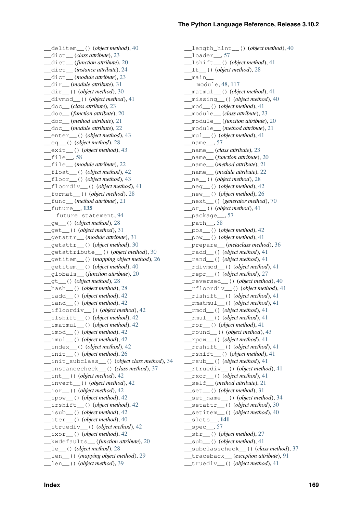\_\_delitem\_\_() (*object method*), 40 \_\_dict\_\_ (*class attribute*), 23 \_\_dict\_\_ (*function attribute*), 20 \_\_dict\_\_ (*instance attribute*), 24 \_\_dict\_\_ (*module attribute*), 23 \_\_dir\_\_ (*module attribute*), [31](#page-28-0) \_\_dir\_\_() (*object method*), 3[0](#page-25-0) \_\_divmod\_\_() (*object method*[\),](#page-29-0) 41 \_\_doc\_\_ (*class attribute*), 23 \_\_doc\_\_ (*function attribute*), [20](#page-36-0) \_\_doc\_\_ (*method attribute*), [21](#page-35-0) \_\_doc\_\_ (*module attribute*), 22 \_\_enter\_\_() (*object me[tho](#page-28-0)d*), 4[3](#page-46-0) \_\_eq\_\_() (*object method*), 2[8](#page-25-0) \_\_exit\_\_() (*object method*[\),](#page-26-0) 43 \_\_file\_\_, 58 \_\_file\_\_ (*module attribute*[\),](#page-27-0) 2[2](#page-48-0) \_\_float\_\_() (*object meth[od](#page-33-0)*), 42 \_\_floor\_\_() (*object method*), [4](#page-48-0)3 \_\_floord[iv\\_](#page-63-0)\_() (*object method*), 41 \_\_format\_\_() (*object meth[od](#page-27-0)*), 28 \_\_func\_\_ (*method attribute*), 2[1](#page-47-0) \_\_future\_\_, **135** future statement, 94 \_\_ge\_\_() (*object method*), 28 \_\_get\_\_() (*object method*), [31](#page-26-0) \_\_getattr\_\_ (*[mo](#page-140-3)dule attribute*), 31 \_\_getattr\_\_() (*object me[tho](#page-99-0)d*), 30 \_\_getattribute\_\_() (*[obj](#page-33-0)ect method*), 30 \_\_getitem\_\_() (*mapping [obje](#page-36-0)ct method*), 26 \_\_getitem\_\_() (*object method*), [40](#page-36-0) \_\_globals\_\_ (*function attribute*), [20](#page-35-0) \_\_gt\_\_() (*object method*), 28 \_\_hash\_\_() (*object method*), 28 \_\_iadd\_\_() (*object method*), 42 \_\_iand\_\_() (*object method*), 42 \_\_ifloordiv\_\_() (*obje[ct m](#page-33-0)ethod*[\),](#page-25-0) 42 \_\_ilshift\_\_() (*object meth[od](#page-33-0)*), 42 \_\_imatmul\_\_() (*object meth[od](#page-47-0)*), 42 \_\_imod\_\_() (*object method*), [42](#page-47-0) \_\_imul\_\_() (*object method*), 42 \_\_index\_\_() (*object method*), 42 \_\_init\_\_() (*object method*), 26 \_\_init\_subclass\_\_() (*o[bjec](#page-47-0)t class method*), 34 \_\_instancecheck\_\_() (*cl[ass](#page-47-0) method*), 37 \_\_int\_\_() (*object method*), 42 \_\_invert\_\_() (*object method*[\),](#page-31-1) 42 \_\_ior\_\_() (*object method*), 42 \_\_ipow\_\_() (*object method*), 42 \_\_irshift\_\_() (*object me[tho](#page-47-0)d*), 42 \_\_isub\_\_() (*object method*), 42 \_\_iter\_\_() (*object method*), [4](#page-47-0)0 \_\_itruediv\_\_() (*object me[tho](#page-47-0)d*), 42 \_\_ixor\_\_() (*object method*), 42 \_\_kwdefaults\_\_ (*function [attr](#page-47-0)ib[ute](#page-47-0)*), 20 \_\_le\_\_() (*object method*), 28 \_\_len\_\_() (*mapping object [meth](#page-45-0)od*), [2](#page-47-0)9 \_\_len\_\_() (*object method*), 3[9](#page-47-0)

\_\_length\_hint\_\_() (*object method*), 40  $\_$ loader $\_$ , 57 \_\_lshift\_\_() (*object method*), 41 \_\_lt\_\_() (*object method*), 28 \_\_main\_\_ module, [48,](#page-62-0) 117 \_\_matmul\_\_() (*object method*), [41](#page-46-0) \_\_missing\_\_() (*object m[eth](#page-33-0)od*), 40 \_\_mod\_\_() (*object method*), 41 \_\_module\_\_ (*[cl](#page-53-0)[ass a](#page-122-0)ttribute*), 23 \_\_module\_\_ (*function attribute*), [20](#page-46-0) \_\_module\_\_ (*method attribute*), 2[1](#page-45-0) \_\_mul\_\_() (*object method*), [41](#page-46-0) \_\_name\_\_, 57 \_\_name\_\_ (*class attribute*), 23 \_\_name\_\_ (*function attribute*), 2[0](#page-26-0) \_\_name\_\_ (*method attribute*), [21](#page-46-0) \_\_name\_\_ (*[mo](#page-62-0)dule attribute*), 22 \_\_ne\_\_() (*object method*), [28](#page-28-0) \_\_neg\_\_() (*object method*), 4[2](#page-25-0) \_\_new\_\_() (*object method*), [26](#page-26-0) \_\_next\_\_() (*generator meth[od](#page-27-0)*), 70 \_\_or\_\_() (*object method*), [41](#page-33-0)  $<sub>max</sub>$ </sub> \_\_path\_\_, 58 \_\_pos\_\_() (*object method*), [42](#page-31-1) \_\_pow\_\_() (*object method*), [4](#page-46-0)1 \_\_prepare\_\_ (*[me](#page-62-0)taclass method*), 36 \_\_radd\_\_[\(\)](#page-63-0) (*object method*), 41 \_\_rand\_\_() (*object method*), [4](#page-47-0)1 \_\_rdivmod\_\_() (*object me[tho](#page-46-0)d*), 41 \_\_repr\_\_() (*object method*), 27 \_\_reversed\_\_() (*object me[tho](#page-46-0)d*), [40](#page-41-0) \_\_rfloordiv\_\_() (*object m[eth](#page-46-0)od*), 41 \_\_rlshift\_\_() (*object method*), [41](#page-46-0) \_\_rmatmul\_\_() (*object meth[od](#page-32-0)*), 41 \_\_rmod\_\_() (*object method*), 41 \_\_rmul\_\_() (*object method*), 41 \_\_ror\_\_() (*object method*), 41 \_\_round\_\_() (*object method*), 43 \_\_rpow\_\_() (*object method*), [41](#page-46-0) \_\_rrshift\_\_() (*object meth[od](#page-46-0)*), 41 \_\_rshift\_\_() (*object meth[od](#page-46-0)*), 41 \_\_rsub\_\_() (*object method*), 4[1](#page-48-0) \_\_rtruediv\_\_() (*object me[tho](#page-46-0)d*), 41 \_\_rxor\_\_() (*object method*), 41 \_\_self\_\_ (*method attribute*), 21 \_\_set\_\_() (*object method*), 3[1](#page-46-0) \_\_set\_name\_\_() (*object method*), [34](#page-46-0) \_\_setattr\_\_() (*object meth[od](#page-46-0)*), 30 \_\_setitem\_\_() (*object met[hod](#page-26-0)*), 40 \_\_slots\_\_, **141**  $\_\$  spec $\_\$ , 57 \_\_str\_\_() (*object method*), 27 \_\_sub\_\_() (*object method*), 41 \_\_subclas[sche](#page-146-2)ck\_\_() (*class [meth](#page-45-0)od*), 37 \_\_traceb[ack](#page-62-0)\_\_ (*exception attribute*), 91 \_\_truediv\_\_() (*object me[tho](#page-32-0)d*), 41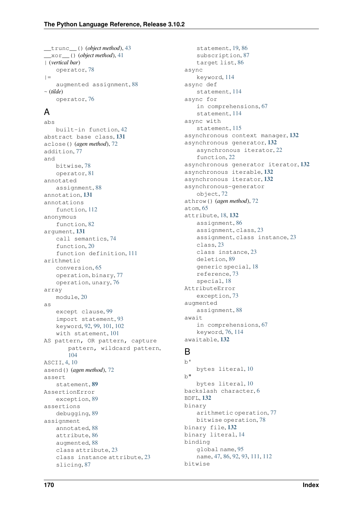```
__trunc__() (object method), 43
 __xor__() (object method), 41
| (vertical bar)
    operator, 78
|=augmented assignment, 88
~ (tilde)
    operator, 76
```
# A

abs built-in [fu](#page-81-0)nction, 42 abstract base class, **131** aclose() (*agen method*), 72 addition, 77 and bitwise, 78 operator, 81 annotate[d](#page-82-0) assignment, 88 annotation, **[131](#page-83-0)** annotations function, 112 anonymous function, [82](#page-136-2) argument, **131** call sem[anti](#page-117-0)cs, 74 function, 20 function [de](#page-87-0)finition, 111 arithmet[ic](#page-136-2) conversion, 65 operation, [b](#page-25-0)inar[y](#page-79-0), 77 operation, unary, 76 array module, 20 as except clause, 99 import statement, [9](#page-81-0)3 keyword, [9](#page-25-0)2, 99, 101, 102 with statement, 101 AS pattern, OR pa[tt](#page-104-0)ern, capture pattern, wild[car](#page-98-0)d pattern, 104 ASCII, 4, 10 asend() (*agen method*), [72](#page-106-0) assert sta[tem](#page-109-0)ent, **89** Asser[ti](#page-9-0)[onE](#page-15-0)rror exception, 89 assertions debugging, [89](#page-94-0) assignment annotated, [88](#page-94-0) attribute, 86 augmented, [88](#page-94-0) class attribute, 23 class ins[tan](#page-93-1)ce attribute, 23

statement, 19, 86 subscription, 87 target list, 86 async keyword, 11[4](#page-24-0) async def statement, 1[14](#page-91-0) async for in comp[rehe](#page-119-0)nsions, 67 statement, 114 async with statement, [115](#page-119-0) asynchronous context [ma](#page-72-1)nager, **132** asynchronous [gen](#page-119-0)erator, **132** asynchronous iterator, 22 function, 2[2](#page-120-0) asynchronous generator itera[tor](#page-137-3), **132** asynchronous iterable, **1[32](#page-137-3)** asynchronous iterator, **132** asynchronous[-g](#page-27-0)enerator object, 72 athrow() (*agen method*), 72 atom, 65 attribute, 18, **132** assign[men](#page-77-0)t, 86 assignment, clas[s](#page-77-0), 23 a[ssi](#page-70-0)gnment, class instance, 23 class, [23](#page-23-0) class in[st](#page-137-3)[anc](#page-91-0)e, 23 deletion, 89 generic special, 1[8](#page-28-0) refer[enc](#page-28-0)e, 73 special, 18 AttributeErr[or](#page-94-0) exception, 73 augmented assignm[ent](#page-23-0), [8](#page-78-0)8 await in compre[hen](#page-78-0)sions, 67 keyword, 76, 114 awaitable, **132**

## B

```
h'bytes literal, 10
b"
   bytes literal, 10
backslash character, 6
BDFL, 132
binary
    arithmetic operation, 77
   bitwise operation, 78
binary file, 132
binary literal, 14
binding
    global name, 95
    name, 47, 86, 92, 93, 111, 112
bitwise
```
slicing, 87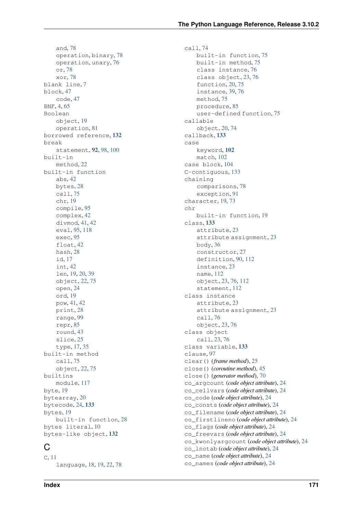and, 78 operation, binary, 78 operation, unary, 76 or, 78 xor, [78](#page-83-0) blank line, 7 block, 47 co[de](#page-83-0), 47 BNF, 4, 65 Boolean ob[jec](#page-52-0)t, [19](#page-12-0) oper[ati](#page-52-0)on, 81 bor[ro](#page-9-0)[wed](#page-70-0) reference, **132** break statem[ent](#page-24-0), **92**, 98, 100 built-in method, 22 built-in function abs, 42 bytes, 28 call, 75 chr, 19 com[pil](#page-47-0)e, 95 compl[ex](#page-33-0), 42 divm[od](#page-80-0), 41, 42 eval, [9](#page-24-0)5, 118 exec, 95 float, 42 hash, 28 id, 17 int, 4[2](#page-100-1) len, 19, [20](#page-47-0), 39 obje[ct](#page-33-0), 22, 75 op[en](#page-22-0), 24 ord, [19](#page-47-0) pow, [41,](#page-24-0) [42](#page-25-0) print, 2[8](#page-27-0) range, [9](#page-29-0)9 repr, [8](#page-24-0)5 rou[nd](#page-46-0), [43](#page-47-0) slice, [25](#page-33-0) type, 1[7,](#page-104-0) 35 built-in [m](#page-90-0)ethod call, 7[5](#page-48-0) object, [2](#page-30-0)2, 75 builtins module, 117 byte, 19 bytearra[y](#page-80-0), [20](#page-27-0) bytecode, 24, **1[33](#page-80-0)** bytes, 19 b[uil](#page-24-0)t-[in f](#page-122-0)unction, 28 bytes lit[era](#page-25-0)l, 10 bytes-li[ke](#page-29-0) [obj](#page-138-0)ect, **132** C

#### call, 74 built-in function, 75 built-in method, 75 class instance, 76 c[las](#page-79-0)s object, 23, 76 function, 20, 75 instance, 39, 76 method, 75 procedure, 85 user-def[ine](#page-25-0)[d f](#page-80-0)[u](#page-28-0)[nct](#page-81-0)ion, 75 callable object, [20](#page-80-0), [74](#page-44-0) callback, **133** case keyword, **102** match, 1[02](#page-25-0) case blo[ck](#page-138-0), 10[4](#page-79-0) C-contiguous, 133 chaining compa[riso](#page-107-0)ns, 78 excepti[on](#page-109-0), 91 character, 19, [73](#page-138-0) chr built-in fu[nct](#page-83-0)ion, 19 class, **133** attrib[ute](#page-24-0), [2](#page-78-0)[3](#page-96-0) attribute assignment, 23 body, 36 co[nst](#page-138-0)ructor, 27 definition, [9](#page-28-0)0, 112 instance, 23 name, [11](#page-41-0)2 object, 23, 76, [11](#page-32-0)2 statement, 1[12](#page-95-0) class instan[ce](#page-28-0) attr[ibut](#page-117-0)e, 23 attrib[ute](#page-28-0) [as](#page-81-0)[sig](#page-117-0)nment, 23 call, 76 object, 23, [76](#page-117-0) class object call, 23, 76 class va[ri](#page-81-0)able, **133** clause, 97 clear() (*frame method*), 25 close() (*[cor](#page-28-0)[outi](#page-81-0)ne method*), 45 close() (*generator [meth](#page-138-0)od*), 70 co\_arg[cou](#page-102-0)nt (*code object attribute*), 24 co\_cellvars (*code obje[ct a](#page-30-0)ttribute*), 24 co\_code (*code object attribute*[\),](#page-50-0) 24 co\_consts (*code object attri[bute](#page-75-0)*), 24 co\_filename (*code object attribute*), [24](#page-29-0) co\_firstlineno (*code object attrib[ute](#page-29-0)*), 24 co\_flags (*code object attribute*), [2](#page-29-0)4 co\_freevars (*code object attribute*[\),](#page-29-0) 24 co\_kwonlyargcount (*code object [attri](#page-29-0)bute*), 24 co\_lnotab (*code object attribute*), 24

co\_name (*code object attribute*), 2[4](#page-29-0) co\_names (*code object attribute*), 24

C, 11 language, 18, 19, [22,](#page-137-3) 78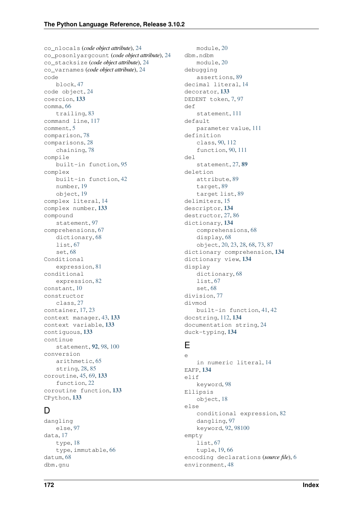co\_nlocals (*code object attribute*), 24 co\_posonlyargcount (*code object attribute*), 24 co\_stacksize (*code object attribute*), 24 co\_varnames (*code object attribute*), 24 code block, 47 code object, 24 coercion, **133** comma, 66 trail[ing](#page-52-0), 83 command line, [1](#page-29-0)17 comment, 5 compa[ris](#page-71-0)[on](#page-138-0), 78 comparisons, [28](#page-88-0) chaining, [78](#page-122-0) compile buil[t-](#page-10-0)i[n f](#page-83-0)unction, 95 complex built-in [fu](#page-83-0)nction, 42 number, 19 object, 19 complex literal, 14 complex number, **133** compound statem[ent](#page-24-0), 97 comprehensions, 6[7](#page-19-0) dictionary, [68](#page-138-0) list, 67 set, 68 Conditional expression, [81](#page-73-0) conditio[na](#page-72-1)l exp[res](#page-73-0)sion, 82 constant, 10 constructor class, 27 container, 17, 23 context [man](#page-15-0)age[r](#page-87-0), 43, **133** context variable, **133** contiguou[s](#page-32-0), **133** continue statement, **92**, [98,](#page-48-0) [100](#page-138-0) conversion arithme[tic](#page-138-0), 65 string, 28, 85 coroutine, 45, 6[9,](#page-97-0) **1[33](#page-103-3)** function, 22 coroutine func[ti](#page-70-0)on, **133** CPython, **13[3](#page-33-0)**

# D

dangling else, [97](#page-138-0) data, 17 type, 18 type, immutable, 66 datum, 68 dbm.[gnu](#page-22-0)

module, 20 dbm.ndbm module, 20 debugging assert[ion](#page-25-0)s, 89 decimal literal, 14 decorator, **[133](#page-25-0)** DEDENT token, 7, 97 def statement, 1[11](#page-94-0) default parame[ter](#page-138-0) [v](#page-12-0)[alu](#page-102-0)e, 111 definition class, 90, 1[12](#page-116-0) function, 90, 111 del statement, 27, **89** deletion attribute, [8](#page-95-0)[9](#page-116-0) target, 89 target lis[t](#page-32-0), 8[9](#page-94-0) delimiters, 15 descriptor, **13[4](#page-94-0)** destructor, [27](#page-94-0), 86 dictionary, **134** compreh[ens](#page-20-0)i[on](#page-94-0)s, 68 display, [68](#page-139-2) object, [20,](#page-32-0) [23,](#page-91-0) 28, 68, 73, 87 dictionary [com](#page-139-2)prehension, **134** dictionary view, **13[4](#page-73-0)** display dictio[nar](#page-25-0)[y](#page-28-0), 6[8](#page-33-0) list, 67 set, 68 division, 77 divmod buil[t-i](#page-72-1)n f[unc](#page-73-0)tion, 41, 42 docstri[ng](#page-73-0), 112, **134** document[ati](#page-82-0)on string, 24 duck-typing, **134**

# E

```
e
    in numeric literal, 14
EAFP, 134
elif
   keyword, 98
Ellipsis
    object, 18
else
    conditional expression, 82
    dangling, 97
    keyword, 92, 98100
empty
    list, 67
    tuple, 19, 66
encoding declarations (source file), 6
environment, 48
```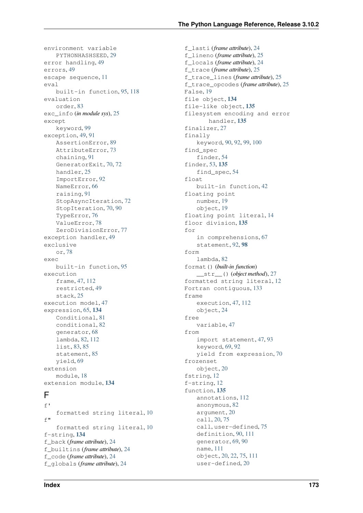environment variable PYTHONHASHSEED, 29 error handling, 49 errors, 49 escape sequence, 11 eval built-in fu[nct](#page-54-0)[ion](#page-34-0), 95, 118 evalua[tio](#page-54-0)n order, 83 exc\_info (*in module [sys](#page-16-0)*), 25 except keyword, 99 exception, [49](#page-88-0), 91 AssertionError, 8[9](#page-30-0) AttributeError, 73 chaining, [9](#page-104-0)1 Genera[tor](#page-54-0)[Ex](#page-96-0)it, 70, 72 handler, 25 ImportError, 92 NameError, [6](#page-96-0)6 raising, 91 StopAsy[ncI](#page-30-0)teration, 72 StopIterati[on](#page-97-0), 70, 90 TypeError, [76](#page-71-0) ValueEr[ror](#page-96-0), 78 ZeroDivisionError, 7[7](#page-77-0) exception handler, [49](#page-75-0) exclusive or, 78 exec built-in funct[ion](#page-54-0), [95](#page-82-0) execution fr[ame](#page-83-0), 47, 112 restricted, 49 stack, 25 execution model, 47 expressio[n](#page-52-0), 6[5,](#page-117-0) **134** Conditional, [8](#page-54-0)1 condi[tio](#page-30-0)nal, 82 generator, 68 lambda, [82,](#page-70-0) [112](#page-139-2) list, 83, 85 statement, 85 yield, 69 extension modu[le](#page-88-0), [18](#page-90-0) extension mod[ul](#page-90-0)e, **134**

# F

 $f'$ formatted str[ing](#page-139-2) literal, 10  $f''$ formatted string literal, 10 f-string, **134** f\_back (*frame attribute*), 24 f\_builtins (*frame attribute*), 24 f\_code (*frame attribute*), 24 f\_globals (*[fra](#page-139-2)me attribute*), 24

f\_lasti (*frame attribute*), 24 f\_lineno (*frame attribute*), 25 f\_locals (*frame attribute*), 24 f\_trace (*frame attribute*), 25 f\_trace\_lines (*frame [attri](#page-29-0)bute*), 25 f\_trace\_opcodes (*frame [att](#page-30-0)ribute*), 25 False, 19 file object, **134** file-like object, **13[5](#page-30-0)** filesystem encoding and [error](#page-30-0) [h](#page-24-0)andler, **135** finalizer, 27 finally keyword, 90, 92, [99,](#page-140-3) 100 find\_spec finder, [54](#page-32-0) finder, 53, **135** find\_sp[ec](#page-95-0), [54](#page-97-0) float built-[in](#page-59-0) function, 42 floati[ng](#page-58-0) [poi](#page-140-3)nt number, 19 object, 19 floating point litera[l](#page-47-0), 14 floor division, **135** for in com[pre](#page-24-0)hensions, 67 statement, 92, **98** form lambda, 82 format() (*built-in function*) \_\_str\_\_() (*[ob](#page-97-0)j[ect](#page-103-3) meth[od](#page-72-1)*), 27 formatted string literal, 12 Fortran co[nt](#page-87-0)iguous, 133 frame execution, 47, 112 object, 24 free variable, 47 from import [st](#page-29-0)atement, 47, 93 keyword, 69, 92 yield fr[om](#page-52-0) expression, 70 frozenset object, 20 fstring, 12 f-string, 12 function, **135** annota[tio](#page-25-0)ns, 112 anon[ymo](#page-17-0)us, 82 argum[ent](#page-17-0), 20 call, [20,](#page-140-3) 75 call, user-d[efin](#page-117-0)ed, 75 definition, [9](#page-87-0)0, 111 generator, [6](#page-25-0)9, 90 name, [11](#page-25-0)1 object, [20,](#page-80-0) 22, 75, 111 user-defin[ed](#page-95-0), [20](#page-116-0)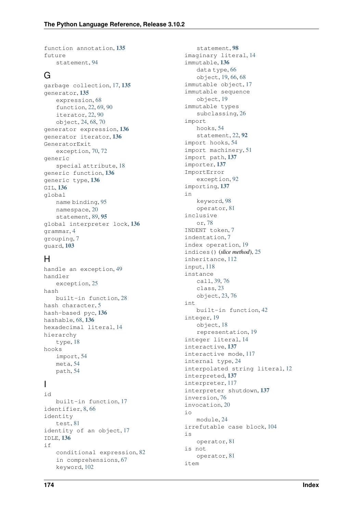function annotation, **135** future statement, 94

# G

garbage collection, 17, **135** generator, **135** expression, 68 function, 22, 69, 90 iterator, 22, 90 object, [24,](#page-140-3) 68, 70 generator expr[es](#page-73-0)sion, **136** generator it[er](#page-27-0)[ato](#page-74-0)[r](#page-95-0), **136** GeneratorExi[t](#page-27-0) except[ion](#page-29-0), [70](#page-73-0), [72](#page-75-0) generic special attribut[e](#page-141-2), 18 generic function, **136** generic type, **[136](#page-75-0)** GIL, **136** global name binding, 9[5](#page-141-2) namespace, [20](#page-141-2) [stat](#page-141-2)ement, 89, **95** global interpreter lock, **136** grammar, 4 grouping, 7 guard, **103**

# H

handle a[n](#page-12-0) exception, 49 handl[er](#page-108-0) exception, 25 hash built-in functio[n](#page-54-0), 28 hash character, 5 hash-based py[c](#page-30-0), **136** hashable, 68, **136** hexadecimal literal, 1[4](#page-33-0) hierarchy type, 18 hooks impor[t](#page-73-0), 5[4](#page-141-2) meta, 54 path, [54](#page-23-0)

## I

id buil[t-i](#page-59-0)n function, 17 identifier, 8, 66 identity test, 81 identity of an object, [17](#page-22-0) IDLE, **136** if cond[iti](#page-86-0)onal expression, 82 in comprehensions, [67](#page-22-0) k[eywo](#page-141-2)rd, 102

statement, **98** imaginary literal, 14 immutable, **136** data type, 66 object, 19, [66,](#page-103-3) 68 immutable object, 1[7](#page-19-0) immutable [seq](#page-141-2)uence object, 19 immutable [ty](#page-24-0)[pes](#page-71-0) subclassing, [2](#page-73-0)[6](#page-22-0) import hooks, 5[4](#page-24-0) statement, 22, **92** import hooks, 54 import machiner[y](#page-31-1), 51 import pa[th](#page-59-0), **137** importer, **137** ImportError exception, 92 importing, **13[7](#page-142-2)** in keyword, 98 operator, 8[1](#page-97-0) inclusive or, 78 INDENT toke[n](#page-103-3), 7 indentation, [7](#page-86-0) index operation, 19 indice[s\(](#page-83-0)) (*slice method*), 25 inheritance, 1[12](#page-12-0) input, 118 instance call, 39, 76 class, 23 ob[jec](#page-123-0)t, 23, [76](#page-117-0) int buil[t-i](#page-44-0)[n](#page-81-0) function, 42 integer, 1[9](#page-28-0) object, [18](#page-28-0) represent[at](#page-81-0)ion, 19 integer literal, 14 interac[tiv](#page-24-0)e, **137** interactiv[e](#page-23-0) mode, 117 internal type, 24 interpolated st[rin](#page-19-0)g literal, 12 interpreted, **[137](#page-142-2)** interpreter, 117 interpreter s[hut](#page-29-0)[down](#page-122-0), **137** inversion, 76 invocation, 2[0](#page-142-2) io module, 2[4](#page-122-0) irrefutab[le](#page-81-0) case blo[ck](#page-142-2), 104 is operato[r](#page-25-0), 81 is not operat[or](#page-29-0), 81 item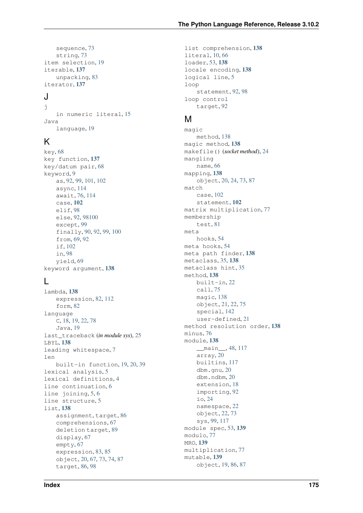```
sequence, 73
    string, 73
item selection, 19
iterable, 137
   unpacking, 83
iterator, 137
```
#### J

İ in numeric literal, 15 Java language, 19

### K

key, 68 key function, 137 key/datum pair, 68 keyword, 9 as, 92, 99, 101, 102 async, 114 await, 76, 114  $case, 102$ elif, 98 else, 92, 98100 except, 99 finally, 90, 92, 99, 100 from, 69, 92 if, 102 in, 98 yield, 69 keyword argument, 138

# L

lambda, 138 expression, 82, 112 form,  $82$ language C, 18, 19, 22, 78 Java, 19 last\_traceback (in module sys), 25 LBYL, 138 leading whitespace, 7 len built-in function, 19, 20, 39 lexical analysis, 5 lexical definitions, 4 line continuation, 6 line joining, 5, 6 line structure, 5 list, 138 assignment, target, 86 comprehensions, 67 deletion target, 89 display, 67 empty, 67 expression, 83, 85 object, 20, 67, 73, 74, 87 target, 86, 98

list comprehension, 138  $literal, 10, 66$ loader, 53, 138 locale encoding, 138 logical line, 5 loop statement, 92, 98 loop control target, 92

#### M

magic method, 138 magic method, 138 makefile() (socket method), 24 mangling name, 66 mapping, 138 object, 20, 24, 73, 87 match case, 102 statement, 102 matrix multiplication, 77 membership test, 81 meta hooks, 54 meta hooks, 54 meta path finder, 138 metaclass, 35, 138 metaclass hint, 35 method, 138 built-in, 22  $cal1, 75$  $mag$ ic, 138 object, 21, 22, 75 special, 142 user-defined, 21 method resolution order, 138 minus.76 module, 138 \_main\_, 48, 117 array, 20 builtins, 117 dbm.qnu, 20 dbm.ndbm, 20 extension, 18 importing, 92  $io, 24$ namespace, 22  $object, 22, 73$ sys, 99, 117 module spec, 53, 139 modulo, 77 MRO, 139 multiplication, 77 mutable, 139 object, 19, 86, 87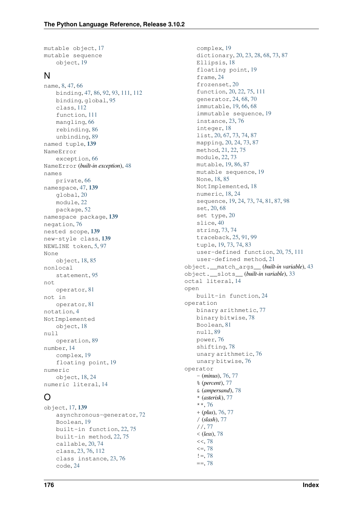mutable object, 17 mutable sequence object, 19

#### N

name, 8, 47, 66 binding, 47, 86, 92, 93, 111, 112 binding, global, 95 class, 112 function, 111 mangling, 66 rebinding, 86 unbinding, 89 named tuple, 139 NameError exception, 66 NameError (built-in exception), 48 names private, 66 namespace, 47, 139 global, 20 module, 22 package, 52 namespace package, 139 negation, 76 nested scope, 139 new-style class, 139 NEWLINE token, 5, 97 None  $object, 18, 85$ nonlocal statement, 95 not operator, 81 not in operator, 81 notation, 4 NotImplemented object. 18  $null$ operation, 89 number, 14 complex, 19 floating point, 19 numeric  $object, 18, 24$ numeric literal, 14

# O

```
object, 17, 139
    asynchronous-generator, 72
    Boolean, 19
   built-in function, 22, 75
   built-in method, 22, 75
   callable. 20.74
   class, 23, 76, 112
    class instance, 23,76
    code, 24
```
complex, 19 dictionary, 20, 23, 28, 68, 73, 87 Ellipsis, 18 floating point, 19 frame, 24 frozenset, 20 function, 20, 22, 75, 111 generator, 24, 68, 70 immutable, 19, 66, 68 immutable sequence, 19 instance, 23, 76 integer, 18 list, 20, 67, 73, 74, 87 mapping, 20, 24, 73, 87 method, 21, 22, 75 module, 22, 73 mutable, 19, 86, 87 mutable sequence, 19 None, 18, 85 NotImplemented, 18 numeric, 18, 24 sequence, 19, 24, 73, 74, 81, 87, 98 set, 20, 68 set type, 20 slice.40 string, 73, 74 traceback, 25, 91, 99 tuple, 19, 73, 74, 83 user-defined function, 20, 75, 111 user-defined method, 21 object. match args (built-in variable), 43 object. \_\_ slots \_\_ (built-in variable), 33 octal literal, 14 open built-in function, 24 operation binary arithmetic, 77 binary bitwise, 78 Boolean, 81 null, 89 power, 76 shifting, 78 unary arithmetic, 76 unary bitwise, 76 operator  $-$  (*minus*), 76, 77  $% (percent), 77$ & (ampersand), 78  $\star$  (asterisk), 77  $***,76$  $+$  (plus), 76, 77  $\sqrt{(slash)}$ , 77  $1/77$  $\langle$  (less), 78  $<<, 78$  $\leq$ , 78  $!=, 78$  $==, 78$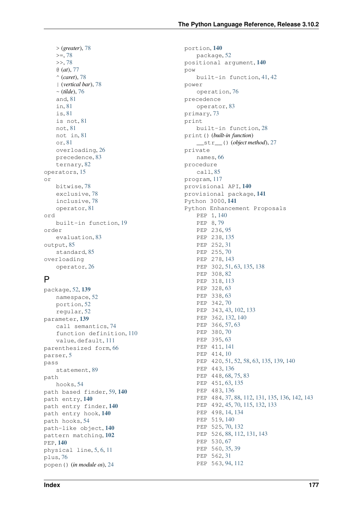```
>(greater), 78>=, 78>>.78@ (at), 77\hat{c} (caret), 78
    | (vertical bar), 78
    \sim (tilde), 76
    and, 81
    in.81
    is, 81is not, 81
    not, 81
    not in, 81
    or, 81
    overloading, 26
    precedence, 83
    ternary, 82
operators, 15
or
   bitwise, 78
    exclusive, 78
    inclusive, 78
    operator, 81
ord
   built-in function, 19
order
   evaluation, 83
output, 85
    standard, 85
overloading
    operator, 26
```
#### P

package, 52, 139 namespace, 52 portion, 52 regular, 52 parameter, 139 call semantics, 74 function definition, 110 value, default, 111 parenthesized form, 66 parser, 5 pass statement, 89 path hooks, 54 path based finder, 59, 140 path entry, 140 path entry finder, 140 path entry hook, 140 path hooks, 54 path-like object, 140 pattern matching, 102 **PEP, 140** physical line, 5, 6, 11 plus, 76 popen () (in module os), 24

portion, 140 package, 52 positional argument, 140 pow built-in function, 41, 42 power operation, 76 precedence operator, 83 primary, 73 print built-in function, 28 print () (built-in function) \_\_str\_()(object method), 27 private names, 66 procedure  $cal1, 85$ program, 117 provisional API, 140 provisional package, 141 Python 3000, 141 Python Enhancement Proposals PEP 1, 140 PEP 8.79 PEP 236.95 PEP 238, 135 PEP 252.31 PEP 255,70 PEP 278, 143 PEP 302, 51, 63, 135, 138 PEP 308,82 PEP 318, 113 PEP 328,63 PEP 338,63 PEP 342,70 PEP 343, 43, 102, 133 PEP 362, 132, 140 PEP 366, 57, 63 PEP 380,70 PEP 395,63 PEP 411, 141 PEP 414.10 PEP 420, 51, 52, 58, 63, 135, 139, 140 PEP 443.136 PEP 448, 68, 75, 83 PEP 451, 63, 135 PEP 483, 136 PEP 484, 37, 88, 112, 131, 135, 136, 142, 143 PEP 492, 45, 70, 115, 132, 133 PEP 498, 14, 134 PEP 519, 140 PEP 525, 70, 132 PEP 526, 88, 112, 131, 143 PEP 530,67 PEP 560, 35, 39 PEP 562,31 PEP 563, 94, 112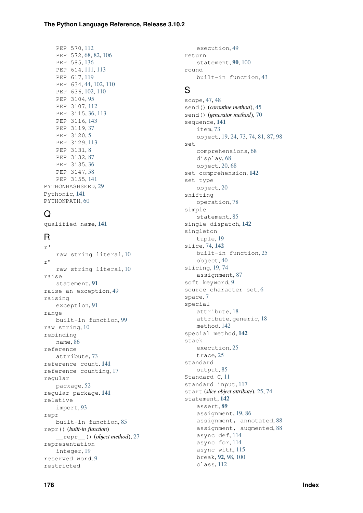PEP 570 , 112 PEP 572, 68, 82, 106 PEP 585 , 136 PEP 614, 111, 113 PEP 617 , [119](#page-117-0) PEP 634, [44](#page-73-0), [102](#page-87-0), [110](#page-111-0) PEP 636, [102](#page-141-0), 110 PEP 3104 , [95](#page-116-0) PEP 3107 , [11](#page-124-0)[2](#page-118-0) PEP [3](#page-115-0)[11](#page-107-0)5, 36, 113 PEP 3116 , [14](#page-107-0)[3](#page-115-0) PEP 3119,[37](#page-100-0) PEP 3120,[5](#page-117-0) PEP 3129 , [113](#page-41-0) PEP 3131 , [8](#page-148-0) PEP 3132 , [87](#page-42-0) PEP 3135 , [36](#page-10-0) PEP 3147,[58](#page-118-0) PEP 3155 , [14](#page-13-0)1 PYTHONHASHSE[ED](#page-92-0) , 29 Pythonic , **141** PYTHONPATH, 6[0](#page-63-0)

# Q

qualifie[d na](#page-146-0)me , **141**

# R

r' raw string [lite](#page-146-0)ral , 10  $r$ " raw string literal , 10 raise statement , **91** raise an exception , 49 raising exception , 91 range built-in [fun](#page-96-0)cti[on](#page-54-0) , 99 raw string , 10 rebinding name , 86 reference attribu[te](#page-15-0) , 73 reference count , **141** referenc[e](#page-91-0) counting , 17 regular package , 52 regular package , **[141](#page-146-0)** relative import , 93 repr built-i[n f](#page-57-0)un[ctio](#page-146-0)n , 85 repr() (*built-in function* ) \_\_repr[\\_\\_\(](#page-98-0)) (*object method*), 27 representation integer , 19 reserved word , 9 restricted

execution , 49 return statement , **90** , 100 round built-in [fun](#page-54-0)ction , 43

### S

scope, 47, 48 send() (*coroutine method*), 4[5](#page-48-0) send() (*generator method*), 70 sequence , **141** it[em](#page-52-0) , [73](#page-53-0) object, 19, 24, 73, 74, [81](#page-50-0), 87, 98 set compr[ehe](#page-146-0)nsions , 6[8](#page-75-0) disp[lay](#page-78-0) , 68 object , [20](#page-24-0) , [68](#page-29-0) set comprehension , **142** set type object , 2[0](#page-73-0) shifting operation , 78 simple statem[ent](#page-25-0) , 85 single dispatch , **142** singleton tuple , 19 slice , 74 , **142** built-in [fun](#page-90-0)[cti](#page-147-0)on , 25 object , 40 slicing, 19,[7](#page-24-0)4 as[sig](#page-79-0)[nme](#page-147-0)nt , 87 soft keyword , 9 source cha[ra](#page-45-0)cter set , [6](#page-30-0) space , 7 special attribute , [1](#page-14-0)[8](#page-92-0) attribute , generic , [1](#page-11-0)8 me[th](#page-12-0)od , 142 special method , **142** stack execution , 25 trace , 2[5](#page-147-0) standard output , 85 Standard C, 11 standard [in](#page-30-0)pu[t](#page-30-0) , 117 start (*slice object attribute*), 25 , 74 statement , **[142](#page-90-0)** assert , **[89](#page-16-0)** assignment , [19](#page-122-0) , 86 assignment, anno[tat](#page-30-0)[ed](#page-79-0), 88 assign[men](#page-147-0)t, augmented, 88 async [def](#page-94-0) , 114 async for , 1[14](#page-24-0) async with , 11[5](#page-91-0) break , **92** , 98 , 100 class , 112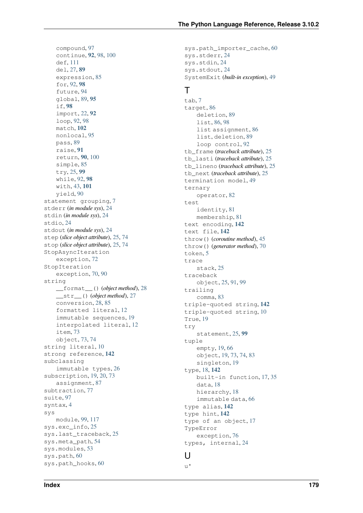compound, 97 continue, 92, 98, 100 def, 111  $del, 27, 89$ expression, 85 for, 92, 98 future, 94 global, 89, 95 if.98 import, 22, 92 loop, 92, 98 match, 102 nonlocal, 95 pass, 89 raise, 91 return, 90, 100 simple, 85 try, 25, 99 while,  $92,98$ with, 43, 101 yield, 90 statement grouping, 7 stderr (in module sys), 24 stdin (in module sys), 24 stdio, 24 stdout (in module sys), 24 step (slice object attribute), 25, 74 stop (slice object attribute), 25, 74 StopAsyncIteration exception, 72 StopIteration exception, 70, 90 string \_\_format\_()(object method), 28 \_\_st r\_\_() (object method), 27 conversion, 28, 85 formatted literal, 12 immutable sequences, 19 interpolated literal, 12 item, 73 object, 73, 74 string literal, 10 strong reference, 142 subclassing immutable types, 26 subscription, 19, 20, 73 assignment, 87 subtraction, 77 suite, 97 syntax, 4 sys module, 99, 117 sys.exc\_info, 25 sys.last\_traceback, 25 sys.meta\_path, 54 sys.modules, 53 sys.path, 60 sys.path\_hooks, 60

sys.path\_importer\_cache, 60 sys.stderr, 24 sys.stdin, 24 sys.stdout, 24 SystemExit (built-in exception), 49

### т

 $tab, 7$ target, 86 deletion, 89 list. 86, 98 list assignment, 86 list, deletion, 89 loop control, 92 tb\_frame (traceback attribute), 25 tb lasti (traceback attribute), 25 tb\_lineno (traceback attribute), 25 tb next (traceback attribute), 25 termination model, 49 ternary operator, 82 test identity, 81 membership, 81 text encoding, 142 text file, 142 throw () (coroutine method), 45 throw () (generator method), 70 token, 5 trace stack, 25 traceback object, 25, 91, 99 trailing comma, 83 triple-quoted string, 142 triple-quoted string, 10 True, 19 try statement, 25, 99 tuple empty, 19, 66 object, 19, 73, 74, 83 singleton, 19 type, 18, 142 built-in function, 17, 35 data, 18 hierarchy, 18 immutable data, 66 type alias, 142 type hint, 142 type of an object, 17 TypeError exception, 76 types, internal, 24

#### U

 $u$ '